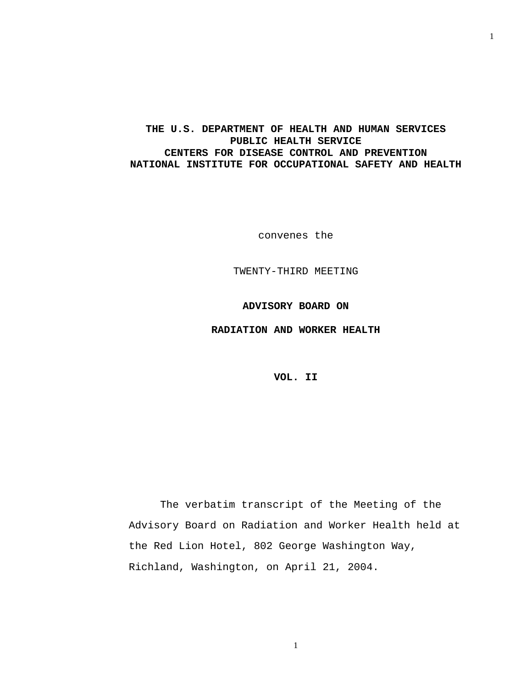## **THE U.S. DEPARTMENT OF HEALTH AND HUMAN SERVICES PUBLIC HEALTH SERVICE CENTERS FOR DISEASE CONTROL AND PREVENTION NATIONAL INSTITUTE FOR OCCUPATIONAL SAFETY AND HEALTH**

convenes the

TWENTY-THIRD MEETING

**ADVISORY BOARD ON** 

**RADIATION AND WORKER HEALTH** 

**VOL. II** 

The verbatim transcript of the Meeting of the Advisory Board on Radiation and Worker Health held at the Red Lion Hotel, 802 George Washington Way, Richland, Washington, on April 21, 2004.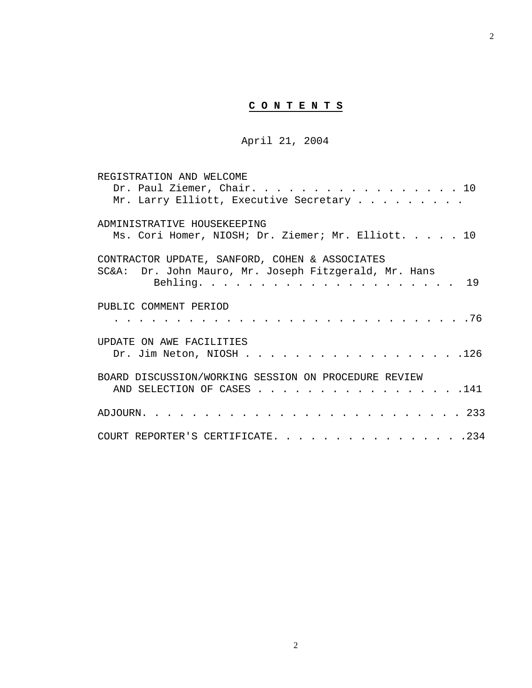# **C O N T E N T S**

April 21, 2004

| REGISTRATION AND WELCOME                              |
|-------------------------------------------------------|
| Dr. Paul Ziemer, Chair. 10                            |
| Mr. Larry Elliott, Executive Secretary                |
| ADMINISTRATIVE HOUSEKEEPING                           |
| Ms. Cori Homer, NIOSH; Dr. Ziemer; Mr. Elliott. 10    |
| CONTRACTOR UPDATE, SANFORD, COHEN & ASSOCIATES        |
| SC&A: Dr. John Mauro, Mr. Joseph Fitzgerald, Mr. Hans |
|                                                       |
| PUBLIC COMMENT PERIOD                                 |
|                                                       |
| UPDATE ON AWE FACILITIES                              |
| Dr. Jim Neton, NIOSH 126                              |
| BOARD DISCUSSION/WORKING SESSION ON PROCEDURE REVIEW  |
| AND SELECTION OF CASES 141                            |
|                                                       |
| COURT REPORTER'S CERTIFICATE. 234                     |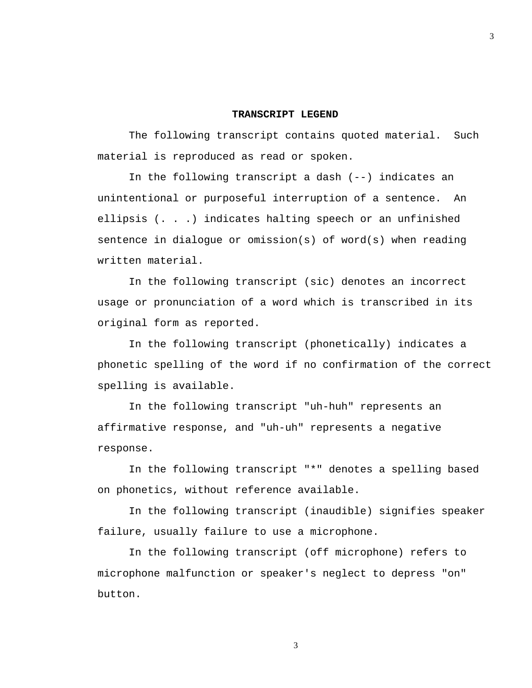## **TRANSCRIPT LEGEND**

The following transcript contains quoted material. Such material is reproduced as read or spoken.

In the following transcript a dash (--) indicates an unintentional or purposeful interruption of a sentence. An ellipsis (. . .) indicates halting speech or an unfinished sentence in dialogue or omission(s) of word(s) when reading written material.

In the following transcript (sic) denotes an incorrect usage or pronunciation of a word which is transcribed in its original form as reported.

In the following transcript (phonetically) indicates a phonetic spelling of the word if no confirmation of the correct spelling is available.

In the following transcript "uh-huh" represents an affirmative response, and "uh-uh" represents a negative response.

In the following transcript "\*" denotes a spelling based on phonetics, without reference available.

In the following transcript (inaudible) signifies speaker failure, usually failure to use a microphone.

In the following transcript (off microphone) refers to microphone malfunction or speaker's neglect to depress "on" button.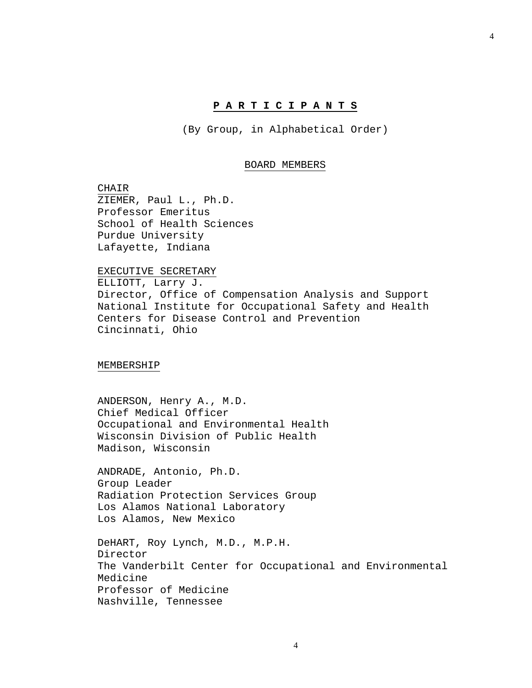### **P A R T I C I P A N T S**

(By Group, in Alphabetical Order)

#### BOARD MEMBERS

CHAIR ZIEMER, Paul L., Ph.D. Professor Emeritus School of Health Sciences Purdue University Lafayette, Indiana

#### EXECUTIVE SECRETARY

ELLIOTT, Larry J. Director, Office of Compensation Analysis and Support National Institute for Occupational Safety and Health Centers for Disease Control and Prevention Cincinnati, Ohio

MEMBERSHIP

ANDERSON, Henry A., M.D. Chief Medical Officer Occupational and Environmental Health Wisconsin Division of Public Health Madison, Wisconsin

ANDRADE, Antonio, Ph.D. Group Leader Radiation Protection Services Group Los Alamos National Laboratory Los Alamos, New Mexico

DeHART, Roy Lynch, M.D., M.P.H. Director The Vanderbilt Center for Occupational and Environmental Medicine Professor of Medicine Nashville, Tennessee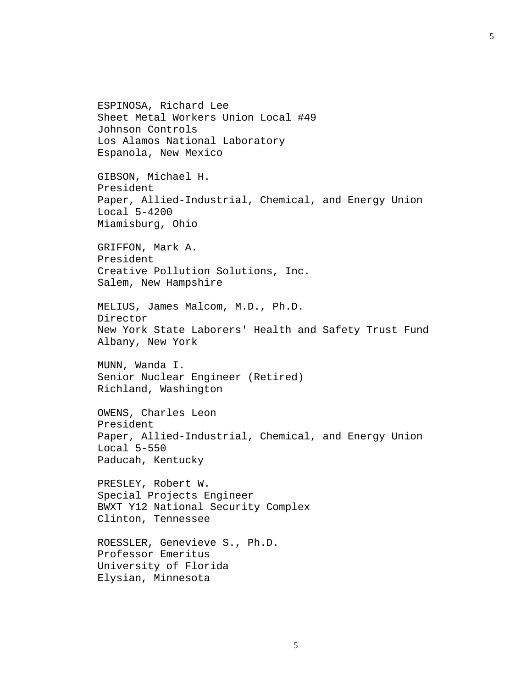ESPINOSA, Richard Lee Sheet Metal Workers Union Local #49 Johnson Controls Los Alamos National Laboratory Espanola, New Mexico GIBSON, Michael H. President Paper, Allied-Industrial, Chemical, and Energy Union Local 5-4200 Miamisburg, Ohio GRIFFON, Mark A. President Creative Pollution Solutions, Inc. Salem, New Hampshire MELIUS, James Malcom, M.D., Ph.D. Director New York State Laborers' Health and Safety Trust Fund Albany, New York MUNN, Wanda I. Senior Nuclear Engineer (Retired) Richland, Washington OWENS, Charles Leon President Paper, Allied-Industrial, Chemical, and Energy Union Local 5-550 Paducah, Kentucky PRESLEY, Robert W. Special Projects Engineer BWXT Y12 National Security Complex Clinton, Tennessee ROESSLER, Genevieve S., Ph.D. Professor Emeritus University of Florida Elysian, Minnesota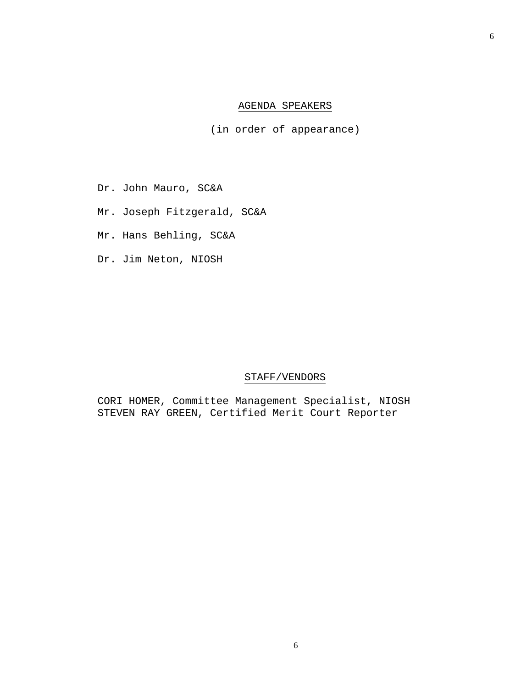## AGENDA SPEAKERS

(in order of appearance)

- Dr. John Mauro, SC&A
- Mr. Joseph Fitzgerald, SC&A
- Mr. Hans Behling, SC&A
- Dr. Jim Neton, NIOSH

## STAFF/VENDORS

CORI HOMER, Committee Management Specialist, NIOSH STEVEN RAY GREEN, Certified Merit Court Reporter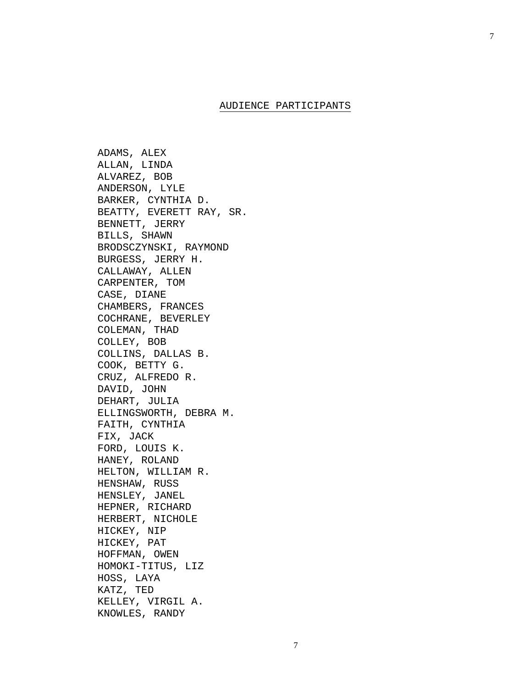## AUDIENCE PARTICIPANTS

ADAMS, ALEX ALLAN, LINDA ALVAREZ, BOB ANDERSON, LYLE BARKER, CYNTHIA D. BEATTY, EVERETT RAY, SR. BENNETT, JERRY BILLS, SHAWN BRODSCZYNSKI, RAYMOND BURGESS, JERRY H. CALLAWAY, ALLEN CARPENTER, TOM CASE, DIANE CHAMBERS, FRANCES COCHRANE, BEVERLEY COLEMAN, THAD COLLEY, BOB COLLINS, DALLAS B. COOK, BETTY G. CRUZ, ALFREDO R. DAVID, JOHN DEHART, JULIA ELLINGSWORTH, DEBRA M. FAITH, CYNTHIA FIX, JACK FORD, LOUIS K. HANEY, ROLAND HELTON, WILLIAM R. HENSHAW, RUSS HENSLEY, JANEL HEPNER, RICHARD HERBERT, NICHOLE HICKEY, NIP HICKEY, PAT HOFFMAN, OWEN HOMOKI-TITUS, LIZ HOSS, LAYA KATZ, TED KELLEY, VIRGIL A. KNOWLES, RANDY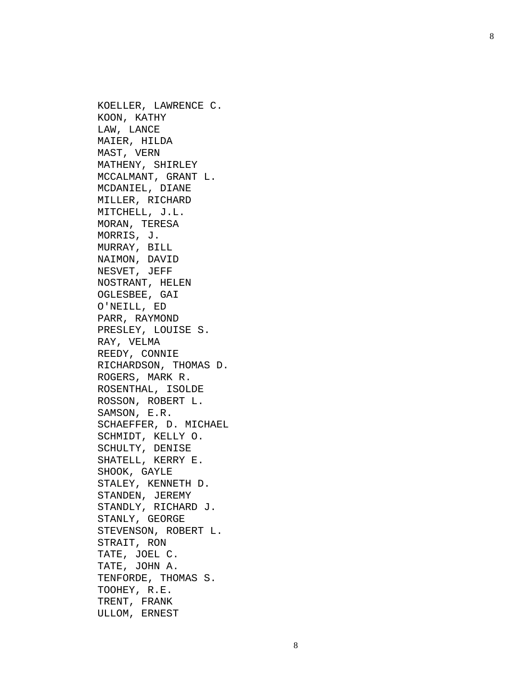KOELLER, LAWRENCE C. KOON, KATHY LAW, LANCE MAIER, HILDA MAST, VERN MATHENY, SHIRLEY MCCALMANT, GRANT L. MCDANIEL, DIANE MILLER, RICHARD MITCHELL, J.L. MORAN, TERESA MORRIS, J. MURRAY, BILL NAIMON, DAVID NESVET, JEFF NOSTRANT, HELEN OGLESBEE, GAI O'NEILL, ED PARR, RAYMOND PRESLEY, LOUISE S. RAY, VELMA REEDY, CONNIE RICHARDSON, THOMAS D. ROGERS, MARK R. ROSENTHAL, ISOLDE ROSSON, ROBERT L. SAMSON, E.R. SCHAEFFER, D. MICHAEL SCHMIDT, KELLY O. SCHULTY, DENISE SHATELL, KERRY E. SHOOK, GAYLE STALEY, KENNETH D. STANDEN, JEREMY STANDLY, RICHARD J. STANLY, GEORGE STEVENSON, ROBERT L. STRAIT, RON TATE, JOEL C. TATE, JOHN A. TENFORDE, THOMAS S. TOOHEY, R.E. TRENT, FRANK ULLOM, ERNEST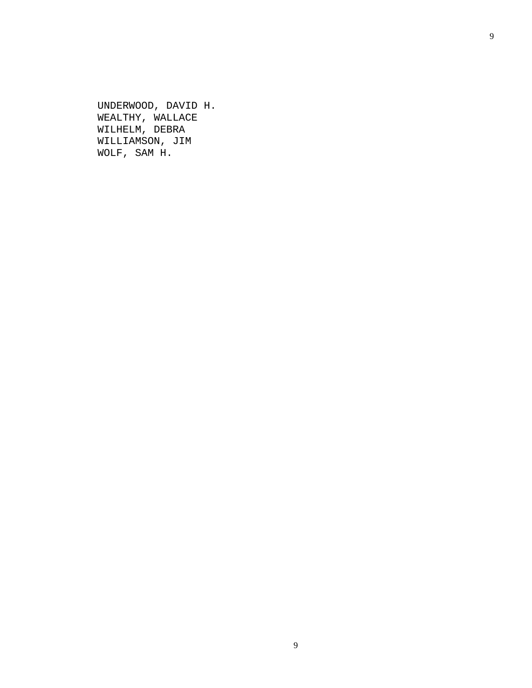UNDERWOOD, DAVID H. WEALTHY, WALLACE WILHELM, DEBRA WILLIAMSON, JIM WOLF, SAM H.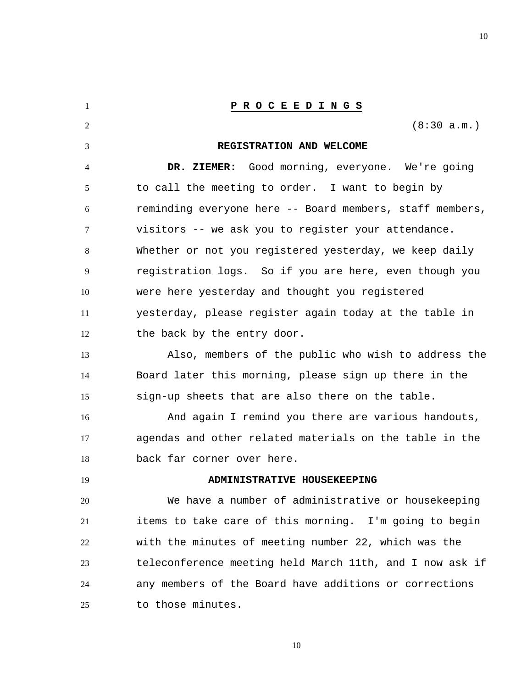<span id="page-9-0"></span>1 2 3 4 5 6 7 8 9 10 11 12 13 14 15 16 17 18 19 20 21 22 23 24 25 **P R O C E E D I N G S** (8:30 a.m.) **REGISTRATION AND WELCOME DR. ZIEMER:** Good morning, everyone. We're going to call the meeting to order. I want to begin by reminding everyone here -- Board members, staff members, visitors -- we ask you to register your attendance. Whether or not you registered yesterday, we keep daily registration logs. So if you are here, even though you were here yesterday and thought you registered yesterday, please register again today at the table in the back by the entry door. Also, members of the public who wish to address the Board later this morning, please sign up there in the sign-up sheets that are also there on the table. And again I remind you there are various handouts, agendas and other related materials on the table in the back far corner over here.  **ADMINISTRATIVE HOUSEKEEPING**  We have a number of administrative or housekeeping items to take care of this morning. I'm going to begin with the minutes of meeting number 22, which was the teleconference meeting held March 11th, and I now ask if any members of the Board have additions or corrections to those minutes.

10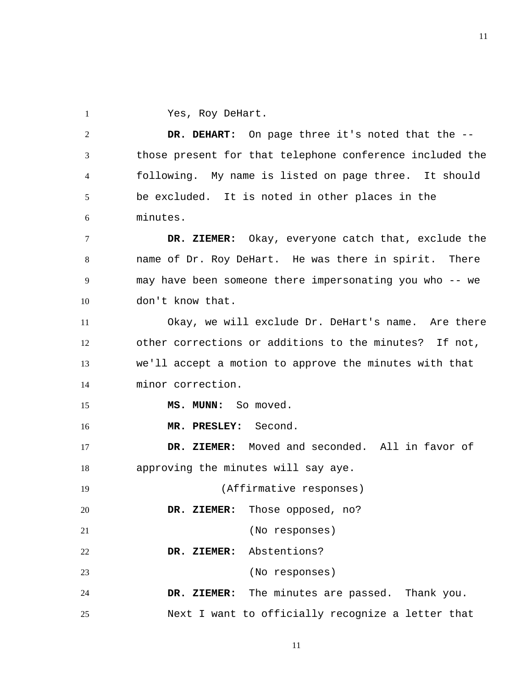1 Yes, Roy DeHart.

2 3 4 5 6  **DR. DEHART:** On page three it's noted that the - those present for that telephone conference included the following. My name is listed on page three. It should be excluded. It is noted in other places in the minutes.

7 8 9 10  **DR. ZIEMER:** Okay, everyone catch that, exclude the name of Dr. Roy DeHart. He was there in spirit. There may have been someone there impersonating you who -- we don't know that.

11 12 13 14 Okay, we will exclude Dr. DeHart's name. Are there other corrections or additions to the minutes? If not, we'll accept a motion to approve the minutes with that minor correction.

 **MS. MUNN:** So moved.

16  **MR. PRESLEY:** Second.

15

20

17 18  **DR. ZIEMER:** Moved and seconded. All in favor of approving the minutes will say aye.

19 (Affirmative responses)

 **DR. ZIEMER:** Those opposed, no?

21 (No responses)

22  **DR. ZIEMER:** Abstentions?

23 (No responses)

24 25  **DR. ZIEMER:** The minutes are passed. Thank you. Next I want to officially recognize a letter that

11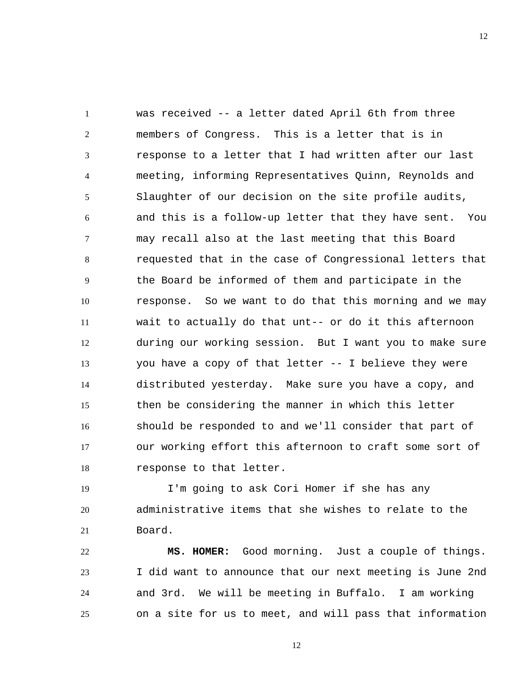1 2 3 4 5 6 7 8 9 10 11 12 13 14 15 16 17 18 was received -- a letter dated April 6th from three members of Congress. This is a letter that is in response to a letter that I had written after our last meeting, informing Representatives Quinn, Reynolds and Slaughter of our decision on the site profile audits, and this is a follow-up letter that they have sent. You may recall also at the last meeting that this Board requested that in the case of Congressional letters that the Board be informed of them and participate in the response. So we want to do that this morning and we may wait to actually do that unt-- or do it this afternoon during our working session. But I want you to make sure you have a copy of that letter -- I believe they were distributed yesterday. Make sure you have a copy, and then be considering the manner in which this letter should be responded to and we'll consider that part of our working effort this afternoon to craft some sort of response to that letter.

19 20 21 I'm going to ask Cori Homer if she has any administrative items that she wishes to relate to the Board.

22 23 24 25  **MS. HOMER:** Good morning. Just a couple of things. I did want to announce that our next meeting is June 2nd and 3rd. We will be meeting in Buffalo. I am working on a site for us to meet, and will pass that information

12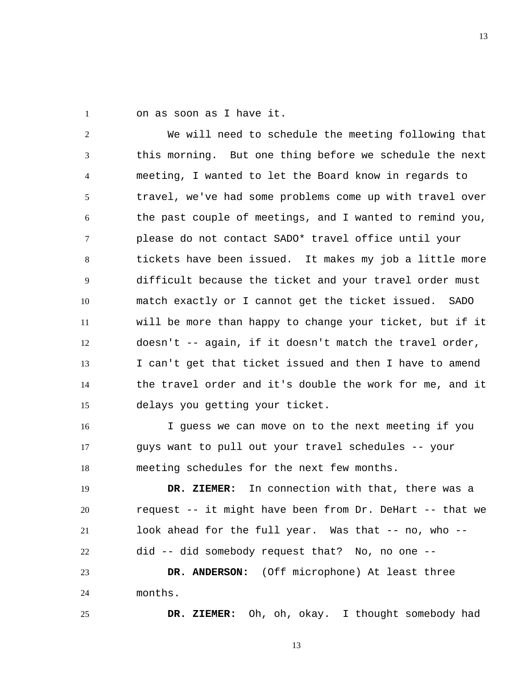1 on as soon as I have it.

2 3 4 5 6 7 8 9 10 11 12 13 14 15 We will need to schedule the meeting following that this morning. But one thing before we schedule the next meeting, I wanted to let the Board know in regards to travel, we've had some problems come up with travel over the past couple of meetings, and I wanted to remind you, please do not contact SADO\* travel office until your tickets have been issued. It makes my job a little more difficult because the ticket and your travel order must match exactly or I cannot get the ticket issued. SADO will be more than happy to change your ticket, but if it doesn't -- again, if it doesn't match the travel order, I can't get that ticket issued and then I have to amend the travel order and it's double the work for me, and it delays you getting your ticket.

16 17 18 I guess we can move on to the next meeting if you guys want to pull out your travel schedules -- your meeting schedules for the next few months.

19 20 21 22  **DR. ZIEMER:** In connection with that, there was a request -- it might have been from Dr. DeHart -- that we look ahead for the full year. Was that -- no, who -did -- did somebody request that? No, no one --

23 24  **DR. ANDERSON:** (Off microphone) At least three months.

25

 **DR. ZIEMER:** Oh, oh, okay. I thought somebody had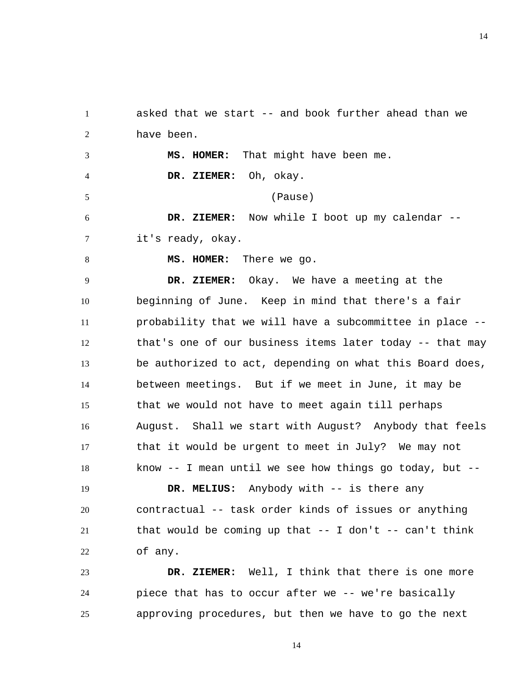1 2 asked that we start -- and book further ahead than we have been.

3 4 5 6 7  **MS. HOMER:** That might have been me.  **DR. ZIEMER:** Oh, okay. (Pause)  **DR. ZIEMER:** Now while I boot up my calendar - it's ready, okay.

8

 **MS. HOMER:** There we go.

9 10 11 12 13 14 15 16 17 18  **DR. ZIEMER:** Okay. We have a meeting at the beginning of June. Keep in mind that there's a fair probability that we will have a subcommittee in place - that's one of our business items later today -- that may be authorized to act, depending on what this Board does, between meetings. But if we meet in June, it may be that we would not have to meet again till perhaps August. Shall we start with August? Anybody that feels that it would be urgent to meet in July? We may not know -- I mean until we see how things go today, but --

19 20 21 22  **DR. MELIUS:** Anybody with -- is there any contractual -- task order kinds of issues or anything that would be coming up that  $--$  I don't  $--$  can't think of any.

23 24 25  **DR. ZIEMER:** Well, I think that there is one more piece that has to occur after we -- we're basically approving procedures, but then we have to go the next

14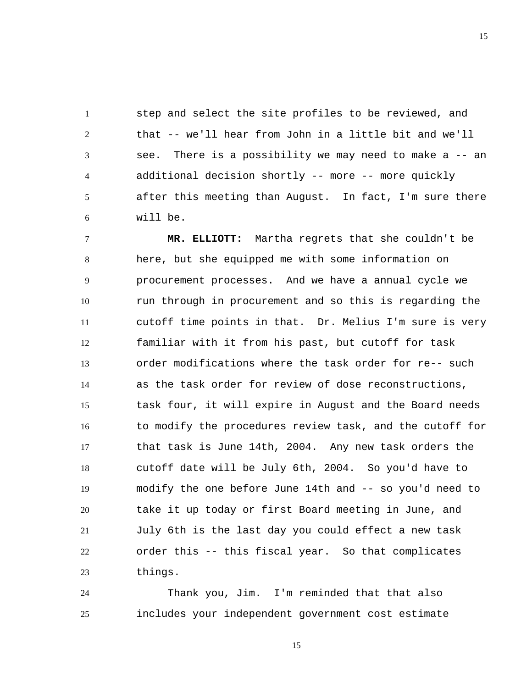1 2 3 4 5 6 step and select the site profiles to be reviewed, and that -- we'll hear from John in a little bit and we'll see. There is a possibility we may need to make a -- an additional decision shortly -- more -- more quickly after this meeting than August. In fact, I'm sure there will be.

7 8 9 10 11 12 13 14 15 16 17 18 19 20 21 22 23  **MR. ELLIOTT:** Martha regrets that she couldn't be here, but she equipped me with some information on procurement processes. And we have a annual cycle we run through in procurement and so this is regarding the cutoff time points in that. Dr. Melius I'm sure is very familiar with it from his past, but cutoff for task order modifications where the task order for re-- such as the task order for review of dose reconstructions, task four, it will expire in August and the Board needs to modify the procedures review task, and the cutoff for that task is June 14th, 2004. Any new task orders the cutoff date will be July 6th, 2004. So you'd have to modify the one before June 14th and -- so you'd need to take it up today or first Board meeting in June, and July 6th is the last day you could effect a new task order this -- this fiscal year. So that complicates things.

24 25 Thank you, Jim. I'm reminded that that also includes your independent government cost estimate

15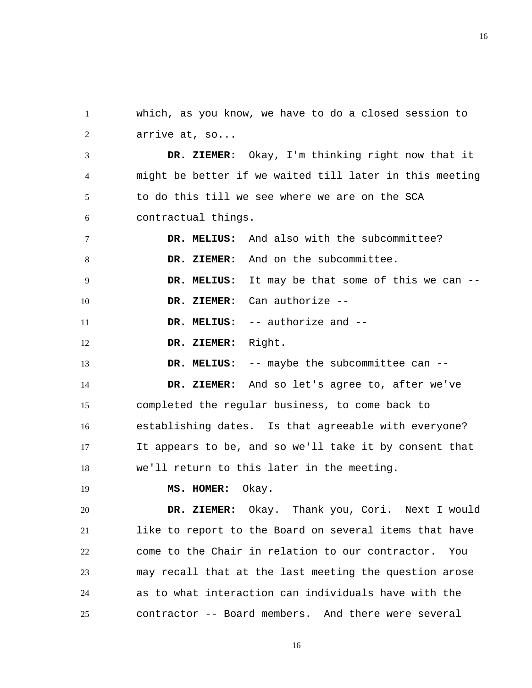1 2 which, as you know, we have to do a closed session to arrive at, so...

3 4 5 6  **DR. ZIEMER:** Okay, I'm thinking right now that it might be better if we waited till later in this meeting to do this till we see where we are on the SCA contractual things.

7 8 9 10 11  **DR. MELIUS:** And also with the subcommittee?  **DR. ZIEMER:** And on the subcommittee.  **DR. MELIUS:** It may be that some of this we can --  **DR. ZIEMER:** Can authorize --  **DR. MELIUS:** -- authorize and --

12  **DR. ZIEMER:** Right.

13  **DR. MELIUS:** -- maybe the subcommittee can --

14 15 16 17 18  **DR. ZIEMER:** And so let's agree to, after we've completed the regular business, to come back to establishing dates. Is that agreeable with everyone? It appears to be, and so we'll take it by consent that we'll return to this later in the meeting.

19

 **MS. HOMER:** Okay.

20 21 22 23 24 25  **DR. ZIEMER:** Okay. Thank you, Cori. Next I would like to report to the Board on several items that have come to the Chair in relation to our contractor. You may recall that at the last meeting the question arose as to what interaction can individuals have with the contractor -- Board members. And there were several

16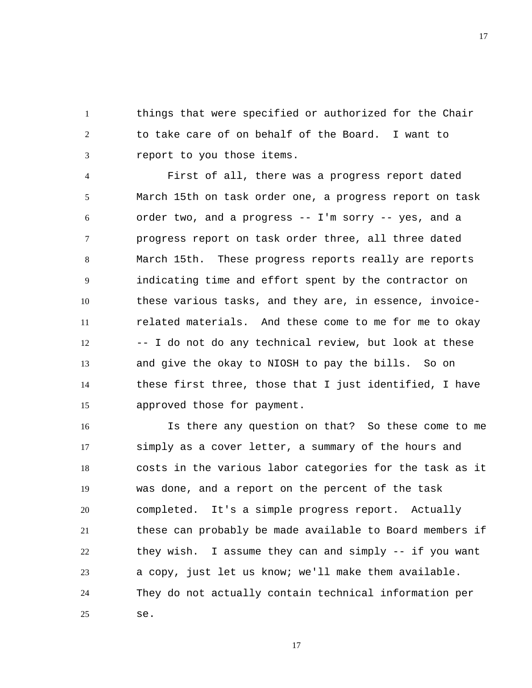1 2 3 things that were specified or authorized for the Chair to take care of on behalf of the Board. I want to report to you those items.

4 5 6 7 8 9 10 11 12 13 14 15 First of all, there was a progress report dated March 15th on task order one, a progress report on task order two, and a progress -- I'm sorry -- yes, and a progress report on task order three, all three dated March 15th. These progress reports really are reports indicating time and effort spent by the contractor on these various tasks, and they are, in essence, invoicerelated materials. And these come to me for me to okay -- I do not do any technical review, but look at these and give the okay to NIOSH to pay the bills. So on these first three, those that I just identified, I have approved those for payment.

16 17 18 19 20 21 22 23 24 25 Is there any question on that? So these come to me simply as a cover letter, a summary of the hours and costs in the various labor categories for the task as it was done, and a report on the percent of the task completed. It's a simple progress report. Actually these can probably be made available to Board members if they wish. I assume they can and simply -- if you want a copy, just let us know; we'll make them available. They do not actually contain technical information per se.

17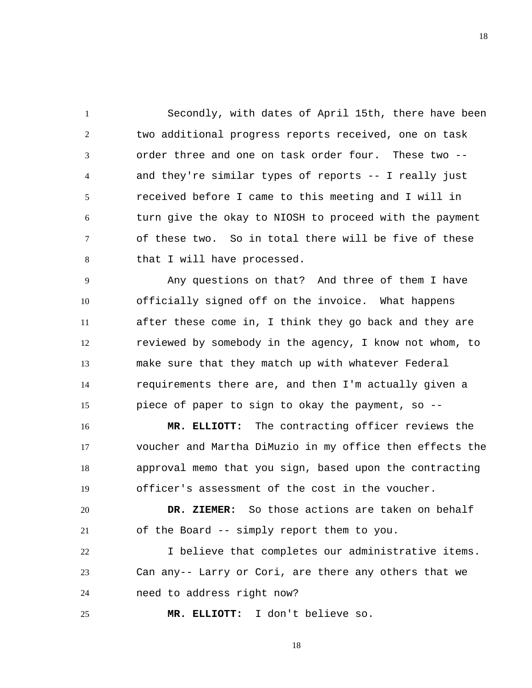1 2 3 4 5 6 7 8 Secondly, with dates of April 15th, there have been two additional progress reports received, one on task order three and one on task order four. These two - and they're similar types of reports -- I really just received before I came to this meeting and I will in turn give the okay to NIOSH to proceed with the payment of these two. So in total there will be five of these that I will have processed.

9 10 11 12 13 14 15 Any questions on that? And three of them I have officially signed off on the invoice. What happens after these come in, I think they go back and they are reviewed by somebody in the agency, I know not whom, to make sure that they match up with whatever Federal requirements there are, and then I'm actually given a piece of paper to sign to okay the payment, so --

16 17 18 19  **MR. ELLIOTT:** The contracting officer reviews the voucher and Martha DiMuzio in my office then effects the approval memo that you sign, based upon the contracting officer's assessment of the cost in the voucher.

20 21  **DR. ZIEMER:** So those actions are taken on behalf of the Board -- simply report them to you.

22 23 24 I believe that completes our administrative items. Can any-- Larry or Cori, are there any others that we need to address right now?

 **MR. ELLIOTT:** I don't believe so.

25

18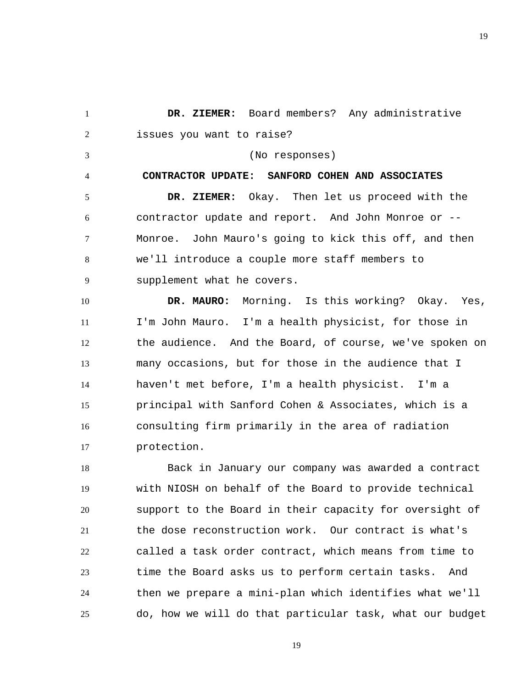<span id="page-18-0"></span>1 2  **DR. ZIEMER:** Board members? Any administrative issues you want to raise?

3

4

(No responses)

**CONTRACTOR UPDATE: SANFORD COHEN AND ASSOCIATES** 

5 6 7 8 9  **DR. ZIEMER:** Okay. Then let us proceed with the contractor update and report. And John Monroe or -- Monroe. John Mauro's going to kick this off, and then we'll introduce a couple more staff members to supplement what he covers.

10 11 12 13 14 15 16 17  **DR. MAURO:** Morning. Is this working? Okay. Yes, I'm John Mauro. I'm a health physicist, for those in the audience. And the Board, of course, we've spoken on many occasions, but for those in the audience that I haven't met before, I'm a health physicist. I'm a principal with Sanford Cohen & Associates, which is a consulting firm primarily in the area of radiation protection.

18 19 20 21 22 23 24 25 Back in January our company was awarded a contract with NIOSH on behalf of the Board to provide technical support to the Board in their capacity for oversight of the dose reconstruction work. Our contract is what's called a task order contract, which means from time to time the Board asks us to perform certain tasks. And then we prepare a mini-plan which identifies what we'll do, how we will do that particular task, what our budget

19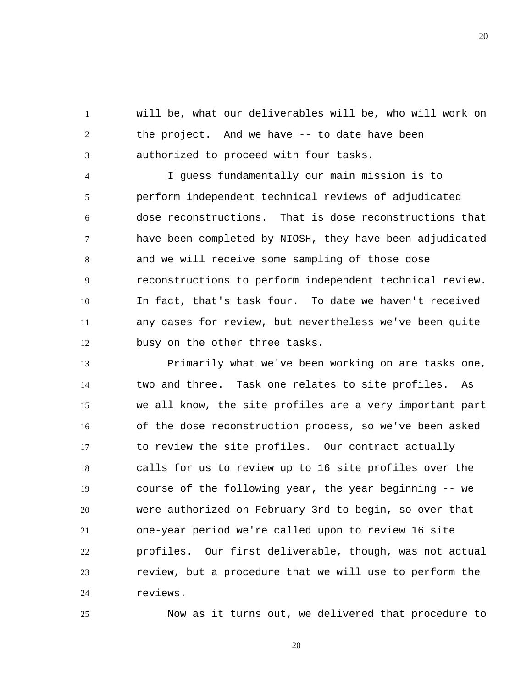1 2 3 will be, what our deliverables will be, who will work on the project. And we have -- to date have been authorized to proceed with four tasks.

4 5 6 7 8 9 10 11 12 I guess fundamentally our main mission is to perform independent technical reviews of adjudicated dose reconstructions. That is dose reconstructions that have been completed by NIOSH, they have been adjudicated and we will receive some sampling of those dose reconstructions to perform independent technical review. In fact, that's task four. To date we haven't received any cases for review, but nevertheless we've been quite busy on the other three tasks.

13 14 15 16 17 18 19 20 21 22 23 24 Primarily what we've been working on are tasks one, two and three. Task one relates to site profiles. As we all know, the site profiles are a very important part of the dose reconstruction process, so we've been asked to review the site profiles. Our contract actually calls for us to review up to 16 site profiles over the course of the following year, the year beginning -- we were authorized on February 3rd to begin, so over that one-year period we're called upon to review 16 site profiles. Our first deliverable, though, was not actual review, but a procedure that we will use to perform the reviews.

Now as it turns out, we delivered that procedure to

20

25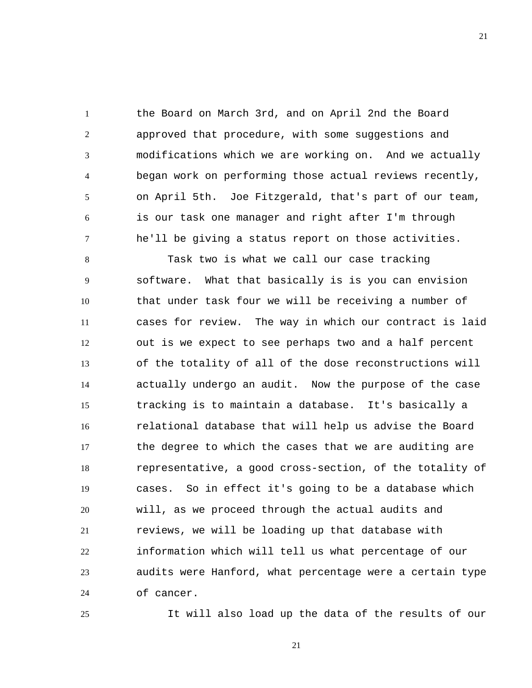1 2 3 4 5 6 7 the Board on March 3rd, and on April 2nd the Board approved that procedure, with some suggestions and modifications which we are working on. And we actually began work on performing those actual reviews recently, on April 5th. Joe Fitzgerald, that's part of our team, is our task one manager and right after I'm through he'll be giving a status report on those activities.

8 9 10 11 12 13 14 15 16 17 18 19 20 21 22 23 24 Task two is what we call our case tracking software. What that basically is is you can envision that under task four we will be receiving a number of cases for review. The way in which our contract is laid out is we expect to see perhaps two and a half percent of the totality of all of the dose reconstructions will actually undergo an audit. Now the purpose of the case tracking is to maintain a database. It's basically a relational database that will help us advise the Board the degree to which the cases that we are auditing are representative, a good cross-section, of the totality of cases. So in effect it's going to be a database which will, as we proceed through the actual audits and reviews, we will be loading up that database with information which will tell us what percentage of our audits were Hanford, what percentage were a certain type of cancer.

It will also load up the data of the results of our

21

25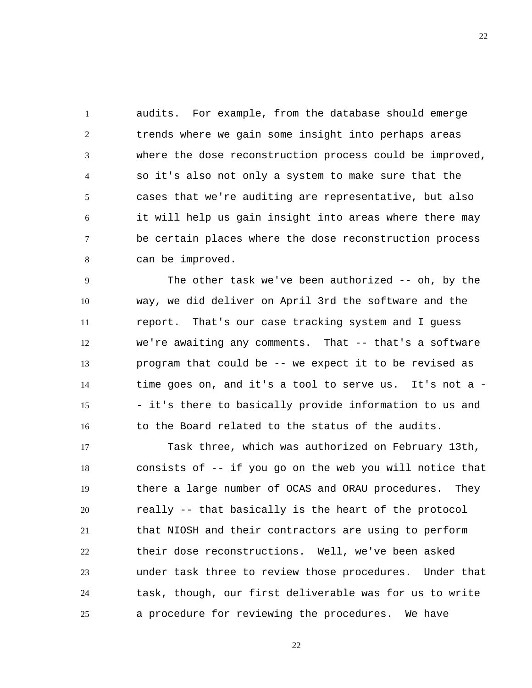1 2 3 4 5 6 7 8 audits. For example, from the database should emerge trends where we gain some insight into perhaps areas where the dose reconstruction process could be improved, so it's also not only a system to make sure that the cases that we're auditing are representative, but also it will help us gain insight into areas where there may be certain places where the dose reconstruction process can be improved.

9 10 11 12 13 14 15 16 The other task we've been authorized -- oh, by the way, we did deliver on April 3rd the software and the report. That's our case tracking system and I guess we're awaiting any comments. That -- that's a software program that could be -- we expect it to be revised as time goes on, and it's a tool to serve us. It's not a - - it's there to basically provide information to us and to the Board related to the status of the audits.

17 18 19 20 21 22 23 24 25 Task three, which was authorized on February 13th, consists of -- if you go on the web you will notice that there a large number of OCAS and ORAU procedures. They really -- that basically is the heart of the protocol that NIOSH and their contractors are using to perform their dose reconstructions. Well, we've been asked under task three to review those procedures. Under that task, though, our first deliverable was for us to write a procedure for reviewing the procedures. We have

22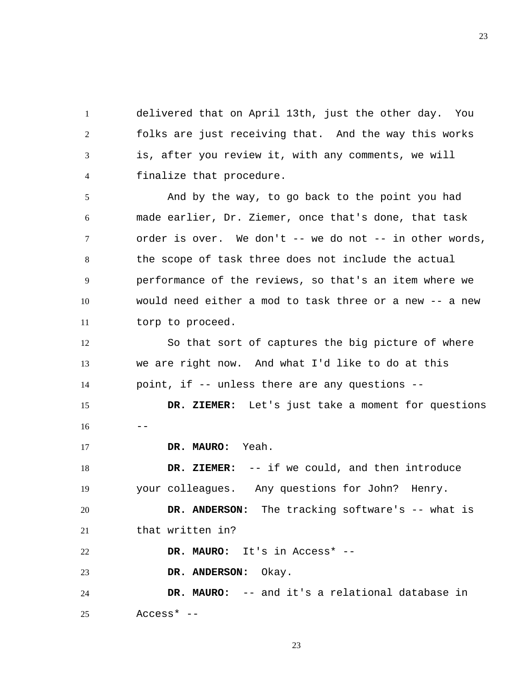1 2 3 4 delivered that on April 13th, just the other day. You folks are just receiving that. And the way this works is, after you review it, with any comments, we will finalize that procedure.

5 6 7 8 9 10 11 And by the way, to go back to the point you had made earlier, Dr. Ziemer, once that's done, that task order is over. We don't -- we do not -- in other words, the scope of task three does not include the actual performance of the reviews, so that's an item where we would need either a mod to task three or a new -- a new torp to proceed.

12 13 14 So that sort of captures the big picture of where we are right now. And what I'd like to do at this point, if -- unless there are any questions --

15  $16 - -$  **DR. ZIEMER:** Let's just take a moment for questions

17  **DR. MAURO:** Yeah.

18 19  **DR. ZIEMER:** -- if we could, and then introduce your colleagues. Any questions for John? Henry.

20 21  **DR. ANDERSON:** The tracking software's -- what is that written in?

22  **DR. MAURO:** It's in Access\* --

23  **DR. ANDERSON:** Okay.

24 25  **DR. MAURO:** -- and it's a relational database in Access\* --

23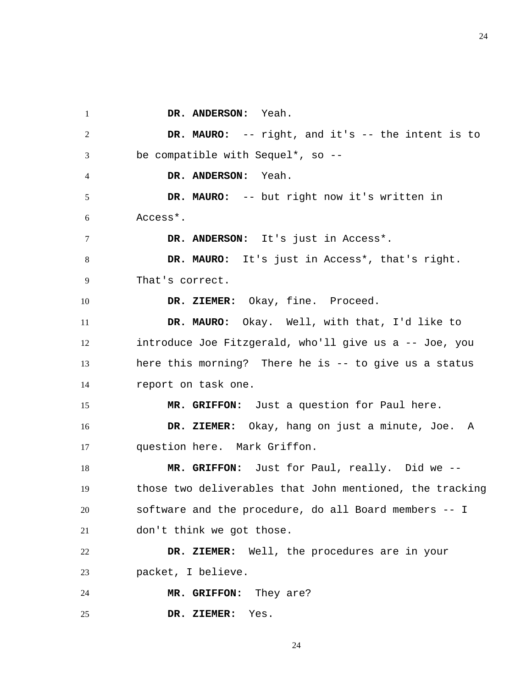1 2 3 4 5 6 7 8 9 10 11 12 13 14 15 16 17 18 19 20 21 22 23 24 25  **DR. ANDERSON:** Yeah.  **DR. MAURO:** -- right, and it's -- the intent is to be compatible with Sequel\*, so --  **DR. ANDERSON:** Yeah.  **DR. MAURO:** -- but right now it's written in Access\*. DR. ANDERSON: It's just in Access<sup>\*</sup>.  **DR. MAURO:** It's just in Access\*, that's right. That's correct.  **DR. ZIEMER:** Okay, fine. Proceed.  **DR. MAURO:** Okay. Well, with that, I'd like to introduce Joe Fitzgerald, who'll give us a -- Joe, you here this morning? There he is -- to give us a status report on task one.  **MR. GRIFFON:** Just a question for Paul here.  **DR. ZIEMER:** Okay, hang on just a minute, Joe. A question here. Mark Griffon.  **MR. GRIFFON:** Just for Paul, really. Did we - those two deliverables that John mentioned, the tracking software and the procedure, do all Board members -- I don't think we got those.  **DR. ZIEMER:** Well, the procedures are in your packet, I believe.  **MR. GRIFFON:** They are?  **DR. ZIEMER:** Yes.

24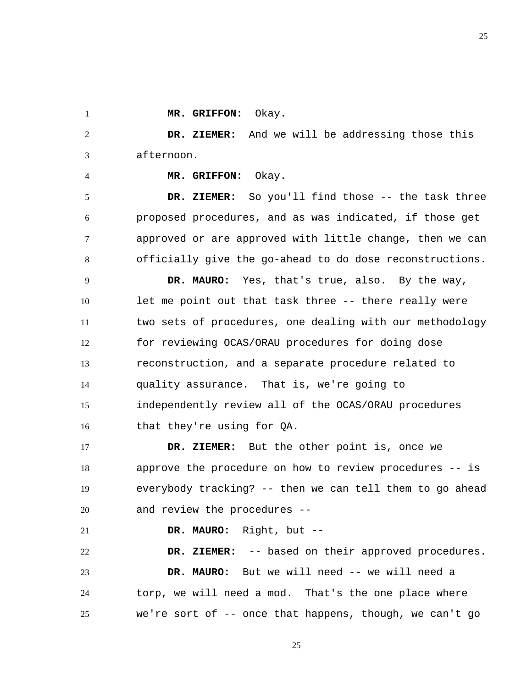25

 **MR. GRIFFON:** Okay.

1

4

2 3  **DR. ZIEMER:** And we will be addressing those this afternoon.

 **MR. GRIFFON:** Okay.

5 6 7 8  **DR. ZIEMER:** So you'll find those -- the task three proposed procedures, and as was indicated, if those get approved or are approved with little change, then we can officially give the go-ahead to do dose reconstructions.

9 10 11 12 13 14 15 16  **DR. MAURO:** Yes, that's true, also. By the way, let me point out that task three -- there really were two sets of procedures, one dealing with our methodology for reviewing OCAS/ORAU procedures for doing dose reconstruction, and a separate procedure related to quality assurance. That is, we're going to independently review all of the OCAS/ORAU procedures that they're using for QA.

17 18 19 20  **DR. ZIEMER:** But the other point is, once we approve the procedure on how to review procedures -- is everybody tracking? -- then we can tell them to go ahead and review the procedures --

21  **DR. MAURO:** Right, but --

22 23 24 25  **DR. ZIEMER:** -- based on their approved procedures.  **DR. MAURO:** But we will need -- we will need a torp, we will need a mod. That's the one place where we're sort of -- once that happens, though, we can't go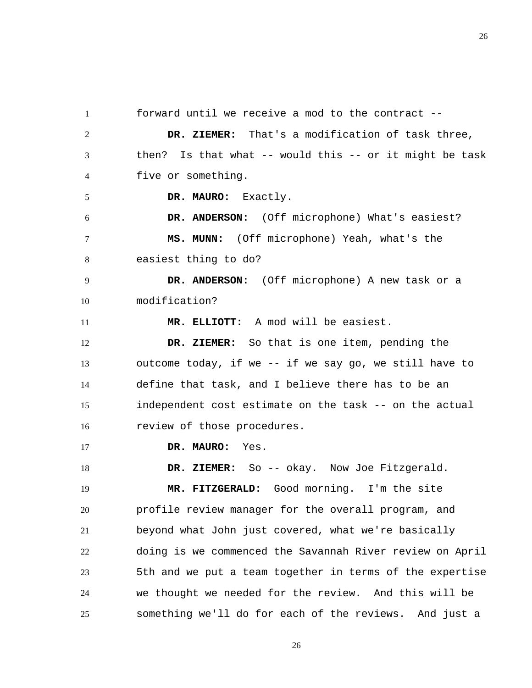1 2 3 4 5 6 7 8 9 10 11 12 13 14 15 16 17 18 19 20 21 22 23 24 25 forward until we receive a mod to the contract --  **DR. ZIEMER:** That's a modification of task three, then? Is that what  $--$  would this  $--$  or it might be task five or something.  **DR. MAURO:** Exactly.  **DR. ANDERSON:** (Off microphone) What's easiest?  **MS. MUNN:** (Off microphone) Yeah, what's the easiest thing to do?  **DR. ANDERSON:** (Off microphone) A new task or a modification?  **MR. ELLIOTT:** A mod will be easiest.  **DR. ZIEMER:** So that is one item, pending the outcome today, if we -- if we say go, we still have to define that task, and I believe there has to be an independent cost estimate on the task -- on the actual review of those procedures.  **DR. MAURO:** Yes.  **DR. ZIEMER:** So -- okay. Now Joe Fitzgerald.  **MR. FITZGERALD:** Good morning. I'm the site profile review manager for the overall program, and beyond what John just covered, what we're basically doing is we commenced the Savannah River review on April 5th and we put a team together in terms of the expertise we thought we needed for the review. And this will be something we'll do for each of the reviews. And just a

26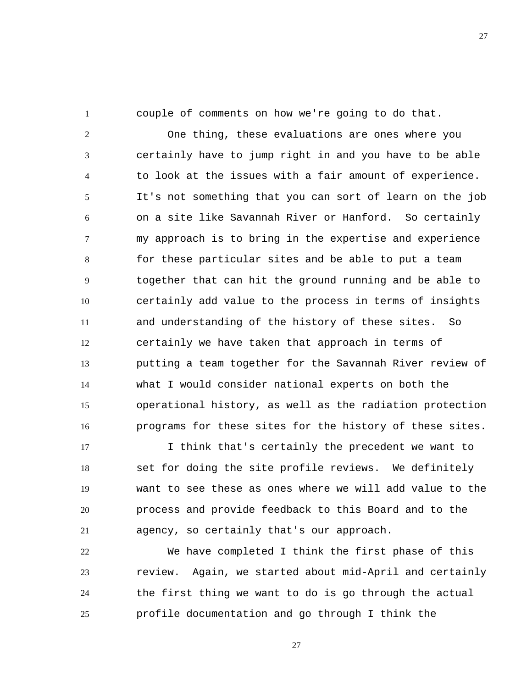1

couple of comments on how we're going to do that.

2 3 4 5 6 7 8 9 10 11 12 13 14 15 16 One thing, these evaluations are ones where you certainly have to jump right in and you have to be able to look at the issues with a fair amount of experience. It's not something that you can sort of learn on the job on a site like Savannah River or Hanford. So certainly my approach is to bring in the expertise and experience for these particular sites and be able to put a team together that can hit the ground running and be able to certainly add value to the process in terms of insights and understanding of the history of these sites. So certainly we have taken that approach in terms of putting a team together for the Savannah River review of what I would consider national experts on both the operational history, as well as the radiation protection programs for these sites for the history of these sites.

17 18 19 20 21 I think that's certainly the precedent we want to set for doing the site profile reviews. We definitely want to see these as ones where we will add value to the process and provide feedback to this Board and to the agency, so certainly that's our approach.

22 23 24 25 We have completed I think the first phase of this review. Again, we started about mid-April and certainly the first thing we want to do is go through the actual profile documentation and go through I think the

27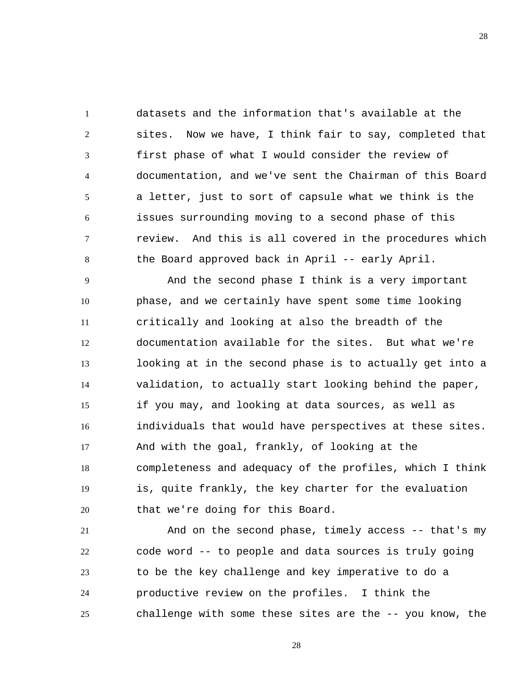1 2 3 4 5 6 7 8 datasets and the information that's available at the sites. Now we have, I think fair to say, completed that first phase of what I would consider the review of documentation, and we've sent the Chairman of this Board a letter, just to sort of capsule what we think is the issues surrounding moving to a second phase of this review. And this is all covered in the procedures which the Board approved back in April -- early April.

9 10 11 12 13 14 15 16 17 18 19 20 And the second phase I think is a very important phase, and we certainly have spent some time looking critically and looking at also the breadth of the documentation available for the sites. But what we're looking at in the second phase is to actually get into a validation, to actually start looking behind the paper, if you may, and looking at data sources, as well as individuals that would have perspectives at these sites. And with the goal, frankly, of looking at the completeness and adequacy of the profiles, which I think is, quite frankly, the key charter for the evaluation that we're doing for this Board.

21 22 23 24 25 And on the second phase, timely access -- that's my code word -- to people and data sources is truly going to be the key challenge and key imperative to do a productive review on the profiles. I think the challenge with some these sites are the -- you know, the

28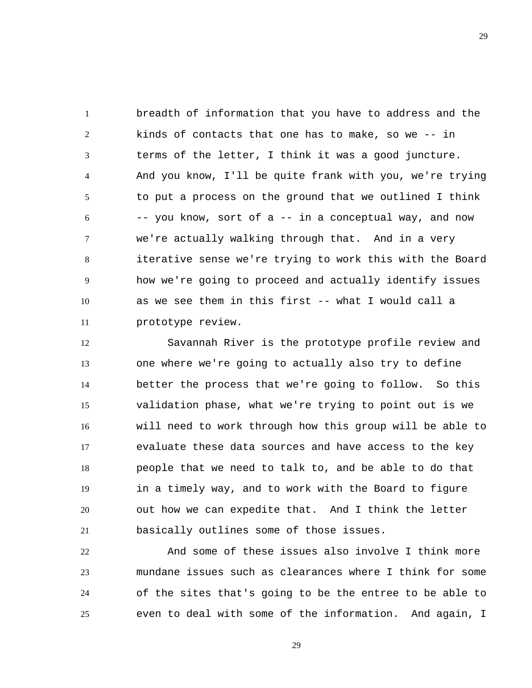1 2 3 4 5 6 7 8 9 10 11 breadth of information that you have to address and the kinds of contacts that one has to make, so we -- in terms of the letter, I think it was a good juncture. And you know, I'll be quite frank with you, we're trying to put a process on the ground that we outlined I think -- you know, sort of a -- in a conceptual way, and now we're actually walking through that. And in a very iterative sense we're trying to work this with the Board how we're going to proceed and actually identify issues as we see them in this first -- what I would call a prototype review.

12 13 14 15 16 17 18 19 20 21 Savannah River is the prototype profile review and one where we're going to actually also try to define better the process that we're going to follow. So this validation phase, what we're trying to point out is we will need to work through how this group will be able to evaluate these data sources and have access to the key people that we need to talk to, and be able to do that in a timely way, and to work with the Board to figure out how we can expedite that. And I think the letter basically outlines some of those issues.

22 23 24 25 And some of these issues also involve I think more mundane issues such as clearances where I think for some of the sites that's going to be the entree to be able to even to deal with some of the information. And again, I

29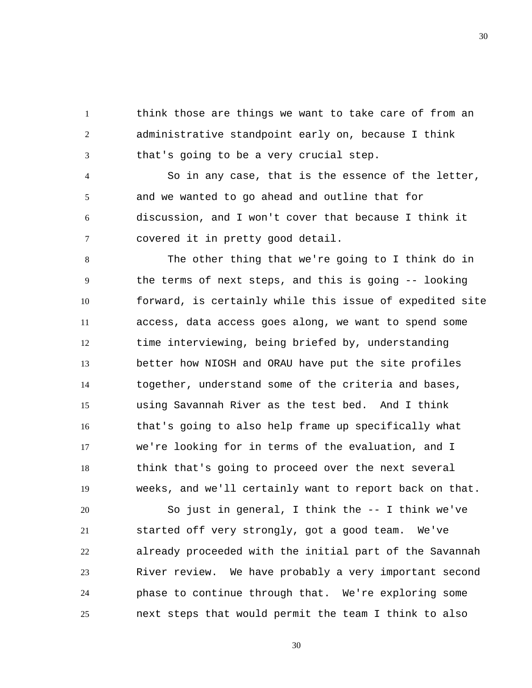1 2 3 think those are things we want to take care of from an administrative standpoint early on, because I think that's going to be a very crucial step.

4 5 6 7 So in any case, that is the essence of the letter, and we wanted to go ahead and outline that for discussion, and I won't cover that because I think it covered it in pretty good detail.

8 9 10 11 12 13 14 15 16 17 18 19 The other thing that we're going to I think do in the terms of next steps, and this is going -- looking forward, is certainly while this issue of expedited site access, data access goes along, we want to spend some time interviewing, being briefed by, understanding better how NIOSH and ORAU have put the site profiles together, understand some of the criteria and bases, using Savannah River as the test bed. And I think that's going to also help frame up specifically what we're looking for in terms of the evaluation, and I think that's going to proceed over the next several weeks, and we'll certainly want to report back on that.

20 21 22 23 24 25 So just in general, I think the -- I think we've started off very strongly, got a good team. We've already proceeded with the initial part of the Savannah River review. We have probably a very important second phase to continue through that. We're exploring some next steps that would permit the team I think to also

30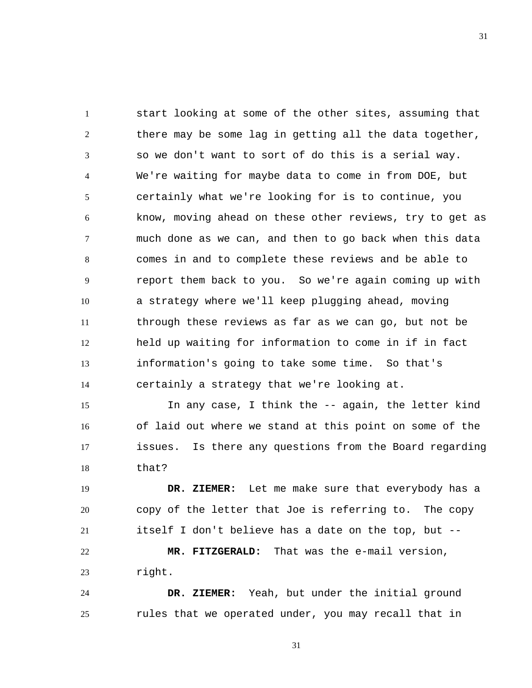1 2 3 4 5 6 7 8 9 10 11 12 13 14 start looking at some of the other sites, assuming that there may be some lag in getting all the data together, so we don't want to sort of do this is a serial way. We're waiting for maybe data to come in from DOE, but certainly what we're looking for is to continue, you know, moving ahead on these other reviews, try to get as much done as we can, and then to go back when this data comes in and to complete these reviews and be able to report them back to you. So we're again coming up with a strategy where we'll keep plugging ahead, moving through these reviews as far as we can go, but not be held up waiting for information to come in if in fact information's going to take some time. So that's certainly a strategy that we're looking at.

15 16 17 18 In any case, I think the -- again, the letter kind of laid out where we stand at this point on some of the issues. Is there any questions from the Board regarding that?

19 20 21 22  **DR. ZIEMER:** Let me make sure that everybody has a copy of the letter that Joe is referring to. The copy itself I don't believe has a date on the top, but --  **MR. FITZGERALD:** That was the e-mail version,

23 right.

24 25  **DR. ZIEMER:** Yeah, but under the initial ground rules that we operated under, you may recall that in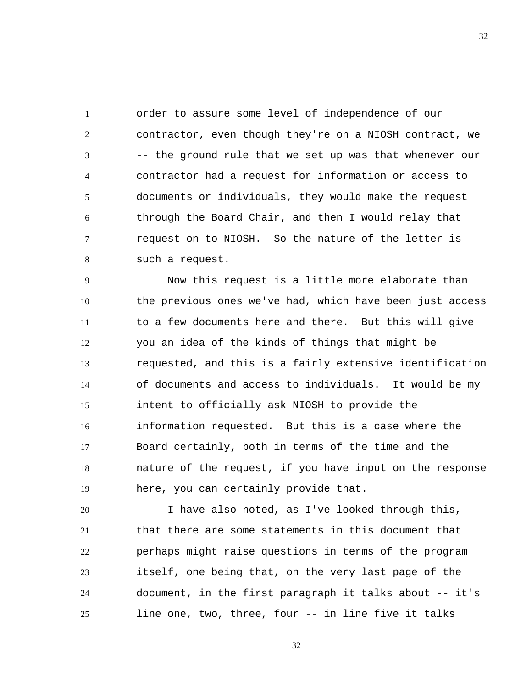1 2 3 4 5 6 7 8 order to assure some level of independence of our contractor, even though they're on a NIOSH contract, we -- the ground rule that we set up was that whenever our contractor had a request for information or access to documents or individuals, they would make the request through the Board Chair, and then I would relay that request on to NIOSH. So the nature of the letter is such a request.

9 10 11 12 13 14 15 16 17 18 19 Now this request is a little more elaborate than the previous ones we've had, which have been just access to a few documents here and there. But this will give you an idea of the kinds of things that might be requested, and this is a fairly extensive identification of documents and access to individuals. It would be my intent to officially ask NIOSH to provide the information requested. But this is a case where the Board certainly, both in terms of the time and the nature of the request, if you have input on the response here, you can certainly provide that.

20 21 22 23 24 25 I have also noted, as I've looked through this, that there are some statements in this document that perhaps might raise questions in terms of the program itself, one being that, on the very last page of the document, in the first paragraph it talks about -- it's line one, two, three, four -- in line five it talks

32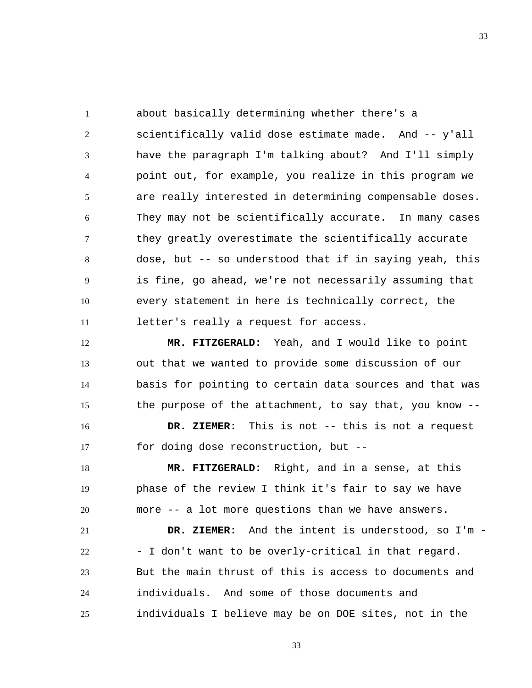1 2 3 4 5 6 7 8 9 10 11 about basically determining whether there's a scientifically valid dose estimate made. And -- y'all have the paragraph I'm talking about? And I'll simply point out, for example, you realize in this program we are really interested in determining compensable doses. They may not be scientifically accurate. In many cases they greatly overestimate the scientifically accurate dose, but -- so understood that if in saying yeah, this is fine, go ahead, we're not necessarily assuming that every statement in here is technically correct, the letter's really a request for access.

12 13 14 15  **MR. FITZGERALD:** Yeah, and I would like to point out that we wanted to provide some discussion of our basis for pointing to certain data sources and that was the purpose of the attachment, to say that, you know --

16 17  **DR. ZIEMER:** This is not -- this is not a request for doing dose reconstruction, but --

18 19 20  **MR. FITZGERALD:** Right, and in a sense, at this phase of the review I think it's fair to say we have more -- a lot more questions than we have answers.

21 22 23 24 25  **DR. ZIEMER:** And the intent is understood, so I'm - - I don't want to be overly-critical in that regard. But the main thrust of this is access to documents and individuals. And some of those documents and individuals I believe may be on DOE sites, not in the

33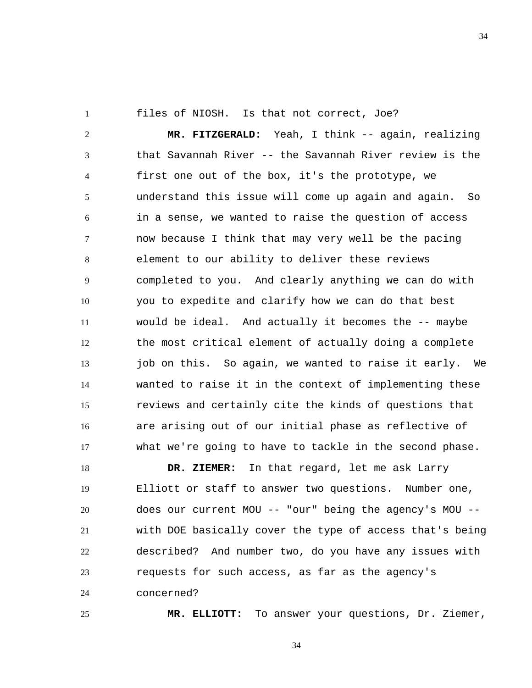1

25

files of NIOSH. Is that not correct, Joe?

2 3 4 5 6 7 8 9 10 11 12 13 14 15 16 17  **MR. FITZGERALD:** Yeah, I think -- again, realizing that Savannah River -- the Savannah River review is the first one out of the box, it's the prototype, we understand this issue will come up again and again. So in a sense, we wanted to raise the question of access now because I think that may very well be the pacing element to our ability to deliver these reviews completed to you. And clearly anything we can do with you to expedite and clarify how we can do that best would be ideal. And actually it becomes the -- maybe the most critical element of actually doing a complete job on this. So again, we wanted to raise it early. We wanted to raise it in the context of implementing these reviews and certainly cite the kinds of questions that are arising out of our initial phase as reflective of what we're going to have to tackle in the second phase.

18 19 20 21 22 23 24  **DR. ZIEMER:** In that regard, let me ask Larry Elliott or staff to answer two questions. Number one, does our current MOU -- "our" being the agency's MOU - with DOE basically cover the type of access that's being described? And number two, do you have any issues with requests for such access, as far as the agency's concerned?

 **MR. ELLIOTT:** To answer your questions, Dr. Ziemer,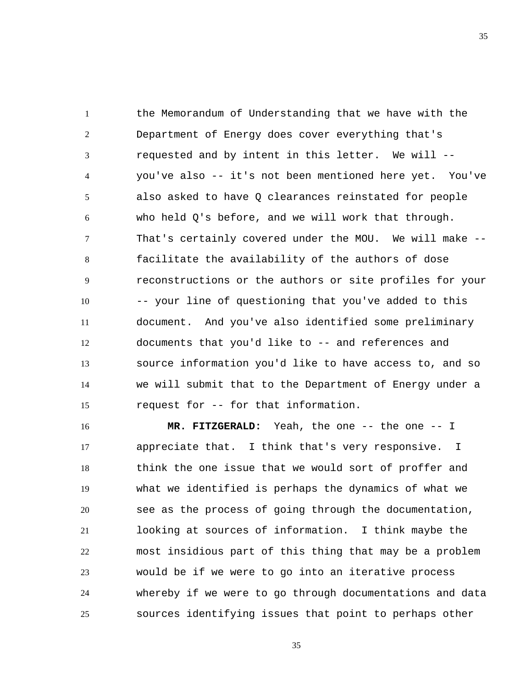1 2 3 4 5 6 7 8 9 10 11 12 13 14 15 the Memorandum of Understanding that we have with the Department of Energy does cover everything that's requested and by intent in this letter. We will - you've also -- it's not been mentioned here yet. You've also asked to have Q clearances reinstated for people who held Q's before, and we will work that through. That's certainly covered under the MOU. We will make - facilitate the availability of the authors of dose reconstructions or the authors or site profiles for your -- your line of questioning that you've added to this document. And you've also identified some preliminary documents that you'd like to -- and references and source information you'd like to have access to, and so we will submit that to the Department of Energy under a request for -- for that information.

16 17 18 19 20 21 22 23 24 25  **MR. FITZGERALD:** Yeah, the one -- the one -- I appreciate that. I think that's very responsive. I think the one issue that we would sort of proffer and what we identified is perhaps the dynamics of what we see as the process of going through the documentation, looking at sources of information. I think maybe the most insidious part of this thing that may be a problem would be if we were to go into an iterative process whereby if we were to go through documentations and data sources identifying issues that point to perhaps other

35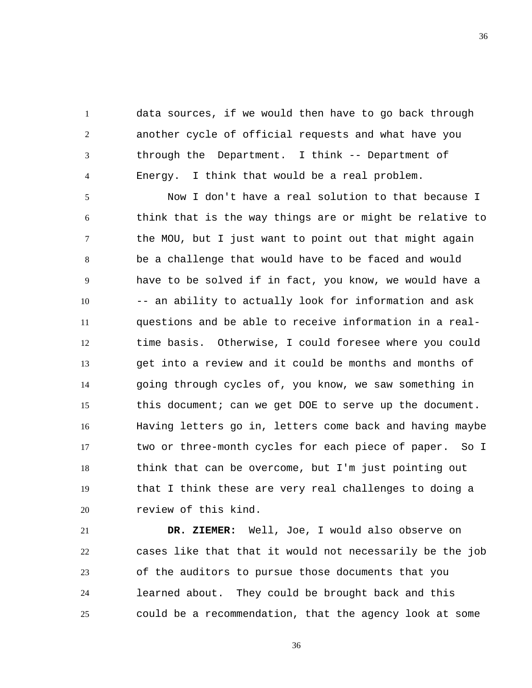1 2 3 4 data sources, if we would then have to go back through another cycle of official requests and what have you through the Department. I think -- Department of Energy. I think that would be a real problem.

5 6 7 8 9 10 11 12 13 14 15 16 17 18 19 20 Now I don't have a real solution to that because I think that is the way things are or might be relative to the MOU, but I just want to point out that might again be a challenge that would have to be faced and would have to be solved if in fact, you know, we would have a -- an ability to actually look for information and ask questions and be able to receive information in a realtime basis. Otherwise, I could foresee where you could get into a review and it could be months and months of going through cycles of, you know, we saw something in this document; can we get DOE to serve up the document. Having letters go in, letters come back and having maybe two or three-month cycles for each piece of paper. So I think that can be overcome, but I'm just pointing out that I think these are very real challenges to doing a review of this kind.

21 22 23 24 25  **DR. ZIEMER:** Well, Joe, I would also observe on cases like that that it would not necessarily be the job of the auditors to pursue those documents that you learned about. They could be brought back and this could be a recommendation, that the agency look at some

36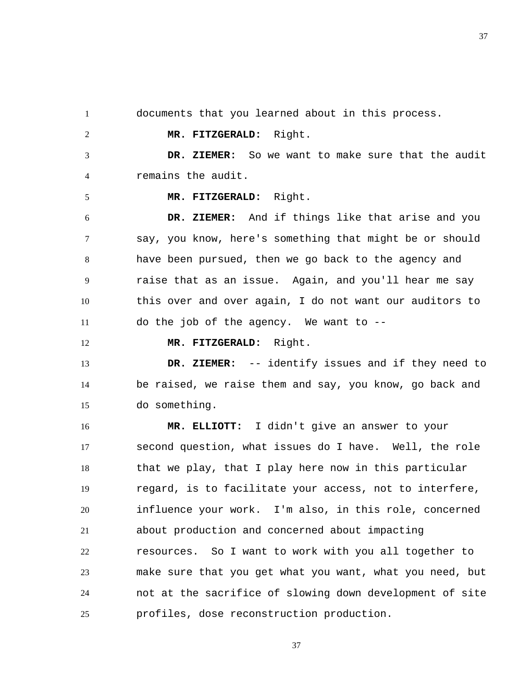1

2

5

12

documents that you learned about in this process.

 **MR. FITZGERALD:** Right.

3 4  **DR. ZIEMER:** So we want to make sure that the audit remains the audit.

 **MR. FITZGERALD:** Right.

6 7 8 9 10 11  **DR. ZIEMER:** And if things like that arise and you say, you know, here's something that might be or should have been pursued, then we go back to the agency and raise that as an issue. Again, and you'll hear me say this over and over again, I do not want our auditors to do the job of the agency. We want to --

 **MR. FITZGERALD:** Right.

13 14 15  **DR. ZIEMER:** -- identify issues and if they need to be raised, we raise them and say, you know, go back and do something.

16 17 18 19 20 21 22 23 24 25  **MR. ELLIOTT:** I didn't give an answer to your second question, what issues do I have. Well, the role that we play, that I play here now in this particular regard, is to facilitate your access, not to interfere, influence your work. I'm also, in this role, concerned about production and concerned about impacting resources. So I want to work with you all together to make sure that you get what you want, what you need, but not at the sacrifice of slowing down development of site profiles, dose reconstruction production.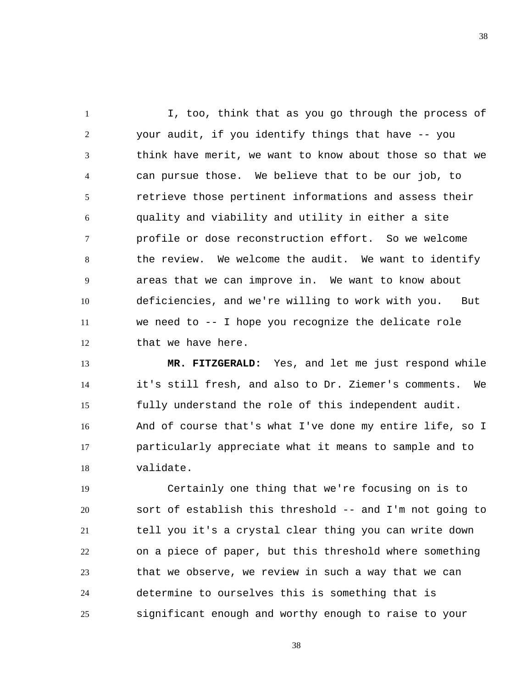1 2 3 4 5 6 7 8 9 10 11 12 I, too, think that as you go through the process of your audit, if you identify things that have -- you think have merit, we want to know about those so that we can pursue those. We believe that to be our job, to retrieve those pertinent informations and assess their quality and viability and utility in either a site profile or dose reconstruction effort. So we welcome the review. We welcome the audit. We want to identify areas that we can improve in. We want to know about deficiencies, and we're willing to work with you. But we need to -- I hope you recognize the delicate role that we have here.

13 14 15 16 17 18  **MR. FITZGERALD:** Yes, and let me just respond while it's still fresh, and also to Dr. Ziemer's comments. We fully understand the role of this independent audit. And of course that's what I've done my entire life, so I particularly appreciate what it means to sample and to validate.

19 20 21 22 23 24 25 Certainly one thing that we're focusing on is to sort of establish this threshold -- and I'm not going to tell you it's a crystal clear thing you can write down on a piece of paper, but this threshold where something that we observe, we review in such a way that we can determine to ourselves this is something that is significant enough and worthy enough to raise to your

38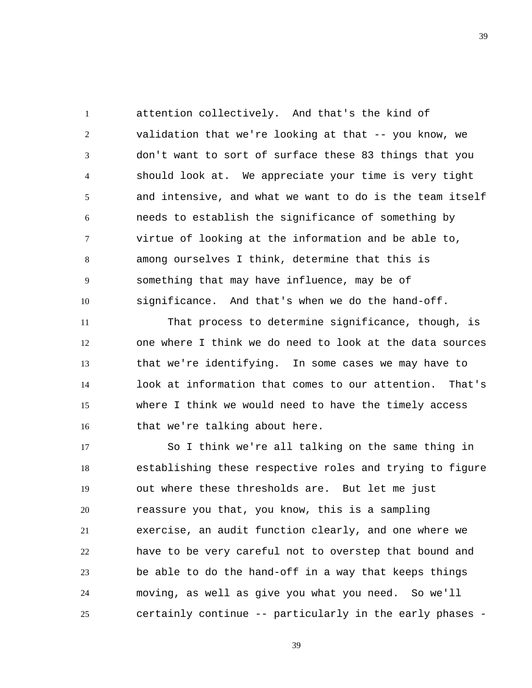1 2 3 4 5 6 7 8 9 10 attention collectively. And that's the kind of validation that we're looking at that -- you know, we don't want to sort of surface these 83 things that you should look at. We appreciate your time is very tight and intensive, and what we want to do is the team itself needs to establish the significance of something by virtue of looking at the information and be able to, among ourselves I think, determine that this is something that may have influence, may be of significance. And that's when we do the hand-off.

11 12 13 14 15 16 That process to determine significance, though, is one where I think we do need to look at the data sources that we're identifying. In some cases we may have to look at information that comes to our attention. That's where I think we would need to have the timely access that we're talking about here.

17 18 19 20 21 22 23 24 25 So I think we're all talking on the same thing in establishing these respective roles and trying to figure out where these thresholds are. But let me just reassure you that, you know, this is a sampling exercise, an audit function clearly, and one where we have to be very careful not to overstep that bound and be able to do the hand-off in a way that keeps things moving, as well as give you what you need. So we'll certainly continue -- particularly in the early phases -

39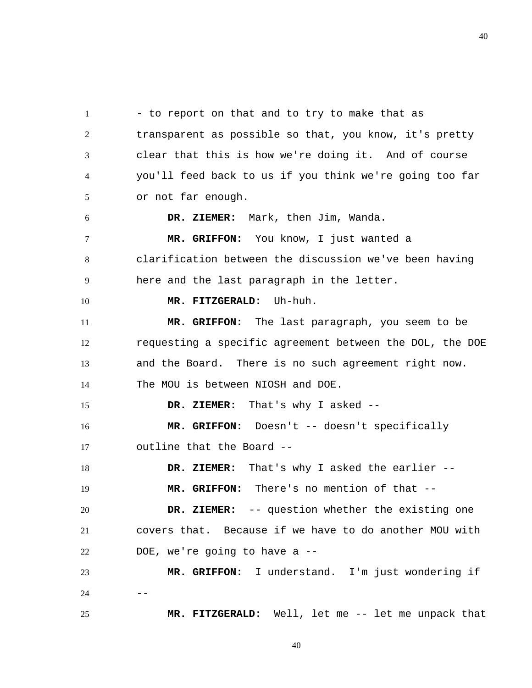1 2 3 4 5 6 7 8 9 10 11 12 13 14 15 16 17 18 19 20 21 22 23  $24$  --25 - to report on that and to try to make that as transparent as possible so that, you know, it's pretty clear that this is how we're doing it. And of course you'll feed back to us if you think we're going too far or not far enough.  **DR. ZIEMER:** Mark, then Jim, Wanda.  **MR. GRIFFON:** You know, I just wanted a clarification between the discussion we've been having here and the last paragraph in the letter.  **MR. FITZGERALD:** Uh-huh.  **MR. GRIFFON:** The last paragraph, you seem to be requesting a specific agreement between the DOL, the DOE and the Board. There is no such agreement right now. The MOU is between NIOSH and DOE.  **DR. ZIEMER:** That's why I asked --  **MR. GRIFFON:** Doesn't -- doesn't specifically outline that the Board --  **DR. ZIEMER:** That's why I asked the earlier --  **MR. GRIFFON:** There's no mention of that --  **DR. ZIEMER:** -- question whether the existing one covers that. Because if we have to do another MOU with DOE, we're going to have a --  **MR. GRIFFON:** I understand. I'm just wondering if  **MR. FITZGERALD:** Well, let me -- let me unpack that

40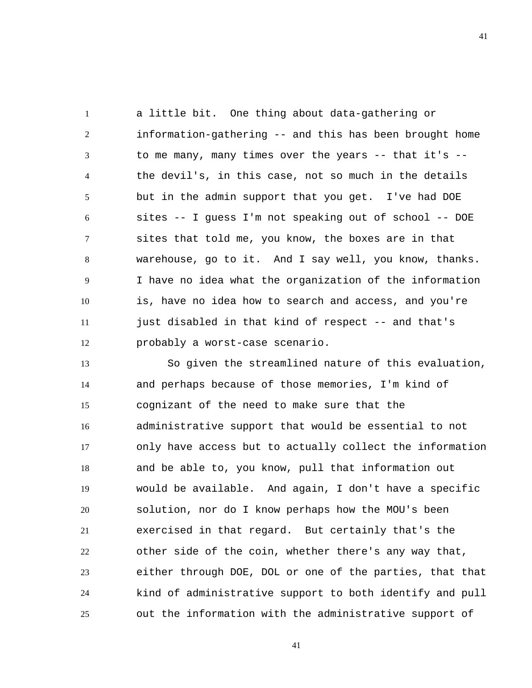1 2 3 4 5 6 7 8 9 10 11 12 a little bit. One thing about data-gathering or information-gathering -- and this has been brought home to me many, many times over the years  $-$ - that it's  $$ the devil's, in this case, not so much in the details but in the admin support that you get. I've had DOE sites -- I guess I'm not speaking out of school -- DOE sites that told me, you know, the boxes are in that warehouse, go to it. And I say well, you know, thanks. I have no idea what the organization of the information is, have no idea how to search and access, and you're just disabled in that kind of respect -- and that's probably a worst-case scenario.

13 14 15 16 17 18 19 20 21 22 23 24 25 So given the streamlined nature of this evaluation, and perhaps because of those memories, I'm kind of cognizant of the need to make sure that the administrative support that would be essential to not only have access but to actually collect the information and be able to, you know, pull that information out would be available. And again, I don't have a specific solution, nor do I know perhaps how the MOU's been exercised in that regard. But certainly that's the other side of the coin, whether there's any way that, either through DOE, DOL or one of the parties, that that kind of administrative support to both identify and pull out the information with the administrative support of

41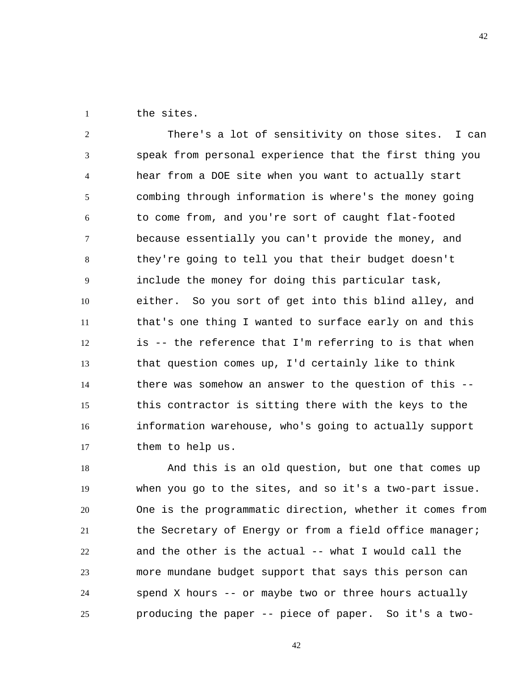1 the sites.

2 3 4 5 6 7 8 9 10 11 12 13 14 15 16 17 There's a lot of sensitivity on those sites. I can speak from personal experience that the first thing you hear from a DOE site when you want to actually start combing through information is where's the money going to come from, and you're sort of caught flat-footed because essentially you can't provide the money, and they're going to tell you that their budget doesn't include the money for doing this particular task, either. So you sort of get into this blind alley, and that's one thing I wanted to surface early on and this is -- the reference that I'm referring to is that when that question comes up, I'd certainly like to think there was somehow an answer to the question of this - this contractor is sitting there with the keys to the information warehouse, who's going to actually support them to help us.

42

18 19 20 21 22 23 24 25 And this is an old question, but one that comes up when you go to the sites, and so it's a two-part issue. One is the programmatic direction, whether it comes from the Secretary of Energy or from a field office manager; and the other is the actual -- what I would call the more mundane budget support that says this person can spend X hours -- or maybe two or three hours actually producing the paper -- piece of paper. So it's a two-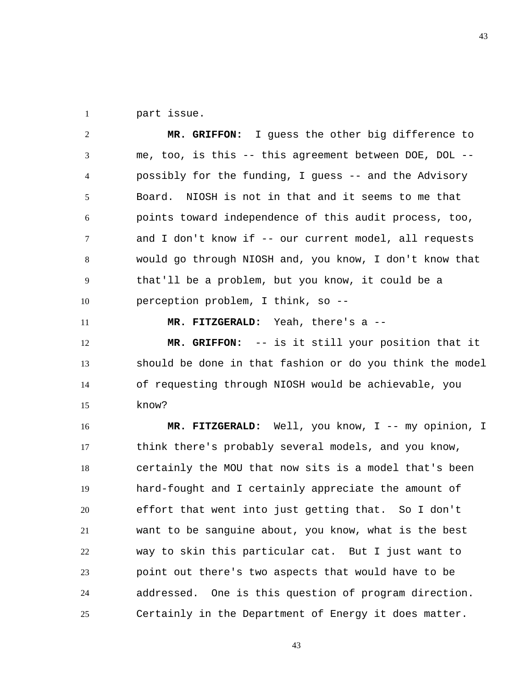1 part issue.

2 3 4 5 6 7 8 9 10  **MR. GRIFFON:** I guess the other big difference to me, too, is this -- this agreement between DOE, DOL - possibly for the funding, I guess -- and the Advisory Board. NIOSH is not in that and it seems to me that points toward independence of this audit process, too, and I don't know if -- our current model, all requests would go through NIOSH and, you know, I don't know that that'll be a problem, but you know, it could be a perception problem, I think, so --

11

 **MR. FITZGERALD:** Yeah, there's a --

12 13 14 15  **MR. GRIFFON:** -- is it still your position that it should be done in that fashion or do you think the model of requesting through NIOSH would be achievable, you know?

16 17 18 19 20 21 22 23 24 25  **MR. FITZGERALD:** Well, you know, I -- my opinion, I think there's probably several models, and you know, certainly the MOU that now sits is a model that's been hard-fought and I certainly appreciate the amount of effort that went into just getting that. So I don't want to be sanguine about, you know, what is the best way to skin this particular cat. But I just want to point out there's two aspects that would have to be addressed. One is this question of program direction. Certainly in the Department of Energy it does matter.

43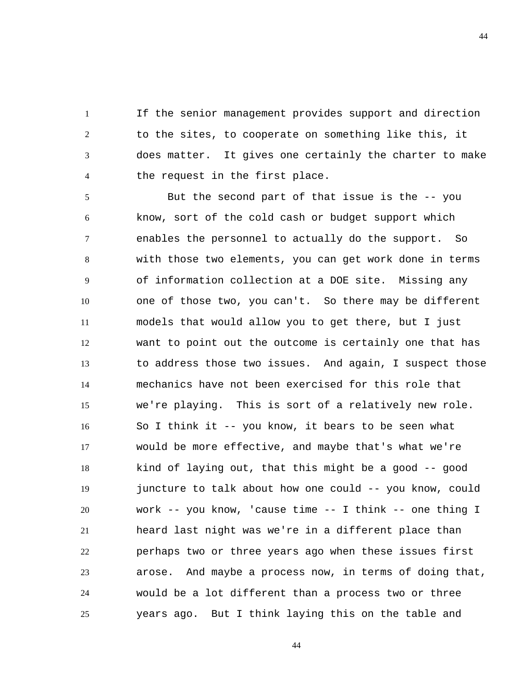1 2 3 4 If the senior management provides support and direction to the sites, to cooperate on something like this, it does matter. It gives one certainly the charter to make the request in the first place.

5 6 7 8 9 10 11 12 13 14 15 16 17 18 19 20 21 22 23 24 25 But the second part of that issue is the -- you know, sort of the cold cash or budget support which enables the personnel to actually do the support. So with those two elements, you can get work done in terms of information collection at a DOE site. Missing any one of those two, you can't. So there may be different models that would allow you to get there, but I just want to point out the outcome is certainly one that has to address those two issues. And again, I suspect those mechanics have not been exercised for this role that we're playing. This is sort of a relatively new role. So I think it -- you know, it bears to be seen what would be more effective, and maybe that's what we're kind of laying out, that this might be a good -- good juncture to talk about how one could -- you know, could work -- you know, 'cause time -- I think -- one thing I heard last night was we're in a different place than perhaps two or three years ago when these issues first arose. And maybe a process now, in terms of doing that, would be a lot different than a process two or three years ago. But I think laying this on the table and

44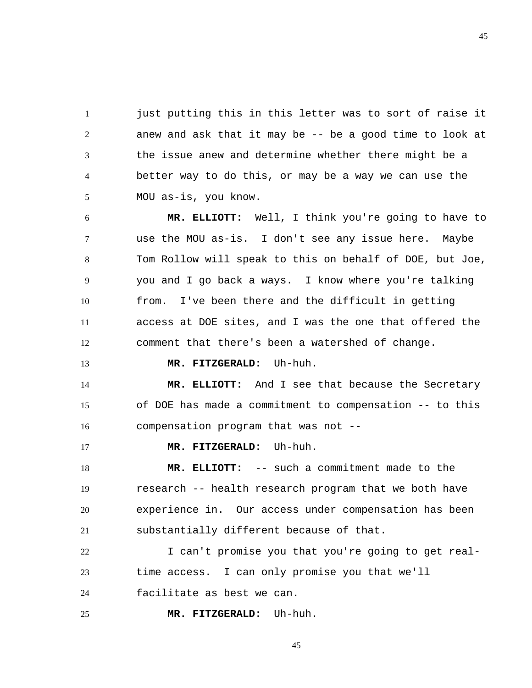1 2 3 4 5 just putting this in this letter was to sort of raise it anew and ask that it may be -- be a good time to look at the issue anew and determine whether there might be a better way to do this, or may be a way we can use the MOU as-is, you know.

6 7 8 9 10 11 12  **MR. ELLIOTT:** Well, I think you're going to have to use the MOU as-is. I don't see any issue here. Maybe Tom Rollow will speak to this on behalf of DOE, but Joe, you and I go back a ways. I know where you're talking from. I've been there and the difficult in getting access at DOE sites, and I was the one that offered the comment that there's been a watershed of change.

## **MR. FITZGERALD:** Uh-huh.

14 15 16  **MR. ELLIOTT:** And I see that because the Secretary of DOE has made a commitment to compensation -- to this compensation program that was not --

17  **MR. FITZGERALD:** Uh-huh.

13

18 19 20 21  **MR. ELLIOTT:** -- such a commitment made to the research -- health research program that we both have experience in. Our access under compensation has been substantially different because of that.

22 23 24 I can't promise you that you're going to get realtime access. I can only promise you that we'll facilitate as best we can.

25  **MR. FITZGERALD:** Uh-huh.

45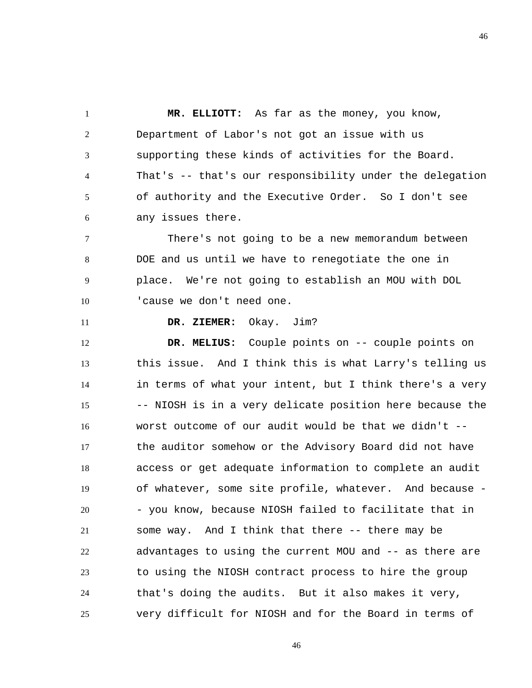1 2 3 4 5 6  **MR. ELLIOTT:** As far as the money, you know, Department of Labor's not got an issue with us supporting these kinds of activities for the Board. That's -- that's our responsibility under the delegation of authority and the Executive Order. So I don't see any issues there.

7 8 9 10 There's not going to be a new memorandum between DOE and us until we have to renegotiate the one in place. We're not going to establish an MOU with DOL 'cause we don't need one.

11

 **DR. ZIEMER:** Okay. Jim?

12 13 14 15 16 17 18 19 20 21 22 23 24 25  **DR. MELIUS:** Couple points on -- couple points on this issue. And I think this is what Larry's telling us in terms of what your intent, but I think there's a very -- NIOSH is in a very delicate position here because the worst outcome of our audit would be that we didn't - the auditor somehow or the Advisory Board did not have access or get adequate information to complete an audit of whatever, some site profile, whatever. And because - - you know, because NIOSH failed to facilitate that in some way. And I think that there -- there may be advantages to using the current MOU and -- as there are to using the NIOSH contract process to hire the group that's doing the audits. But it also makes it very, very difficult for NIOSH and for the Board in terms of

46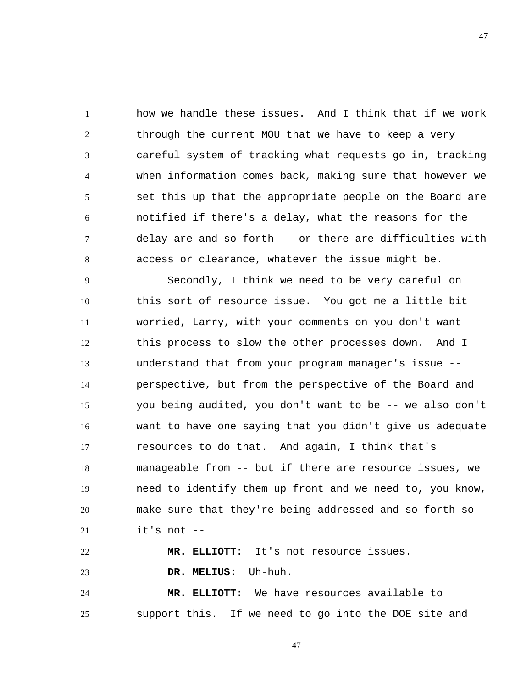1 2 3 4 5 6 7 8 how we handle these issues. And I think that if we work through the current MOU that we have to keep a very careful system of tracking what requests go in, tracking when information comes back, making sure that however we set this up that the appropriate people on the Board are notified if there's a delay, what the reasons for the delay are and so forth -- or there are difficulties with access or clearance, whatever the issue might be.

9 10 11 12 13 14 15 16 17 18 19 20 21 Secondly, I think we need to be very careful on this sort of resource issue. You got me a little bit worried, Larry, with your comments on you don't want this process to slow the other processes down. And I understand that from your program manager's issue - perspective, but from the perspective of the Board and you being audited, you don't want to be -- we also don't want to have one saying that you didn't give us adequate resources to do that. And again, I think that's manageable from -- but if there are resource issues, we need to identify them up front and we need to, you know, make sure that they're being addressed and so forth so it's not --

22 23  **MR. ELLIOTT:** It's not resource issues.  **DR. MELIUS:** Uh-huh.

24 25  **MR. ELLIOTT:** We have resources available to support this. If we need to go into the DOE site and

47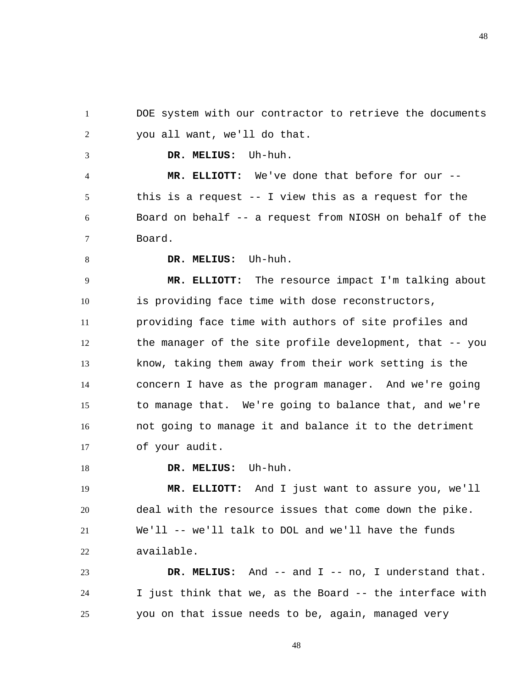1 2 DOE system with our contractor to retrieve the documents you all want, we'll do that.

 **DR. MELIUS:** Uh-huh.

4 5 6 7  **MR. ELLIOTT:** We've done that before for our - this is a request -- I view this as a request for the Board on behalf -- a request from NIOSH on behalf of the Board.

8

3

 **DR. MELIUS:** Uh-huh.

9 10 11 12 13 14 15 16 17  **MR. ELLIOTT:** The resource impact I'm talking about is providing face time with dose reconstructors, providing face time with authors of site profiles and the manager of the site profile development, that -- you know, taking them away from their work setting is the concern I have as the program manager. And we're going to manage that. We're going to balance that, and we're not going to manage it and balance it to the detriment of your audit.

18  **DR. MELIUS:** Uh-huh.

19 20 21 22  **MR. ELLIOTT:** And I just want to assure you, we'll deal with the resource issues that come down the pike. We'll -- we'll talk to DOL and we'll have the funds available.

23 24 25  **DR. MELIUS:** And -- and I -- no, I understand that. I just think that we, as the Board -- the interface with you on that issue needs to be, again, managed very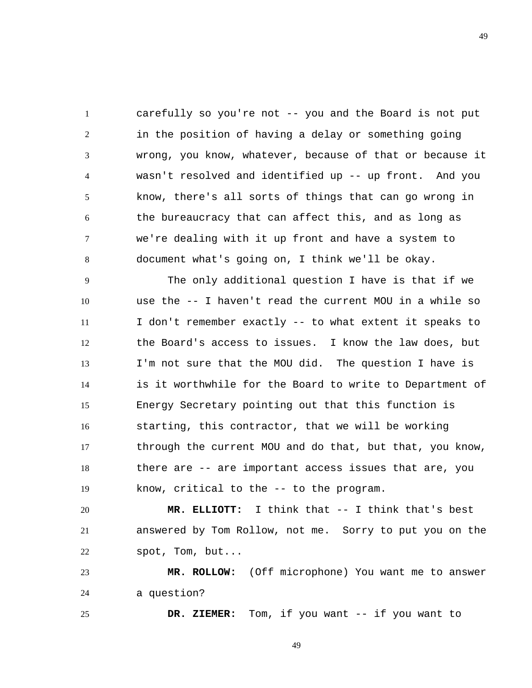1 2 3 4 5 6 7 8 carefully so you're not -- you and the Board is not put in the position of having a delay or something going wrong, you know, whatever, because of that or because it wasn't resolved and identified up -- up front. And you know, there's all sorts of things that can go wrong in the bureaucracy that can affect this, and as long as we're dealing with it up front and have a system to document what's going on, I think we'll be okay.

9 10 11 12 13 14 15 16 17 18 19 The only additional question I have is that if we use the -- I haven't read the current MOU in a while so I don't remember exactly -- to what extent it speaks to the Board's access to issues. I know the law does, but I'm not sure that the MOU did. The question I have is is it worthwhile for the Board to write to Department of Energy Secretary pointing out that this function is starting, this contractor, that we will be working through the current MOU and do that, but that, you know, there are -- are important access issues that are, you know, critical to the -- to the program.

20 21 22  **MR. ELLIOTT:** I think that -- I think that's best answered by Tom Rollow, not me. Sorry to put you on the spot, Tom, but...

23 24  **MR. ROLLOW:** (Off microphone) You want me to answer a question?

25

 **DR. ZIEMER:** Tom, if you want -- if you want to

49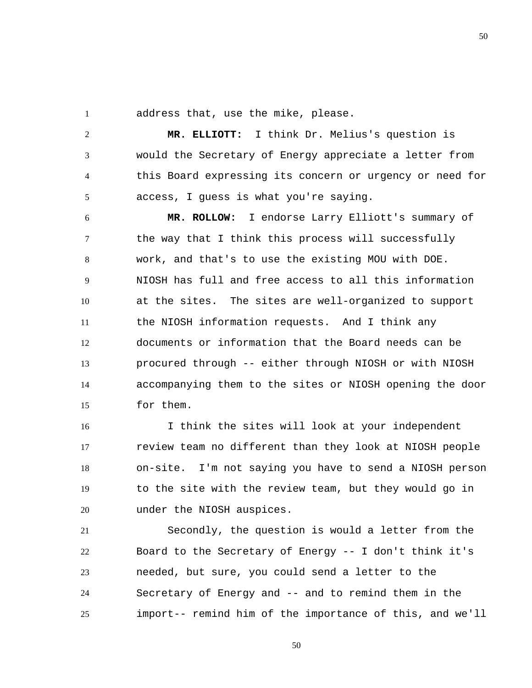1 address that, use the mike, please.

2 3 4 5  **MR. ELLIOTT:** I think Dr. Melius's question is would the Secretary of Energy appreciate a letter from this Board expressing its concern or urgency or need for access, I guess is what you're saying.

6 7 8 9 10 11 12 13 14 15  **MR. ROLLOW:** I endorse Larry Elliott's summary of the way that I think this process will successfully work, and that's to use the existing MOU with DOE. NIOSH has full and free access to all this information at the sites. The sites are well-organized to support the NIOSH information requests. And I think any documents or information that the Board needs can be procured through -- either through NIOSH or with NIOSH accompanying them to the sites or NIOSH opening the door for them.

16 17 18 19 20 I think the sites will look at your independent review team no different than they look at NIOSH people on-site. I'm not saying you have to send a NIOSH person to the site with the review team, but they would go in under the NIOSH auspices.

21 22 23 24 25 Secondly, the question is would a letter from the Board to the Secretary of Energy -- I don't think it's needed, but sure, you could send a letter to the Secretary of Energy and -- and to remind them in the import-- remind him of the importance of this, and we'll

50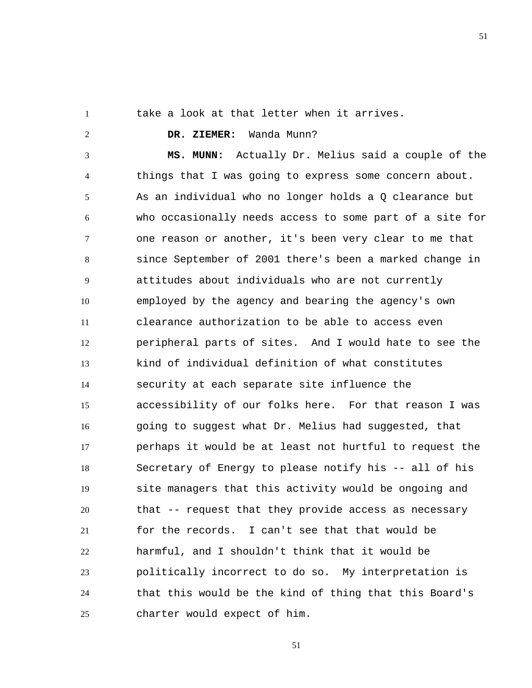51

1

2

take a look at that letter when it arrives.

## **DR. ZIEMER:** Wanda Munn?

3 4 5 6 7 8 9 10 11 12 13 14 15 16 17 18 19 20 21 22 23 24 25  **MS. MUNN:** Actually Dr. Melius said a couple of the things that I was going to express some concern about. As an individual who no longer holds a Q clearance but who occasionally needs access to some part of a site for one reason or another, it's been very clear to me that since September of 2001 there's been a marked change in attitudes about individuals who are not currently employed by the agency and bearing the agency's own clearance authorization to be able to access even peripheral parts of sites. And I would hate to see the kind of individual definition of what constitutes security at each separate site influence the accessibility of our folks here. For that reason I was going to suggest what Dr. Melius had suggested, that perhaps it would be at least not hurtful to request the Secretary of Energy to please notify his -- all of his site managers that this activity would be ongoing and that -- request that they provide access as necessary for the records. I can't see that that would be harmful, and I shouldn't think that it would be politically incorrect to do so. My interpretation is that this would be the kind of thing that this Board's charter would expect of him.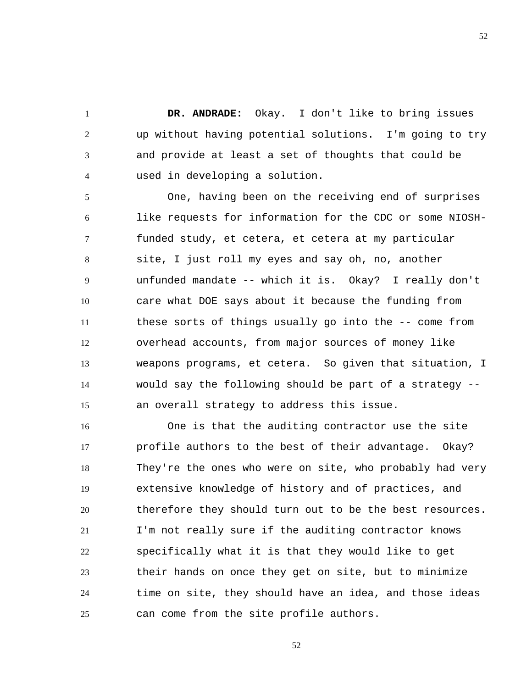**DR. ANDRADE:** Okay. I don't like to bring issues up without having potential solutions. I'm going to try and provide at least a set of thoughts that could be used in developing a solution.

1

2

3

4

5 6 7 8 9 10 11 12 13 14 15 One, having been on the receiving end of surprises like requests for information for the CDC or some NIOSHfunded study, et cetera, et cetera at my particular site, I just roll my eyes and say oh, no, another unfunded mandate -- which it is. Okay? I really don't care what DOE says about it because the funding from these sorts of things usually go into the -- come from overhead accounts, from major sources of money like weapons programs, et cetera. So given that situation, I would say the following should be part of a strategy - an overall strategy to address this issue.

16 17 18 19 20 21 22 23 24 25 One is that the auditing contractor use the site profile authors to the best of their advantage. Okay? They're the ones who were on site, who probably had very extensive knowledge of history and of practices, and therefore they should turn out to be the best resources. I'm not really sure if the auditing contractor knows specifically what it is that they would like to get their hands on once they get on site, but to minimize time on site, they should have an idea, and those ideas can come from the site profile authors.

52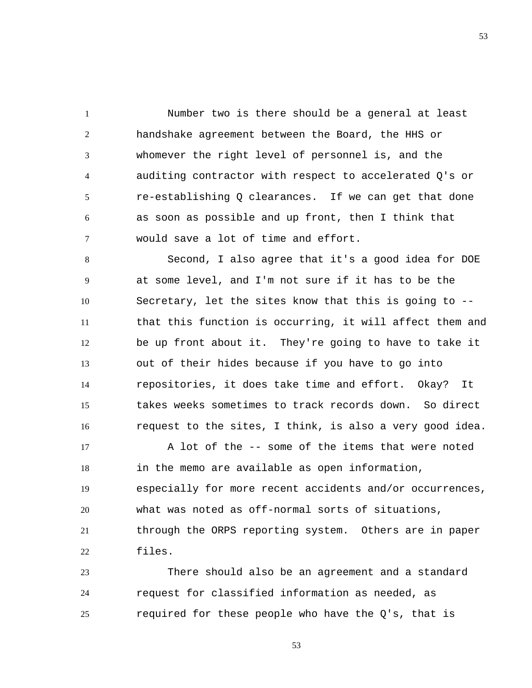1 2 3 4 5 6 7 Number two is there should be a general at least handshake agreement between the Board, the HHS or whomever the right level of personnel is, and the auditing contractor with respect to accelerated Q's or re-establishing Q clearances. If we can get that done as soon as possible and up front, then I think that would save a lot of time and effort.

8 9 10 11 12 13 14 15 16 Second, I also agree that it's a good idea for DOE at some level, and I'm not sure if it has to be the Secretary, let the sites know that this is going to - that this function is occurring, it will affect them and be up front about it. They're going to have to take it out of their hides because if you have to go into repositories, it does take time and effort. Okay? It takes weeks sometimes to track records down. So direct request to the sites, I think, is also a very good idea.

17 18 19 20 21 22 A lot of the -- some of the items that were noted in the memo are available as open information, especially for more recent accidents and/or occurrences, what was noted as off-normal sorts of situations, through the ORPS reporting system. Others are in paper files.

23 24 25 There should also be an agreement and a standard request for classified information as needed, as required for these people who have the Q's, that is

53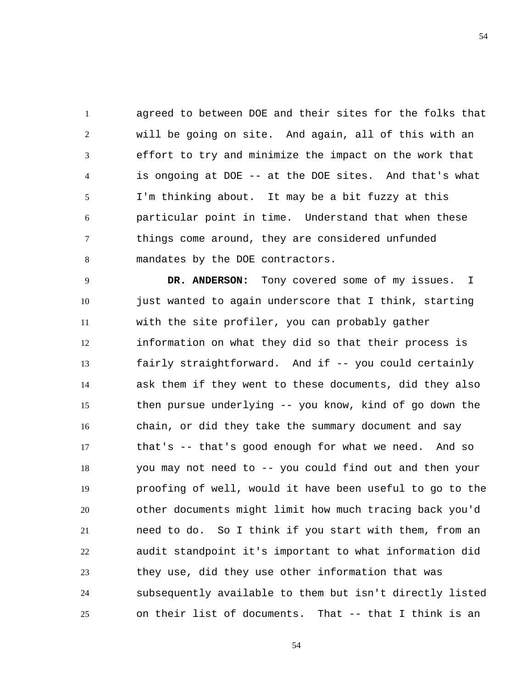1 2 3 4 5 6 7 8 agreed to between DOE and their sites for the folks that will be going on site. And again, all of this with an effort to try and minimize the impact on the work that is ongoing at DOE -- at the DOE sites. And that's what I'm thinking about. It may be a bit fuzzy at this particular point in time. Understand that when these things come around, they are considered unfunded mandates by the DOE contractors.

9 10 11 12 13 14 15 16 17 18 19 20 21 22 23 24 25  **DR. ANDERSON:** Tony covered some of my issues. I just wanted to again underscore that I think, starting with the site profiler, you can probably gather information on what they did so that their process is fairly straightforward. And if -- you could certainly ask them if they went to these documents, did they also then pursue underlying -- you know, kind of go down the chain, or did they take the summary document and say that's -- that's good enough for what we need. And so you may not need to -- you could find out and then your proofing of well, would it have been useful to go to the other documents might limit how much tracing back you'd need to do. So I think if you start with them, from an audit standpoint it's important to what information did they use, did they use other information that was subsequently available to them but isn't directly listed on their list of documents. That -- that I think is an

54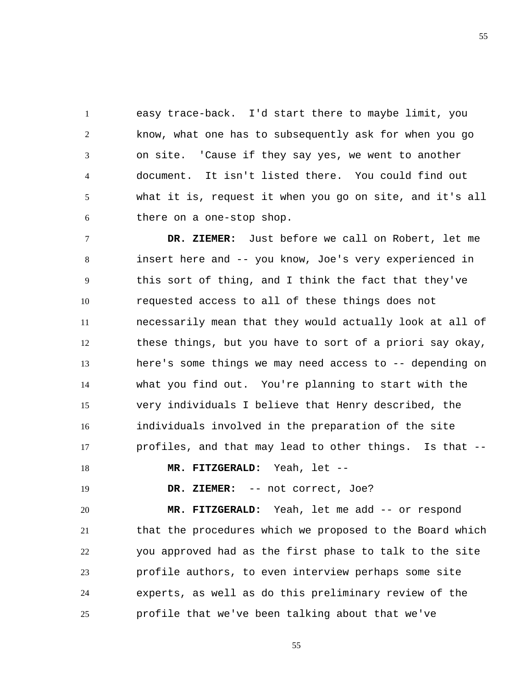1 2 3 4 5 6 easy trace-back. I'd start there to maybe limit, you know, what one has to subsequently ask for when you go on site. 'Cause if they say yes, we went to another document. It isn't listed there. You could find out what it is, request it when you go on site, and it's all there on a one-stop shop.

7 8 9 10 11 12 13 14 15 16 17  **DR. ZIEMER:** Just before we call on Robert, let me insert here and -- you know, Joe's very experienced in this sort of thing, and I think the fact that they've requested access to all of these things does not necessarily mean that they would actually look at all of these things, but you have to sort of a priori say okay, here's some things we may need access to -- depending on what you find out. You're planning to start with the very individuals I believe that Henry described, the individuals involved in the preparation of the site profiles, and that may lead to other things. Is that --

18

 **MR. FITZGERALD:** Yeah, let --

19

 **DR. ZIEMER:** -- not correct, Joe?

20 21 22 23 24 25  **MR. FITZGERALD:** Yeah, let me add -- or respond that the procedures which we proposed to the Board which you approved had as the first phase to talk to the site profile authors, to even interview perhaps some site experts, as well as do this preliminary review of the profile that we've been talking about that we've

55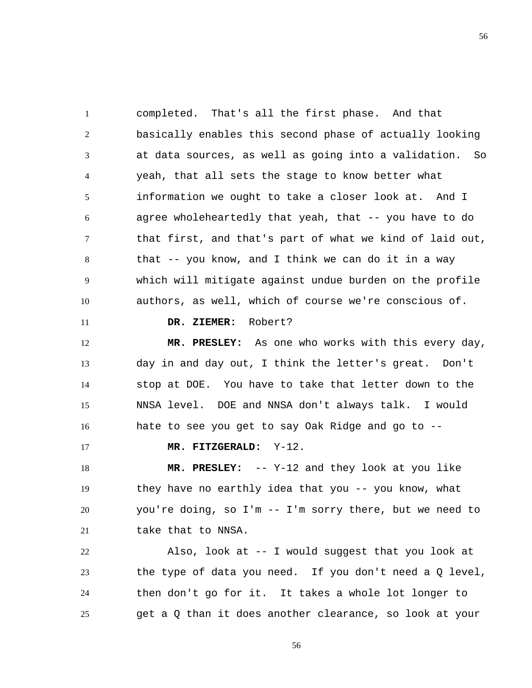1 2 3 4 5 6 7 8 9 10 11 12 completed. That's all the first phase. And that basically enables this second phase of actually looking at data sources, as well as going into a validation. So yeah, that all sets the stage to know better what information we ought to take a closer look at. And I agree wholeheartedly that yeah, that -- you have to do that first, and that's part of what we kind of laid out, that -- you know, and I think we can do it in a way which will mitigate against undue burden on the profile authors, as well, which of course we're conscious of.  **DR. ZIEMER:** Robert?  **MR. PRESLEY:** As one who works with this every day,

13 14 15 16 day in and day out, I think the letter's great. Don't stop at DOE. You have to take that letter down to the NNSA level. DOE and NNSA don't always talk. I would hate to see you get to say Oak Ridge and go to --

 **MR. FITZGERALD:** Y-12.

17

18 19 20 21  **MR. PRESLEY:** -- Y-12 and they look at you like they have no earthly idea that you -- you know, what you're doing, so I'm -- I'm sorry there, but we need to take that to NNSA.

22 23 24 25 Also, look at -- I would suggest that you look at the type of data you need. If you don't need a Q level, then don't go for it. It takes a whole lot longer to get a Q than it does another clearance, so look at your

56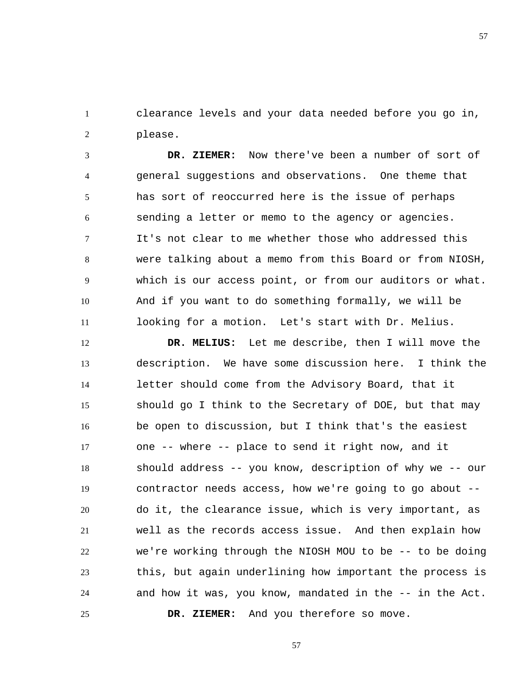1 2 clearance levels and your data needed before you go in, please.

3 4 5 6 7 8 9 10 11  **DR. ZIEMER:** Now there've been a number of sort of general suggestions and observations. One theme that has sort of reoccurred here is the issue of perhaps sending a letter or memo to the agency or agencies. It's not clear to me whether those who addressed this were talking about a memo from this Board or from NIOSH, which is our access point, or from our auditors or what. And if you want to do something formally, we will be looking for a motion. Let's start with Dr. Melius.

12 13 14 15 16 17 18 19 20 21 22 23 24 25  **DR. MELIUS:** Let me describe, then I will move the description. We have some discussion here. I think the letter should come from the Advisory Board, that it should go I think to the Secretary of DOE, but that may be open to discussion, but I think that's the easiest one -- where -- place to send it right now, and it should address -- you know, description of why we -- our contractor needs access, how we're going to go about - do it, the clearance issue, which is very important, as well as the records access issue. And then explain how we're working through the NIOSH MOU to be -- to be doing this, but again underlining how important the process is and how it was, you know, mandated in the -- in the Act.  **DR. ZIEMER:** And you therefore so move.

57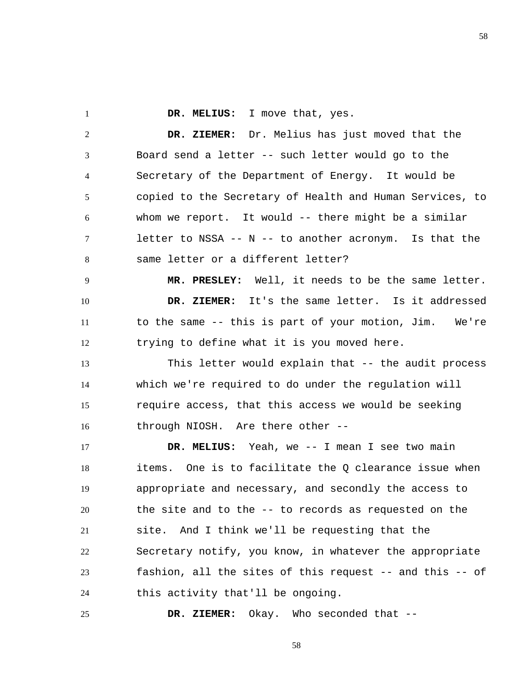**DR. MELIUS:** I move that, yes.

1

2 3 4 5 6 7 8  **DR. ZIEMER:** Dr. Melius has just moved that the Board send a letter -- such letter would go to the Secretary of the Department of Energy. It would be copied to the Secretary of Health and Human Services, to whom we report. It would -- there might be a similar letter to NSSA -- N -- to another acronym. Is that the same letter or a different letter?

9 10 11 12  **MR. PRESLEY:** Well, it needs to be the same letter.  **DR. ZIEMER:** It's the same letter. Is it addressed to the same -- this is part of your motion, Jim. We're trying to define what it is you moved here.

13 14 15 16 This letter would explain that -- the audit process which we're required to do under the regulation will require access, that this access we would be seeking through NIOSH. Are there other --

17 18 19 20 21 22 23 24  **DR. MELIUS:** Yeah, we -- I mean I see two main items. One is to facilitate the Q clearance issue when appropriate and necessary, and secondly the access to the site and to the -- to records as requested on the site. And I think we'll be requesting that the Secretary notify, you know, in whatever the appropriate fashion, all the sites of this request -- and this -- of this activity that'll be ongoing.

25  **DR. ZIEMER:** Okay. Who seconded that --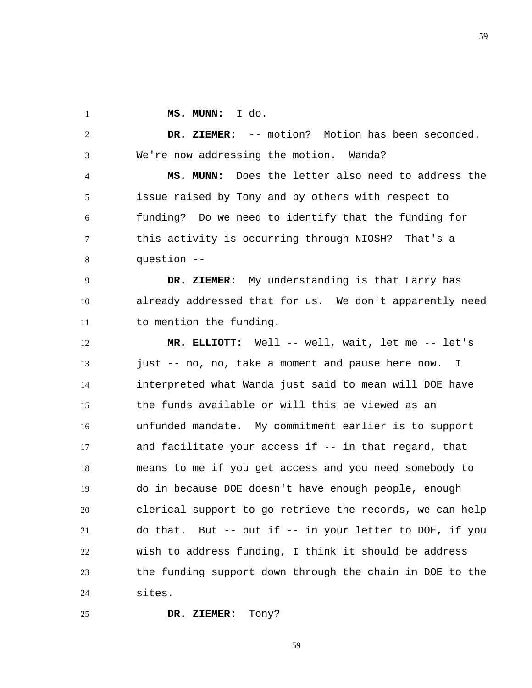1

25

 **MS. MUNN:** I do.

2 3  **DR. ZIEMER:** -- motion? Motion has been seconded. We're now addressing the motion. Wanda?

4 5 6 7 8  **MS. MUNN:** Does the letter also need to address the issue raised by Tony and by others with respect to funding? Do we need to identify that the funding for this activity is occurring through NIOSH? That's a question --

9 10 11  **DR. ZIEMER:** My understanding is that Larry has already addressed that for us. We don't apparently need to mention the funding.

12 13 14 15 16 17 18 19 20 21 22 23 24  **MR. ELLIOTT:** Well -- well, wait, let me -- let's just -- no, no, take a moment and pause here now. I interpreted what Wanda just said to mean will DOE have the funds available or will this be viewed as an unfunded mandate. My commitment earlier is to support and facilitate your access if -- in that regard, that means to me if you get access and you need somebody to do in because DOE doesn't have enough people, enough clerical support to go retrieve the records, we can help do that. But -- but if -- in your letter to DOE, if you wish to address funding, I think it should be address the funding support down through the chain in DOE to the sites.

 **DR. ZIEMER:** Tony?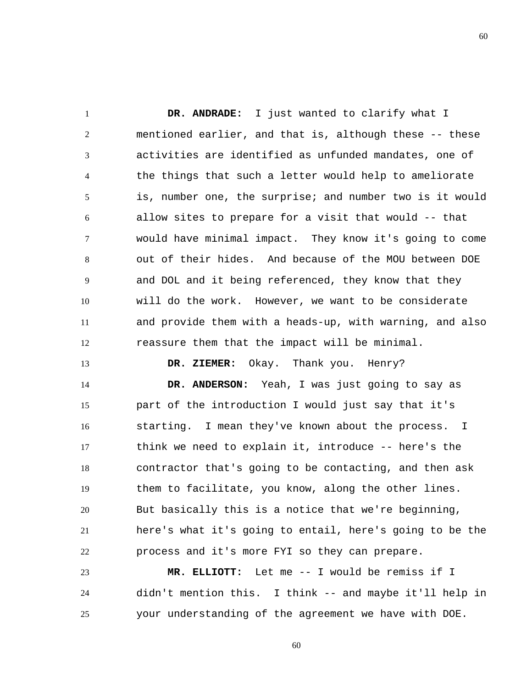1 2 3 4 5 6 7 8 9 10 11 12  **DR. ANDRADE:** I just wanted to clarify what I mentioned earlier, and that is, although these -- these activities are identified as unfunded mandates, one of the things that such a letter would help to ameliorate is, number one, the surprise; and number two is it would allow sites to prepare for a visit that would -- that would have minimal impact. They know it's going to come out of their hides. And because of the MOU between DOE and DOL and it being referenced, they know that they will do the work. However, we want to be considerate and provide them with a heads-up, with warning, and also reassure them that the impact will be minimal.

13 14 15 16 17 18 19 20 21 22  **DR. ZIEMER:** Okay. Thank you. Henry?  **DR. ANDERSON:** Yeah, I was just going to say as part of the introduction I would just say that it's starting. I mean they've known about the process. I think we need to explain it, introduce -- here's the contractor that's going to be contacting, and then ask them to facilitate, you know, along the other lines. But basically this is a notice that we're beginning, here's what it's going to entail, here's going to be the process and it's more FYI so they can prepare.

23 24 25  **MR. ELLIOTT:** Let me -- I would be remiss if I didn't mention this. I think -- and maybe it'll help in your understanding of the agreement we have with DOE.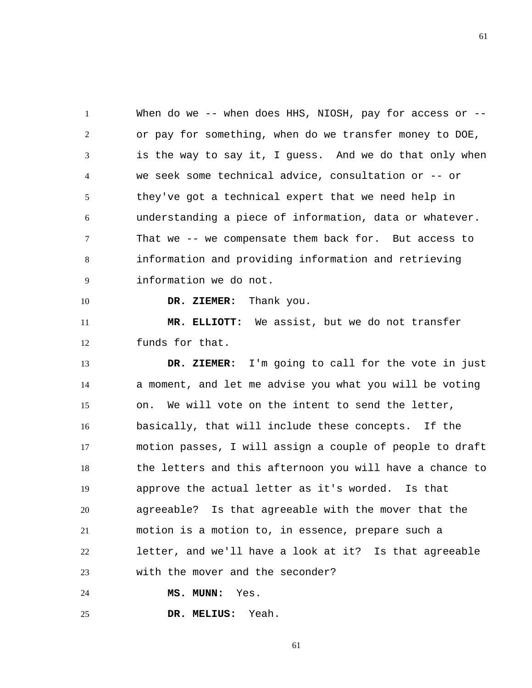1 2 3 4 5 6 7 8 9 When do we -- when does HHS, NIOSH, pay for access or -or pay for something, when do we transfer money to DOE, is the way to say it, I guess. And we do that only when we seek some technical advice, consultation or -- or they've got a technical expert that we need help in understanding a piece of information, data or whatever. That we -- we compensate them back for. But access to information and providing information and retrieving information we do not.

 **DR. ZIEMER:** Thank you.

11 12  **MR. ELLIOTT:** We assist, but we do not transfer funds for that.

13 14 15 16 17 18 19 20 21 22 23  **DR. ZIEMER:** I'm going to call for the vote in just a moment, and let me advise you what you will be voting on. We will vote on the intent to send the letter, basically, that will include these concepts. If the motion passes, I will assign a couple of people to draft the letters and this afternoon you will have a chance to approve the actual letter as it's worded. Is that agreeable? Is that agreeable with the mover that the motion is a motion to, in essence, prepare such a letter, and we'll have a look at it? Is that agreeable with the mover and the seconder?

24  **MS. MUNN:** Yes.

10

25  **DR. MELIUS:** Yeah.

61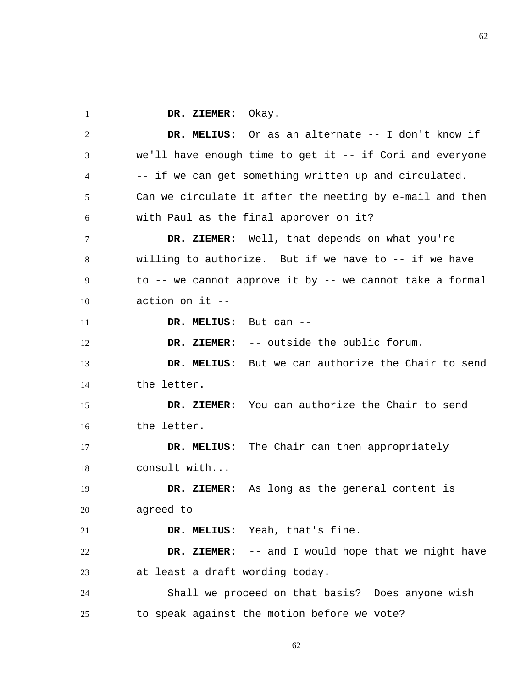1  **DR. ZIEMER:** Okay.

2 3 4 5 6 7 8 9 10 11 12 13 14 15 16 17 18 19 20 21 22 23 24 25  **DR. MELIUS:** Or as an alternate -- I don't know if we'll have enough time to get it -- if Cori and everyone -- if we can get something written up and circulated. Can we circulate it after the meeting by e-mail and then with Paul as the final approver on it?  **DR. ZIEMER:** Well, that depends on what you're willing to authorize. But if we have to -- if we have to -- we cannot approve it by -- we cannot take a formal action on it --  **DR. MELIUS:** But can --  **DR. ZIEMER:** -- outside the public forum.  **DR. MELIUS:** But we can authorize the Chair to send the letter.  **DR. ZIEMER:** You can authorize the Chair to send the letter.  **DR. MELIUS:** The Chair can then appropriately consult with...  **DR. ZIEMER:** As long as the general content is agreed to --  **DR. MELIUS:** Yeah, that's fine.  **DR. ZIEMER:** -- and I would hope that we might have at least a draft wording today. Shall we proceed on that basis? Does anyone wish to speak against the motion before we vote?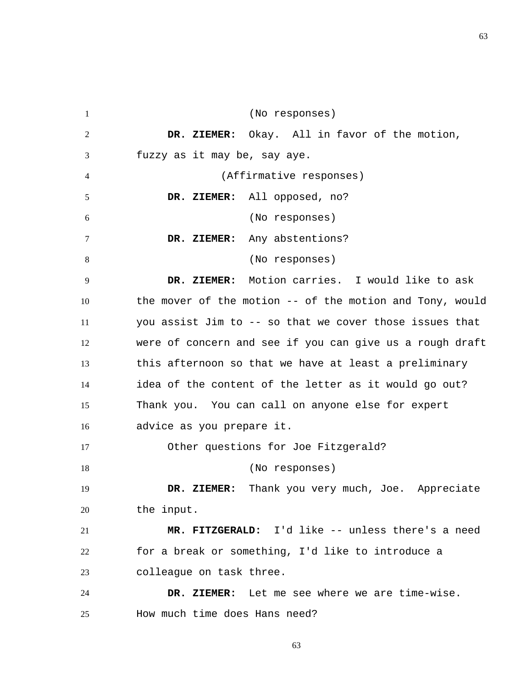1 2 3 4 5 6 7 8 9 10 11 12 13 14 15 16 17 18 19 20 21 22 23 24 25 (No responses)  **DR. ZIEMER:** Okay. All in favor of the motion, fuzzy as it may be, say aye. (Affirmative responses)  **DR. ZIEMER:** All opposed, no? (No responses)  **DR. ZIEMER:** Any abstentions? (No responses)  **DR. ZIEMER:** Motion carries. I would like to ask the mover of the motion -- of the motion and Tony, would you assist Jim to -- so that we cover those issues that were of concern and see if you can give us a rough draft this afternoon so that we have at least a preliminary idea of the content of the letter as it would go out? Thank you. You can call on anyone else for expert advice as you prepare it. Other questions for Joe Fitzgerald? (No responses)  **DR. ZIEMER:** Thank you very much, Joe. Appreciate the input.  **MR. FITZGERALD:** I'd like -- unless there's a need for a break or something, I'd like to introduce a colleague on task three.  **DR. ZIEMER:** Let me see where we are time-wise. How much time does Hans need?

63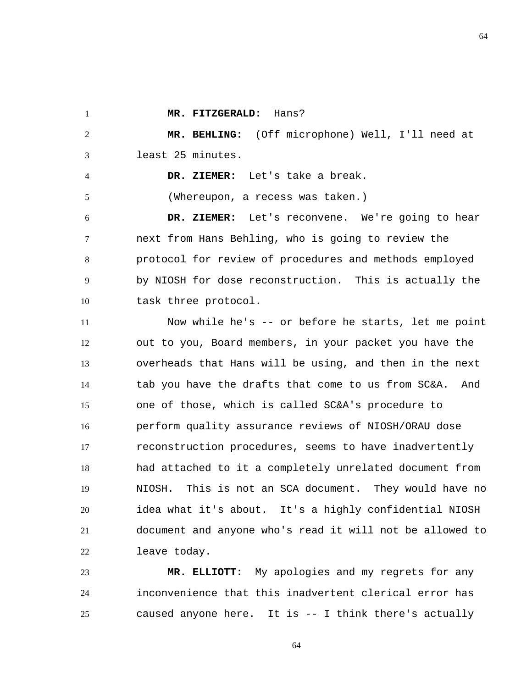1

4

5

 **MR. FITZGERALD:** Hans?

2 3  **MR. BEHLING:** (Off microphone) Well, I'll need at least 25 minutes.

> **DR. ZIEMER:** Let's take a break. (Whereupon, a recess was taken.)

6 7 8 9 10  **DR. ZIEMER:** Let's reconvene. We're going to hear next from Hans Behling, who is going to review the protocol for review of procedures and methods employed by NIOSH for dose reconstruction. This is actually the task three protocol.

11 12 13 14 15 16 17 18 19 20 21 22 Now while he's -- or before he starts, let me point out to you, Board members, in your packet you have the overheads that Hans will be using, and then in the next tab you have the drafts that come to us from SC&A. And one of those, which is called SC&A's procedure to perform quality assurance reviews of NIOSH/ORAU dose reconstruction procedures, seems to have inadvertently had attached to it a completely unrelated document from NIOSH. This is not an SCA document. They would have no idea what it's about. It's a highly confidential NIOSH document and anyone who's read it will not be allowed to leave today.

23 24 25  **MR. ELLIOTT:** My apologies and my regrets for any inconvenience that this inadvertent clerical error has caused anyone here. It is -- I think there's actually

64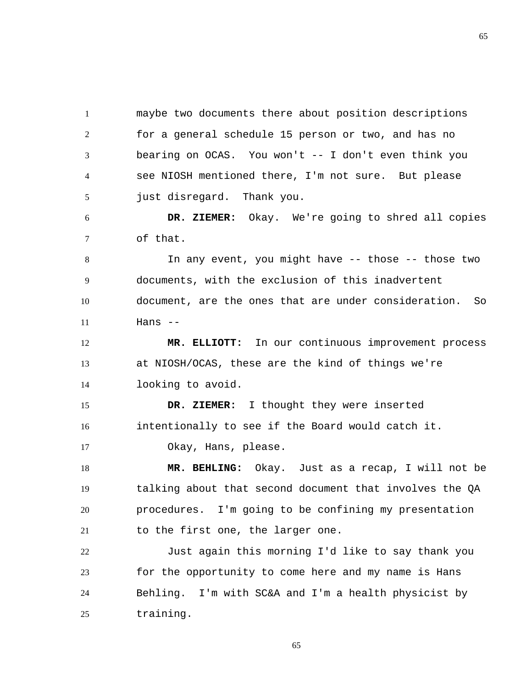1 2 3 4 5 maybe two documents there about position descriptions for a general schedule 15 person or two, and has no bearing on OCAS. You won't -- I don't even think you see NIOSH mentioned there, I'm not sure. But please just disregard. Thank you.

6 7  **DR. ZIEMER:** Okay. We're going to shred all copies of that.

8 9 10 11 In any event, you might have -- those -- those two documents, with the exclusion of this inadvertent document, are the ones that are under consideration. So  $Hans$  --

12 13 14  **MR. ELLIOTT:** In our continuous improvement process at NIOSH/OCAS, these are the kind of things we're looking to avoid.

15 16  **DR. ZIEMER:** I thought they were inserted intentionally to see if the Board would catch it.

Okay, Hans, please.

17

18 19 20 21  **MR. BEHLING:** Okay. Just as a recap, I will not be talking about that second document that involves the QA procedures. I'm going to be confining my presentation to the first one, the larger one.

22 23 24 25 Just again this morning I'd like to say thank you for the opportunity to come here and my name is Hans Behling. I'm with SC&A and I'm a health physicist by training.

65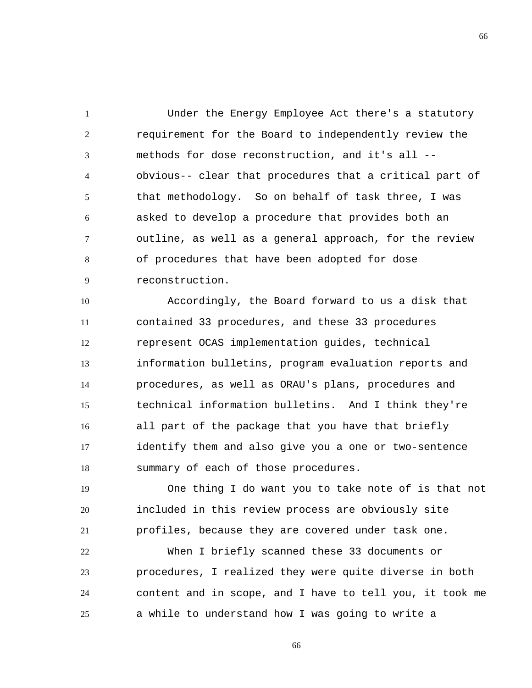1 2 3 4 5 6 7 8 9 Under the Energy Employee Act there's a statutory requirement for the Board to independently review the methods for dose reconstruction, and it's all - obvious-- clear that procedures that a critical part of that methodology. So on behalf of task three, I was asked to develop a procedure that provides both an outline, as well as a general approach, for the review of procedures that have been adopted for dose reconstruction.

10 11 12 13 14 15 16 17 18 Accordingly, the Board forward to us a disk that contained 33 procedures, and these 33 procedures represent OCAS implementation guides, technical information bulletins, program evaluation reports and procedures, as well as ORAU's plans, procedures and technical information bulletins. And I think they're all part of the package that you have that briefly identify them and also give you a one or two-sentence summary of each of those procedures.

19 20 21 One thing I do want you to take note of is that not included in this review process are obviously site profiles, because they are covered under task one.

22 23 24 25 When I briefly scanned these 33 documents or procedures, I realized they were quite diverse in both content and in scope, and I have to tell you, it took me a while to understand how I was going to write a

66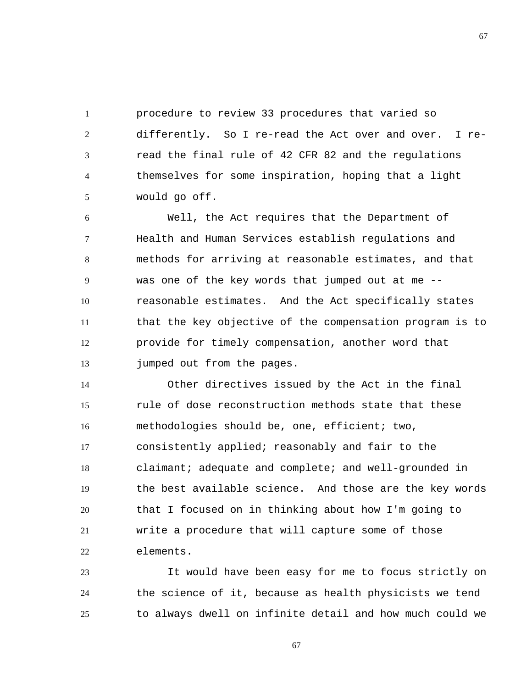1 2 3 4 5 procedure to review 33 procedures that varied so differently. So I re-read the Act over and over. I reread the final rule of 42 CFR 82 and the regulations themselves for some inspiration, hoping that a light would go off.

6 7 8 9 10 11 12 13 Well, the Act requires that the Department of Health and Human Services establish regulations and methods for arriving at reasonable estimates, and that was one of the key words that jumped out at me - reasonable estimates. And the Act specifically states that the key objective of the compensation program is to provide for timely compensation, another word that jumped out from the pages.

14 15 16 17 18 19 20 21 22 Other directives issued by the Act in the final rule of dose reconstruction methods state that these methodologies should be, one, efficient; two, consistently applied; reasonably and fair to the claimant; adequate and complete; and well-grounded in the best available science. And those are the key words that I focused on in thinking about how I'm going to write a procedure that will capture some of those elements.

23 24 25 It would have been easy for me to focus strictly on the science of it, because as health physicists we tend to always dwell on infinite detail and how much could we

67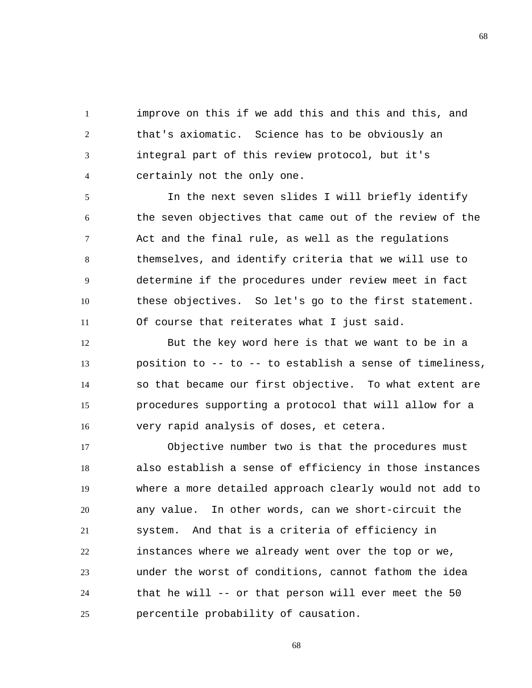1 2 3 4 improve on this if we add this and this and this, and that's axiomatic. Science has to be obviously an integral part of this review protocol, but it's certainly not the only one.

5 6 7 8 9 10 11 In the next seven slides I will briefly identify the seven objectives that came out of the review of the Act and the final rule, as well as the regulations themselves, and identify criteria that we will use to determine if the procedures under review meet in fact these objectives. So let's go to the first statement. Of course that reiterates what I just said.

12 13 14 15 16 But the key word here is that we want to be in a position to -- to -- to establish a sense of timeliness, so that became our first objective. To what extent are procedures supporting a protocol that will allow for a very rapid analysis of doses, et cetera.

17 18 19 20 21 22 23 24 25 Objective number two is that the procedures must also establish a sense of efficiency in those instances where a more detailed approach clearly would not add to any value. In other words, can we short-circuit the system. And that is a criteria of efficiency in instances where we already went over the top or we, under the worst of conditions, cannot fathom the idea that he will -- or that person will ever meet the 50 percentile probability of causation.

68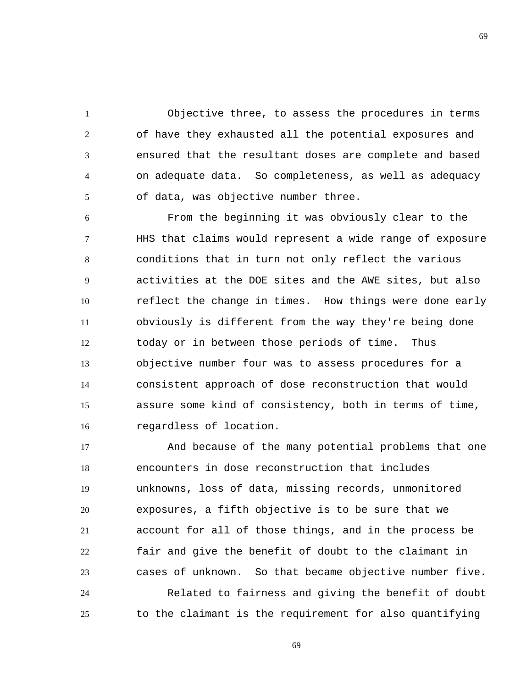1 2 3 4 5 Objective three, to assess the procedures in terms of have they exhausted all the potential exposures and ensured that the resultant doses are complete and based on adequate data. So completeness, as well as adequacy of data, was objective number three.

6 7 8 9 10 11 12 13 14 15 16 From the beginning it was obviously clear to the HHS that claims would represent a wide range of exposure conditions that in turn not only reflect the various activities at the DOE sites and the AWE sites, but also reflect the change in times. How things were done early obviously is different from the way they're being done today or in between those periods of time. Thus objective number four was to assess procedures for a consistent approach of dose reconstruction that would assure some kind of consistency, both in terms of time, regardless of location.

17 18 19 20 21 22 23 24 And because of the many potential problems that one encounters in dose reconstruction that includes unknowns, loss of data, missing records, unmonitored exposures, a fifth objective is to be sure that we account for all of those things, and in the process be fair and give the benefit of doubt to the claimant in cases of unknown. So that became objective number five. Related to fairness and giving the benefit of doubt

to the claimant is the requirement for also quantifying

25

69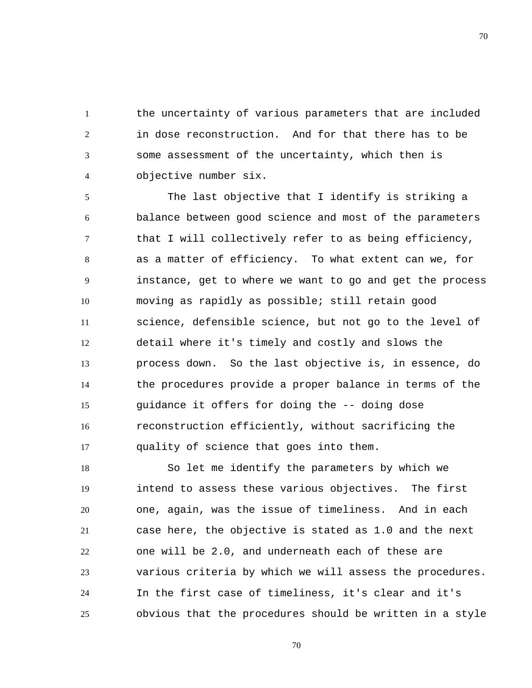1 2 3 4 the uncertainty of various parameters that are included in dose reconstruction. And for that there has to be some assessment of the uncertainty, which then is objective number six.

5 6 7 8 9 10 11 12 13 14 15 16 17 The last objective that I identify is striking a balance between good science and most of the parameters that I will collectively refer to as being efficiency, as a matter of efficiency. To what extent can we, for instance, get to where we want to go and get the process moving as rapidly as possible; still retain good science, defensible science, but not go to the level of detail where it's timely and costly and slows the process down. So the last objective is, in essence, do the procedures provide a proper balance in terms of the guidance it offers for doing the -- doing dose reconstruction efficiently, without sacrificing the quality of science that goes into them.

18 19 20 21 22 23 24 25 So let me identify the parameters by which we intend to assess these various objectives. The first one, again, was the issue of timeliness. And in each case here, the objective is stated as 1.0 and the next one will be 2.0, and underneath each of these are various criteria by which we will assess the procedures. In the first case of timeliness, it's clear and it's obvious that the procedures should be written in a style

70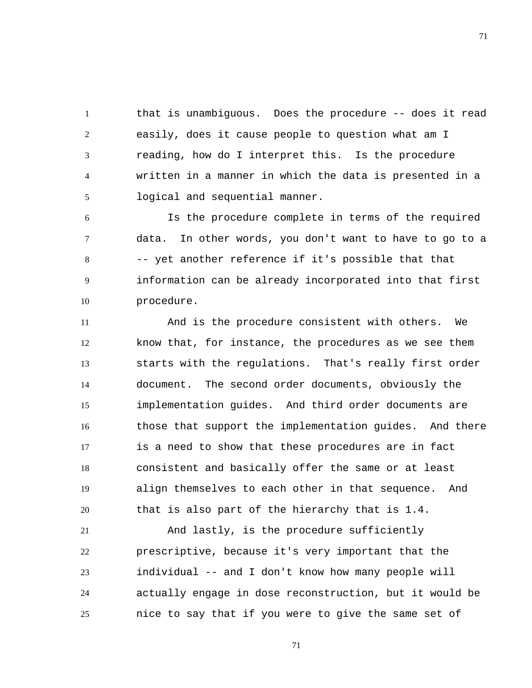1 2 3 4 5 that is unambiguous. Does the procedure -- does it read easily, does it cause people to question what am I reading, how do I interpret this. Is the procedure written in a manner in which the data is presented in a logical and sequential manner.

6 7 8 9 10 Is the procedure complete in terms of the required data. In other words, you don't want to have to go to a -- yet another reference if it's possible that that information can be already incorporated into that first procedure.

11 12 13 14 15 16 17 18 19 20 And is the procedure consistent with others. We know that, for instance, the procedures as we see them starts with the regulations. That's really first order document. The second order documents, obviously the implementation guides. And third order documents are those that support the implementation guides. And there is a need to show that these procedures are in fact consistent and basically offer the same or at least align themselves to each other in that sequence. And that is also part of the hierarchy that is 1.4.

21 22 23 24 25 And lastly, is the procedure sufficiently prescriptive, because it's very important that the individual -- and I don't know how many people will actually engage in dose reconstruction, but it would be nice to say that if you were to give the same set of

71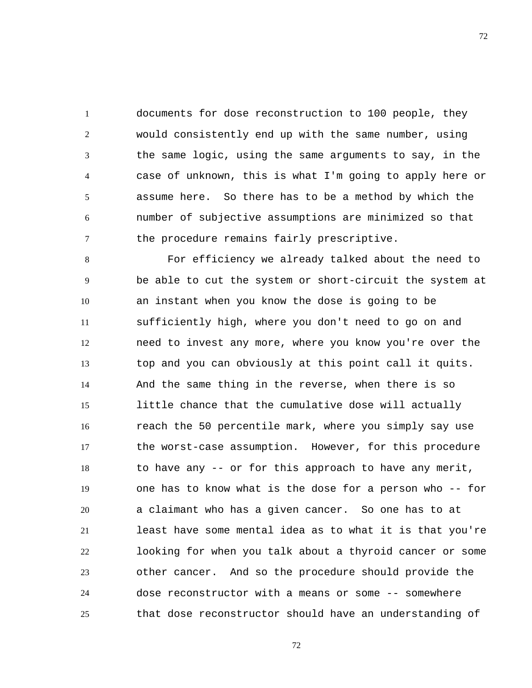1 2 3 4 5 6 7 documents for dose reconstruction to 100 people, they would consistently end up with the same number, using the same logic, using the same arguments to say, in the case of unknown, this is what I'm going to apply here or assume here. So there has to be a method by which the number of subjective assumptions are minimized so that the procedure remains fairly prescriptive.

8 9 10 11 12 13 14 15 16 17 18 19 20 21 22 23 24 25 For efficiency we already talked about the need to be able to cut the system or short-circuit the system at an instant when you know the dose is going to be sufficiently high, where you don't need to go on and need to invest any more, where you know you're over the top and you can obviously at this point call it quits. And the same thing in the reverse, when there is so little chance that the cumulative dose will actually reach the 50 percentile mark, where you simply say use the worst-case assumption. However, for this procedure to have any -- or for this approach to have any merit, one has to know what is the dose for a person who -- for a claimant who has a given cancer. So one has to at least have some mental idea as to what it is that you're looking for when you talk about a thyroid cancer or some other cancer. And so the procedure should provide the dose reconstructor with a means or some -- somewhere that dose reconstructor should have an understanding of

72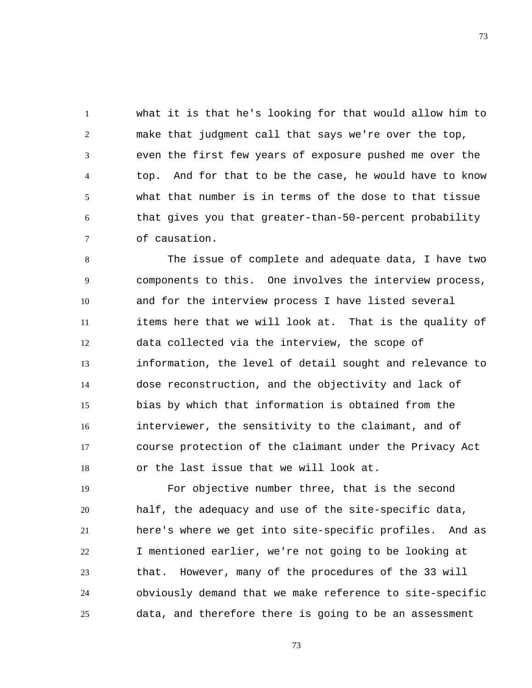1 2 3 4 5 6 7 what it is that he's looking for that would allow him to make that judgment call that says we're over the top, even the first few years of exposure pushed me over the top. And for that to be the case, he would have to know what that number is in terms of the dose to that tissue that gives you that greater-than-50-percent probability of causation.

8 9 10 11 12 13 14 15 16 17 18 The issue of complete and adequate data, I have two components to this. One involves the interview process, and for the interview process I have listed several items here that we will look at. That is the quality of data collected via the interview, the scope of information, the level of detail sought and relevance to dose reconstruction, and the objectivity and lack of bias by which that information is obtained from the interviewer, the sensitivity to the claimant, and of course protection of the claimant under the Privacy Act or the last issue that we will look at.

19 20 21 22 23 24 25 For objective number three, that is the second half, the adequacy and use of the site-specific data, here's where we get into site-specific profiles. And as I mentioned earlier, we're not going to be looking at that. However, many of the procedures of the 33 will obviously demand that we make reference to site-specific data, and therefore there is going to be an assessment

73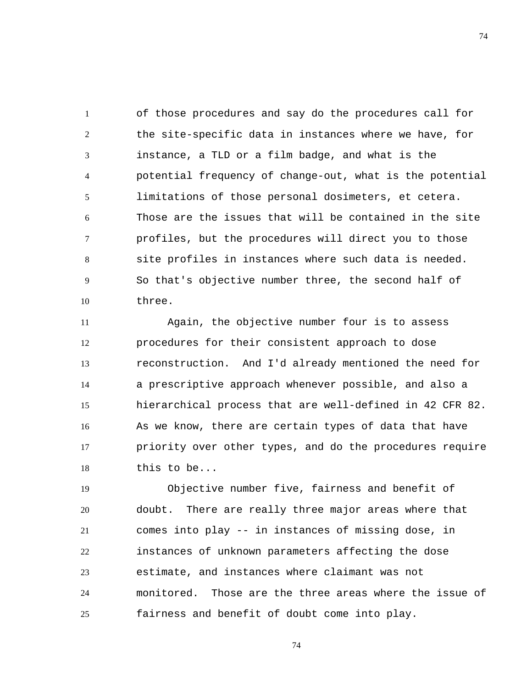1 2 3 4 5 6 7 8 9 10 of those procedures and say do the procedures call for the site-specific data in instances where we have, for instance, a TLD or a film badge, and what is the potential frequency of change-out, what is the potential limitations of those personal dosimeters, et cetera. Those are the issues that will be contained in the site profiles, but the procedures will direct you to those site profiles in instances where such data is needed. So that's objective number three, the second half of three.

11 12 13 14 15 16 17 18 Again, the objective number four is to assess procedures for their consistent approach to dose reconstruction. And I'd already mentioned the need for a prescriptive approach whenever possible, and also a hierarchical process that are well-defined in 42 CFR 82. As we know, there are certain types of data that have priority over other types, and do the procedures require this to be...

19 20 21 22 23 24 25 Objective number five, fairness and benefit of doubt. There are really three major areas where that comes into play -- in instances of missing dose, in instances of unknown parameters affecting the dose estimate, and instances where claimant was not monitored. Those are the three areas where the issue of fairness and benefit of doubt come into play.

74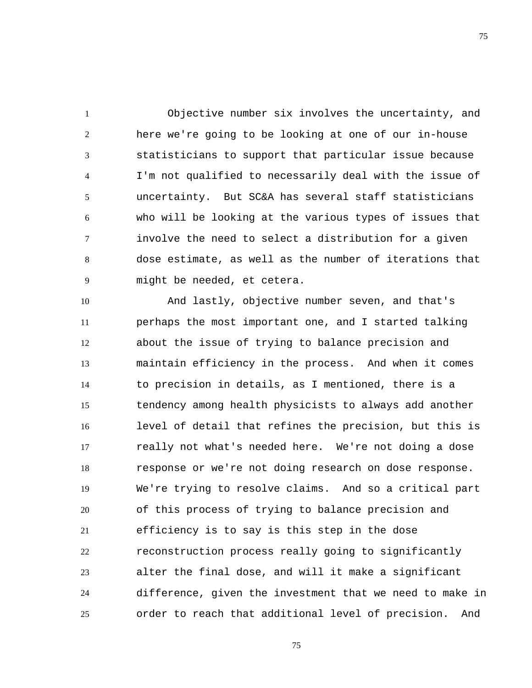1 2 3 4 5 6 7 8 9 Objective number six involves the uncertainty, and here we're going to be looking at one of our in-house statisticians to support that particular issue because I'm not qualified to necessarily deal with the issue of uncertainty. But SC&A has several staff statisticians who will be looking at the various types of issues that involve the need to select a distribution for a given dose estimate, as well as the number of iterations that might be needed, et cetera.

10 11 12 13 14 15 16 17 18 19 20 21 22 23 24 25 And lastly, objective number seven, and that's perhaps the most important one, and I started talking about the issue of trying to balance precision and maintain efficiency in the process. And when it comes to precision in details, as I mentioned, there is a tendency among health physicists to always add another level of detail that refines the precision, but this is really not what's needed here. We're not doing a dose response or we're not doing research on dose response. We're trying to resolve claims. And so a critical part of this process of trying to balance precision and efficiency is to say is this step in the dose reconstruction process really going to significantly alter the final dose, and will it make a significant difference, given the investment that we need to make in order to reach that additional level of precision. And

75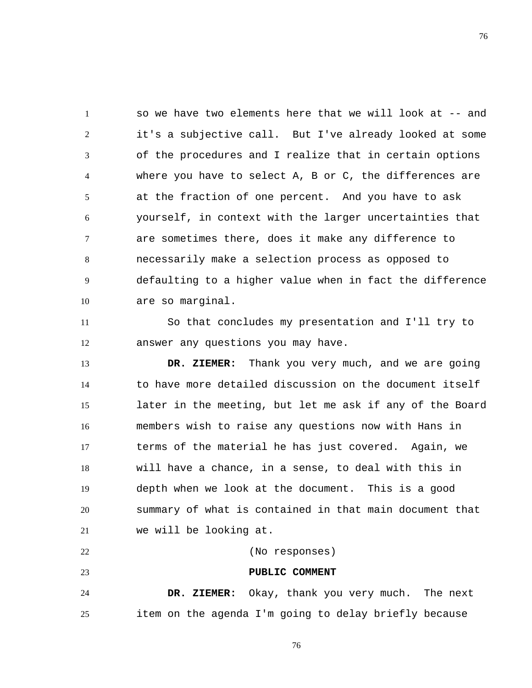1 2 3 4 5 6 7 8 9 10 so we have two elements here that we will look at -- and it's a subjective call. But I've already looked at some of the procedures and I realize that in certain options where you have to select A, B or C, the differences are at the fraction of one percent. And you have to ask yourself, in context with the larger uncertainties that are sometimes there, does it make any difference to necessarily make a selection process as opposed to defaulting to a higher value when in fact the difference are so marginal.

11 12 So that concludes my presentation and I'll try to answer any questions you may have.

13 14 15 16 17 18 19 20 21  **DR. ZIEMER:** Thank you very much, and we are going to have more detailed discussion on the document itself later in the meeting, but let me ask if any of the Board members wish to raise any questions now with Hans in terms of the material he has just covered. Again, we will have a chance, in a sense, to deal with this in depth when we look at the document. This is a good summary of what is contained in that main document that we will be looking at.

23 24 25  **PUBLIC COMMENT DR. ZIEMER:** Okay, thank you very much. The next item on the agenda I'm going to delay briefly because

(No responses)

22

76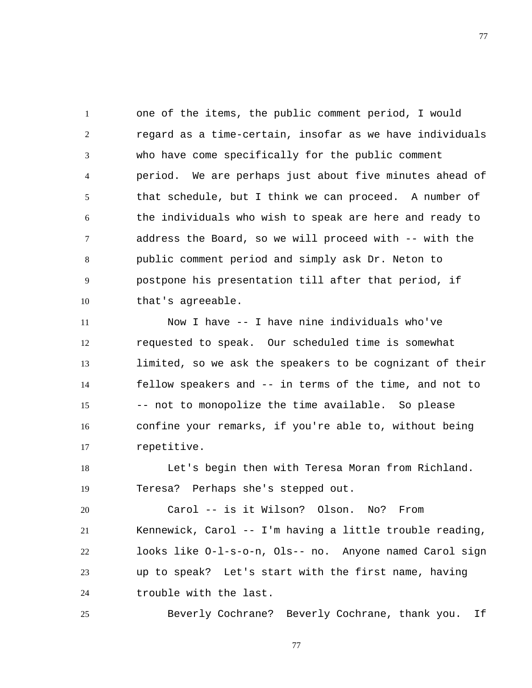1 2 3 4 5 6 7 8 9 10 one of the items, the public comment period, I would regard as a time-certain, insofar as we have individuals who have come specifically for the public comment period. We are perhaps just about five minutes ahead of that schedule, but I think we can proceed. A number of the individuals who wish to speak are here and ready to address the Board, so we will proceed with -- with the public comment period and simply ask Dr. Neton to postpone his presentation till after that period, if that's agreeable.

11 12 13 14 15 16 17 Now I have -- I have nine individuals who've requested to speak. Our scheduled time is somewhat limited, so we ask the speakers to be cognizant of their fellow speakers and -- in terms of the time, and not to -- not to monopolize the time available. So please confine your remarks, if you're able to, without being repetitive.

18 19 Let's begin then with Teresa Moran from Richland. Teresa? Perhaps she's stepped out.

20 21 22 23 24 Carol -- is it Wilson? Olson. No? From Kennewick, Carol -- I'm having a little trouble reading, looks like O-l-s-o-n, Ols-- no. Anyone named Carol sign up to speak? Let's start with the first name, having trouble with the last.

Beverly Cochrane? Beverly Cochrane, thank you. If

25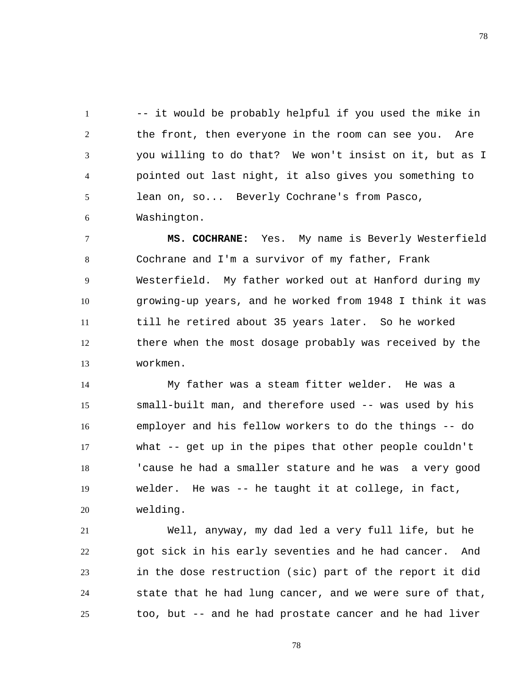1 2 3 4 5 6 -- it would be probably helpful if you used the mike in the front, then everyone in the room can see you. Are you willing to do that? We won't insist on it, but as I pointed out last night, it also gives you something to lean on, so... Beverly Cochrane's from Pasco, Washington.

7 8 9 10 11 12 13  **MS. COCHRANE:** Yes. My name is Beverly Westerfield Cochrane and I'm a survivor of my father, Frank Westerfield. My father worked out at Hanford during my growing-up years, and he worked from 1948 I think it was till he retired about 35 years later. So he worked there when the most dosage probably was received by the workmen.

14 15 16 17 18 19 20 My father was a steam fitter welder. He was a small-built man, and therefore used -- was used by his employer and his fellow workers to do the things -- do what -- get up in the pipes that other people couldn't 'cause he had a smaller stature and he was a very good welder. He was -- he taught it at college, in fact, welding.

21 22 23 24 25 Well, anyway, my dad led a very full life, but he got sick in his early seventies and he had cancer. And in the dose restruction (sic) part of the report it did state that he had lung cancer, and we were sure of that, too, but -- and he had prostate cancer and he had liver

78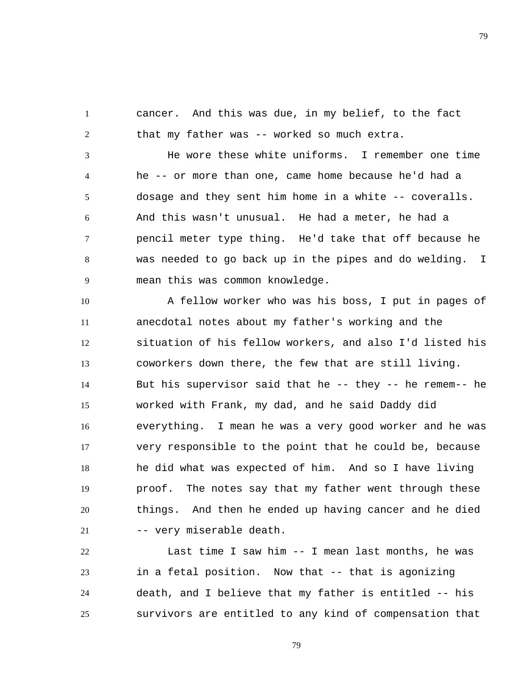1 2 cancer. And this was due, in my belief, to the fact that my father was -- worked so much extra.

3 4 5 6 7 8 9 He wore these white uniforms. I remember one time he -- or more than one, came home because he'd had a dosage and they sent him home in a white -- coveralls. And this wasn't unusual. He had a meter, he had a pencil meter type thing. He'd take that off because he was needed to go back up in the pipes and do welding. I mean this was common knowledge.

10 11 12 13 14 15 16 17 18 19 20 21 A fellow worker who was his boss, I put in pages of anecdotal notes about my father's working and the situation of his fellow workers, and also I'd listed his coworkers down there, the few that are still living. But his supervisor said that he -- they -- he remem-- he worked with Frank, my dad, and he said Daddy did everything. I mean he was a very good worker and he was very responsible to the point that he could be, because he did what was expected of him. And so I have living proof. The notes say that my father went through these things. And then he ended up having cancer and he died -- very miserable death.

22 23 24 25 Last time I saw him -- I mean last months, he was in a fetal position. Now that -- that is agonizing death, and I believe that my father is entitled -- his survivors are entitled to any kind of compensation that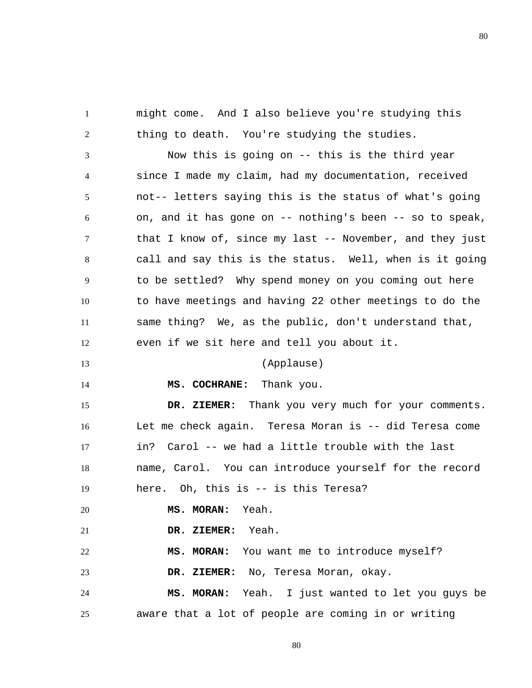might come. And I also believe you're studying this thing to death. You're studying the studies.

3 4 5 6 7 8 9 10 11 12 Now this is going on -- this is the third year since I made my claim, had my documentation, received not-- letters saying this is the status of what's going on, and it has gone on -- nothing's been -- so to speak, that I know of, since my last -- November, and they just call and say this is the status. Well, when is it going to be settled? Why spend money on you coming out here to have meetings and having 22 other meetings to do the same thing? We, as the public, don't understand that, even if we sit here and tell you about it.

## (Applause)

14

13

1

2

 **MS. COCHRANE:** Thank you.

15 16 17 18 19  **DR. ZIEMER:** Thank you very much for your comments. Let me check again. Teresa Moran is -- did Teresa come in? Carol -- we had a little trouble with the last name, Carol. You can introduce yourself for the record here. Oh, this is -- is this Teresa?

20  **MS. MORAN:** Yeah.

21  **DR. ZIEMER:** Yeah.

22  **MS. MORAN:** You want me to introduce myself?

23  **DR. ZIEMER:** No, Teresa Moran, okay.

24 25  **MS. MORAN:** Yeah. I just wanted to let you guys be aware that a lot of people are coming in or writing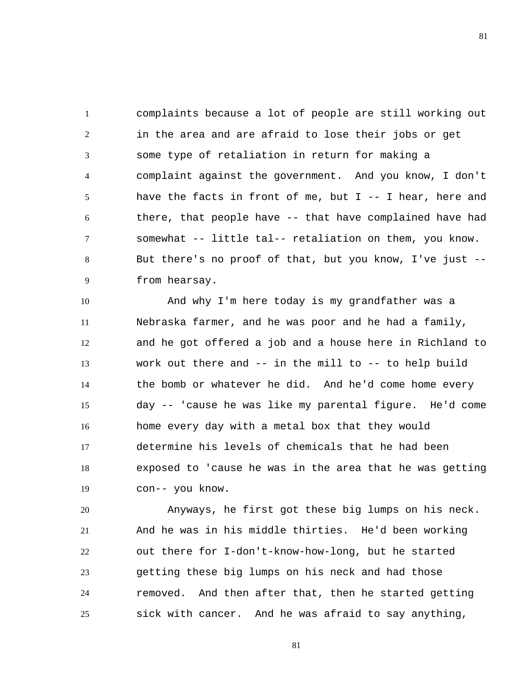1 2 3 4 5 6 7 8 9 complaints because a lot of people are still working out in the area and are afraid to lose their jobs or get some type of retaliation in return for making a complaint against the government. And you know, I don't have the facts in front of me, but  $I - - I$  hear, here and there, that people have -- that have complained have had somewhat -- little tal-- retaliation on them, you know. But there's no proof of that, but you know, I've just - from hearsay.

10 11 12 13 14 15 16 17 18 19 And why I'm here today is my grandfather was a Nebraska farmer, and he was poor and he had a family, and he got offered a job and a house here in Richland to work out there and -- in the mill to -- to help build the bomb or whatever he did. And he'd come home every day -- 'cause he was like my parental figure. He'd come home every day with a metal box that they would determine his levels of chemicals that he had been exposed to 'cause he was in the area that he was getting con-- you know.

20 21 22 23 24 25 Anyways, he first got these big lumps on his neck. And he was in his middle thirties. He'd been working out there for I-don't-know-how-long, but he started getting these big lumps on his neck and had those removed. And then after that, then he started getting sick with cancer. And he was afraid to say anything,

81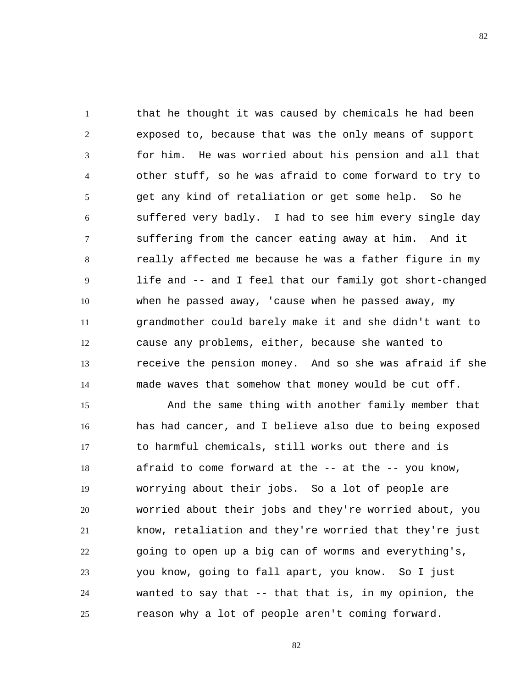1 2 3 4 5 6 7 8 9 10 11 12 13 14 that he thought it was caused by chemicals he had been exposed to, because that was the only means of support for him. He was worried about his pension and all that other stuff, so he was afraid to come forward to try to get any kind of retaliation or get some help. So he suffered very badly. I had to see him every single day suffering from the cancer eating away at him. And it really affected me because he was a father figure in my life and -- and I feel that our family got short-changed when he passed away, 'cause when he passed away, my grandmother could barely make it and she didn't want to cause any problems, either, because she wanted to receive the pension money. And so she was afraid if she made waves that somehow that money would be cut off.

15 16 17 18 19 20 21 22 23 24 25 And the same thing with another family member that has had cancer, and I believe also due to being exposed to harmful chemicals, still works out there and is afraid to come forward at the -- at the -- you know, worrying about their jobs. So a lot of people are worried about their jobs and they're worried about, you know, retaliation and they're worried that they're just going to open up a big can of worms and everything's, you know, going to fall apart, you know. So I just wanted to say that -- that that is, in my opinion, the reason why a lot of people aren't coming forward.

82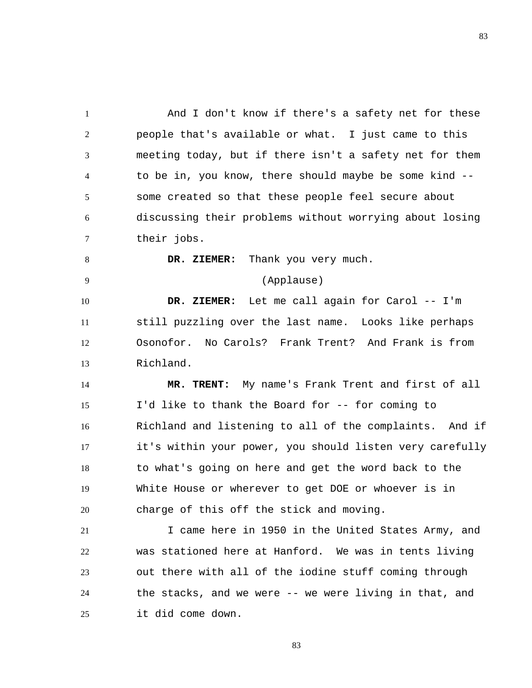1 2 3 4 5 6 7 And I don't know if there's a safety net for these people that's available or what. I just came to this meeting today, but if there isn't a safety net for them to be in, you know, there should maybe be some kind - some created so that these people feel secure about discussing their problems without worrying about losing their jobs.

 **DR. ZIEMER:** Thank you very much.

8

9

## (Applause)

10 11 12 13  **DR. ZIEMER:** Let me call again for Carol -- I'm still puzzling over the last name. Looks like perhaps Osonofor. No Carols? Frank Trent? And Frank is from Richland.

14 15 16 17 18 19 20  **MR. TRENT:** My name's Frank Trent and first of all I'd like to thank the Board for -- for coming to Richland and listening to all of the complaints. And if it's within your power, you should listen very carefully to what's going on here and get the word back to the White House or wherever to get DOE or whoever is in charge of this off the stick and moving.

21 22 23 24 25 I came here in 1950 in the United States Army, and was stationed here at Hanford. We was in tents living out there with all of the iodine stuff coming through the stacks, and we were -- we were living in that, and it did come down.

83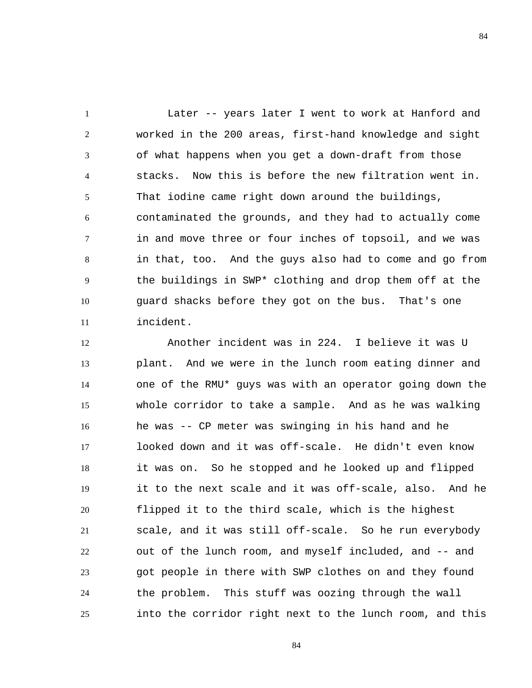1 2 3 4 5 6 7 8 9 10 11 Later -- years later I went to work at Hanford and worked in the 200 areas, first-hand knowledge and sight of what happens when you get a down-draft from those stacks. Now this is before the new filtration went in. That iodine came right down around the buildings, contaminated the grounds, and they had to actually come in and move three or four inches of topsoil, and we was in that, too. And the guys also had to come and go from the buildings in SWP\* clothing and drop them off at the guard shacks before they got on the bus. That's one incident.

12 13 14 15 16 17 18 19 20 21 22 23 24 25 Another incident was in 224. I believe it was U plant. And we were in the lunch room eating dinner and one of the RMU\* guys was with an operator going down the whole corridor to take a sample. And as he was walking he was -- CP meter was swinging in his hand and he looked down and it was off-scale. He didn't even know it was on. So he stopped and he looked up and flipped it to the next scale and it was off-scale, also. And he flipped it to the third scale, which is the highest scale, and it was still off-scale. So he run everybody out of the lunch room, and myself included, and -- and got people in there with SWP clothes on and they found the problem. This stuff was oozing through the wall into the corridor right next to the lunch room, and this

84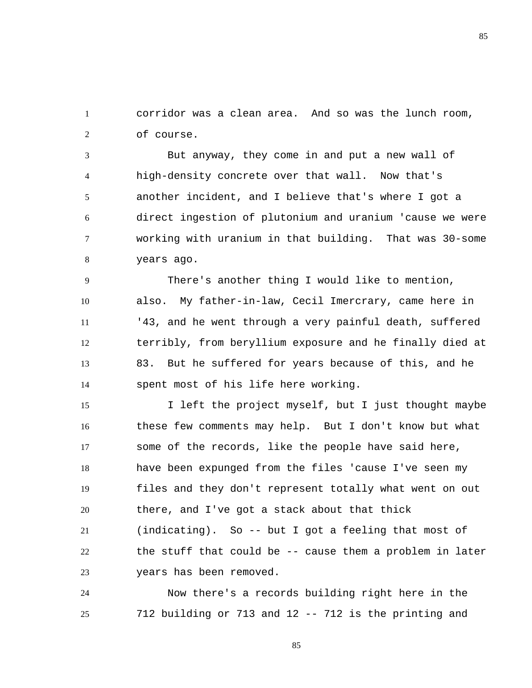1 2 corridor was a clean area. And so was the lunch room, of course.

3 4 5 6 7 8 But anyway, they come in and put a new wall of high-density concrete over that wall. Now that's another incident, and I believe that's where I got a direct ingestion of plutonium and uranium 'cause we were working with uranium in that building. That was 30-some years ago.

9 10 11 12 13 14 There's another thing I would like to mention, also. My father-in-law, Cecil Imercrary, came here in '43, and he went through a very painful death, suffered terribly, from beryllium exposure and he finally died at 83. But he suffered for years because of this, and he spent most of his life here working.

15 16 17 18 19 20 21 22 23 I left the project myself, but I just thought maybe these few comments may help. But I don't know but what some of the records, like the people have said here, have been expunged from the files 'cause I've seen my files and they don't represent totally what went on out there, and I've got a stack about that thick (indicating). So -- but I got a feeling that most of the stuff that could be -- cause them a problem in later years has been removed.

24 25 Now there's a records building right here in the 712 building or 713 and 12 -- 712 is the printing and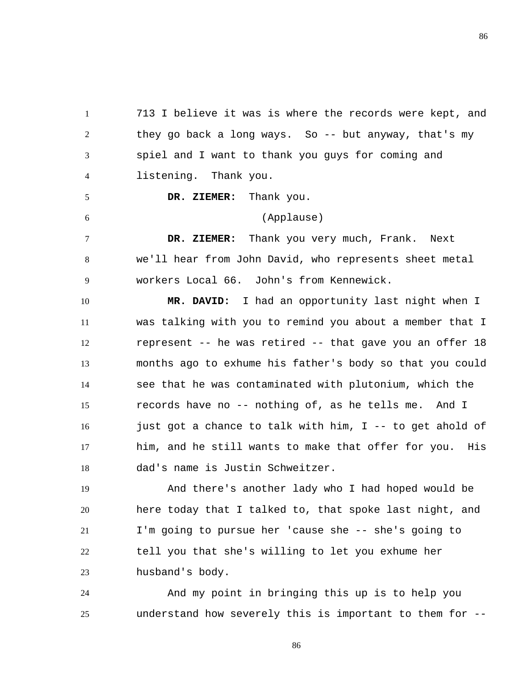1 2 3 4 713 I believe it was is where the records were kept, and they go back a long ways. So -- but anyway, that's my spiel and I want to thank you guys for coming and listening. Thank you.

86

 **DR. ZIEMER:** Thank you.

5

6

## (Applause)

7 8 9  **DR. ZIEMER:** Thank you very much, Frank. Next we'll hear from John David, who represents sheet metal workers Local 66. John's from Kennewick.

10 11 12 13 14 15 16 17 18  **MR. DAVID:** I had an opportunity last night when I was talking with you to remind you about a member that I represent -- he was retired -- that gave you an offer 18 months ago to exhume his father's body so that you could see that he was contaminated with plutonium, which the records have no -- nothing of, as he tells me. And I just got a chance to talk with him, I -- to get ahold of him, and he still wants to make that offer for you. His dad's name is Justin Schweitzer.

19 20 21 22 23 And there's another lady who I had hoped would be here today that I talked to, that spoke last night, and I'm going to pursue her 'cause she -- she's going to tell you that she's willing to let you exhume her husband's body.

24 25 And my point in bringing this up is to help you understand how severely this is important to them for --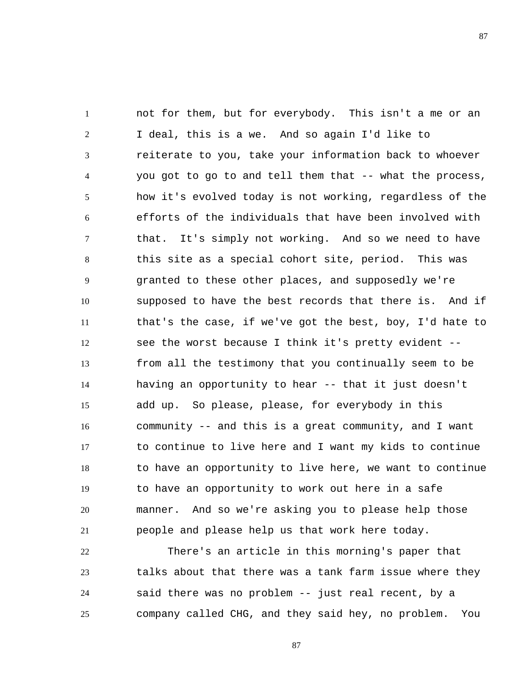1 2 3 4 5 6 7 8 9 10 11 12 13 14 15 16 17 18 19 20 21 not for them, but for everybody. This isn't a me or an I deal, this is a we. And so again I'd like to reiterate to you, take your information back to whoever you got to go to and tell them that -- what the process, how it's evolved today is not working, regardless of the efforts of the individuals that have been involved with that. It's simply not working. And so we need to have this site as a special cohort site, period. This was granted to these other places, and supposedly we're supposed to have the best records that there is. And if that's the case, if we've got the best, boy, I'd hate to see the worst because I think it's pretty evident - from all the testimony that you continually seem to be having an opportunity to hear -- that it just doesn't add up. So please, please, for everybody in this community -- and this is a great community, and I want to continue to live here and I want my kids to continue to have an opportunity to live here, we want to continue to have an opportunity to work out here in a safe manner. And so we're asking you to please help those people and please help us that work here today.

22 23 24 25 There's an article in this morning's paper that talks about that there was a tank farm issue where they said there was no problem -- just real recent, by a company called CHG, and they said hey, no problem. You

87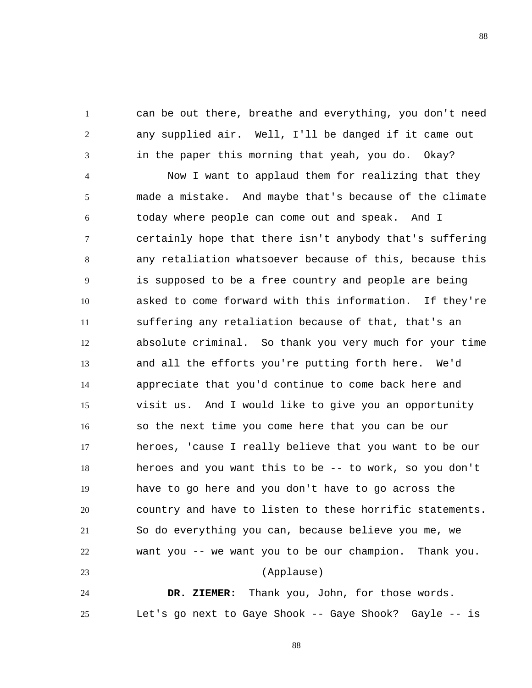can be out there, breathe and everything, you don't need any supplied air. Well, I'll be danged if it came out in the paper this morning that yeah, you do. Okay?

1

2

3

4 5 6 7 8 9 10 11 12 13 14 15 16 17 18 19 20 21 22 23 Now I want to applaud them for realizing that they made a mistake. And maybe that's because of the climate today where people can come out and speak. And I certainly hope that there isn't anybody that's suffering any retaliation whatsoever because of this, because this is supposed to be a free country and people are being asked to come forward with this information. If they're suffering any retaliation because of that, that's an absolute criminal. So thank you very much for your time and all the efforts you're putting forth here. We'd appreciate that you'd continue to come back here and visit us. And I would like to give you an opportunity so the next time you come here that you can be our heroes, 'cause I really believe that you want to be our heroes and you want this to be -- to work, so you don't have to go here and you don't have to go across the country and have to listen to these horrific statements. So do everything you can, because believe you me, we want you -- we want you to be our champion. Thank you. (Applause)

24 25  **DR. ZIEMER:** Thank you, John, for those words. Let's go next to Gaye Shook -- Gaye Shook? Gayle -- is

88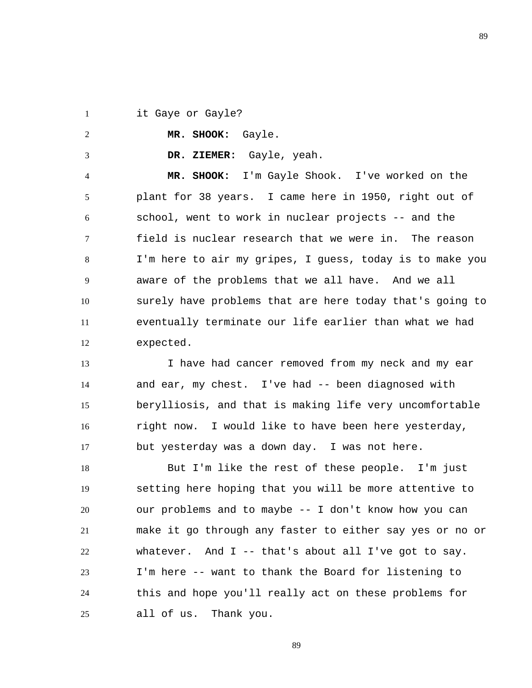1 it Gaye or Gayle?

2

3

 **MR. SHOOK:** Gayle.

 **DR. ZIEMER:** Gayle, yeah.

4 5 6 7 8 9 10 11 12  **MR. SHOOK:** I'm Gayle Shook. I've worked on the plant for 38 years. I came here in 1950, right out of school, went to work in nuclear projects -- and the field is nuclear research that we were in. The reason I'm here to air my gripes, I guess, today is to make you aware of the problems that we all have. And we all surely have problems that are here today that's going to eventually terminate our life earlier than what we had expected.

13 14 15 16 17 I have had cancer removed from my neck and my ear and ear, my chest. I've had -- been diagnosed with berylliosis, and that is making life very uncomfortable right now. I would like to have been here yesterday, but yesterday was a down day. I was not here.

18 19 20 21 22 23 24 25 But I'm like the rest of these people. I'm just setting here hoping that you will be more attentive to our problems and to maybe -- I don't know how you can make it go through any faster to either say yes or no or whatever. And  $I$  -- that's about all I've got to say. I'm here -- want to thank the Board for listening to this and hope you'll really act on these problems for all of us. Thank you.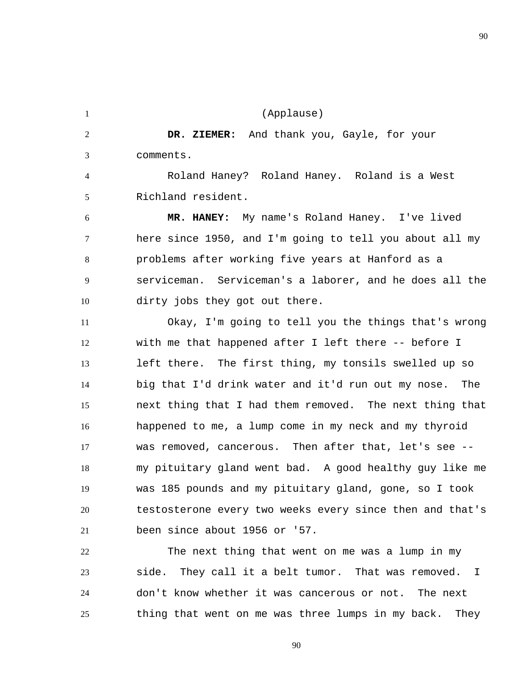1 2 3 4 5 6 7 8 9 10 11 12 13 14 15 16 17 18 19 20 21 22 23 24 (Applause)  **DR. ZIEMER:** And thank you, Gayle, for your comments. Roland Haney? Roland Haney. Roland is a West Richland resident.  **MR. HANEY:** My name's Roland Haney. I've lived here since 1950, and I'm going to tell you about all my problems after working five years at Hanford as a serviceman. Serviceman's a laborer, and he does all the dirty jobs they got out there. Okay, I'm going to tell you the things that's wrong with me that happened after I left there -- before I left there. The first thing, my tonsils swelled up so big that I'd drink water and it'd run out my nose. The next thing that I had them removed. The next thing that happened to me, a lump come in my neck and my thyroid was removed, cancerous. Then after that, let's see - my pituitary gland went bad. A good healthy guy like me was 185 pounds and my pituitary gland, gone, so I took testosterone every two weeks every since then and that's been since about 1956 or '57. The next thing that went on me was a lump in my side. They call it a belt tumor. That was removed. I don't know whether it was cancerous or not. The next

25 thing that went on me was three lumps in my back. They

90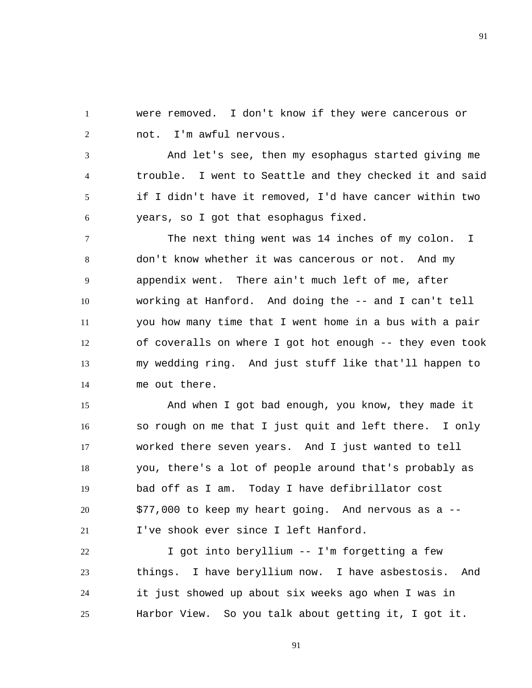1 2 were removed. I don't know if they were cancerous or not. I'm awful nervous.

3 4 5 6 And let's see, then my esophagus started giving me trouble. I went to Seattle and they checked it and said if I didn't have it removed, I'd have cancer within two years, so I got that esophagus fixed.

7 8 9 10 11 12 13 14 The next thing went was 14 inches of my colon. I don't know whether it was cancerous or not. And my appendix went. There ain't much left of me, after working at Hanford. And doing the -- and I can't tell you how many time that I went home in a bus with a pair of coveralls on where I got hot enough -- they even took my wedding ring. And just stuff like that'll happen to me out there.

15 16 17 18 19 20 21 And when I got bad enough, you know, they made it so rough on me that I just quit and left there. I only worked there seven years. And I just wanted to tell you, there's a lot of people around that's probably as bad off as I am. Today I have defibrillator cost \$77,000 to keep my heart going. And nervous as a -- I've shook ever since I left Hanford.

22 23 24 25 I got into beryllium -- I'm forgetting a few things. I have beryllium now. I have asbestosis. And it just showed up about six weeks ago when I was in Harbor View. So you talk about getting it, I got it.

91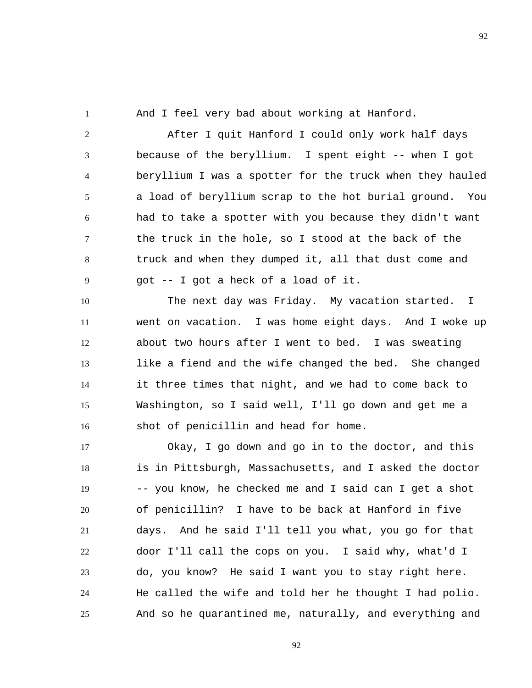1

And I feel very bad about working at Hanford.

2 3 4 5 6 7 8 9 After I quit Hanford I could only work half days because of the beryllium. I spent eight -- when I got beryllium I was a spotter for the truck when they hauled a load of beryllium scrap to the hot burial ground. You had to take a spotter with you because they didn't want the truck in the hole, so I stood at the back of the truck and when they dumped it, all that dust come and got -- I got a heck of a load of it.

10 11 12 13 14 15 16 The next day was Friday. My vacation started. I went on vacation. I was home eight days. And I woke up about two hours after I went to bed. I was sweating like a fiend and the wife changed the bed. She changed it three times that night, and we had to come back to Washington, so I said well, I'll go down and get me a shot of penicillin and head for home.

17 18 19 20 21 22 23 24 25 Okay, I go down and go in to the doctor, and this is in Pittsburgh, Massachusetts, and I asked the doctor -- you know, he checked me and I said can I get a shot of penicillin? I have to be back at Hanford in five days. And he said I'll tell you what, you go for that door I'll call the cops on you. I said why, what'd I do, you know? He said I want you to stay right here. He called the wife and told her he thought I had polio. And so he quarantined me, naturally, and everything and

92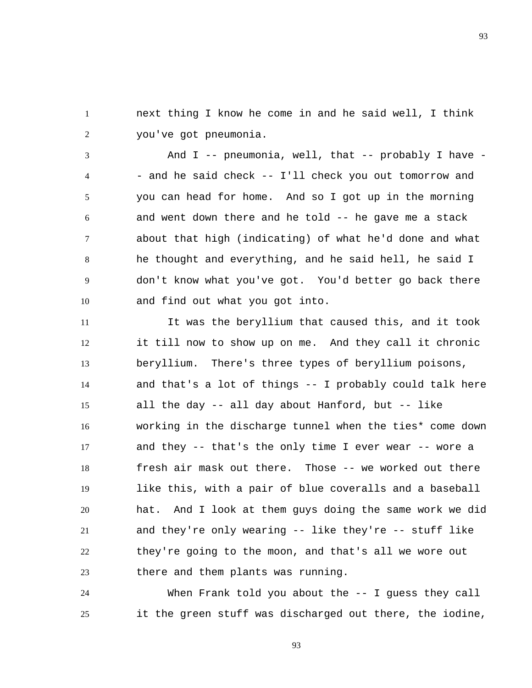1 2 next thing I know he come in and he said well, I think you've got pneumonia.

3 4 5 6 7 8 9 10 And I -- pneumonia, well, that -- probably I have - - and he said check -- I'll check you out tomorrow and you can head for home. And so I got up in the morning and went down there and he told -- he gave me a stack about that high (indicating) of what he'd done and what he thought and everything, and he said hell, he said I don't know what you've got. You'd better go back there and find out what you got into.

11 12 13 14 15 16 17 18 19 20 21 22 23 It was the beryllium that caused this, and it took it till now to show up on me. And they call it chronic beryllium. There's three types of beryllium poisons, and that's a lot of things -- I probably could talk here all the day -- all day about Hanford, but -- like working in the discharge tunnel when the ties\* come down and they -- that's the only time I ever wear -- wore a fresh air mask out there. Those -- we worked out there like this, with a pair of blue coveralls and a baseball hat. And I look at them guys doing the same work we did and they're only wearing -- like they're -- stuff like they're going to the moon, and that's all we wore out there and them plants was running.

24 25 When Frank told you about the -- I quess they call it the green stuff was discharged out there, the iodine,

93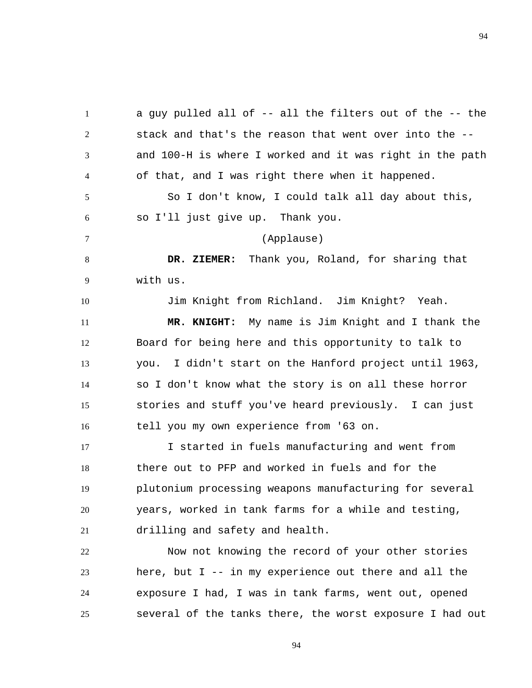1 2 3 4 5 6 7 8 9 10 11 12 13 14 15 16 17 18 a guy pulled all of -- all the filters out of the -- the stack and that's the reason that went over into the - and 100-H is where I worked and it was right in the path of that, and I was right there when it happened. So I don't know, I could talk all day about this, so I'll just give up. Thank you. (Applause)  **DR. ZIEMER:** Thank you, Roland, for sharing that with us. Jim Knight from Richland. Jim Knight? Yeah.  **MR. KNIGHT:** My name is Jim Knight and I thank the Board for being here and this opportunity to talk to you. I didn't start on the Hanford project until 1963, so I don't know what the story is on all these horror stories and stuff you've heard previously. I can just tell you my own experience from '63 on. I started in fuels manufacturing and went from there out to PFP and worked in fuels and for the

19 20 21 plutonium processing weapons manufacturing for several years, worked in tank farms for a while and testing, drilling and safety and health.

22 23 24 25 Now not knowing the record of your other stories here, but  $I$  -- in my experience out there and all the exposure I had, I was in tank farms, went out, opened several of the tanks there, the worst exposure I had out

94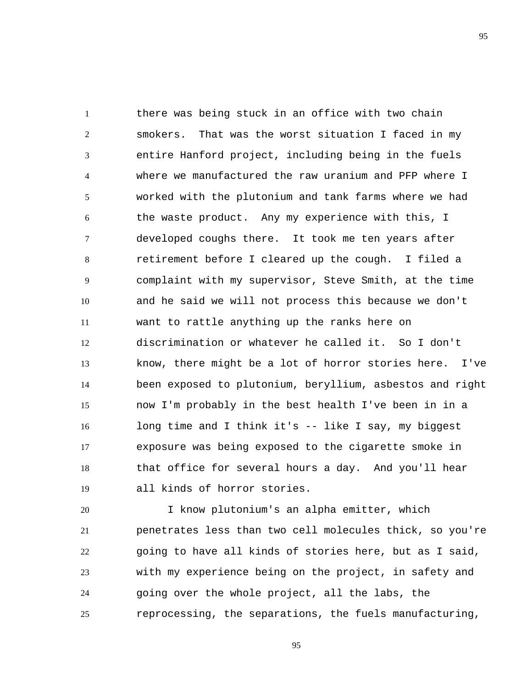1 2 3 4 5 6 7 8 9 10 11 12 13 14 15 16 17 18 19 there was being stuck in an office with two chain smokers. That was the worst situation I faced in my entire Hanford project, including being in the fuels where we manufactured the raw uranium and PFP where I worked with the plutonium and tank farms where we had the waste product. Any my experience with this, I developed coughs there. It took me ten years after retirement before I cleared up the cough. I filed a complaint with my supervisor, Steve Smith, at the time and he said we will not process this because we don't want to rattle anything up the ranks here on discrimination or whatever he called it. So I don't know, there might be a lot of horror stories here. I've been exposed to plutonium, beryllium, asbestos and right now I'm probably in the best health I've been in in a long time and I think it's -- like I say, my biggest exposure was being exposed to the cigarette smoke in that office for several hours a day. And you'll hear all kinds of horror stories.

20 21 22 23 24 25 I know plutonium's an alpha emitter, which penetrates less than two cell molecules thick, so you're going to have all kinds of stories here, but as I said, with my experience being on the project, in safety and going over the whole project, all the labs, the reprocessing, the separations, the fuels manufacturing,

95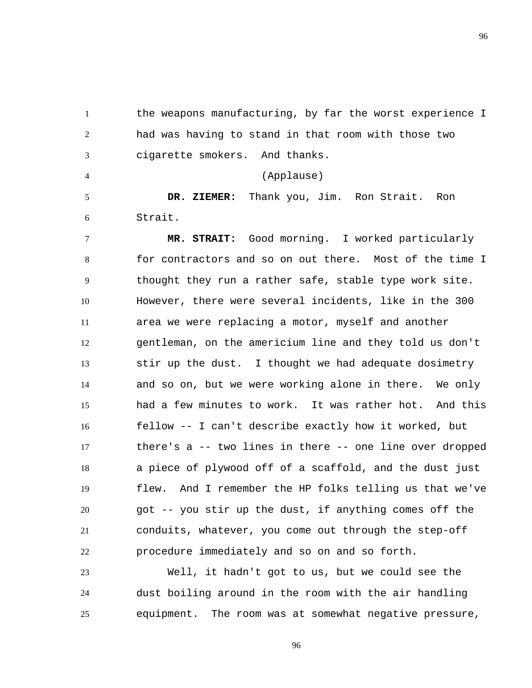1 2 3 the weapons manufacturing, by far the worst experience I had was having to stand in that room with those two cigarette smokers. And thanks.

(Applause)

5 6  **DR. ZIEMER:** Thank you, Jim. Ron Strait. Ron Strait.

4

7 8 9 10 11 12 13 14 15 16 17 18 19 20 21 22  **MR. STRAIT:** Good morning. I worked particularly for contractors and so on out there. Most of the time I thought they run a rather safe, stable type work site. However, there were several incidents, like in the 300 area we were replacing a motor, myself and another gentleman, on the americium line and they told us don't stir up the dust. I thought we had adequate dosimetry and so on, but we were working alone in there. We only had a few minutes to work. It was rather hot. And this fellow -- I can't describe exactly how it worked, but there's a -- two lines in there -- one line over dropped a piece of plywood off of a scaffold, and the dust just flew. And I remember the HP folks telling us that we've got -- you stir up the dust, if anything comes off the conduits, whatever, you come out through the step-off procedure immediately and so on and so forth.

23 24 25 Well, it hadn't got to us, but we could see the dust boiling around in the room with the air handling equipment. The room was at somewhat negative pressure,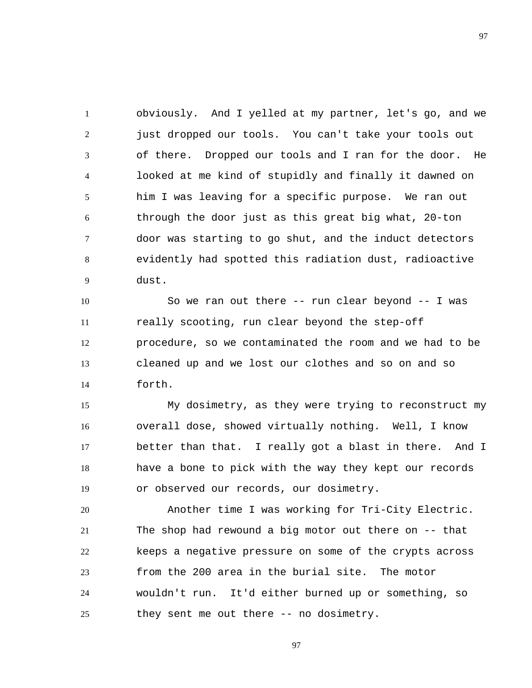1 2 3 4 5 6 7 8 9 obviously. And I yelled at my partner, let's go, and we just dropped our tools. You can't take your tools out of there. Dropped our tools and I ran for the door. He looked at me kind of stupidly and finally it dawned on him I was leaving for a specific purpose. We ran out through the door just as this great big what, 20-ton door was starting to go shut, and the induct detectors evidently had spotted this radiation dust, radioactive dust.

10 11 12 13 14 So we ran out there -- run clear beyond -- I was really scooting, run clear beyond the step-off procedure, so we contaminated the room and we had to be cleaned up and we lost our clothes and so on and so forth.

15 16 17 18 19 My dosimetry, as they were trying to reconstruct my overall dose, showed virtually nothing. Well, I know better than that. I really got a blast in there. And I have a bone to pick with the way they kept our records or observed our records, our dosimetry.

20 21 22 23 24 25 Another time I was working for Tri-City Electric. The shop had rewound a big motor out there on -- that keeps a negative pressure on some of the crypts across from the 200 area in the burial site. The motor wouldn't run. It'd either burned up or something, so they sent me out there -- no dosimetry.

97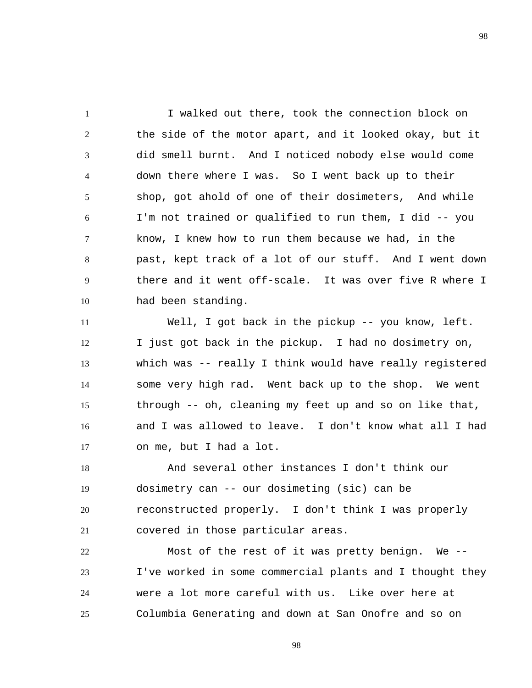1 2 3 4 5 6 7 8 9 10 I walked out there, took the connection block on the side of the motor apart, and it looked okay, but it did smell burnt. And I noticed nobody else would come down there where I was. So I went back up to their shop, got ahold of one of their dosimeters, And while I'm not trained or qualified to run them, I did -- you know, I knew how to run them because we had, in the past, kept track of a lot of our stuff. And I went down there and it went off-scale. It was over five R where I had been standing.

11 12 13 14 15 16 17 Well, I got back in the pickup -- you know, left. I just got back in the pickup. I had no dosimetry on, which was -- really I think would have really registered some very high rad. Went back up to the shop. We went through -- oh, cleaning my feet up and so on like that, and I was allowed to leave. I don't know what all I had on me, but I had a lot.

18 19 20 21 And several other instances I don't think our dosimetry can -- our dosimeting (sic) can be reconstructed properly. I don't think I was properly covered in those particular areas.

22 23 24 25 Most of the rest of it was pretty benign. We -- I've worked in some commercial plants and I thought they were a lot more careful with us. Like over here at Columbia Generating and down at San Onofre and so on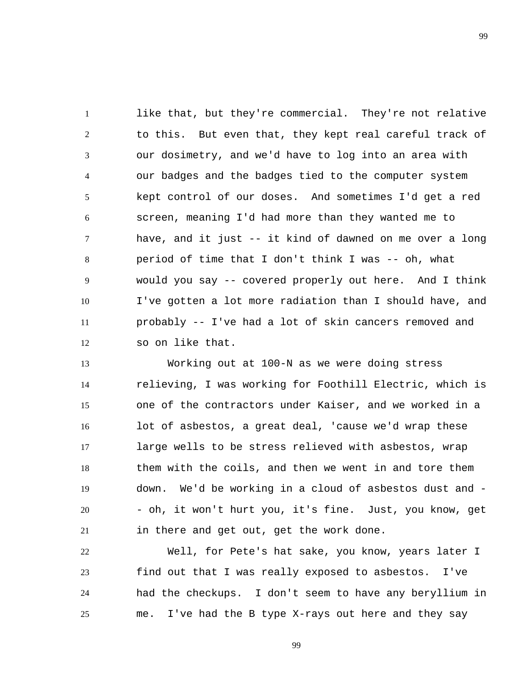1 2 3 4 5 6 7 8 9 10 11 12 like that, but they're commercial. They're not relative to this. But even that, they kept real careful track of our dosimetry, and we'd have to log into an area with our badges and the badges tied to the computer system kept control of our doses. And sometimes I'd get a red screen, meaning I'd had more than they wanted me to have, and it just -- it kind of dawned on me over a long period of time that I don't think I was -- oh, what would you say -- covered properly out here. And I think I've gotten a lot more radiation than I should have, and probably -- I've had a lot of skin cancers removed and so on like that.

13 14 15 16 17 18 19 20 21 Working out at 100-N as we were doing stress relieving, I was working for Foothill Electric, which is one of the contractors under Kaiser, and we worked in a lot of asbestos, a great deal, 'cause we'd wrap these large wells to be stress relieved with asbestos, wrap them with the coils, and then we went in and tore them down. We'd be working in a cloud of asbestos dust and - - oh, it won't hurt you, it's fine. Just, you know, get in there and get out, get the work done.

22 23 24 25 Well, for Pete's hat sake, you know, years later I find out that I was really exposed to asbestos. I've had the checkups. I don't seem to have any beryllium in me. I've had the B type X-rays out here and they say

99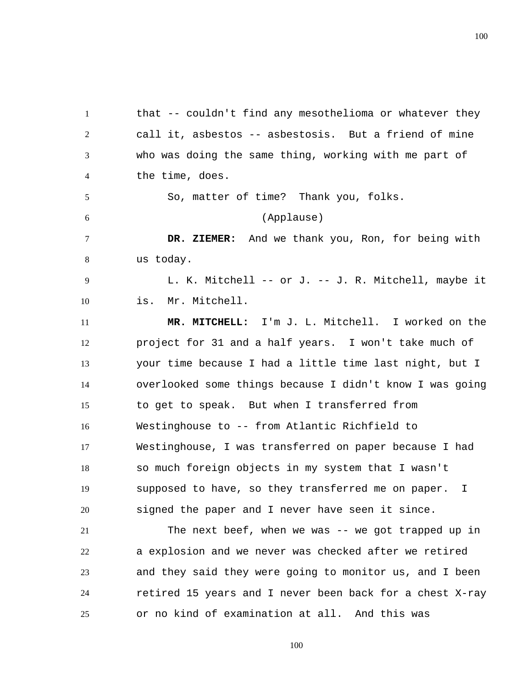1 2 3 4 5 6 7 8 9 10 11 12 13 14 15 16 17 18 19 20 21 22 23 that -- couldn't find any mesothelioma or whatever they call it, asbestos -- asbestosis. But a friend of mine who was doing the same thing, working with me part of the time, does. So, matter of time? Thank you, folks. (Applause)  **DR. ZIEMER:** And we thank you, Ron, for being with us today. L. K. Mitchell -- or J. -- J. R. Mitchell, maybe it is. Mr. Mitchell.  **MR. MITCHELL:** I'm J. L. Mitchell. I worked on the project for 31 and a half years. I won't take much of your time because I had a little time last night, but I overlooked some things because I didn't know I was going to get to speak. But when I transferred from Westinghouse to -- from Atlantic Richfield to Westinghouse, I was transferred on paper because I had so much foreign objects in my system that I wasn't supposed to have, so they transferred me on paper. I signed the paper and I never have seen it since. The next beef, when we was -- we got trapped up in a explosion and we never was checked after we retired and they said they were going to monitor us, and I been

or no kind of examination at all. And this was

24

25

100

retired 15 years and I never been back for a chest X-ray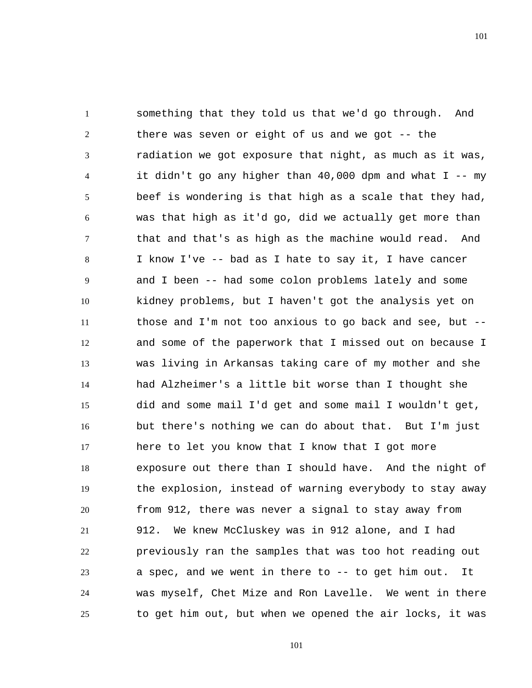1 2 3 4 5 6 7 8 9 10 11 12 13 14 15 16 17 18 19 20 21 22 23 24 25 something that they told us that we'd go through. And there was seven or eight of us and we got -- the radiation we got exposure that night, as much as it was, it didn't go any higher than  $40,000$  dpm and what I -- my beef is wondering is that high as a scale that they had, was that high as it'd go, did we actually get more than that and that's as high as the machine would read. And I know I've -- bad as I hate to say it, I have cancer and I been -- had some colon problems lately and some kidney problems, but I haven't got the analysis yet on those and I'm not too anxious to go back and see, but - and some of the paperwork that I missed out on because I was living in Arkansas taking care of my mother and she had Alzheimer's a little bit worse than I thought she did and some mail I'd get and some mail I wouldn't get, but there's nothing we can do about that. But I'm just here to let you know that I know that I got more exposure out there than I should have. And the night of the explosion, instead of warning everybody to stay away from 912, there was never a signal to stay away from 912. We knew McCluskey was in 912 alone, and I had previously ran the samples that was too hot reading out a spec, and we went in there to  $-$ - to get him out. It was myself, Chet Mize and Ron Lavelle. We went in there to get him out, but when we opened the air locks, it was

101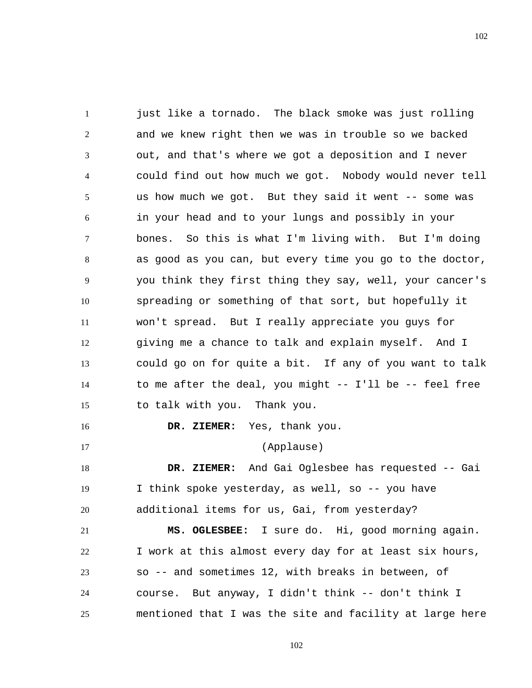1 2 3 4 5 6 7 8 9 10 11 12 13 14 15 16 17 18 19 20 21 just like a tornado. The black smoke was just rolling and we knew right then we was in trouble so we backed out, and that's where we got a deposition and I never could find out how much we got. Nobody would never tell us how much we got. But they said it went -- some was in your head and to your lungs and possibly in your bones. So this is what I'm living with. But I'm doing as good as you can, but every time you go to the doctor, you think they first thing they say, well, your cancer's spreading or something of that sort, but hopefully it won't spread. But I really appreciate you guys for giving me a chance to talk and explain myself. And I could go on for quite a bit. If any of you want to talk to me after the deal, you might -- I'll be -- feel free to talk with you. Thank you.  **DR. ZIEMER:** Yes, thank you. (Applause)  **DR. ZIEMER:** And Gai Oglesbee has requested -- Gai I think spoke yesterday, as well, so -- you have additional items for us, Gai, from yesterday?  **MS. OGLESBEE:** I sure do. Hi, good morning again.

22 23 24 25 I work at this almost every day for at least six hours, so -- and sometimes 12, with breaks in between, of course. But anyway, I didn't think -- don't think I mentioned that I was the site and facility at large here

102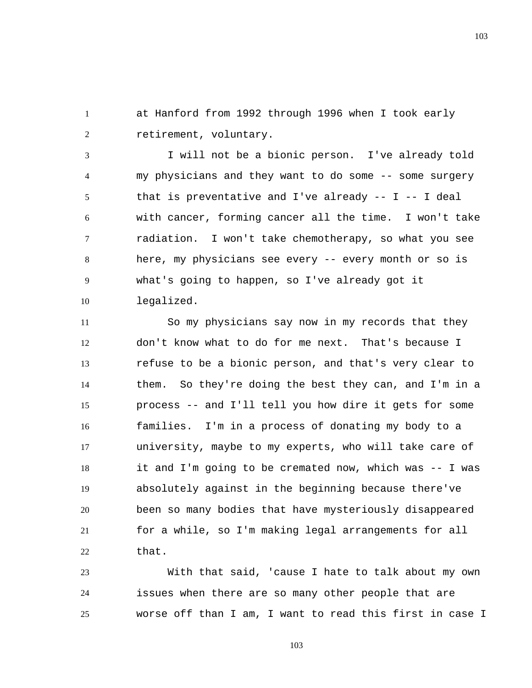1 2 at Hanford from 1992 through 1996 when I took early retirement, voluntary.

3 4 5 6 7 8 9 10 I will not be a bionic person. I've already told my physicians and they want to do some -- some surgery that is preventative and I've already  $- -$  I  $- -$  I deal with cancer, forming cancer all the time. I won't take radiation. I won't take chemotherapy, so what you see here, my physicians see every -- every month or so is what's going to happen, so I've already got it legalized.

11 12 13 14 15 16 17 18 19 20 21 22 So my physicians say now in my records that they don't know what to do for me next. That's because I refuse to be a bionic person, and that's very clear to them. So they're doing the best they can, and I'm in a process -- and I'll tell you how dire it gets for some families. I'm in a process of donating my body to a university, maybe to my experts, who will take care of it and I'm going to be cremated now, which was -- I was absolutely against in the beginning because there've been so many bodies that have mysteriously disappeared for a while, so I'm making legal arrangements for all that.

23 24 25 With that said, 'cause I hate to talk about my own issues when there are so many other people that are worse off than I am, I want to read this first in case I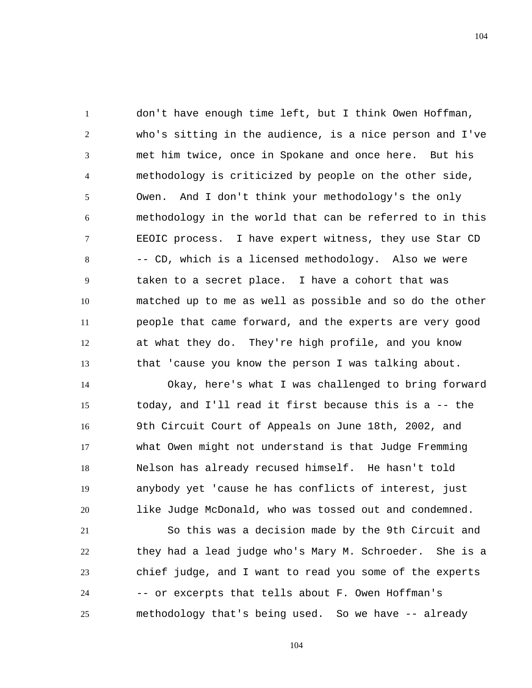1 2 3 4 5 6 7 8 9 10 11 12 13 don't have enough time left, but I think Owen Hoffman, who's sitting in the audience, is a nice person and I've met him twice, once in Spokane and once here. But his methodology is criticized by people on the other side, Owen. And I don't think your methodology's the only methodology in the world that can be referred to in this EEOIC process. I have expert witness, they use Star CD -- CD, which is a licensed methodology. Also we were taken to a secret place. I have a cohort that was matched up to me as well as possible and so do the other people that came forward, and the experts are very good at what they do. They're high profile, and you know that 'cause you know the person I was talking about.

14 15 16 17 18 19 20 Okay, here's what I was challenged to bring forward today, and I'll read it first because this is a -- the 9th Circuit Court of Appeals on June 18th, 2002, and what Owen might not understand is that Judge Fremming Nelson has already recused himself. He hasn't told anybody yet 'cause he has conflicts of interest, just like Judge McDonald, who was tossed out and condemned.

21 22 23 24 25 So this was a decision made by the 9th Circuit and they had a lead judge who's Mary M. Schroeder. She is a chief judge, and I want to read you some of the experts -- or excerpts that tells about F. Owen Hoffman's methodology that's being used. So we have -- already

104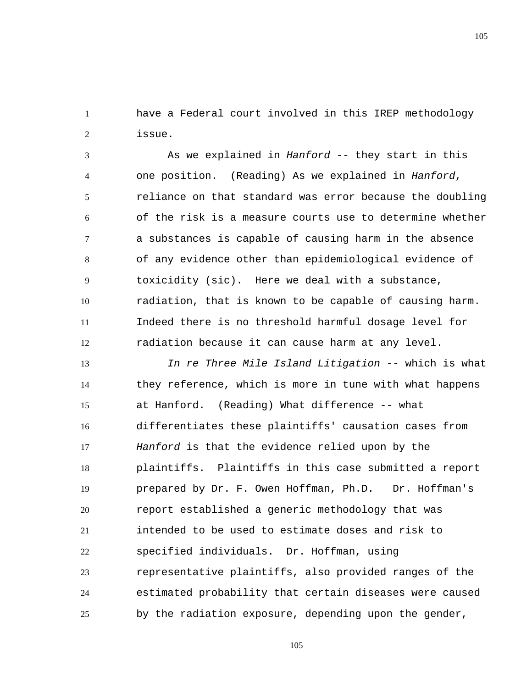1 2 have a Federal court involved in this IREP methodology issue.

3 4 5 6 7 8 9 10 11 12 As we explained in *Hanford* -- they start in this one position. (Reading) As we explained in *Hanford*, reliance on that standard was error because the doubling of the risk is a measure courts use to determine whether a substances is capable of causing harm in the absence of any evidence other than epidemiological evidence of toxicidity (sic). Here we deal with a substance, radiation, that is known to be capable of causing harm. Indeed there is no threshold harmful dosage level for radiation because it can cause harm at any level.

13 14 15 16 17 18 19 20 21 22 23 24 25 *In re Three Mile Island Litigation* -- which is what they reference, which is more in tune with what happens at Hanford. (Reading) What difference -- what differentiates these plaintiffs' causation cases from *Hanford* is that the evidence relied upon by the plaintiffs. Plaintiffs in this case submitted a report prepared by Dr. F. Owen Hoffman, Ph.D. Dr. Hoffman's report established a generic methodology that was intended to be used to estimate doses and risk to specified individuals. Dr. Hoffman, using representative plaintiffs, also provided ranges of the estimated probability that certain diseases were caused by the radiation exposure, depending upon the gender,

105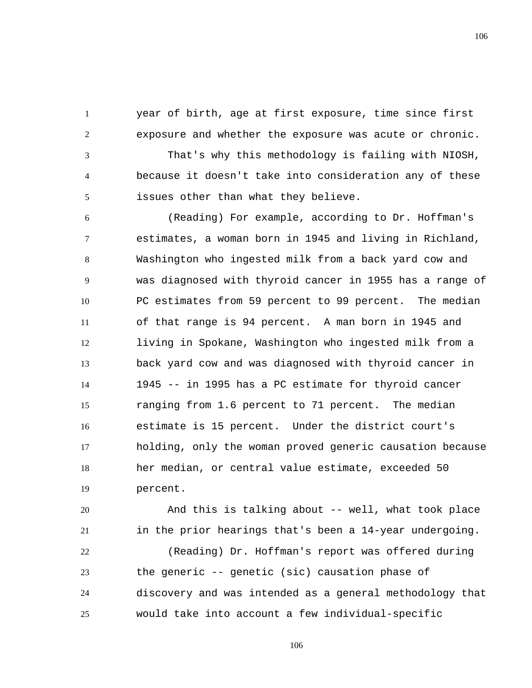year of birth, age at first exposure, time since first exposure and whether the exposure was acute or chronic.

1

2

3 4 5 That's why this methodology is failing with NIOSH, because it doesn't take into consideration any of these issues other than what they believe.

6 7 8 9 10 11 12 13 14 15 16 17 18 19 (Reading) For example, according to Dr. Hoffman's estimates, a woman born in 1945 and living in Richland, Washington who ingested milk from a back yard cow and was diagnosed with thyroid cancer in 1955 has a range of PC estimates from 59 percent to 99 percent. The median of that range is 94 percent. A man born in 1945 and living in Spokane, Washington who ingested milk from a back yard cow and was diagnosed with thyroid cancer in 1945 -- in 1995 has a PC estimate for thyroid cancer ranging from 1.6 percent to 71 percent. The median estimate is 15 percent. Under the district court's holding, only the woman proved generic causation because her median, or central value estimate, exceeded 50 percent.

20 21 22 And this is talking about -- well, what took place in the prior hearings that's been a 14-year undergoing. (Reading) Dr. Hoffman's report was offered during

23 24 25 the generic -- genetic (sic) causation phase of discovery and was intended as a general methodology that would take into account a few individual-specific

106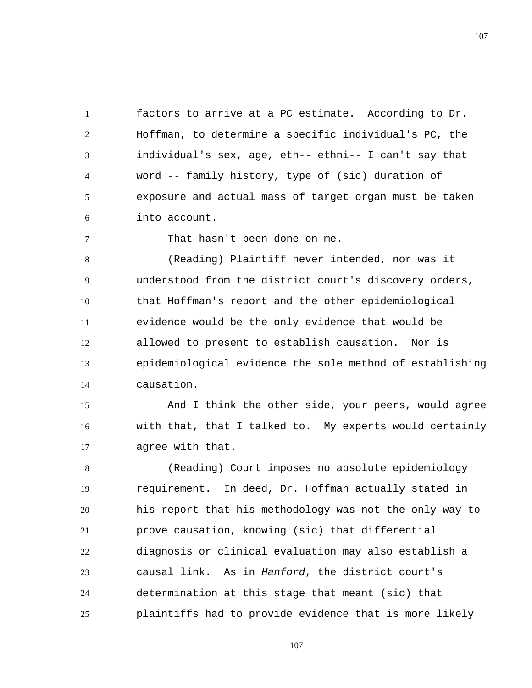1 2 3 4 5 6 factors to arrive at a PC estimate. According to Dr. Hoffman, to determine a specific individual's PC, the individual's sex, age, eth-- ethni-- I can't say that word -- family history, type of (sic) duration of exposure and actual mass of target organ must be taken into account.

7

That hasn't been done on me.

8 9 10 11 12 13 14 (Reading) Plaintiff never intended, nor was it understood from the district court's discovery orders, that Hoffman's report and the other epidemiological evidence would be the only evidence that would be allowed to present to establish causation. Nor is epidemiological evidence the sole method of establishing causation.

15 16 17 And I think the other side, your peers, would agree with that, that I talked to. My experts would certainly agree with that.

18 19 20 21 22 23 24 25 (Reading) Court imposes no absolute epidemiology requirement. In deed, Dr. Hoffman actually stated in his report that his methodology was not the only way to prove causation, knowing (sic) that differential diagnosis or clinical evaluation may also establish a causal link. As in *Hanford*, the district court's determination at this stage that meant (sic) that plaintiffs had to provide evidence that is more likely

107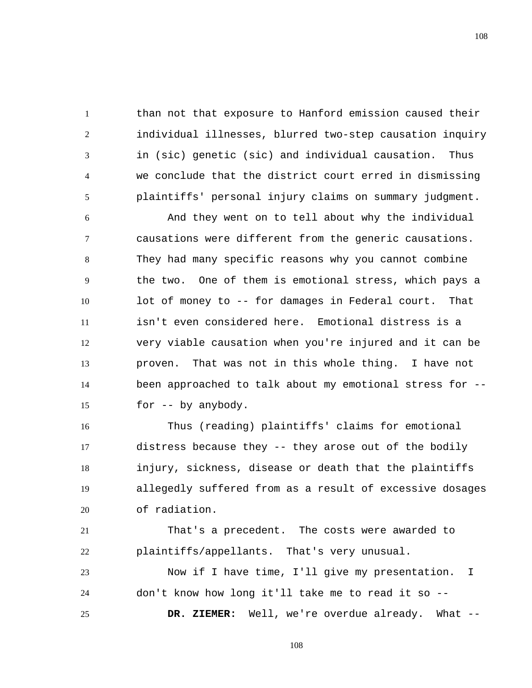than not that exposure to Hanford emission caused their individual illnesses, blurred two-step causation inquiry in (sic) genetic (sic) and individual causation. Thus we conclude that the district court erred in dismissing plaintiffs' personal injury claims on summary judgment.

1

2

3

4

5

6 7 8 9 10 11 12 13 14 15 And they went on to tell about why the individual causations were different from the generic causations. They had many specific reasons why you cannot combine the two. One of them is emotional stress, which pays a lot of money to -- for damages in Federal court. That isn't even considered here. Emotional distress is a very viable causation when you're injured and it can be proven. That was not in this whole thing. I have not been approached to talk about my emotional stress for - for -- by anybody.

16 17 18 19 20 Thus (reading) plaintiffs' claims for emotional distress because they -- they arose out of the bodily injury, sickness, disease or death that the plaintiffs allegedly suffered from as a result of excessive dosages of radiation.

21 22 That's a precedent. The costs were awarded to plaintiffs/appellants. That's very unusual.

23 24 25 Now if I have time, I'll give my presentation. I don't know how long it'll take me to read it so --  **DR. ZIEMER:** Well, we're overdue already. What --

108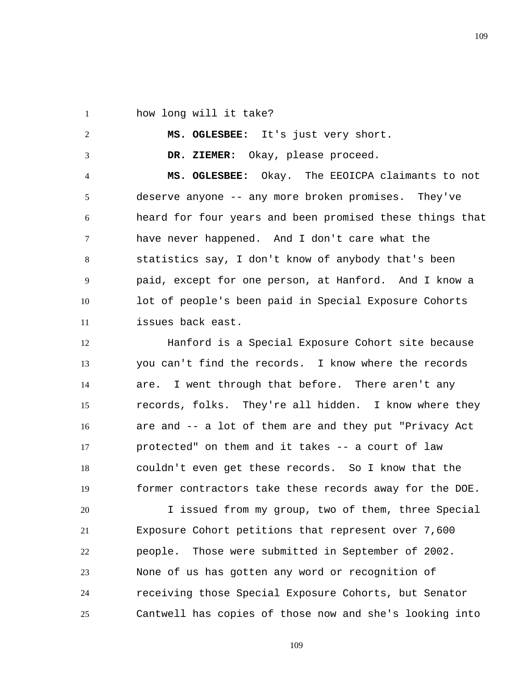1 how long will it take?

2

3

 **MS. OGLESBEE:** It's just very short.

 **DR. ZIEMER:** Okay, please proceed.

4 5 6 7 8 9 10 11  **MS. OGLESBEE:** Okay. The EEOICPA claimants to not deserve anyone -- any more broken promises. They've heard for four years and been promised these things that have never happened. And I don't care what the statistics say, I don't know of anybody that's been paid, except for one person, at Hanford. And I know a lot of people's been paid in Special Exposure Cohorts issues back east.

12 13 14 15 16 17 18 19 Hanford is a Special Exposure Cohort site because you can't find the records. I know where the records are. I went through that before. There aren't any records, folks. They're all hidden. I know where they are and -- a lot of them are and they put "Privacy Act protected" on them and it takes -- a court of law couldn't even get these records. So I know that the former contractors take these records away for the DOE.

20 21 22 23 24 25 I issued from my group, two of them, three Special Exposure Cohort petitions that represent over 7,600 people. Those were submitted in September of 2002. None of us has gotten any word or recognition of receiving those Special Exposure Cohorts, but Senator Cantwell has copies of those now and she's looking into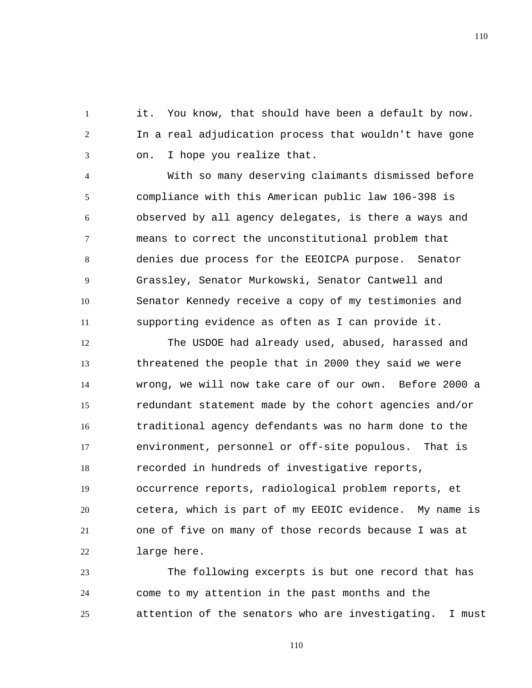1 2 3 it. You know, that should have been a default by now. In a real adjudication process that wouldn't have gone on. I hope you realize that.

4 5 6 7 8 9 10 11 With so many deserving claimants dismissed before compliance with this American public law 106-398 is observed by all agency delegates, is there a ways and means to correct the unconstitutional problem that denies due process for the EEOICPA purpose. Senator Grassley, Senator Murkowski, Senator Cantwell and Senator Kennedy receive a copy of my testimonies and supporting evidence as often as I can provide it.

12 13 14 15 16 17 18 19 20 21 22 The USDOE had already used, abused, harassed and threatened the people that in 2000 they said we were wrong, we will now take care of our own. Before 2000 a redundant statement made by the cohort agencies and/or traditional agency defendants was no harm done to the environment, personnel or off-site populous. That is recorded in hundreds of investigative reports, occurrence reports, radiological problem reports, et cetera, which is part of my EEOIC evidence. My name is one of five on many of those records because I was at large here.

23 24 25 The following excerpts is but one record that has come to my attention in the past months and the attention of the senators who are investigating. I must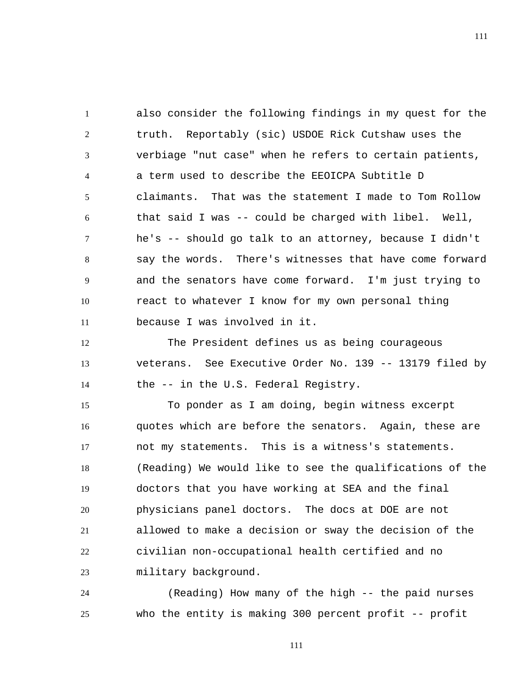1 2 3 4 5 6 7 8 9 10 11 also consider the following findings in my quest for the truth. Reportably (sic) USDOE Rick Cutshaw uses the verbiage "nut case" when he refers to certain patients, a term used to describe the EEOICPA Subtitle D claimants. That was the statement I made to Tom Rollow that said I was -- could be charged with libel. Well, he's -- should go talk to an attorney, because I didn't say the words. There's witnesses that have come forward and the senators have come forward. I'm just trying to react to whatever I know for my own personal thing because I was involved in it.

12 13 14 The President defines us as being courageous veterans. See Executive Order No. 139 -- 13179 filed by the -- in the U.S. Federal Registry.

15 16 17 18 19 20 21 22 23 To ponder as I am doing, begin witness excerpt quotes which are before the senators. Again, these are not my statements. This is a witness's statements. (Reading) We would like to see the qualifications of the doctors that you have working at SEA and the final physicians panel doctors. The docs at DOE are not allowed to make a decision or sway the decision of the civilian non-occupational health certified and no military background.

24 25 (Reading) How many of the high -- the paid nurses who the entity is making 300 percent profit -- profit

111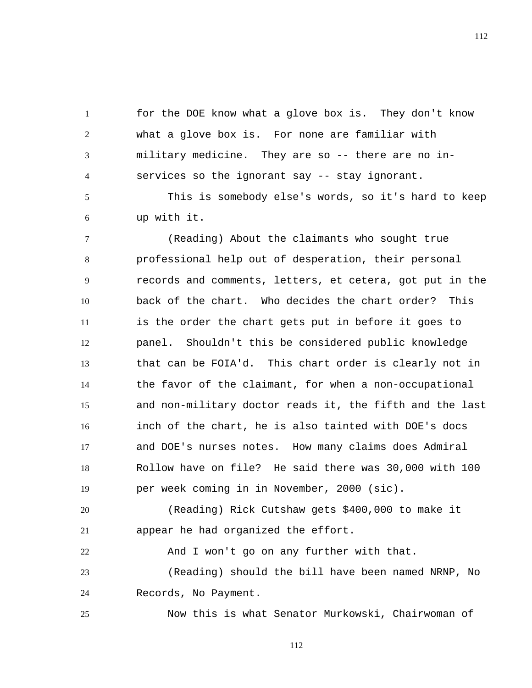for the DOE know what a glove box is. They don't know what a glove box is. For none are familiar with military medicine. They are so -- there are no inservices so the ignorant say -- stay ignorant.

5 6 This is somebody else's words, so it's hard to keep up with it.

7 8 9 10 11 12 13 14 15 16 17 18 19 (Reading) About the claimants who sought true professional help out of desperation, their personal records and comments, letters, et cetera, got put in the back of the chart. Who decides the chart order? This is the order the chart gets put in before it goes to panel. Shouldn't this be considered public knowledge that can be FOIA'd. This chart order is clearly not in the favor of the claimant, for when a non-occupational and non-military doctor reads it, the fifth and the last inch of the chart, he is also tainted with DOE's docs and DOE's nurses notes. How many claims does Admiral Rollow have on file? He said there was 30,000 with 100 per week coming in in November, 2000 (sic).

20 21 (Reading) Rick Cutshaw gets \$400,000 to make it appear he had organized the effort.

22 23 And I won't go on any further with that. (Reading) should the bill have been named NRNP, No

24 Records, No Payment.

1

2

3

4

25 Now this is what Senator Murkowski, Chairwoman of

112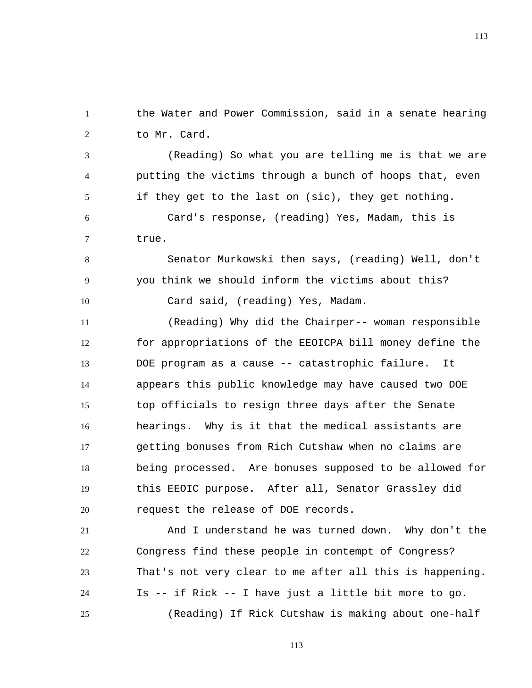1 2 the Water and Power Commission, said in a senate hearing to Mr. Card.

3 4 5 (Reading) So what you are telling me is that we are putting the victims through a bunch of hoops that, even if they get to the last on (sic), they get nothing.

6 7 Card's response, (reading) Yes, Madam, this is true.

8

9

10

Senator Murkowski then says, (reading) Well, don't you think we should inform the victims about this? Card said, (reading) Yes, Madam.

11 12 13 14 15 16 17 18 19 20 (Reading) Why did the Chairper-- woman responsible for appropriations of the EEOICPA bill money define the DOE program as a cause -- catastrophic failure. It appears this public knowledge may have caused two DOE top officials to resign three days after the Senate hearings. Why is it that the medical assistants are getting bonuses from Rich Cutshaw when no claims are being processed. Are bonuses supposed to be allowed for this EEOIC purpose. After all, Senator Grassley did request the release of DOE records.

21 22 23 24 25 And I understand he was turned down. Why don't the Congress find these people in contempt of Congress? That's not very clear to me after all this is happening. Is -- if Rick -- I have just a little bit more to go. (Reading) If Rick Cutshaw is making about one-half

113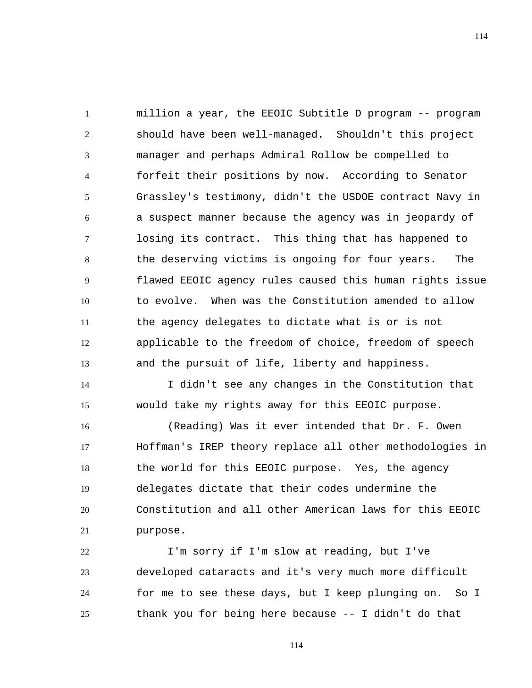1 2 3 4 5 6 7 8 9 10 11 12 13 million a year, the EEOIC Subtitle D program -- program should have been well-managed. Shouldn't this project manager and perhaps Admiral Rollow be compelled to forfeit their positions by now. According to Senator Grassley's testimony, didn't the USDOE contract Navy in a suspect manner because the agency was in jeopardy of losing its contract. This thing that has happened to the deserving victims is ongoing for four years. The flawed EEOIC agency rules caused this human rights issue to evolve. When was the Constitution amended to allow the agency delegates to dictate what is or is not applicable to the freedom of choice, freedom of speech and the pursuit of life, liberty and happiness.

14 15 I didn't see any changes in the Constitution that would take my rights away for this EEOIC purpose.

16 17 18 19 20 21 (Reading) Was it ever intended that Dr. F. Owen Hoffman's IREP theory replace all other methodologies in the world for this EEOIC purpose. Yes, the agency delegates dictate that their codes undermine the Constitution and all other American laws for this EEOIC purpose.

22 23 24 25 I'm sorry if I'm slow at reading, but I've developed cataracts and it's very much more difficult for me to see these days, but I keep plunging on. So I thank you for being here because -- I didn't do that

114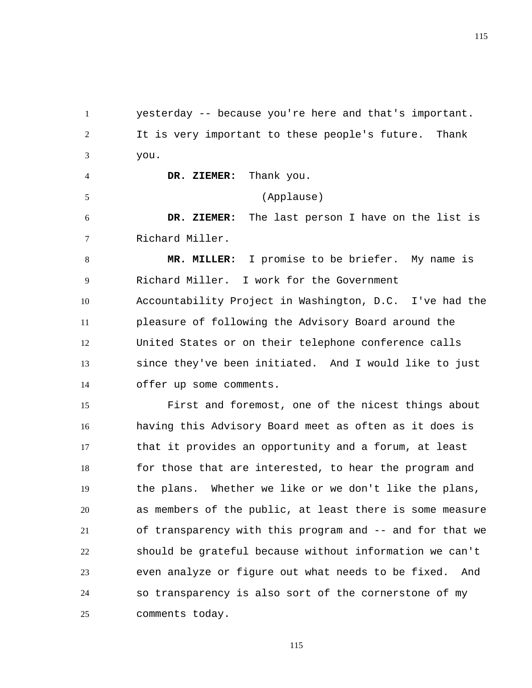1 2 3 yesterday -- because you're here and that's important. It is very important to these people's future. Thank you.

 **DR. ZIEMER:** Thank you.

4

5

(Applause)

6 7  **DR. ZIEMER:** The last person I have on the list is Richard Miller.

8 9 10 11 12 13 14  **MR. MILLER:** I promise to be briefer. My name is Richard Miller. I work for the Government Accountability Project in Washington, D.C. I've had the pleasure of following the Advisory Board around the United States or on their telephone conference calls since they've been initiated. And I would like to just offer up some comments.

15 16 17 18 19 20 21 22 23 24 25 First and foremost, one of the nicest things about having this Advisory Board meet as often as it does is that it provides an opportunity and a forum, at least for those that are interested, to hear the program and the plans. Whether we like or we don't like the plans, as members of the public, at least there is some measure of transparency with this program and -- and for that we should be grateful because without information we can't even analyze or figure out what needs to be fixed. And so transparency is also sort of the cornerstone of my comments today.

115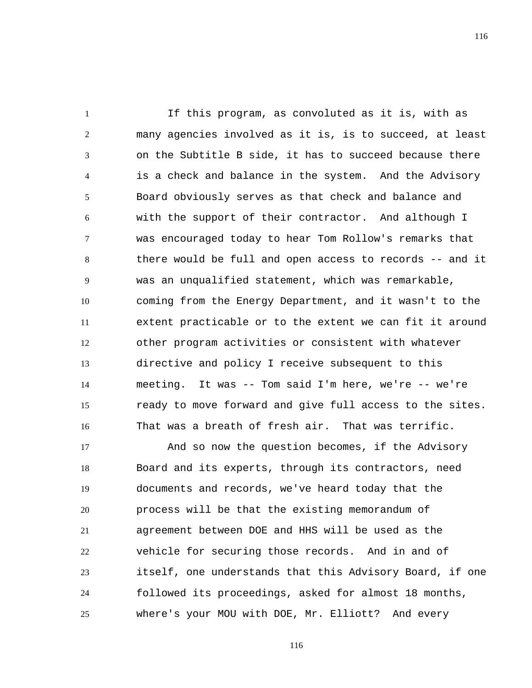1 2 3 4 5 6 7 8 9 10 11 12 13 14 15 16 If this program, as convoluted as it is, with as many agencies involved as it is, is to succeed, at least on the Subtitle B side, it has to succeed because there is a check and balance in the system. And the Advisory Board obviously serves as that check and balance and with the support of their contractor. And although I was encouraged today to hear Tom Rollow's remarks that there would be full and open access to records -- and it was an unqualified statement, which was remarkable, coming from the Energy Department, and it wasn't to the extent practicable or to the extent we can fit it around other program activities or consistent with whatever directive and policy I receive subsequent to this meeting. It was -- Tom said I'm here, we're -- we're ready to move forward and give full access to the sites. That was a breath of fresh air. That was terrific.

17 18 19 20 21 22 23 24 25 And so now the question becomes, if the Advisory Board and its experts, through its contractors, need documents and records, we've heard today that the process will be that the existing memorandum of agreement between DOE and HHS will be used as the vehicle for securing those records. And in and of itself, one understands that this Advisory Board, if one followed its proceedings, asked for almost 18 months, where's your MOU with DOE, Mr. Elliott? And every

116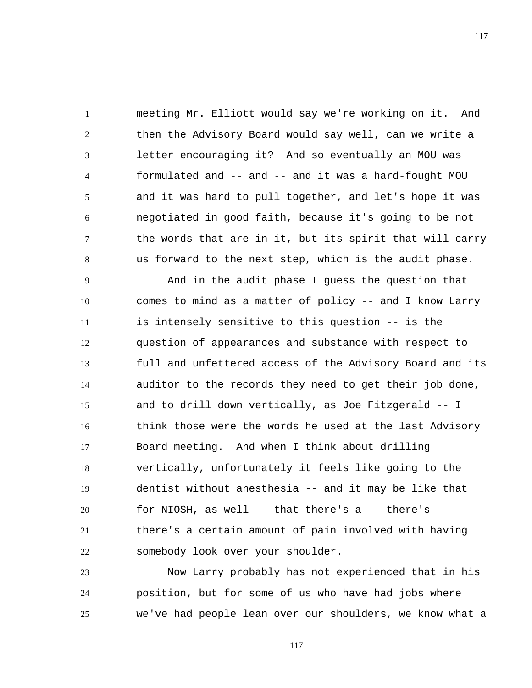1 2 3 4 5 6 7 8 meeting Mr. Elliott would say we're working on it. And then the Advisory Board would say well, can we write a letter encouraging it? And so eventually an MOU was formulated and -- and -- and it was a hard-fought MOU and it was hard to pull together, and let's hope it was negotiated in good faith, because it's going to be not the words that are in it, but its spirit that will carry us forward to the next step, which is the audit phase.

9 10 11 12 13 14 15 16 17 18 19 20 21 22 And in the audit phase I guess the question that comes to mind as a matter of policy -- and I know Larry is intensely sensitive to this question -- is the question of appearances and substance with respect to full and unfettered access of the Advisory Board and its auditor to the records they need to get their job done, and to drill down vertically, as Joe Fitzgerald -- I think those were the words he used at the last Advisory Board meeting. And when I think about drilling vertically, unfortunately it feels like going to the dentist without anesthesia -- and it may be like that for NIOSH, as well -- that there's a -- there's - there's a certain amount of pain involved with having somebody look over your shoulder.

23 24 25 Now Larry probably has not experienced that in his position, but for some of us who have had jobs where we've had people lean over our shoulders, we know what a

117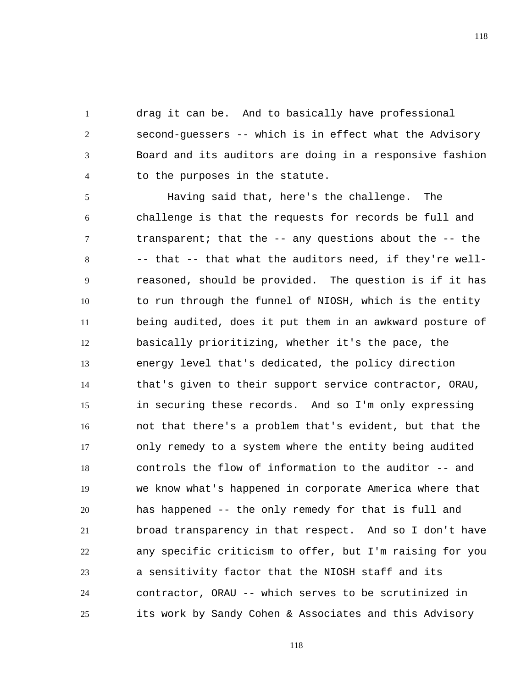1 2 3 4 drag it can be. And to basically have professional second-guessers -- which is in effect what the Advisory Board and its auditors are doing in a responsive fashion to the purposes in the statute.

5 6 7 8 9 10 11 12 13 14 15 16 17 18 19 20 21 22 23 24 25 Having said that, here's the challenge. The challenge is that the requests for records be full and transparent; that the -- any questions about the -- the -- that -- that what the auditors need, if they're wellreasoned, should be provided. The question is if it has to run through the funnel of NIOSH, which is the entity being audited, does it put them in an awkward posture of basically prioritizing, whether it's the pace, the energy level that's dedicated, the policy direction that's given to their support service contractor, ORAU, in securing these records. And so I'm only expressing not that there's a problem that's evident, but that the only remedy to a system where the entity being audited controls the flow of information to the auditor -- and we know what's happened in corporate America where that has happened -- the only remedy for that is full and broad transparency in that respect. And so I don't have any specific criticism to offer, but I'm raising for you a sensitivity factor that the NIOSH staff and its contractor, ORAU -- which serves to be scrutinized in its work by Sandy Cohen & Associates and this Advisory

118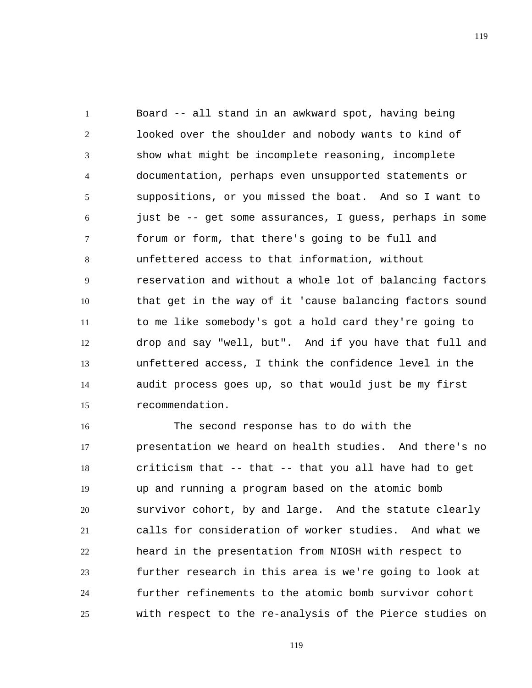1 2 3 4 5 6 7 8 9 10 11 12 13 14 15 Board -- all stand in an awkward spot, having being looked over the shoulder and nobody wants to kind of show what might be incomplete reasoning, incomplete documentation, perhaps even unsupported statements or suppositions, or you missed the boat. And so I want to just be -- get some assurances, I guess, perhaps in some forum or form, that there's going to be full and unfettered access to that information, without reservation and without a whole lot of balancing factors that get in the way of it 'cause balancing factors sound to me like somebody's got a hold card they're going to drop and say "well, but". And if you have that full and unfettered access, I think the confidence level in the audit process goes up, so that would just be my first recommendation.

16 17 18 19 20 21 22 23 24 25 The second response has to do with the presentation we heard on health studies. And there's no criticism that -- that -- that you all have had to get up and running a program based on the atomic bomb survivor cohort, by and large. And the statute clearly calls for consideration of worker studies. And what we heard in the presentation from NIOSH with respect to further research in this area is we're going to look at further refinements to the atomic bomb survivor cohort with respect to the re-analysis of the Pierce studies on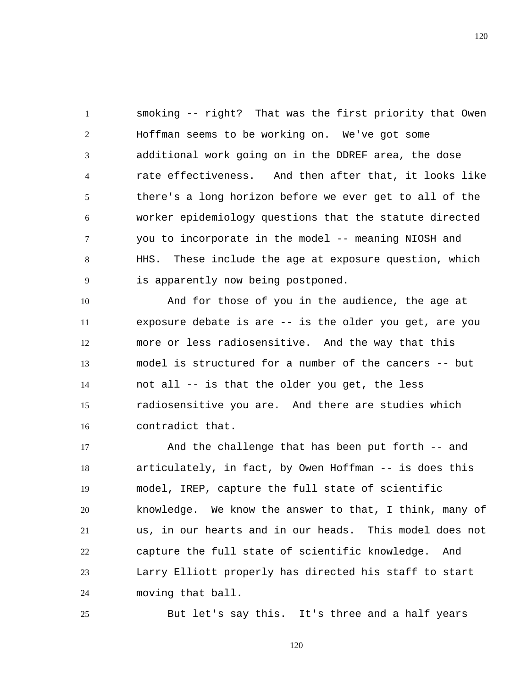1 2 3 4 5 6 7 8 9 smoking -- right? That was the first priority that Owen Hoffman seems to be working on. We've got some additional work going on in the DDREF area, the dose rate effectiveness. And then after that, it looks like there's a long horizon before we ever get to all of the worker epidemiology questions that the statute directed you to incorporate in the model -- meaning NIOSH and HHS. These include the age at exposure question, which is apparently now being postponed.

10 11 12 13 14 15 16 And for those of you in the audience, the age at exposure debate is are -- is the older you get, are you more or less radiosensitive. And the way that this model is structured for a number of the cancers -- but not all -- is that the older you get, the less radiosensitive you are. And there are studies which contradict that.

17 18 19 20 21 22 23 24 And the challenge that has been put forth -- and articulately, in fact, by Owen Hoffman -- is does this model, IREP, capture the full state of scientific knowledge. We know the answer to that, I think, many of us, in our hearts and in our heads. This model does not capture the full state of scientific knowledge. And Larry Elliott properly has directed his staff to start moving that ball.

But let's say this. It's three and a half years

25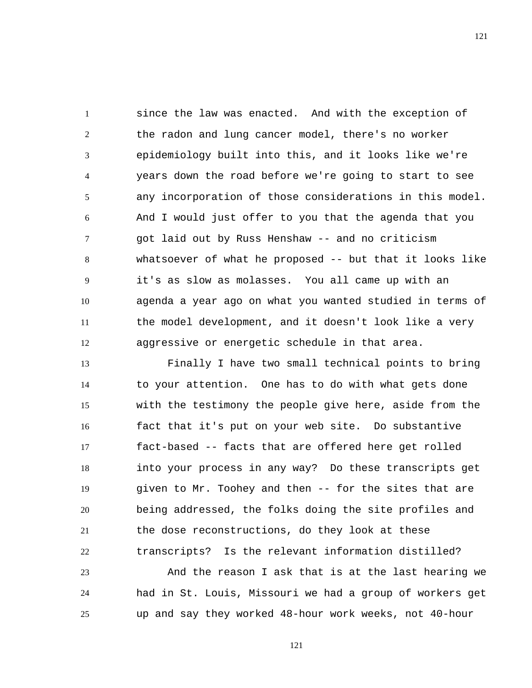1 2 3 4 5 6 7 8 9 10 11 12 since the law was enacted. And with the exception of the radon and lung cancer model, there's no worker epidemiology built into this, and it looks like we're years down the road before we're going to start to see any incorporation of those considerations in this model. And I would just offer to you that the agenda that you got laid out by Russ Henshaw -- and no criticism whatsoever of what he proposed -- but that it looks like it's as slow as molasses. You all came up with an agenda a year ago on what you wanted studied in terms of the model development, and it doesn't look like a very aggressive or energetic schedule in that area.

13 14 15 16 17 18 19 20 21 22 Finally I have two small technical points to bring to your attention. One has to do with what gets done with the testimony the people give here, aside from the fact that it's put on your web site. Do substantive fact-based -- facts that are offered here get rolled into your process in any way? Do these transcripts get given to Mr. Toohey and then -- for the sites that are being addressed, the folks doing the site profiles and the dose reconstructions, do they look at these transcripts? Is the relevant information distilled?

23 24 25 And the reason I ask that is at the last hearing we had in St. Louis, Missouri we had a group of workers get up and say they worked 48-hour work weeks, not 40-hour

121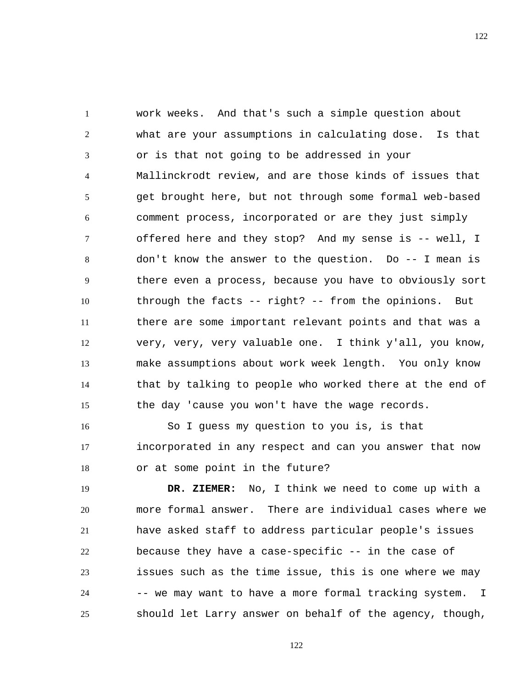1 2 3 4 5 6 7 8 9 10 11 12 13 14 15 work weeks. And that's such a simple question about what are your assumptions in calculating dose. Is that or is that not going to be addressed in your Mallinckrodt review, and are those kinds of issues that get brought here, but not through some formal web-based comment process, incorporated or are they just simply offered here and they stop? And my sense is -- well, I don't know the answer to the question. Do -- I mean is there even a process, because you have to obviously sort through the facts -- right? -- from the opinions. But there are some important relevant points and that was a very, very, very valuable one. I think y'all, you know, make assumptions about work week length. You only know that by talking to people who worked there at the end of the day 'cause you won't have the wage records.

16 17 18 So I guess my question to you is, is that incorporated in any respect and can you answer that now or at some point in the future?

19 20 21 22 23 24 25  **DR. ZIEMER:** No, I think we need to come up with a more formal answer. There are individual cases where we have asked staff to address particular people's issues because they have a case-specific -- in the case of issues such as the time issue, this is one where we may -- we may want to have a more formal tracking system. I should let Larry answer on behalf of the agency, though,

122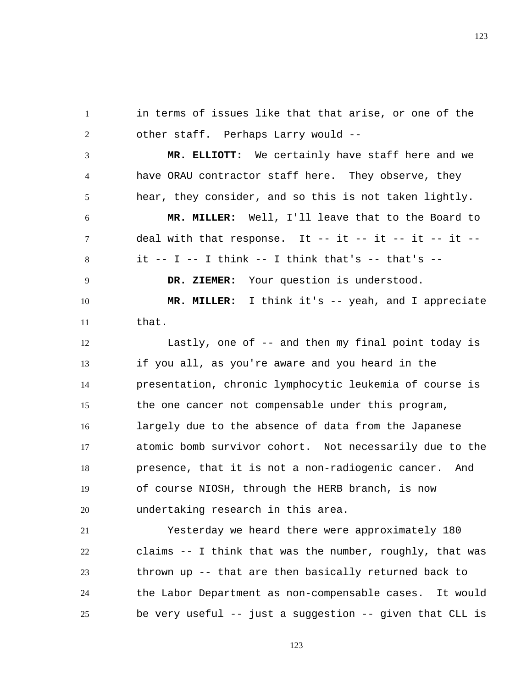1 2 in terms of issues like that that arise, or one of the other staff. Perhaps Larry would --

3 4 5  **MR. ELLIOTT:** We certainly have staff here and we have ORAU contractor staff here. They observe, they hear, they consider, and so this is not taken lightly.

6

7

8

9

 **MR. MILLER:** Well, I'll leave that to the Board to deal with that response. It -- it -- it -- it -- it -it  $-$  I  $-$  I think  $-$  I think that's  $-$  that's  $-$ 

 **DR. ZIEMER:** Your question is understood.

10 11  **MR. MILLER:** I think it's -- yeah, and I appreciate that.

12 13 14 15 16 17 18 19 20 Lastly, one of -- and then my final point today is if you all, as you're aware and you heard in the presentation, chronic lymphocytic leukemia of course is the one cancer not compensable under this program, largely due to the absence of data from the Japanese atomic bomb survivor cohort. Not necessarily due to the presence, that it is not a non-radiogenic cancer. And of course NIOSH, through the HERB branch, is now undertaking research in this area.

21 22 23 24 25 Yesterday we heard there were approximately 180 claims -- I think that was the number, roughly, that was thrown up -- that are then basically returned back to the Labor Department as non-compensable cases. It would be very useful -- just a suggestion -- given that CLL is

123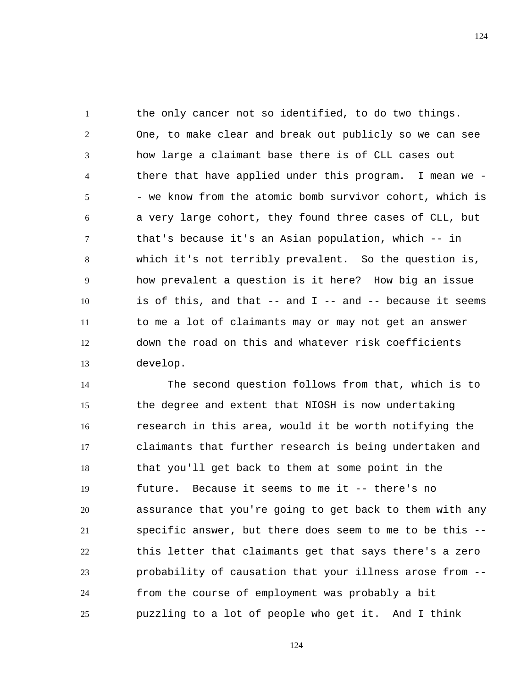1 2 3 4 5 6 7 8 9 10 11 12 13 the only cancer not so identified, to do two things. One, to make clear and break out publicly so we can see how large a claimant base there is of CLL cases out there that have applied under this program. I mean we - - we know from the atomic bomb survivor cohort, which is a very large cohort, they found three cases of CLL, but that's because it's an Asian population, which -- in which it's not terribly prevalent. So the question is, how prevalent a question is it here? How big an issue is of this, and that  $--$  and  $I --$  and  $--$  because it seems to me a lot of claimants may or may not get an answer down the road on this and whatever risk coefficients develop.

14 15 16 17 18 19 20 21 22 23 24 25 The second question follows from that, which is to the degree and extent that NIOSH is now undertaking research in this area, would it be worth notifying the claimants that further research is being undertaken and that you'll get back to them at some point in the future. Because it seems to me it -- there's no assurance that you're going to get back to them with any specific answer, but there does seem to me to be this - this letter that claimants get that says there's a zero probability of causation that your illness arose from - from the course of employment was probably a bit puzzling to a lot of people who get it. And I think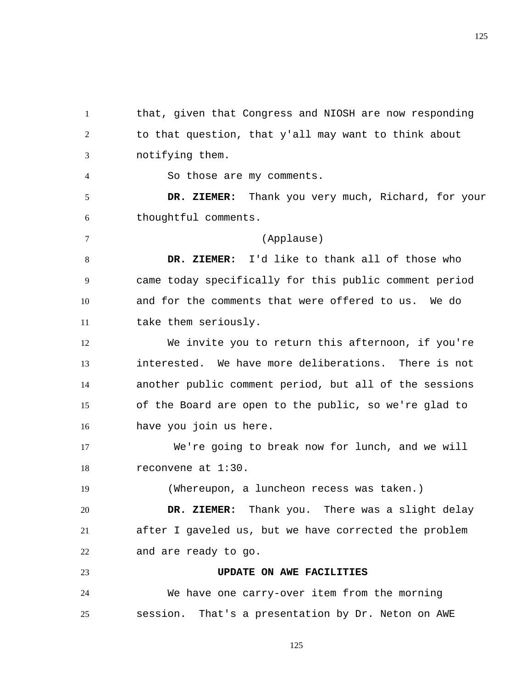1 2 3 that, given that Congress and NIOSH are now responding to that question, that y'all may want to think about notifying them.

So those are my comments.

4

7

19

5 6  **DR. ZIEMER:** Thank you very much, Richard, for your thoughtful comments.

(Applause)

8 9 10 11  **DR. ZIEMER:** I'd like to thank all of those who came today specifically for this public comment period and for the comments that were offered to us. We do take them seriously.

12 13 14 15 16 We invite you to return this afternoon, if you're interested. We have more deliberations. There is not another public comment period, but all of the sessions of the Board are open to the public, so we're glad to have you join us here.

17 18 We're going to break now for lunch, and we will reconvene at 1:30.

(Whereupon, a luncheon recess was taken.)

20 21 22  **DR. ZIEMER:** Thank you. There was a slight delay after I gaveled us, but we have corrected the problem and are ready to go.

23 **UPDATE ON AWE FACILITIES** 

24 25 We have one carry-over item from the morning session. That's a presentation by Dr. Neton on AWE 125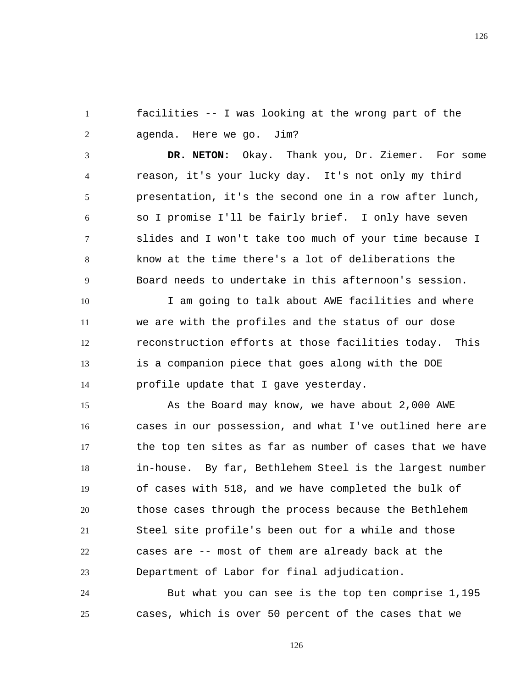1 2 facilities -- I was looking at the wrong part of the agenda. Here we go. Jim?

3 4 5 6 7 8 9  **DR. NETON:** Okay. Thank you, Dr. Ziemer. For some reason, it's your lucky day. It's not only my third presentation, it's the second one in a row after lunch, so I promise I'll be fairly brief. I only have seven slides and I won't take too much of your time because I know at the time there's a lot of deliberations the Board needs to undertake in this afternoon's session.

10 11 12 13 14 I am going to talk about AWE facilities and where we are with the profiles and the status of our dose reconstruction efforts at those facilities today. This is a companion piece that goes along with the DOE profile update that I gave yesterday.

15 16 17 18 19 20 21 22 23 As the Board may know, we have about 2,000 AWE cases in our possession, and what I've outlined here are the top ten sites as far as number of cases that we have in-house. By far, Bethlehem Steel is the largest number of cases with 518, and we have completed the bulk of those cases through the process because the Bethlehem Steel site profile's been out for a while and those cases are -- most of them are already back at the Department of Labor for final adjudication.

24 25 But what you can see is the top ten comprise 1,195 cases, which is over 50 percent of the cases that we

126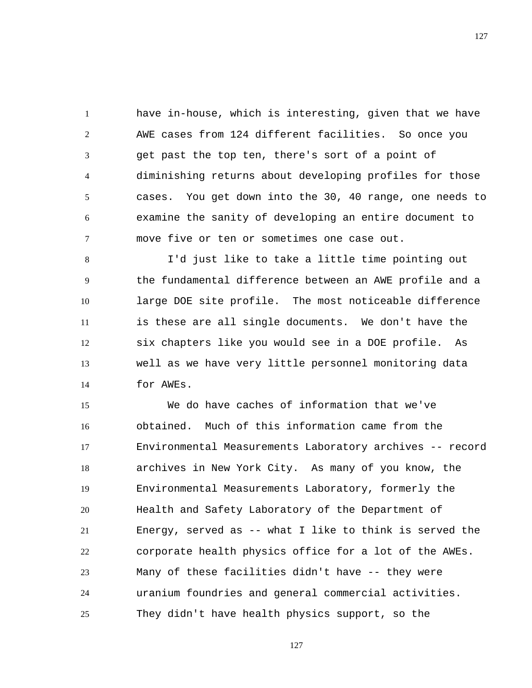1 2 3 4 5 6 7 have in-house, which is interesting, given that we have AWE cases from 124 different facilities. So once you get past the top ten, there's sort of a point of diminishing returns about developing profiles for those cases. You get down into the 30, 40 range, one needs to examine the sanity of developing an entire document to move five or ten or sometimes one case out.

8 9 10 11 12 13 14 I'd just like to take a little time pointing out the fundamental difference between an AWE profile and a large DOE site profile. The most noticeable difference is these are all single documents. We don't have the six chapters like you would see in a DOE profile. As well as we have very little personnel monitoring data for AWEs.

15 16 17 18 19 20 21 22 23 24 25 We do have caches of information that we've obtained. Much of this information came from the Environmental Measurements Laboratory archives -- record archives in New York City. As many of you know, the Environmental Measurements Laboratory, formerly the Health and Safety Laboratory of the Department of Energy, served as -- what I like to think is served the corporate health physics office for a lot of the AWEs. Many of these facilities didn't have -- they were uranium foundries and general commercial activities. They didn't have health physics support, so the

127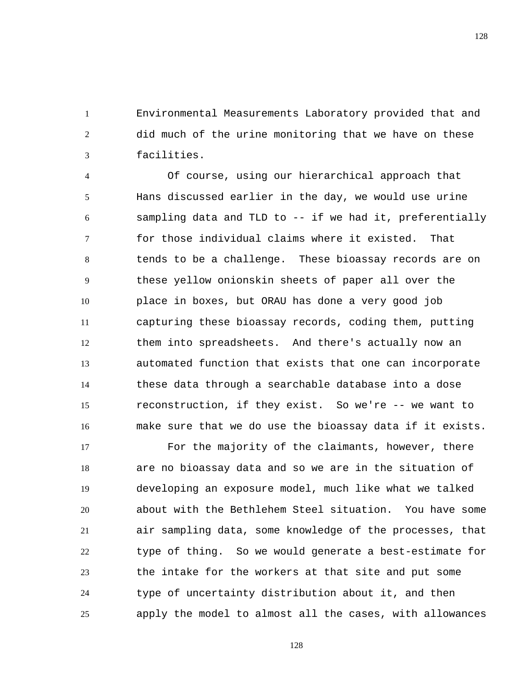1 2 3 Environmental Measurements Laboratory provided that and did much of the urine monitoring that we have on these facilities.

4 5 6 7 8 9 10 11 12 13 14 15 16 Of course, using our hierarchical approach that Hans discussed earlier in the day, we would use urine sampling data and TLD to -- if we had it, preferentially for those individual claims where it existed. That tends to be a challenge. These bioassay records are on these yellow onionskin sheets of paper all over the place in boxes, but ORAU has done a very good job capturing these bioassay records, coding them, putting them into spreadsheets. And there's actually now an automated function that exists that one can incorporate these data through a searchable database into a dose reconstruction, if they exist. So we're -- we want to make sure that we do use the bioassay data if it exists.

17 18 19 20 21 22 23 24 25 For the majority of the claimants, however, there are no bioassay data and so we are in the situation of developing an exposure model, much like what we talked about with the Bethlehem Steel situation. You have some air sampling data, some knowledge of the processes, that type of thing. So we would generate a best-estimate for the intake for the workers at that site and put some type of uncertainty distribution about it, and then apply the model to almost all the cases, with allowances

128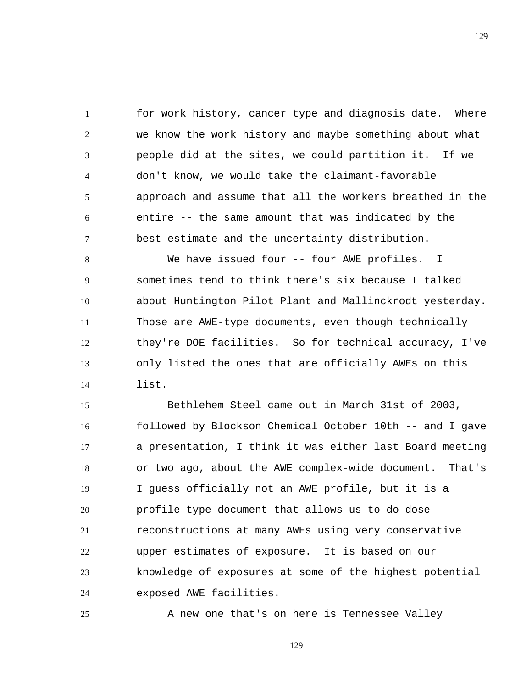1 2 3 4 5 6 7 for work history, cancer type and diagnosis date. Where we know the work history and maybe something about what people did at the sites, we could partition it. If we don't know, we would take the claimant-favorable approach and assume that all the workers breathed in the entire -- the same amount that was indicated by the best-estimate and the uncertainty distribution.

8 9 10 11 12 13 14 We have issued four -- four AWE profiles. I sometimes tend to think there's six because I talked about Huntington Pilot Plant and Mallinckrodt yesterday. Those are AWE-type documents, even though technically they're DOE facilities. So for technical accuracy, I've only listed the ones that are officially AWEs on this list.

15 16 17 18 19 20 21 22 23 24 Bethlehem Steel came out in March 31st of 2003, followed by Blockson Chemical October 10th -- and I gave a presentation, I think it was either last Board meeting or two ago, about the AWE complex-wide document. That's I guess officially not an AWE profile, but it is a profile-type document that allows us to do dose reconstructions at many AWEs using very conservative upper estimates of exposure. It is based on our knowledge of exposures at some of the highest potential exposed AWE facilities.

25 A new one that's on here is Tennessee Valley

129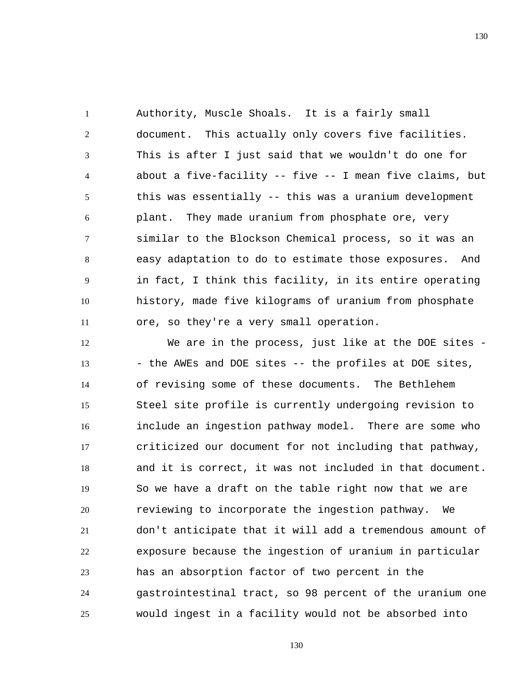1 2 3 4 5 6 7 8 9 10 11 Authority, Muscle Shoals. It is a fairly small document. This actually only covers five facilities. This is after I just said that we wouldn't do one for about a five-facility -- five -- I mean five claims, but this was essentially -- this was a uranium development plant. They made uranium from phosphate ore, very similar to the Blockson Chemical process, so it was an easy adaptation to do to estimate those exposures. And in fact, I think this facility, in its entire operating history, made five kilograms of uranium from phosphate ore, so they're a very small operation.

12 13 14 15 16 17 18 19 20 21 22 23 24 25 We are in the process, just like at the DOE sites -- the AWEs and DOE sites -- the profiles at DOE sites, of revising some of these documents. The Bethlehem Steel site profile is currently undergoing revision to include an ingestion pathway model. There are some who criticized our document for not including that pathway, and it is correct, it was not included in that document. So we have a draft on the table right now that we are reviewing to incorporate the ingestion pathway. We don't anticipate that it will add a tremendous amount of exposure because the ingestion of uranium in particular has an absorption factor of two percent in the gastrointestinal tract, so 98 percent of the uranium one would ingest in a facility would not be absorbed into

130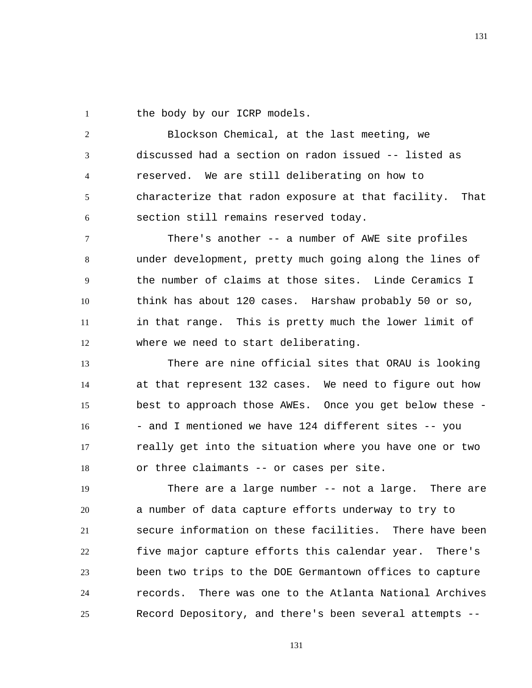1 the body by our ICRP models.

2 3 4 5 6 Blockson Chemical, at the last meeting, we discussed had a section on radon issued -- listed as reserved. We are still deliberating on how to characterize that radon exposure at that facility. That section still remains reserved today.

7 8 9 10 11 12 There's another -- a number of AWE site profiles under development, pretty much going along the lines of the number of claims at those sites. Linde Ceramics I think has about 120 cases. Harshaw probably 50 or so, in that range. This is pretty much the lower limit of where we need to start deliberating.

13 14 15 16 17 18 There are nine official sites that ORAU is looking at that represent 132 cases. We need to figure out how best to approach those AWEs. Once you get below these - - and I mentioned we have 124 different sites -- you really get into the situation where you have one or two or three claimants -- or cases per site.

19 20 21 22 23 24 25 There are a large number -- not a large. There are a number of data capture efforts underway to try to secure information on these facilities. There have been five major capture efforts this calendar year. There's been two trips to the DOE Germantown offices to capture records. There was one to the Atlanta National Archives Record Depository, and there's been several attempts --

131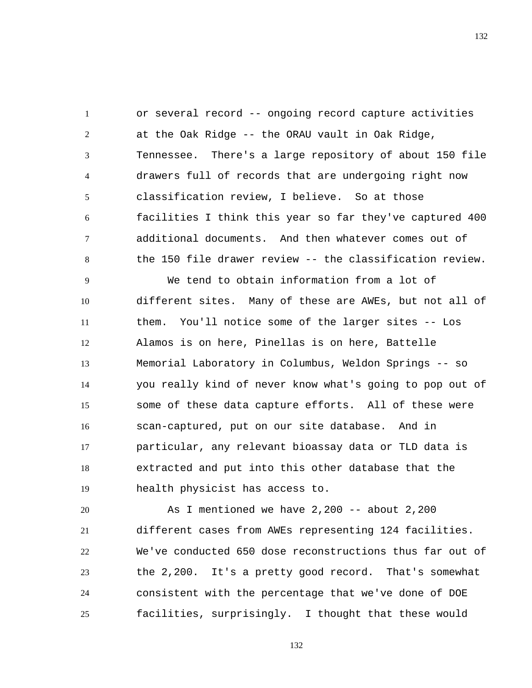1 2 3 4 5 6 7 8 or several record -- ongoing record capture activities at the Oak Ridge -- the ORAU vault in Oak Ridge, Tennessee. There's a large repository of about 150 file drawers full of records that are undergoing right now classification review, I believe. So at those facilities I think this year so far they've captured 400 additional documents. And then whatever comes out of the 150 file drawer review -- the classification review.

9 10 11 12 13 14 15 16 17 18 19 We tend to obtain information from a lot of different sites. Many of these are AWEs, but not all of them. You'll notice some of the larger sites -- Los Alamos is on here, Pinellas is on here, Battelle Memorial Laboratory in Columbus, Weldon Springs -- so you really kind of never know what's going to pop out of some of these data capture efforts. All of these were scan-captured, put on our site database. And in particular, any relevant bioassay data or TLD data is extracted and put into this other database that the health physicist has access to.

20 21 22 23 24 25 As I mentioned we have 2,200 -- about 2,200 different cases from AWEs representing 124 facilities. We've conducted 650 dose reconstructions thus far out of the 2,200. It's a pretty good record. That's somewhat consistent with the percentage that we've done of DOE facilities, surprisingly. I thought that these would

132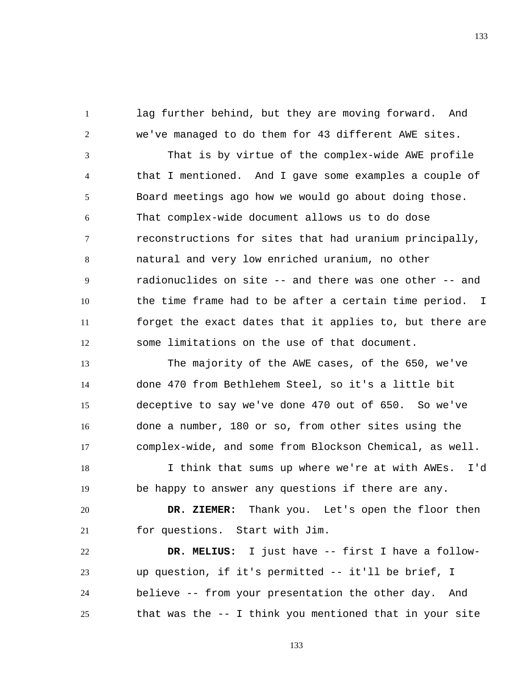lag further behind, but they are moving forward. And we've managed to do them for 43 different AWE sites.

1

2

3 4 5 6 7 8 9 10 11 12 That is by virtue of the complex-wide AWE profile that I mentioned. And I gave some examples a couple of Board meetings ago how we would go about doing those. That complex-wide document allows us to do dose reconstructions for sites that had uranium principally, natural and very low enriched uranium, no other radionuclides on site -- and there was one other -- and the time frame had to be after a certain time period. I forget the exact dates that it applies to, but there are some limitations on the use of that document.

13 14 15 16 17 The majority of the AWE cases, of the 650, we've done 470 from Bethlehem Steel, so it's a little bit deceptive to say we've done 470 out of 650. So we've done a number, 180 or so, from other sites using the complex-wide, and some from Blockson Chemical, as well.

18 19 I think that sums up where we're at with AWEs. I'd be happy to answer any questions if there are any.

20 21  **DR. ZIEMER:** Thank you. Let's open the floor then for questions. Start with Jim.

22 23 24 25  **DR. MELIUS:** I just have -- first I have a followup question, if it's permitted -- it'll be brief, I believe -- from your presentation the other day. And that was the -- I think you mentioned that in your site

133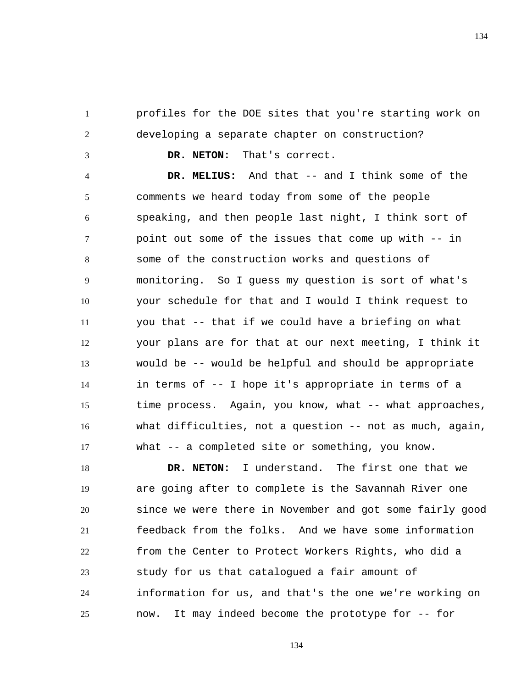1 2 profiles for the DOE sites that you're starting work on developing a separate chapter on construction?

 **DR. NETON:** That's correct.

3

4 5 6 7 8 9 10 11 12 13 14 15 16 17  **DR. MELIUS:** And that -- and I think some of the comments we heard today from some of the people speaking, and then people last night, I think sort of point out some of the issues that come up with -- in some of the construction works and questions of monitoring. So I guess my question is sort of what's your schedule for that and I would I think request to you that -- that if we could have a briefing on what your plans are for that at our next meeting, I think it would be -- would be helpful and should be appropriate in terms of -- I hope it's appropriate in terms of a time process. Again, you know, what -- what approaches, what difficulties, not a question -- not as much, again, what -- a completed site or something, you know.

18 19 20 21 22 23 24 25  **DR. NETON:** I understand. The first one that we are going after to complete is the Savannah River one since we were there in November and got some fairly good feedback from the folks. And we have some information from the Center to Protect Workers Rights, who did a study for us that catalogued a fair amount of information for us, and that's the one we're working on now. It may indeed become the prototype for -- for

134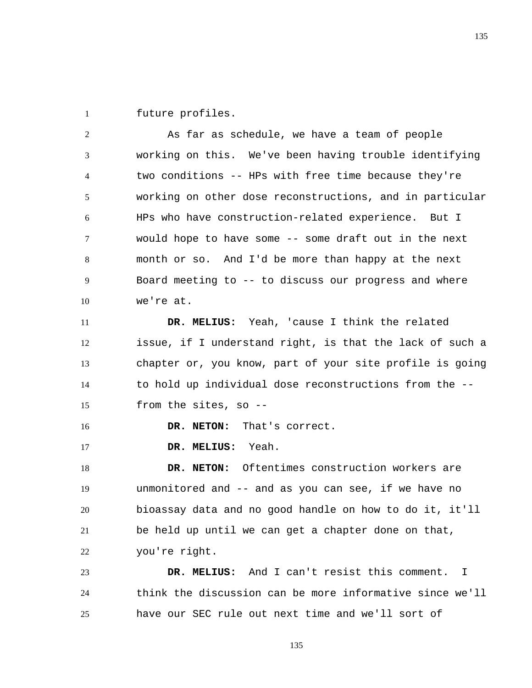1 future profiles.

2 3 4 5 6 7 8 9 10 As far as schedule, we have a team of people working on this. We've been having trouble identifying two conditions -- HPs with free time because they're working on other dose reconstructions, and in particular HPs who have construction-related experience. But I would hope to have some -- some draft out in the next month or so. And I'd be more than happy at the next Board meeting to -- to discuss our progress and where we're at.

11 12 13 14 15  **DR. MELIUS:** Yeah, 'cause I think the related issue, if I understand right, is that the lack of such a chapter or, you know, part of your site profile is going to hold up individual dose reconstructions from the - from the sites, so --

16  **DR. NETON:** That's correct.

17  **DR. MELIUS:** Yeah.

18 19 20 21 22  **DR. NETON:** Oftentimes construction workers are unmonitored and -- and as you can see, if we have no bioassay data and no good handle on how to do it, it'll be held up until we can get a chapter done on that, you're right.

23 24 25  **DR. MELIUS:** And I can't resist this comment. I think the discussion can be more informative since we'll have our SEC rule out next time and we'll sort of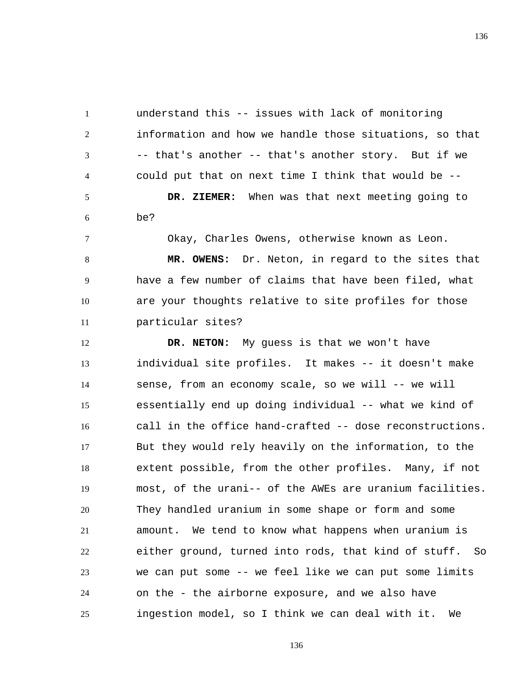1 2 3 4 understand this -- issues with lack of monitoring information and how we handle those situations, so that -- that's another -- that's another story. But if we could put that on next time I think that would be --

5 6  **DR. ZIEMER:** When was that next meeting going to be?

7

Okay, Charles Owens, otherwise known as Leon.

8 9 10 11  **MR. OWENS:** Dr. Neton, in regard to the sites that have a few number of claims that have been filed, what are your thoughts relative to site profiles for those particular sites?

12 13 14 15 16 17 18 19 20 21 22 23 24 25  **DR. NETON:** My guess is that we won't have individual site profiles. It makes -- it doesn't make sense, from an economy scale, so we will -- we will essentially end up doing individual -- what we kind of call in the office hand-crafted -- dose reconstructions. But they would rely heavily on the information, to the extent possible, from the other profiles. Many, if not most, of the urani-- of the AWEs are uranium facilities. They handled uranium in some shape or form and some amount. We tend to know what happens when uranium is either ground, turned into rods, that kind of stuff. So we can put some -- we feel like we can put some limits on the - the airborne exposure, and we also have ingestion model, so I think we can deal with it. We

136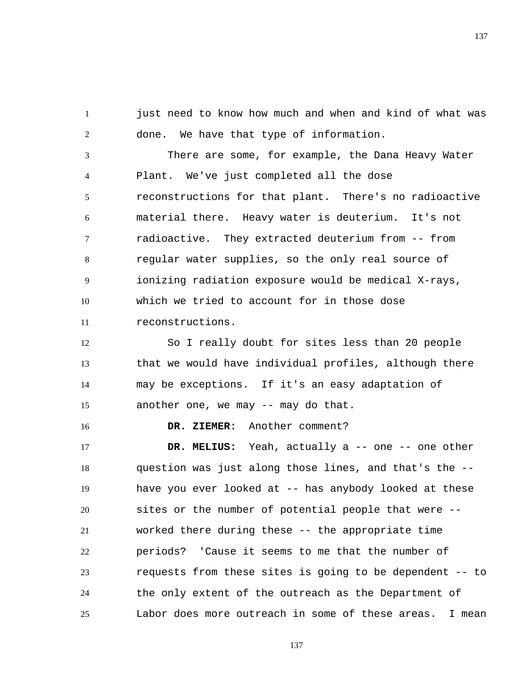1 2 just need to know how much and when and kind of what was done. We have that type of information.

3 4 5 6 7 8 9 10 11 There are some, for example, the Dana Heavy Water Plant. We've just completed all the dose reconstructions for that plant. There's no radioactive material there. Heavy water is deuterium. It's not radioactive. They extracted deuterium from -- from regular water supplies, so the only real source of ionizing radiation exposure would be medical X-rays, which we tried to account for in those dose reconstructions.

12 13 14 15 So I really doubt for sites less than 20 people that we would have individual profiles, although there may be exceptions. If it's an easy adaptation of another one, we may -- may do that.

 **DR. ZIEMER:** Another comment?

16

17 18 19 20 21 22 23 24 25  **DR. MELIUS:** Yeah, actually a -- one -- one other question was just along those lines, and that's the - have you ever looked at -- has anybody looked at these sites or the number of potential people that were - worked there during these -- the appropriate time periods? 'Cause it seems to me that the number of requests from these sites is going to be dependent -- to the only extent of the outreach as the Department of Labor does more outreach in some of these areas. I mean

137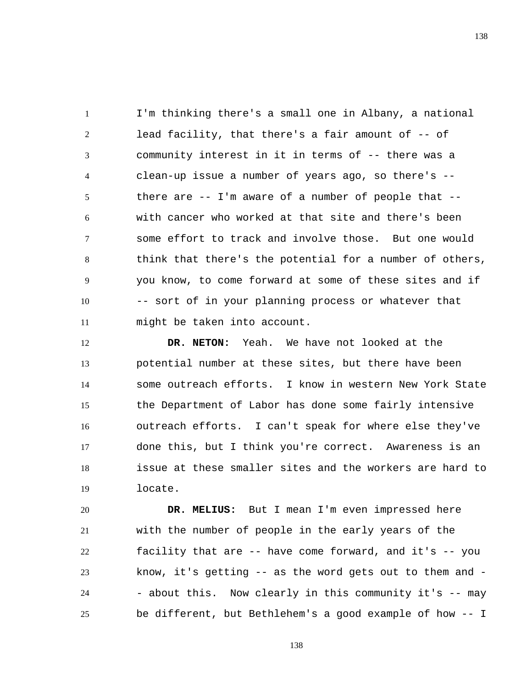1 2 3 4 5 6 7 8 9 10 11 I'm thinking there's a small one in Albany, a national lead facility, that there's a fair amount of -- of community interest in it in terms of -- there was a clean-up issue a number of years ago, so there's - there are -- I'm aware of a number of people that - with cancer who worked at that site and there's been some effort to track and involve those. But one would think that there's the potential for a number of others, you know, to come forward at some of these sites and if -- sort of in your planning process or whatever that might be taken into account.

12 13 14 15 16 17 18 19  **DR. NETON:** Yeah. We have not looked at the potential number at these sites, but there have been some outreach efforts. I know in western New York State the Department of Labor has done some fairly intensive outreach efforts. I can't speak for where else they've done this, but I think you're correct. Awareness is an issue at these smaller sites and the workers are hard to locate.

20 21 22 23 24 25  **DR. MELIUS:** But I mean I'm even impressed here with the number of people in the early years of the facility that are -- have come forward, and it's -- you know, it's getting -- as the word gets out to them and - - about this. Now clearly in this community it's -- may be different, but Bethlehem's a good example of how -- I

138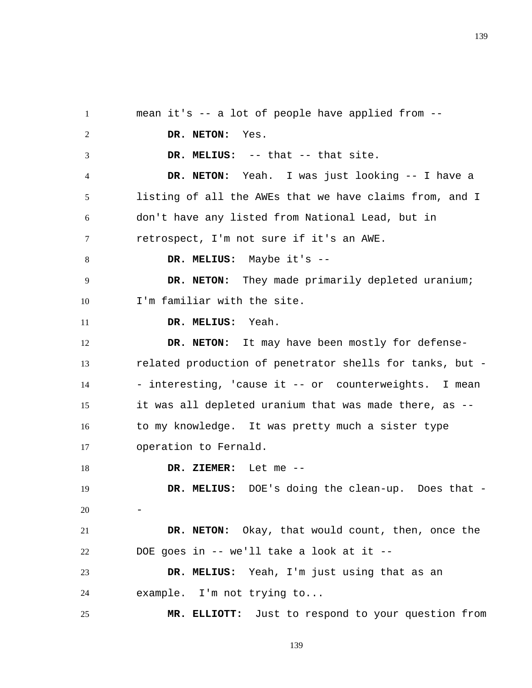1 2 3 4 5 6 7 8 9 10 11 12 13 14 15 16 17 18 19 20 21 22 23 24 25 mean it's -- a lot of people have applied from --  **DR. NETON:** Yes.  **DR. MELIUS:** -- that -- that site.  **DR. NETON:** Yeah. I was just looking -- I have a listing of all the AWEs that we have claims from, and I don't have any listed from National Lead, but in retrospect, I'm not sure if it's an AWE.  **DR. MELIUS:** Maybe it's --  **DR. NETON:** They made primarily depleted uranium; I'm familiar with the site.  **DR. MELIUS:** Yeah. DR. NETON: It may have been mostly for defenserelated production of penetrator shells for tanks, but - - interesting, 'cause it -- or counterweights. I mean it was all depleted uranium that was made there, as - to my knowledge. It was pretty much a sister type operation to Fernald.  **DR. ZIEMER:** Let me --  **DR. MELIUS:** DOE's doing the clean-up. Does that - -  **DR. NETON:** Okay, that would count, then, once the DOE goes in -- we'll take a look at it --  **DR. MELIUS:** Yeah, I'm just using that as an example. I'm not trying to...  **MR. ELLIOTT:** Just to respond to your question from

139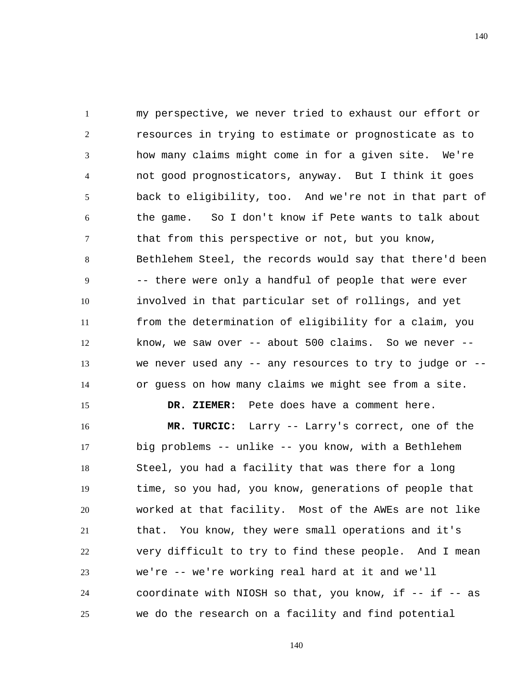1 2 3 4 5 6 7 8 9 10 11 12 13 14 my perspective, we never tried to exhaust our effort or resources in trying to estimate or prognosticate as to how many claims might come in for a given site. We're not good prognosticators, anyway. But I think it goes back to eligibility, too. And we're not in that part of the game. So I don't know if Pete wants to talk about that from this perspective or not, but you know, Bethlehem Steel, the records would say that there'd been -- there were only a handful of people that were ever involved in that particular set of rollings, and yet from the determination of eligibility for a claim, you know, we saw over  $--$  about 500 claims. So we never  $-$ we never used any  $-$  any resources to try to judge or  $$ or guess on how many claims we might see from a site.

15 16 17 18 19 20 21 22 23 24 25  **DR. ZIEMER:** Pete does have a comment here.  **MR. TURCIC:** Larry -- Larry's correct, one of the big problems -- unlike -- you know, with a Bethlehem Steel, you had a facility that was there for a long time, so you had, you know, generations of people that worked at that facility. Most of the AWEs are not like that. You know, they were small operations and it's very difficult to try to find these people. And I mean we're -- we're working real hard at it and we'll coordinate with NIOSH so that, you know, if -- if -- as we do the research on a facility and find potential

140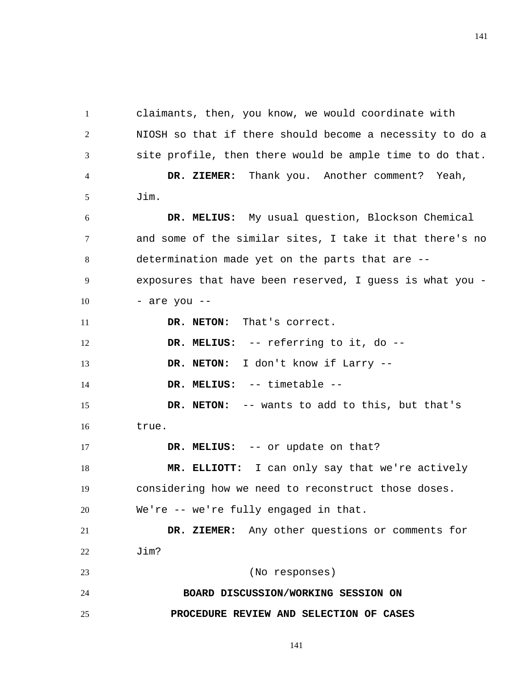1 2 3 4 5 6 7 8 9 10 11 12 13 14 15 16 17 18 19 20 21 22 23 24 25 claimants, then, you know, we would coordinate with NIOSH so that if there should become a necessity to do a site profile, then there would be ample time to do that.  **DR. ZIEMER:** Thank you. Another comment? Yeah, Jim.  **DR. MELIUS:** My usual question, Blockson Chemical and some of the similar sites, I take it that there's no determination made yet on the parts that are - exposures that have been reserved, I guess is what you - - are you --  **DR. NETON:** That's correct.  **DR. MELIUS:** -- referring to it, do --  **DR. NETON:** I don't know if Larry --  **DR. MELIUS:** -- timetable --  **DR. NETON:** -- wants to add to this, but that's true.  **DR. MELIUS:** -- or update on that?  **MR. ELLIOTT:** I can only say that we're actively considering how we need to reconstruct those doses. We're -- we're fully engaged in that.  **DR. ZIEMER:** Any other questions or comments for Jim? (No responses) **BOARD DISCUSSION/WORKING SESSION ON PROCEDURE REVIEW AND SELECTION OF CASES** 

141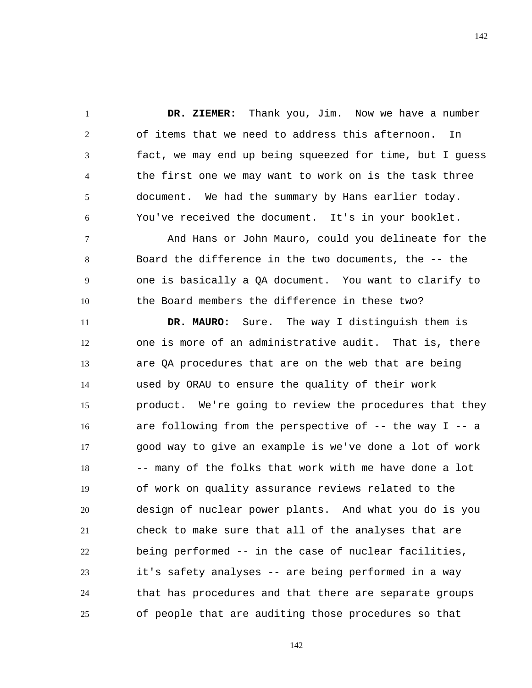1 2 3 4 5 6  **DR. ZIEMER:** Thank you, Jim. Now we have a number of items that we need to address this afternoon. In fact, we may end up being squeezed for time, but I guess the first one we may want to work on is the task three document. We had the summary by Hans earlier today. You've received the document. It's in your booklet.

7 8 9 10 And Hans or John Mauro, could you delineate for the Board the difference in the two documents, the -- the one is basically a QA document. You want to clarify to the Board members the difference in these two?

11 12 13 14 15 16 17 18 19 20 21 22 23 24 25  **DR. MAURO:** Sure. The way I distinguish them is one is more of an administrative audit. That is, there are QA procedures that are on the web that are being used by ORAU to ensure the quality of their work product. We're going to review the procedures that they are following from the perspective of  $-$ - the way I  $-$ - a good way to give an example is we've done a lot of work -- many of the folks that work with me have done a lot of work on quality assurance reviews related to the design of nuclear power plants. And what you do is you check to make sure that all of the analyses that are being performed -- in the case of nuclear facilities, it's safety analyses -- are being performed in a way that has procedures and that there are separate groups of people that are auditing those procedures so that

142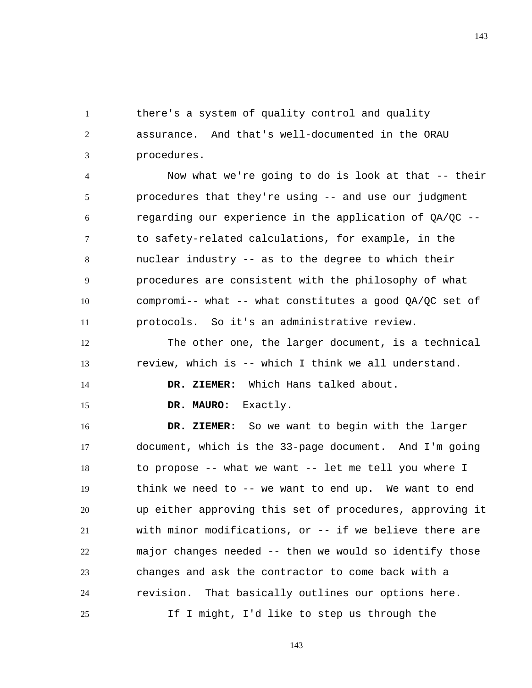1 2 3 there's a system of quality control and quality assurance. And that's well-documented in the ORAU procedures.

4 5 6 7 8 9 10 11 Now what we're going to do is look at that -- their procedures that they're using -- and use our judgment regarding our experience in the application of QA/QC - to safety-related calculations, for example, in the nuclear industry -- as to the degree to which their procedures are consistent with the philosophy of what compromi-- what -- what constitutes a good QA/QC set of protocols. So it's an administrative review.

12 13 The other one, the larger document, is a technical review, which is -- which I think we all understand.

 **DR. ZIEMER:** Which Hans talked about.

 **DR. MAURO:** Exactly.

14

15

16 17 18 19 20 21 22 23 24 25  **DR. ZIEMER:** So we want to begin with the larger document, which is the 33-page document. And I'm going to propose -- what we want -- let me tell you where I think we need to -- we want to end up. We want to end up either approving this set of procedures, approving it with minor modifications, or -- if we believe there are major changes needed -- then we would so identify those changes and ask the contractor to come back with a revision. That basically outlines our options here. If I might, I'd like to step us through the

143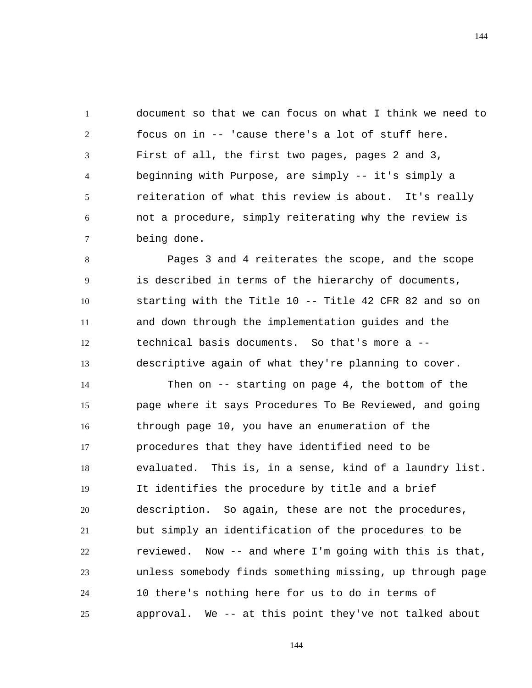1 2 3 4 5 6 7 document so that we can focus on what I think we need to focus on in -- 'cause there's a lot of stuff here. First of all, the first two pages, pages 2 and 3, beginning with Purpose, are simply -- it's simply a reiteration of what this review is about. It's really not a procedure, simply reiterating why the review is being done.

8 9 10 11 12 13 Pages 3 and 4 reiterates the scope, and the scope is described in terms of the hierarchy of documents, starting with the Title 10 -- Title 42 CFR 82 and so on and down through the implementation guides and the technical basis documents. So that's more a - descriptive again of what they're planning to cover.

14 15 16 17 18 19 20 21 22 23 24 25 Then on -- starting on page 4, the bottom of the page where it says Procedures To Be Reviewed, and going through page 10, you have an enumeration of the procedures that they have identified need to be evaluated. This is, in a sense, kind of a laundry list. It identifies the procedure by title and a brief description. So again, these are not the procedures, but simply an identification of the procedures to be reviewed. Now -- and where I'm going with this is that, unless somebody finds something missing, up through page 10 there's nothing here for us to do in terms of approval. We -- at this point they've not talked about

144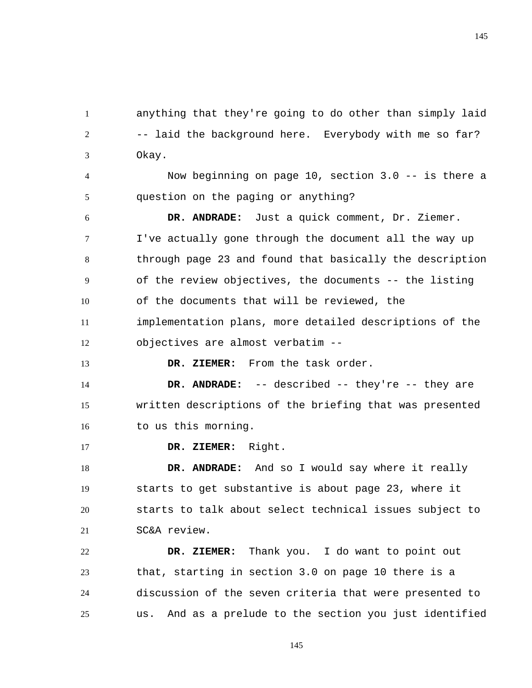1 2 3 anything that they're going to do other than simply laid -- laid the background here. Everybody with me so far? Okay.

4 5 Now beginning on page 10, section 3.0 -- is there a question on the paging or anything?

6 7 8 9 10 11 12  **DR. ANDRADE:** Just a quick comment, Dr. Ziemer. I've actually gone through the document all the way up through page 23 and found that basically the description of the review objectives, the documents -- the listing of the documents that will be reviewed, the implementation plans, more detailed descriptions of the objectives are almost verbatim --

 **DR. ZIEMER:** From the task order.

14 15 16  **DR. ANDRADE:** -- described -- they're -- they are written descriptions of the briefing that was presented to us this morning.

17  **DR. ZIEMER:** Right.

13

18 19 20 21  **DR. ANDRADE:** And so I would say where it really starts to get substantive is about page 23, where it starts to talk about select technical issues subject to SC&A review.

22 23 24 25  **DR. ZIEMER:** Thank you. I do want to point out that, starting in section 3.0 on page 10 there is a discussion of the seven criteria that were presented to us. And as a prelude to the section you just identified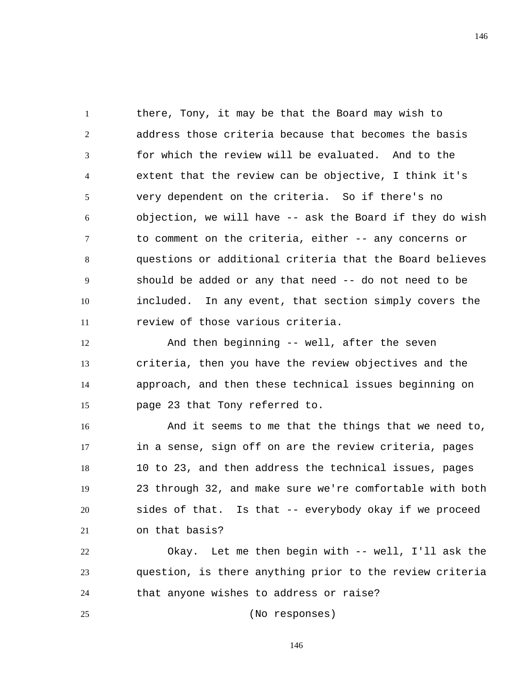1 2 3 4 5 6 7 8 9 10 11 there, Tony, it may be that the Board may wish to address those criteria because that becomes the basis for which the review will be evaluated. And to the extent that the review can be objective, I think it's very dependent on the criteria. So if there's no objection, we will have -- ask the Board if they do wish to comment on the criteria, either -- any concerns or questions or additional criteria that the Board believes should be added or any that need -- do not need to be included. In any event, that section simply covers the review of those various criteria.

12 13 14 15 And then beginning -- well, after the seven criteria, then you have the review objectives and the approach, and then these technical issues beginning on page 23 that Tony referred to.

16 17 18 19 20 21 And it seems to me that the things that we need to, in a sense, sign off on are the review criteria, pages 10 to 23, and then address the technical issues, pages 23 through 32, and make sure we're comfortable with both sides of that. Is that -- everybody okay if we proceed on that basis?

22 23 24 Okay. Let me then begin with -- well, I'll ask the question, is there anything prior to the review criteria that anyone wishes to address or raise?

(No responses)

25

146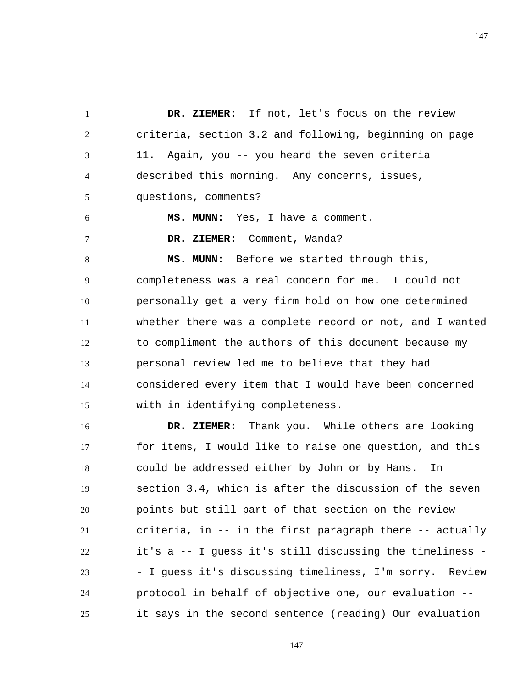1 2 3 4 5  **DR. ZIEMER:** If not, let's focus on the review criteria, section 3.2 and following, beginning on page 11. Again, you -- you heard the seven criteria described this morning. Any concerns, issues, questions, comments?

 **MS. MUNN:** Yes, I have a comment.

6

7

 **DR. ZIEMER:** Comment, Wanda?

8 9 10 11 12 13 14 15  **MS. MUNN:** Before we started through this, completeness was a real concern for me. I could not personally get a very firm hold on how one determined whether there was a complete record or not, and I wanted to compliment the authors of this document because my personal review led me to believe that they had considered every item that I would have been concerned with in identifying completeness.

16 17 18 19 20 21 22 23 24 25  **DR. ZIEMER:** Thank you. While others are looking for items, I would like to raise one question, and this could be addressed either by John or by Hans. In section 3.4, which is after the discussion of the seven points but still part of that section on the review criteria, in -- in the first paragraph there -- actually it's a -- I guess it's still discussing the timeliness - - I guess it's discussing timeliness, I'm sorry. Review protocol in behalf of objective one, our evaluation - it says in the second sentence (reading) Our evaluation

147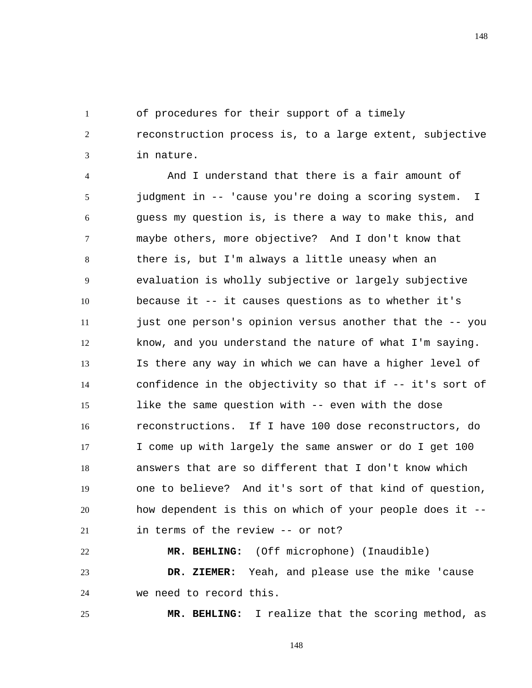of procedures for their support of a timely

1

25

2 3 reconstruction process is, to a large extent, subjective in nature.

4 5 6 7 8 9 10 11 12 13 14 15 16 17 18 19 20 21 And I understand that there is a fair amount of judgment in -- 'cause you're doing a scoring system. I guess my question is, is there a way to make this, and maybe others, more objective? And I don't know that there is, but I'm always a little uneasy when an evaluation is wholly subjective or largely subjective because it -- it causes questions as to whether it's just one person's opinion versus another that the -- you know, and you understand the nature of what I'm saying. Is there any way in which we can have a higher level of confidence in the objectivity so that if -- it's sort of like the same question with -- even with the dose reconstructions. If I have 100 dose reconstructors, do I come up with largely the same answer or do I get 100 answers that are so different that I don't know which one to believe? And it's sort of that kind of question, how dependent is this on which of your people does it - in terms of the review -- or not?

22 23 24  **MR. BEHLING:** (Off microphone) (Inaudible)  **DR. ZIEMER:** Yeah, and please use the mike 'cause we need to record this.

 **MR. BEHLING:** I realize that the scoring method, as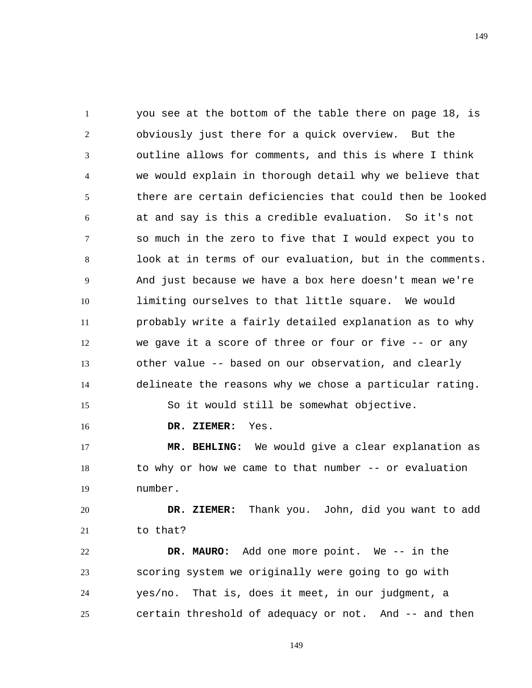1 2 3 4 5 6 7 8 9 10 11 12 13 14 15 you see at the bottom of the table there on page 18, is obviously just there for a quick overview. But the outline allows for comments, and this is where I think we would explain in thorough detail why we believe that there are certain deficiencies that could then be looked at and say is this a credible evaluation. So it's not so much in the zero to five that I would expect you to look at in terms of our evaluation, but in the comments. And just because we have a box here doesn't mean we're limiting ourselves to that little square. We would probably write a fairly detailed explanation as to why we gave it a score of three or four or five -- or any other value -- based on our observation, and clearly delineate the reasons why we chose a particular rating. So it would still be somewhat objective.

16  **DR. ZIEMER:** Yes.

17 18 19  **MR. BEHLING:** We would give a clear explanation as to why or how we came to that number -- or evaluation number.

20 21  **DR. ZIEMER:** Thank you. John, did you want to add to that?

22 23 24 25  **DR. MAURO:** Add one more point. We -- in the scoring system we originally were going to go with yes/no. That is, does it meet, in our judgment, a certain threshold of adequacy or not. And -- and then

149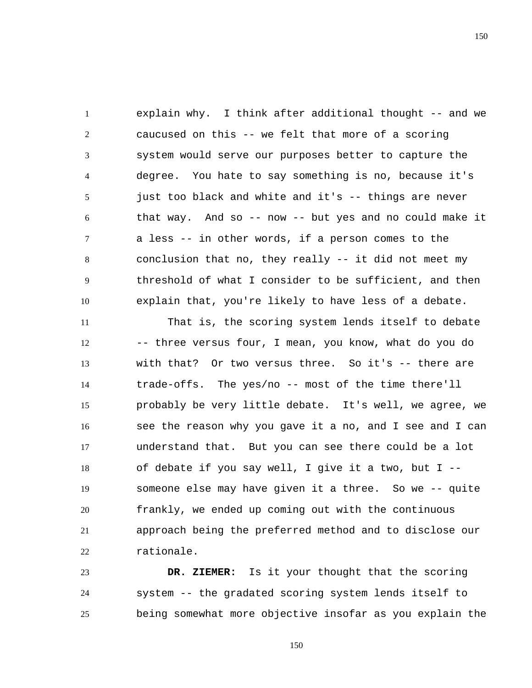1 2 3 4 5 6 7 8 9 10 explain why. I think after additional thought -- and we caucused on this -- we felt that more of a scoring system would serve our purposes better to capture the degree. You hate to say something is no, because it's just too black and white and it's -- things are never that way. And so -- now -- but yes and no could make it a less -- in other words, if a person comes to the conclusion that no, they really -- it did not meet my threshold of what I consider to be sufficient, and then explain that, you're likely to have less of a debate.

11 12 13 14 15 16 17 18 19 20 21 22 That is, the scoring system lends itself to debate -- three versus four, I mean, you know, what do you do with that? Or two versus three. So it's -- there are trade-offs. The yes/no -- most of the time there'll probably be very little debate. It's well, we agree, we see the reason why you gave it a no, and I see and I can understand that. But you can see there could be a lot of debate if you say well, I give it a two, but I - someone else may have given it a three. So we -- quite frankly, we ended up coming out with the continuous approach being the preferred method and to disclose our rationale.

23 24 25  **DR. ZIEMER:** Is it your thought that the scoring system -- the gradated scoring system lends itself to being somewhat more objective insofar as you explain the

150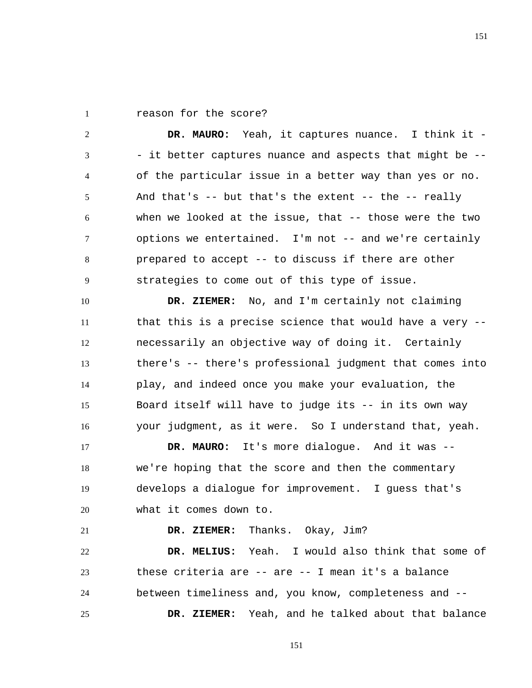1 reason for the score?

21

2 3 4 5 6 7 8 9  **DR. MAURO:** Yeah, it captures nuance. I think it - - it better captures nuance and aspects that might be - of the particular issue in a better way than yes or no. And that's  $-$ - but that's the extent  $-$ - the  $-$ - really when we looked at the issue, that -- those were the two options we entertained. I'm not -- and we're certainly prepared to accept -- to discuss if there are other strategies to come out of this type of issue.

10 11 12 13 14 15 16  **DR. ZIEMER:** No, and I'm certainly not claiming that this is a precise science that would have a very - necessarily an objective way of doing it. Certainly there's -- there's professional judgment that comes into play, and indeed once you make your evaluation, the Board itself will have to judge its -- in its own way your judgment, as it were. So I understand that, yeah.

17 18 19 20  **DR. MAURO:** It's more dialogue. And it was - we're hoping that the score and then the commentary develops a dialogue for improvement. I guess that's what it comes down to.

 **DR. ZIEMER:** Thanks. Okay, Jim?

22 23 24 25  **DR. MELIUS:** Yeah. I would also think that some of these criteria are -- are -- I mean it's a balance between timeliness and, you know, completeness and --  **DR. ZIEMER:** Yeah, and he talked about that balance

151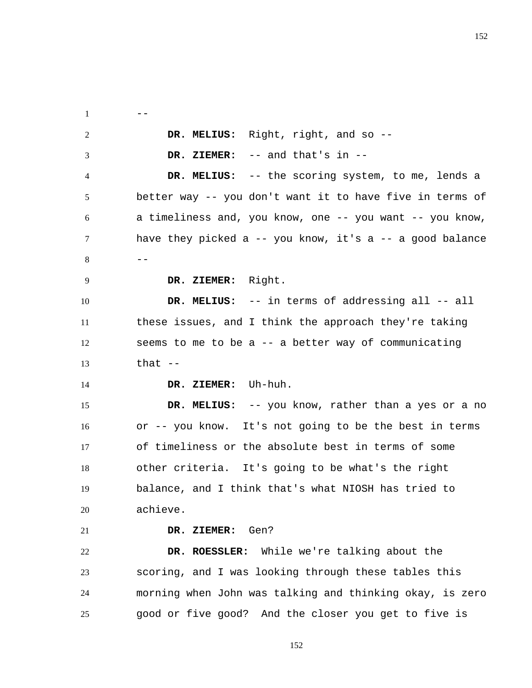$1 \qquad -$ 2 3 4 5 6 7  $8$  --9 10 11 12 13 14 15 16 17 18 19 20 21 22 23 24 25  **DR. MELIUS:** Right, right, and so --  **DR. ZIEMER:** -- and that's in --  **DR. MELIUS:** -- the scoring system, to me, lends a better way -- you don't want it to have five in terms of a timeliness and, you know, one -- you want -- you know, have they picked a -- you know, it's a -- a good balance  **DR. ZIEMER:** Right.  **DR. MELIUS:** -- in terms of addressing all -- all these issues, and I think the approach they're taking seems to me to be a -- a better way of communicating that  $--$  **DR. ZIEMER:** Uh-huh.  **DR. MELIUS:** -- you know, rather than a yes or a no or -- you know. It's not going to be the best in terms of timeliness or the absolute best in terms of some other criteria. It's going to be what's the right balance, and I think that's what NIOSH has tried to achieve.  **DR. ZIEMER:** Gen?  **DR. ROESSLER:** While we're talking about the scoring, and I was looking through these tables this morning when John was talking and thinking okay, is zero good or five good? And the closer you get to five is

152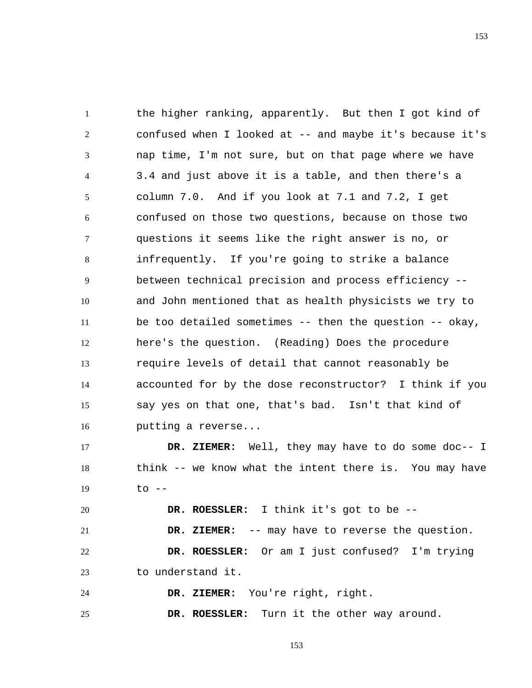1 2 3 4 5 6 7 8 9 10 11 12 13 14 15 16 the higher ranking, apparently. But then I got kind of confused when I looked at -- and maybe it's because it's nap time, I'm not sure, but on that page where we have 3.4 and just above it is a table, and then there's a column 7.0. And if you look at 7.1 and 7.2, I get confused on those two questions, because on those two questions it seems like the right answer is no, or infrequently. If you're going to strike a balance between technical precision and process efficiency - and John mentioned that as health physicists we try to be too detailed sometimes -- then the question -- okay, here's the question. (Reading) Does the procedure require levels of detail that cannot reasonably be accounted for by the dose reconstructor? I think if you say yes on that one, that's bad. Isn't that kind of putting a reverse...

17 18 19  **DR. ZIEMER:** Well, they may have to do some doc-- I think -- we know what the intent there is. You may have  $to$   $-$ 

 **DR. ROESSLER:** I think it's got to be --

21  **DR. ZIEMER:** -- may have to reverse the question.

22 23  **DR. ROESSLER:** Or am I just confused? I'm trying to understand it.

24  **DR. ZIEMER:** You're right, right.

20

25  **DR. ROESSLER:** Turn it the other way around.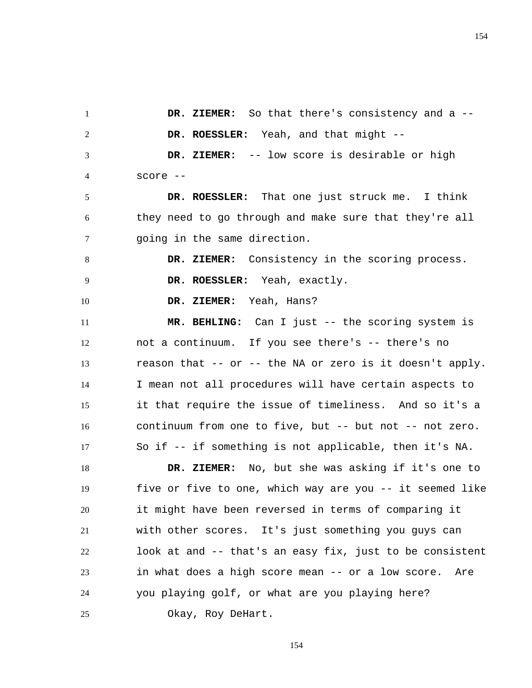1 2 3 4 5 6 7 8 9 10 11 12 13 14 15 16 17 18 19 20 21 22 23  **DR. ZIEMER:** So that there's consistency and a --  **DR. ROESSLER:** Yeah, and that might --  **DR. ZIEMER:** -- low score is desirable or high score --  **DR. ROESSLER:** That one just struck me. I think they need to go through and make sure that they're all going in the same direction.  **DR. ZIEMER:** Consistency in the scoring process.  **DR. ROESSLER:** Yeah, exactly.  **DR. ZIEMER:** Yeah, Hans?  **MR. BEHLING:** Can I just -- the scoring system is not a continuum. If you see there's -- there's no reason that -- or -- the NA or zero is it doesn't apply. I mean not all procedures will have certain aspects to it that require the issue of timeliness. And so it's a continuum from one to five, but -- but not -- not zero. So if -- if something is not applicable, then it's NA.  **DR. ZIEMER:** No, but she was asking if it's one to five or five to one, which way are you -- it seemed like it might have been reversed in terms of comparing it with other scores. It's just something you guys can look at and -- that's an easy fix, just to be consistent in what does a high score mean -- or a low score. Are

Okay, Roy DeHart.

24

25

154

you playing golf, or what are you playing here?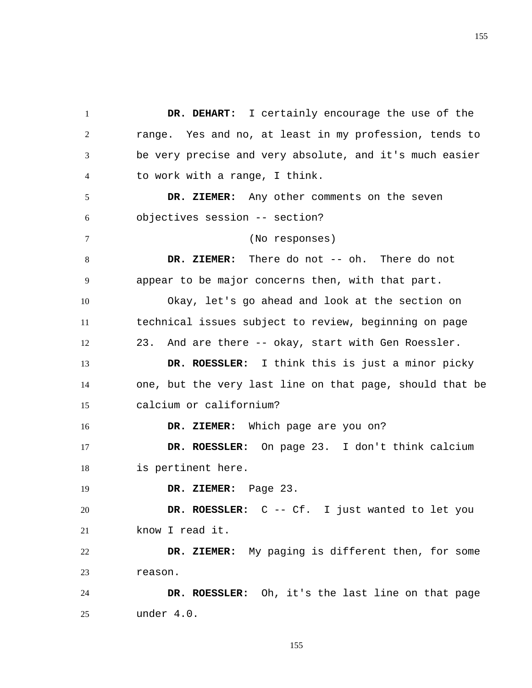1 2 3 4 5 6 7 8 9 10 11 12 13 14 15 16 17 18 19 20 21 22 23 24 25  **DR. DEHART:** I certainly encourage the use of the range. Yes and no, at least in my profession, tends to be very precise and very absolute, and it's much easier to work with a range, I think.  **DR. ZIEMER:** Any other comments on the seven objectives session -- section? (No responses)  **DR. ZIEMER:** There do not -- oh. There do not appear to be major concerns then, with that part. Okay, let's go ahead and look at the section on technical issues subject to review, beginning on page 23. And are there -- okay, start with Gen Roessler.  **DR. ROESSLER:** I think this is just a minor picky one, but the very last line on that page, should that be calcium or californium?  **DR. ZIEMER:** Which page are you on?  **DR. ROESSLER:** On page 23. I don't think calcium is pertinent here.  **DR. ZIEMER:** Page 23.  **DR. ROESSLER:** C -- Cf. I just wanted to let you know I read it.  **DR. ZIEMER:** My paging is different then, for some reason.  **DR. ROESSLER:** Oh, it's the last line on that page under 4.0.

155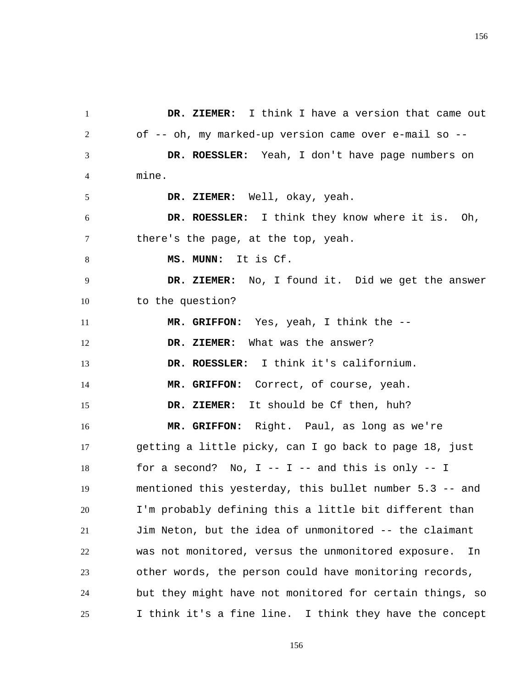1 2 3 4 5 6 7 8 9 10 11 12 13 14 15 16 17 18 19 20 21 22 23 24 25  **DR. ZIEMER:** I think I have a version that came out of -- oh, my marked-up version came over e-mail so --  **DR. ROESSLER:** Yeah, I don't have page numbers on mine.  **DR. ZIEMER:** Well, okay, yeah.  **DR. ROESSLER:** I think they know where it is. Oh, there's the page, at the top, yeah.  **MS. MUNN:** It is Cf.  **DR. ZIEMER:** No, I found it. Did we get the answer to the question?  **MR. GRIFFON:** Yes, yeah, I think the --  **DR. ZIEMER:** What was the answer?  **DR. ROESSLER:** I think it's californium.  **MR. GRIFFON:** Correct, of course, yeah.  **DR. ZIEMER:** It should be Cf then, huh?  **MR. GRIFFON:** Right. Paul, as long as we're getting a little picky, can I go back to page 18, just for a second? No,  $I - - I - -$  and this is only  $- - I$ mentioned this yesterday, this bullet number 5.3 -- and I'm probably defining this a little bit different than Jim Neton, but the idea of unmonitored -- the claimant was not monitored, versus the unmonitored exposure. In other words, the person could have monitoring records, but they might have not monitored for certain things, so I think it's a fine line. I think they have the concept

156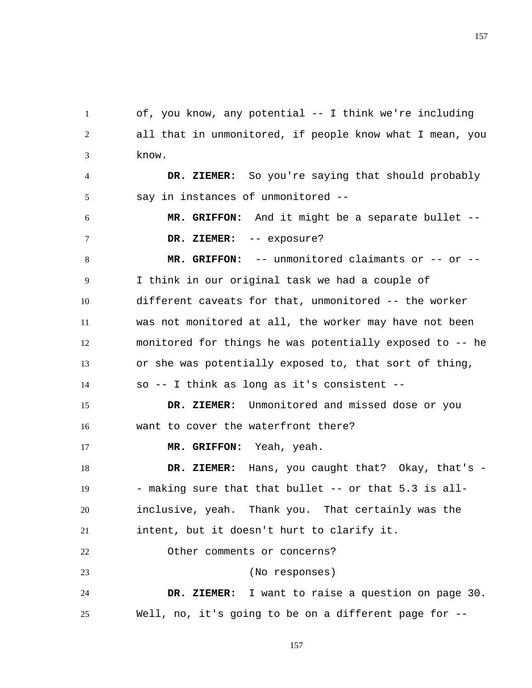1 2 3 of, you know, any potential -- I think we're including all that in unmonitored, if people know what I mean, you know.

4 5  **DR. ZIEMER:** So you're saying that should probably say in instances of unmonitored --

6 7  **MR. GRIFFON:** And it might be a separate bullet --  **DR. ZIEMER:** -- exposure?

8 9 10 11 12 13 14  **MR. GRIFFON:** -- unmonitored claimants or -- or -- I think in our original task we had a couple of different caveats for that, unmonitored -- the worker was not monitored at all, the worker may have not been monitored for things he was potentially exposed to -- he or she was potentially exposed to, that sort of thing, so -- I think as long as it's consistent --

15 16  **DR. ZIEMER:** Unmonitored and missed dose or you want to cover the waterfront there?

17  **MR. GRIFFON:** Yeah, yeah.

18 19 20 21  **DR. ZIEMER:** Hans, you caught that? Okay, that's - - making sure that that bullet -- or that 5.3 is allinclusive, yeah. Thank you. That certainly was the intent, but it doesn't hurt to clarify it.

22 Other comments or concerns?

23

(No responses)

24 25  **DR. ZIEMER:** I want to raise a question on page 30. Well, no, it's going to be on a different page for --

157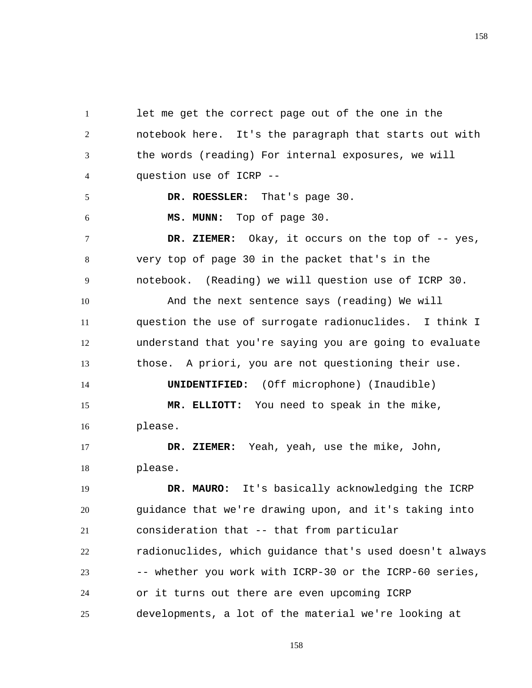1 2 3 4 let me get the correct page out of the one in the notebook here. It's the paragraph that starts out with the words (reading) For internal exposures, we will question use of ICRP --

 **DR. ROESSLER:** That's page 30.

 **MS. MUNN:** Top of page 30.

5

6

14

7 8 9  **DR. ZIEMER:** Okay, it occurs on the top of -- yes, very top of page 30 in the packet that's in the notebook. (Reading) we will question use of ICRP 30.

10 11 12 13 And the next sentence says (reading) We will question the use of surrogate radionuclides. I think I understand that you're saying you are going to evaluate those. A priori, you are not questioning their use.

**UNIDENTIFIED:** (Off microphone) (Inaudible)

15 16  **MR. ELLIOTT:** You need to speak in the mike, please.

17 18  **DR. ZIEMER:** Yeah, yeah, use the mike, John, please.

19 20 21 22 23 24 25  **DR. MAURO:** It's basically acknowledging the ICRP guidance that we're drawing upon, and it's taking into consideration that -- that from particular radionuclides, which guidance that's used doesn't always -- whether you work with ICRP-30 or the ICRP-60 series, or it turns out there are even upcoming ICRP developments, a lot of the material we're looking at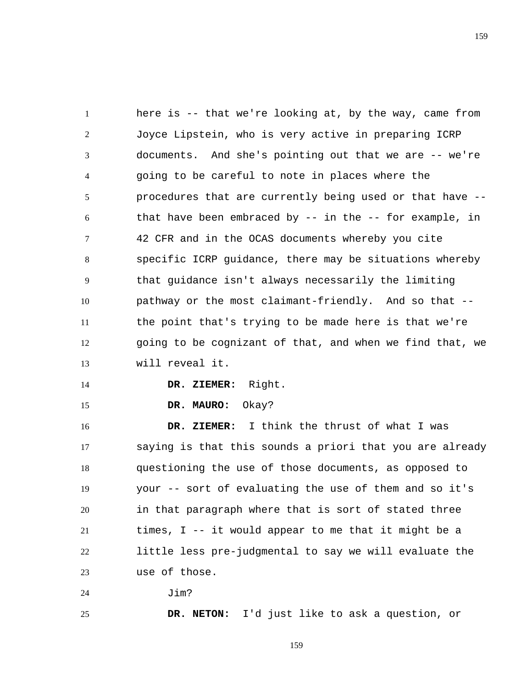1 2 3 4 5 6 7 8 9 10 11 12 13 here is -- that we're looking at, by the way, came from Joyce Lipstein, who is very active in preparing ICRP documents. And she's pointing out that we are -- we're going to be careful to note in places where the procedures that are currently being used or that have - that have been embraced by -- in the -- for example, in 42 CFR and in the OCAS documents whereby you cite specific ICRP guidance, there may be situations whereby that guidance isn't always necessarily the limiting pathway or the most claimant-friendly. And so that - the point that's trying to be made here is that we're going to be cognizant of that, and when we find that, we will reveal it.

14

15

25

 **DR. ZIEMER:** Right.

 **DR. MAURO:** Okay?

16 17 18 19 20 21 22 23  **DR. ZIEMER:** I think the thrust of what I was saying is that this sounds a priori that you are already questioning the use of those documents, as opposed to your -- sort of evaluating the use of them and so it's in that paragraph where that is sort of stated three times, I -- it would appear to me that it might be a little less pre-judgmental to say we will evaluate the use of those.

24 Jim?

 **DR. NETON:** I'd just like to ask a question, or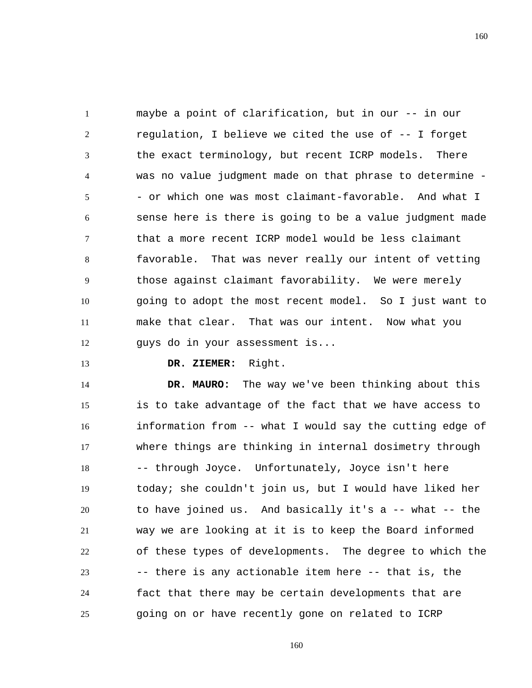1 2 3 4 5 6 7 8 9 10 11 12 maybe a point of clarification, but in our -- in our regulation, I believe we cited the use of -- I forget the exact terminology, but recent ICRP models. There was no value judgment made on that phrase to determine - - or which one was most claimant-favorable. And what I sense here is there is going to be a value judgment made that a more recent ICRP model would be less claimant favorable. That was never really our intent of vetting those against claimant favorability. We were merely going to adopt the most recent model. So I just want to make that clear. That was our intent. Now what you guys do in your assessment is...

13

 **DR. ZIEMER:** Right.

14 15 16 17 18 19 20 21 22 23 24 25  **DR. MAURO:** The way we've been thinking about this is to take advantage of the fact that we have access to information from -- what I would say the cutting edge of where things are thinking in internal dosimetry through -- through Joyce. Unfortunately, Joyce isn't here today; she couldn't join us, but I would have liked her to have joined us. And basically it's a -- what -- the way we are looking at it is to keep the Board informed of these types of developments. The degree to which the -- there is any actionable item here -- that is, the fact that there may be certain developments that are going on or have recently gone on related to ICRP

160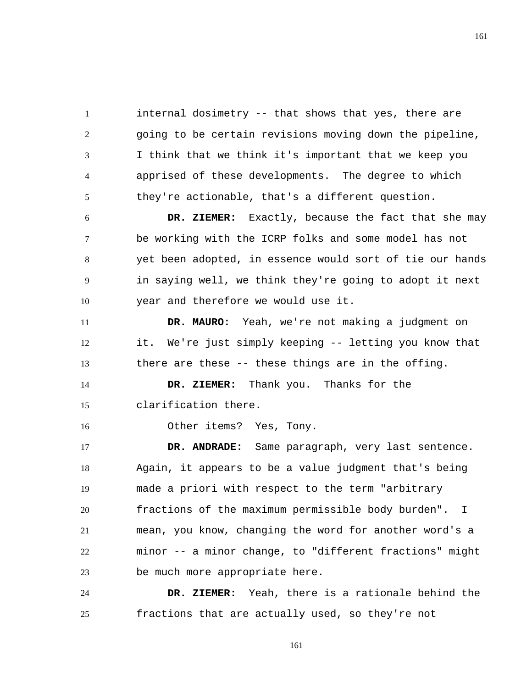1 2 3 4 5 internal dosimetry -- that shows that yes, there are going to be certain revisions moving down the pipeline, I think that we think it's important that we keep you apprised of these developments. The degree to which they're actionable, that's a different question.

6 7 8 9 10  **DR. ZIEMER:** Exactly, because the fact that she may be working with the ICRP folks and some model has not yet been adopted, in essence would sort of tie our hands in saying well, we think they're going to adopt it next year and therefore we would use it.

11 12 13  **DR. MAURO:** Yeah, we're not making a judgment on it. We're just simply keeping -- letting you know that there are these -- these things are in the offing.

14 15  **DR. ZIEMER:** Thank you. Thanks for the clarification there.

Other items? Yes, Tony.

16

17 18 19 20 21 22 23  **DR. ANDRADE:** Same paragraph, very last sentence. Again, it appears to be a value judgment that's being made a priori with respect to the term "arbitrary fractions of the maximum permissible body burden". I mean, you know, changing the word for another word's a minor -- a minor change, to "different fractions" might be much more appropriate here.

24 25  **DR. ZIEMER:** Yeah, there is a rationale behind the fractions that are actually used, so they're not

161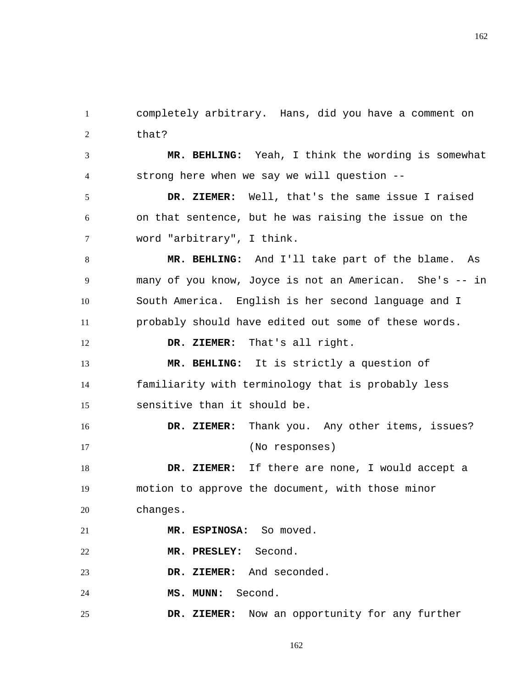1 2 completely arbitrary. Hans, did you have a comment on that?

3 4  **MR. BEHLING:** Yeah, I think the wording is somewhat strong here when we say we will question --

5 6 7  **DR. ZIEMER:** Well, that's the same issue I raised on that sentence, but he was raising the issue on the word "arbitrary", I think.

8 9 10 11  **MR. BEHLING:** And I'll take part of the blame. As many of you know, Joyce is not an American. She's -- in South America. English is her second language and I probably should have edited out some of these words.

12  **DR. ZIEMER:** That's all right.

13 14 15  **MR. BEHLING:** It is strictly a question of familiarity with terminology that is probably less sensitive than it should be.

16 17  **DR. ZIEMER:** Thank you. Any other items, issues? (No responses)

18 19 20 **DR. ZIEMER:** If there are none, I would accept a motion to approve the document, with those minor changes.

21  **MR. ESPINOSA:** So moved.

22  **MR. PRESLEY:** Second.

23  **DR. ZIEMER:** And seconded.

24  **MS. MUNN:** Second.

25  **DR. ZIEMER:** Now an opportunity for any further 162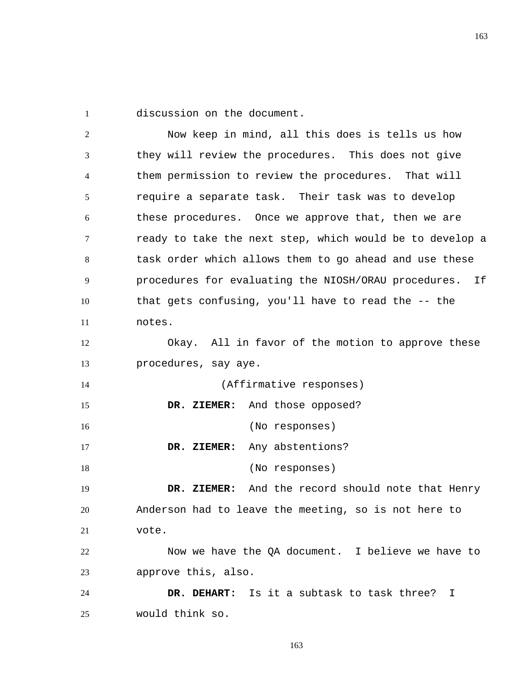1 discussion on the document.

2 3 4 5 6 7 8 9 10 11 12 13 14 15 16 17 18 19 20 21 22 23 24 25 Now keep in mind, all this does is tells us how they will review the procedures. This does not give them permission to review the procedures. That will require a separate task. Their task was to develop these procedures. Once we approve that, then we are ready to take the next step, which would be to develop a task order which allows them to go ahead and use these procedures for evaluating the NIOSH/ORAU procedures. If that gets confusing, you'll have to read the -- the notes. Okay. All in favor of the motion to approve these procedures, say aye. (Affirmative responses)  **DR. ZIEMER:** And those opposed? (No responses)  **DR. ZIEMER:** Any abstentions? (No responses)  **DR. ZIEMER:** And the record should note that Henry Anderson had to leave the meeting, so is not here to vote. Now we have the QA document. I believe we have to approve this, also.  **DR. DEHART:** Is it a subtask to task three? I would think so.

163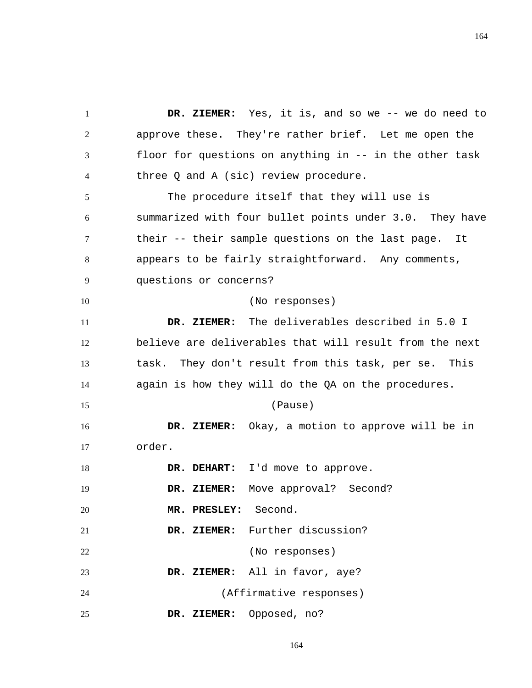1 2 3 4 5 6 7 8 9 10 11 12 13 14 15 16 17 18 19 20 21 22 23 24 25  **DR. ZIEMER:** Yes, it is, and so we -- we do need to approve these. They're rather brief. Let me open the floor for questions on anything in -- in the other task three Q and A (sic) review procedure. The procedure itself that they will use is summarized with four bullet points under 3.0. They have their -- their sample questions on the last page. It appears to be fairly straightforward. Any comments, questions or concerns? (No responses)  **DR. ZIEMER:** The deliverables described in 5.0 I believe are deliverables that will result from the next task. They don't result from this task, per se. This again is how they will do the QA on the procedures. (Pause)  **DR. ZIEMER:** Okay, a motion to approve will be in order.  **DR. DEHART:** I'd move to approve.  **DR. ZIEMER:** Move approval? Second?  **MR. PRESLEY:** Second.  **DR. ZIEMER:** Further discussion? (No responses)  **DR. ZIEMER:** All in favor, aye? (Affirmative responses)  **DR. ZIEMER:** Opposed, no?

164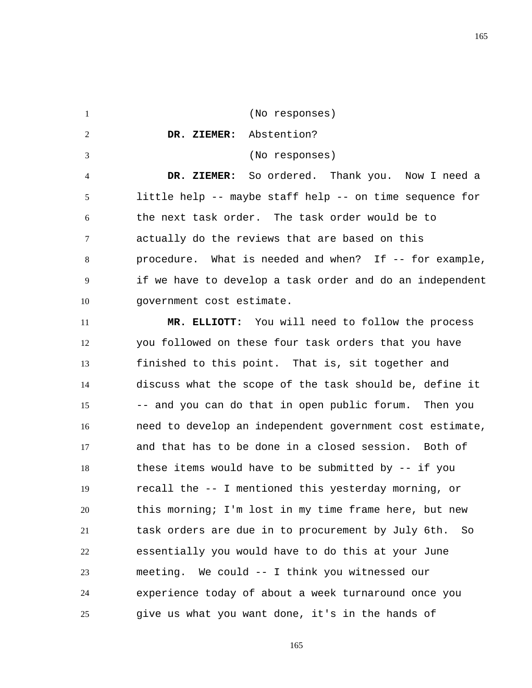1 2 3 4 5 6 7 8 9 10 (No responses)  **DR. ZIEMER:** Abstention? (No responses)  **DR. ZIEMER:** So ordered. Thank you. Now I need a little help -- maybe staff help -- on time sequence for the next task order. The task order would be to actually do the reviews that are based on this procedure. What is needed and when? If -- for example, if we have to develop a task order and do an independent government cost estimate.

11 12 13 14 15 16 17 18 19 20 21 22 23 24 25  **MR. ELLIOTT:** You will need to follow the process you followed on these four task orders that you have finished to this point. That is, sit together and discuss what the scope of the task should be, define it -- and you can do that in open public forum. Then you need to develop an independent government cost estimate, and that has to be done in a closed session. Both of these items would have to be submitted by -- if you recall the -- I mentioned this yesterday morning, or this morning; I'm lost in my time frame here, but new task orders are due in to procurement by July 6th. So essentially you would have to do this at your June meeting. We could -- I think you witnessed our experience today of about a week turnaround once you give us what you want done, it's in the hands of

165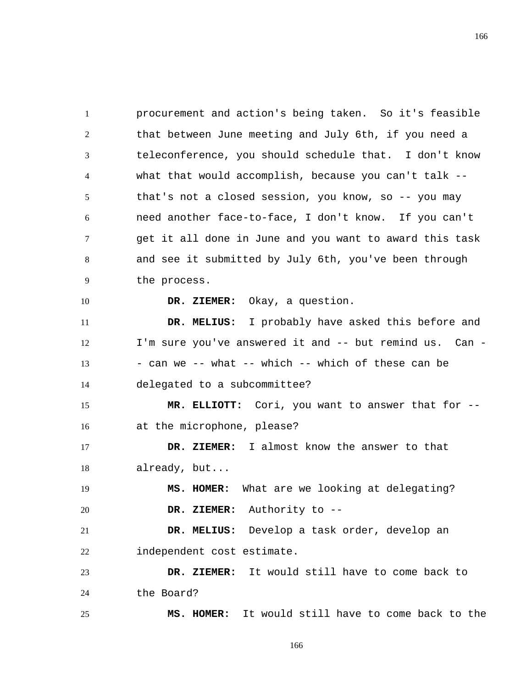1 2 3 4 5 6 7 8 9 procurement and action's being taken. So it's feasible that between June meeting and July 6th, if you need a teleconference, you should schedule that. I don't know what that would accomplish, because you can't talk - that's not a closed session, you know, so -- you may need another face-to-face, I don't know. If you can't get it all done in June and you want to award this task and see it submitted by July 6th, you've been through the process.

 **DR. ZIEMER:** Okay, a question.

10

25

11 12 13 14  **DR. MELIUS:** I probably have asked this before and I'm sure you've answered it and -- but remind us. Can - - can we -- what -- which -- which of these can be delegated to a subcommittee?

15 16  **MR. ELLIOTT:** Cori, you want to answer that for - at the microphone, please?

17 18  **DR. ZIEMER:** I almost know the answer to that already, but...

19 20  **MS. HOMER:** What are we looking at delegating?  **DR. ZIEMER:** Authority to --

21 22  **DR. MELIUS:** Develop a task order, develop an independent cost estimate.

23 24  **DR. ZIEMER:** It would still have to come back to the Board?

 **MS. HOMER:** It would still have to come back to the

166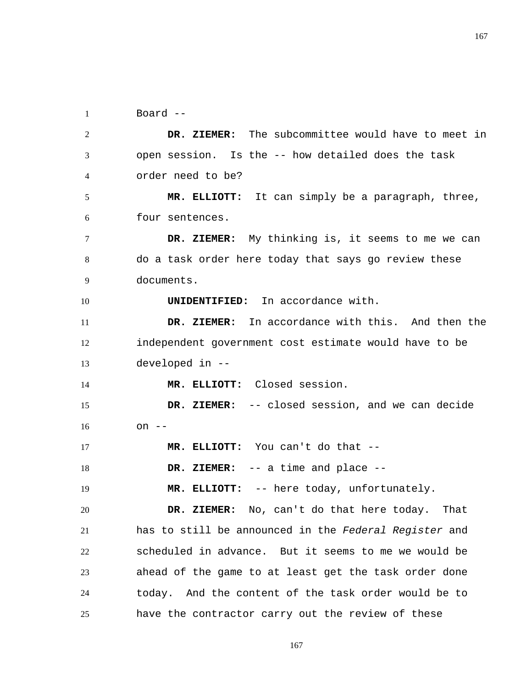1 Board --

10

2 3 4  **DR. ZIEMER:** The subcommittee would have to meet in open session. Is the -- how detailed does the task order need to be?

5 6  **MR. ELLIOTT:** It can simply be a paragraph, three, four sentences.

7 8 9  **DR. ZIEMER:** My thinking is, it seems to me we can do a task order here today that says go review these documents.

**UNIDENTIFIED:** In accordance with.

11 12 13  **DR. ZIEMER:** In accordance with this. And then the independent government cost estimate would have to be developed in --

14  **MR. ELLIOTT:** Closed session.

15 16  **DR. ZIEMER:** -- closed session, and we can decide on --

17  **MR. ELLIOTT:** You can't do that --

18  **DR. ZIEMER:** -- a time and place --

19  **MR. ELLIOTT:** -- here today, unfortunately.

20 21 22 23 24 25  **DR. ZIEMER:** No, can't do that here today. That has to still be announced in the *Federal Register* and scheduled in advance. But it seems to me we would be ahead of the game to at least get the task order done today. And the content of the task order would be to have the contractor carry out the review of these

167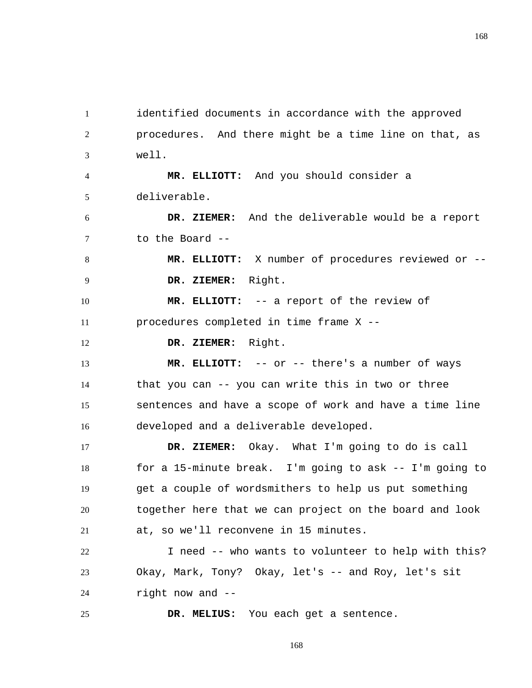1 2 3 identified documents in accordance with the approved procedures. And there might be a time line on that, as well.

4 5  **MR. ELLIOTT:** And you should consider a deliverable.

6 7  **DR. ZIEMER:** And the deliverable would be a report to the Board --

8 9  **MR. ELLIOTT:** X number of procedures reviewed or --  **DR. ZIEMER:** Right.

10 11  **MR. ELLIOTT:** -- a report of the review of procedures completed in time frame X --

12  **DR. ZIEMER:** Right.

13 14 15 16  **MR. ELLIOTT:** -- or -- there's a number of ways that you can -- you can write this in two or three sentences and have a scope of work and have a time line developed and a deliverable developed.

17 18 19 20 21  **DR. ZIEMER:** Okay. What I'm going to do is call for a 15-minute break. I'm going to ask -- I'm going to get a couple of wordsmithers to help us put something together here that we can project on the board and look at, so we'll reconvene in 15 minutes.

22 23 24 I need -- who wants to volunteer to help with this? Okay, Mark, Tony? Okay, let's -- and Roy, let's sit right now and --

25  **DR. MELIUS:** You each get a sentence.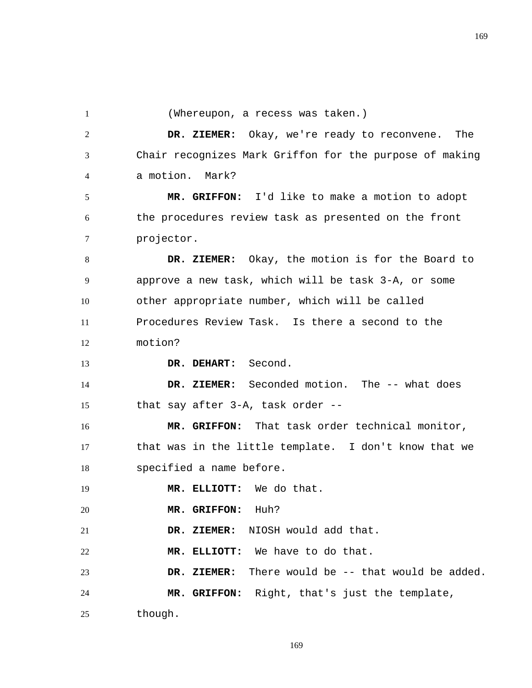1

13

| (Whereupon, a recess was taken.) |  |  |  |  |  |
|----------------------------------|--|--|--|--|--|
|----------------------------------|--|--|--|--|--|

2 3 4  **DR. ZIEMER:** Okay, we're ready to reconvene. The Chair recognizes Mark Griffon for the purpose of making a motion. Mark?

5 6 7  **MR. GRIFFON:** I'd like to make a motion to adopt the procedures review task as presented on the front projector.

8 9 10 11 12  **DR. ZIEMER:** Okay, the motion is for the Board to approve a new task, which will be task 3-A, or some other appropriate number, which will be called Procedures Review Task. Is there a second to the motion?

 **DR. DEHART:** Second.

14 15  **DR. ZIEMER:** Seconded motion. The -- what does that say after 3-A, task order --

16 17 18  **MR. GRIFFON:** That task order technical monitor, that was in the little template. I don't know that we specified a name before.

19  **MR. ELLIOTT:** We do that.

20  **MR. GRIFFON:** Huh?

21  **DR. ZIEMER:** NIOSH would add that.

22  **MR. ELLIOTT:** We have to do that.

23 24 DR. ZIEMER: There would be -- that would be added.  **MR. GRIFFON:** Right, that's just the template,

25 though.

169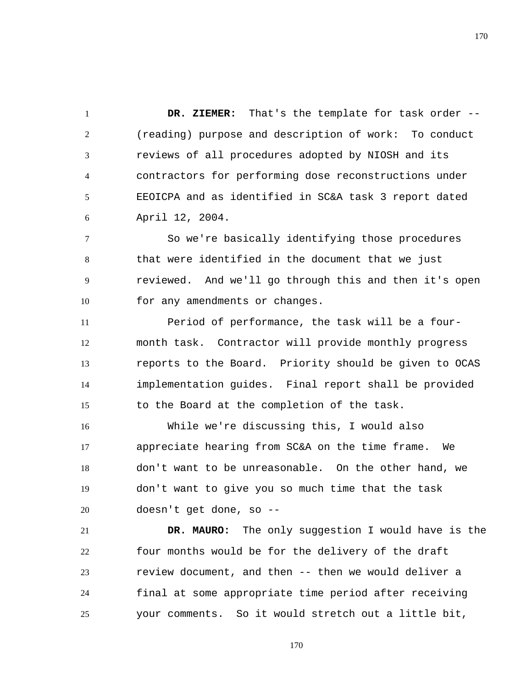1 2 3 4 5 6  **DR. ZIEMER:** That's the template for task order -- (reading) purpose and description of work: To conduct reviews of all procedures adopted by NIOSH and its contractors for performing dose reconstructions under EEOICPA and as identified in SC&A task 3 report dated April 12, 2004.

7 8 9 10 So we're basically identifying those procedures that were identified in the document that we just reviewed. And we'll go through this and then it's open for any amendments or changes.

11 12 13 14 15 Period of performance, the task will be a fourmonth task. Contractor will provide monthly progress reports to the Board. Priority should be given to OCAS implementation guides. Final report shall be provided to the Board at the completion of the task.

16 17 18 19 20 While we're discussing this, I would also appreciate hearing from SC&A on the time frame. We don't want to be unreasonable. On the other hand, we don't want to give you so much time that the task doesn't get done, so --

21 22 23 24 25  **DR. MAURO:** The only suggestion I would have is the four months would be for the delivery of the draft review document, and then -- then we would deliver a final at some appropriate time period after receiving your comments. So it would stretch out a little bit,

170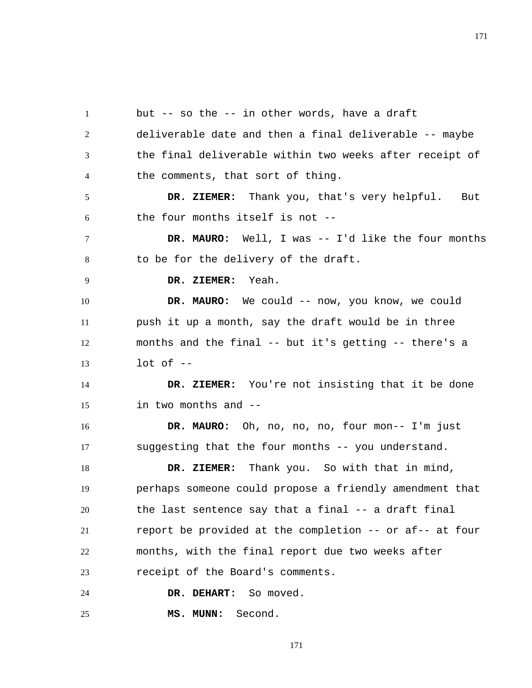1 2 3 4 5 6 7 8 9 10 11 12 13 14 15 16 17 18 19 20 21 22 23 24 25 but -- so the -- in other words, have a draft deliverable date and then a final deliverable -- maybe the final deliverable within two weeks after receipt of the comments, that sort of thing.  **DR. ZIEMER:** Thank you, that's very helpful. But the four months itself is not --  **DR. MAURO:** Well, I was -- I'd like the four months to be for the delivery of the draft.  **DR. ZIEMER:** Yeah. DR. MAURO: We could -- now, you know, we could push it up a month, say the draft would be in three months and the final -- but it's getting -- there's a  $lot$  of  $--$  **DR. ZIEMER:** You're not insisting that it be done in two months and --  **DR. MAURO:** Oh, no, no, no, four mon-- I'm just suggesting that the four months -- you understand.  **DR. ZIEMER:** Thank you. So with that in mind, perhaps someone could propose a friendly amendment that the last sentence say that a final -- a draft final report be provided at the completion -- or af-- at four months, with the final report due two weeks after receipt of the Board's comments. DR. DEHART: So moved.  **MS. MUNN:** Second.

171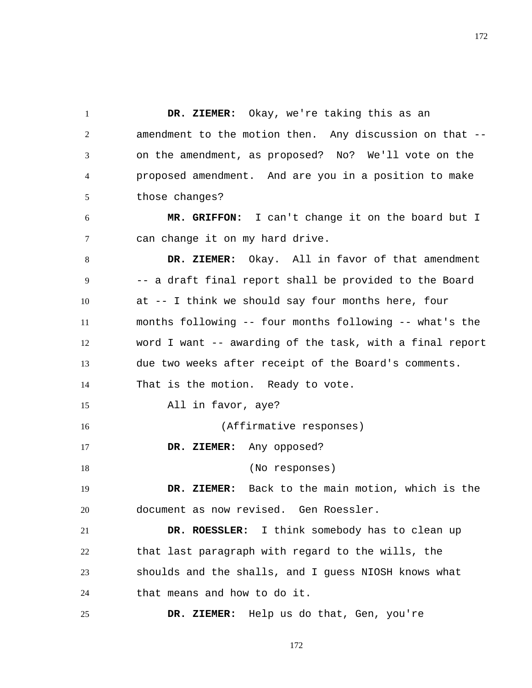1 2 3 4 5  **DR. ZIEMER:** Okay, we're taking this as an amendment to the motion then. Any discussion on that - on the amendment, as proposed? No? We'll vote on the proposed amendment. And are you in a position to make those changes?

6 7  **MR. GRIFFON:** I can't change it on the board but I can change it on my hard drive.

8 9 10 11 12 13 14 15 16 17 18 19 20 21 22 23 24  **DR. ZIEMER:** Okay. All in favor of that amendment -- a draft final report shall be provided to the Board at -- I think we should say four months here, four months following -- four months following -- what's the word I want -- awarding of the task, with a final report due two weeks after receipt of the Board's comments. That is the motion. Ready to vote. All in favor, aye? (Affirmative responses)  **DR. ZIEMER:** Any opposed? (No responses)  **DR. ZIEMER:** Back to the main motion, which is the document as now revised. Gen Roessler.  **DR. ROESSLER:** I think somebody has to clean up that last paragraph with regard to the wills, the shoulds and the shalls, and I guess NIOSH knows what that means and how to do it.

25  **DR. ZIEMER:** Help us do that, Gen, you're

172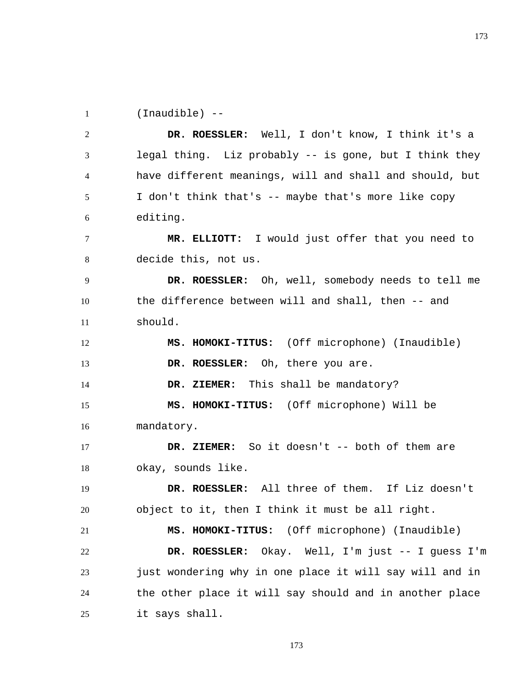1 (Inaudible) --

2 3 4 5 6  **DR. ROESSLER:** Well, I don't know, I think it's a legal thing. Liz probably -- is gone, but I think they have different meanings, will and shall and should, but I don't think that's -- maybe that's more like copy editing.

7 8  **MR. ELLIOTT:** I would just offer that you need to decide this, not us.

9 10 11  **DR. ROESSLER:** Oh, well, somebody needs to tell me the difference between will and shall, then -- and should.

12 13  **MS. HOMOKI-TITUS:** (Off microphone) (Inaudible)  **DR. ROESSLER:** Oh, there you are.

14  **DR. ZIEMER:** This shall be mandatory?

15 16  **MS. HOMOKI-TITUS:** (Off microphone) Will be mandatory.

17 18  **DR. ZIEMER:** So it doesn't -- both of them are okay, sounds like.

19 20  **DR. ROESSLER:** All three of them. If Liz doesn't object to it, then I think it must be all right.

21 22 23 24 25  **MS. HOMOKI-TITUS:** (Off microphone) (Inaudible)  **DR. ROESSLER:** Okay. Well, I'm just -- I guess I'm just wondering why in one place it will say will and in the other place it will say should and in another place it says shall.

173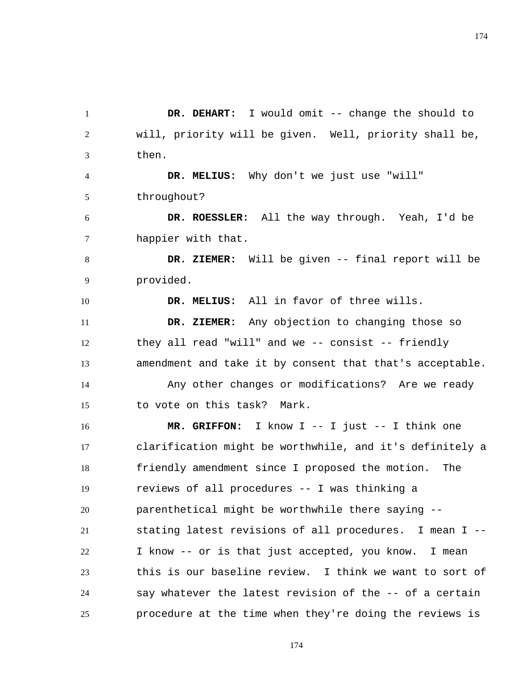1 2 3  **DR. DEHART:** I would omit -- change the should to will, priority will be given. Well, priority shall be, then.

4 5  **DR. MELIUS:** Why don't we just use "will" throughout?

10

6 7  **DR. ROESSLER:** All the way through. Yeah, I'd be happier with that.

8 9  **DR. ZIEMER:** Will be given -- final report will be provided.

 **DR. MELIUS:** All in favor of three wills.

11 12 13  **DR. ZIEMER:** Any objection to changing those so they all read "will" and we -- consist -- friendly amendment and take it by consent that that's acceptable.

14 15 Any other changes or modifications? Are we ready to vote on this task? Mark.

16 17 18 19 20 21 22 23 24 25  **MR. GRIFFON:** I know I -- I just -- I think one clarification might be worthwhile, and it's definitely a friendly amendment since I proposed the motion. The reviews of all procedures -- I was thinking a parenthetical might be worthwhile there saying - stating latest revisions of all procedures. I mean I -- I know -- or is that just accepted, you know. I mean this is our baseline review. I think we want to sort of say whatever the latest revision of the -- of a certain procedure at the time when they're doing the reviews is

174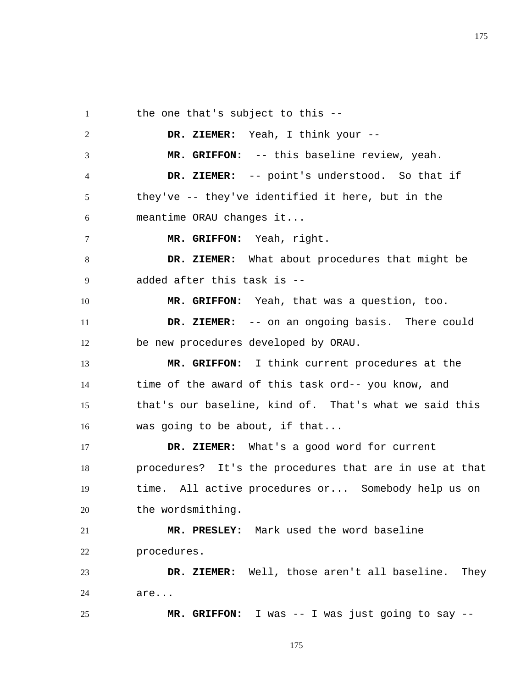1 2 3 4 5 6 7 8 9 10 11 12 13 14 the one that's subject to this --  **DR. ZIEMER:** Yeah, I think your --  **MR. GRIFFON:** -- this baseline review, yeah.  **DR. ZIEMER:** -- point's understood. So that if they've -- they've identified it here, but in the meantime ORAU changes it...  **MR. GRIFFON:** Yeah, right.  **DR. ZIEMER:** What about procedures that might be added after this task is --  **MR. GRIFFON:** Yeah, that was a question, too.  **DR. ZIEMER:** -- on an ongoing basis. There could be new procedures developed by ORAU.  **MR. GRIFFON:** I think current procedures at the time of the award of this task ord-- you know, and

15 16 that's our baseline, kind of. That's what we said this was going to be about, if that...

17 18 19 20  **DR. ZIEMER:** What's a good word for current procedures? It's the procedures that are in use at that time. All active procedures or... Somebody help us on the wordsmithing.

21 22  **MR. PRESLEY:** Mark used the word baseline procedures.

25

23 24  **DR. ZIEMER:** Well, those aren't all baseline. They are...

 **MR. GRIFFON:** I was -- I was just going to say --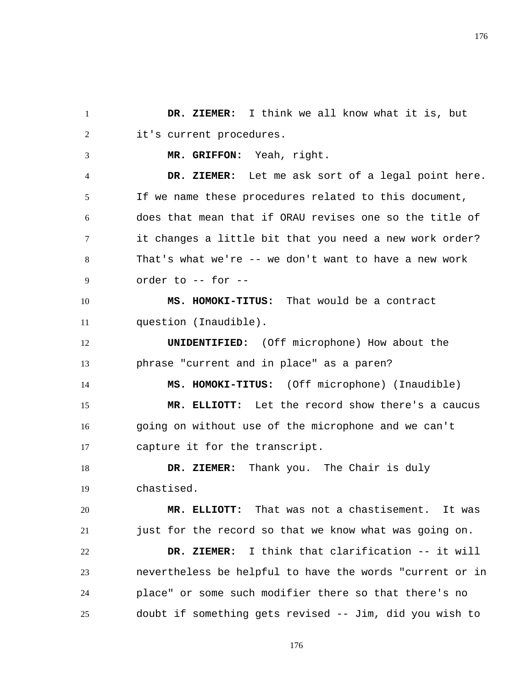1 2  **DR. ZIEMER:** I think we all know what it is, but it's current procedures.

 **MR. GRIFFON:** Yeah, right.

3

14

4 5 6 7 8 9  **DR. ZIEMER:** Let me ask sort of a legal point here. If we name these procedures related to this document, does that mean that if ORAU revises one so the title of it changes a little bit that you need a new work order? That's what we're -- we don't want to have a new work order to -- for --

10 11  **MS. HOMOKI-TITUS:** That would be a contract question (Inaudible).

12 13 **UNIDENTIFIED:** (Off microphone) How about the phrase "current and in place" as a paren?

 **MS. HOMOKI-TITUS:** (Off microphone) (Inaudible)

15 16 17  **MR. ELLIOTT:** Let the record show there's a caucus going on without use of the microphone and we can't capture it for the transcript.

18 19  **DR. ZIEMER:** Thank you. The Chair is duly chastised.

20 21  **MR. ELLIOTT:** That was not a chastisement. It was just for the record so that we know what was going on.

22 23 24 25  **DR. ZIEMER:** I think that clarification -- it will nevertheless be helpful to have the words "current or in place" or some such modifier there so that there's no doubt if something gets revised -- Jim, did you wish to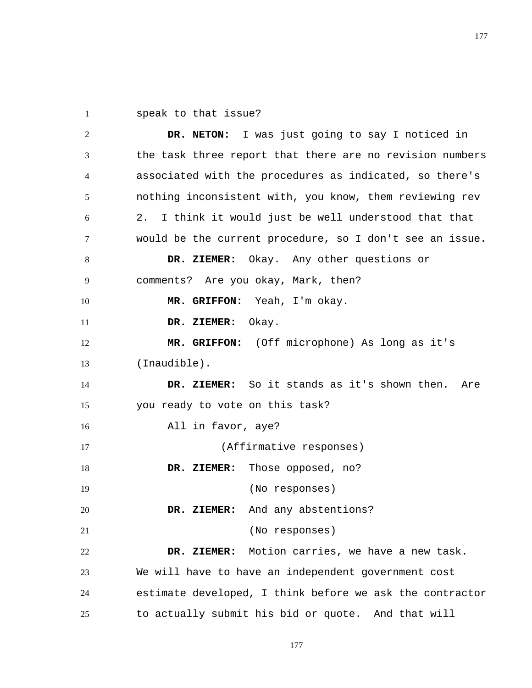1 speak to that issue?

2 3 4 5 6 7 8 9 10 11 12 13 14 15 16 17 18 19 20 21 22 23 24 25  **DR. NETON:** I was just going to say I noticed in the task three report that there are no revision numbers associated with the procedures as indicated, so there's nothing inconsistent with, you know, them reviewing rev 2. I think it would just be well understood that that would be the current procedure, so I don't see an issue.  **DR. ZIEMER:** Okay. Any other questions or comments? Are you okay, Mark, then?  **MR. GRIFFON:** Yeah, I'm okay.  **DR. ZIEMER:** Okay.  **MR. GRIFFON:** (Off microphone) As long as it's (Inaudible).  **DR. ZIEMER:** So it stands as it's shown then. Are you ready to vote on this task? All in favor, aye? (Affirmative responses)  **DR. ZIEMER:** Those opposed, no? (No responses)  **DR. ZIEMER:** And any abstentions? (No responses)  **DR. ZIEMER:** Motion carries, we have a new task. We will have to have an independent government cost estimate developed, I think before we ask the contractor to actually submit his bid or quote. And that will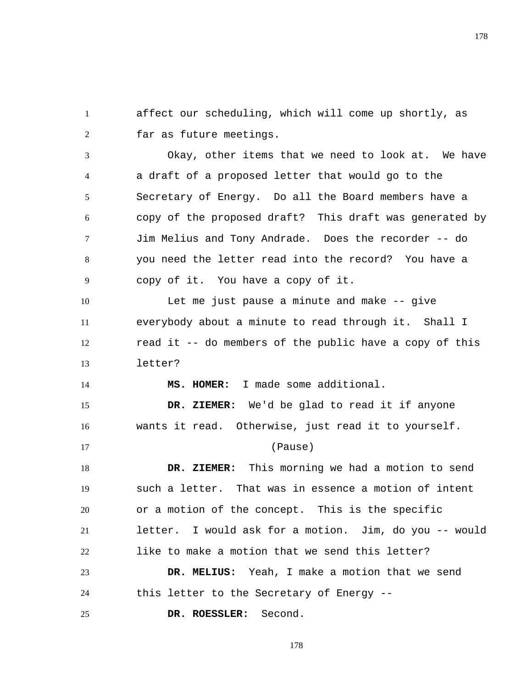1 2 affect our scheduling, which will come up shortly, as far as future meetings.

3 4 5 6 7 8 9 Okay, other items that we need to look at. We have a draft of a proposed letter that would go to the Secretary of Energy. Do all the Board members have a copy of the proposed draft? This draft was generated by Jim Melius and Tony Andrade. Does the recorder -- do you need the letter read into the record? You have a copy of it. You have a copy of it.

10 11 12 13 Let me just pause a minute and make -- give everybody about a minute to read through it. Shall I read it -- do members of the public have a copy of this letter?

 **MS. HOMER:** I made some additional.

15 16  **DR. ZIEMER:** We'd be glad to read it if anyone wants it read. Otherwise, just read it to yourself.

## (Pause)

18 19 20 21 22  **DR. ZIEMER:** This morning we had a motion to send such a letter. That was in essence a motion of intent or a motion of the concept. This is the specific letter. I would ask for a motion. Jim, do you -- would like to make a motion that we send this letter?

23 24  **DR. MELIUS:** Yeah, I make a motion that we send this letter to the Secretary of Energy --

25  **DR. ROESSLER:** Second.

14

17

178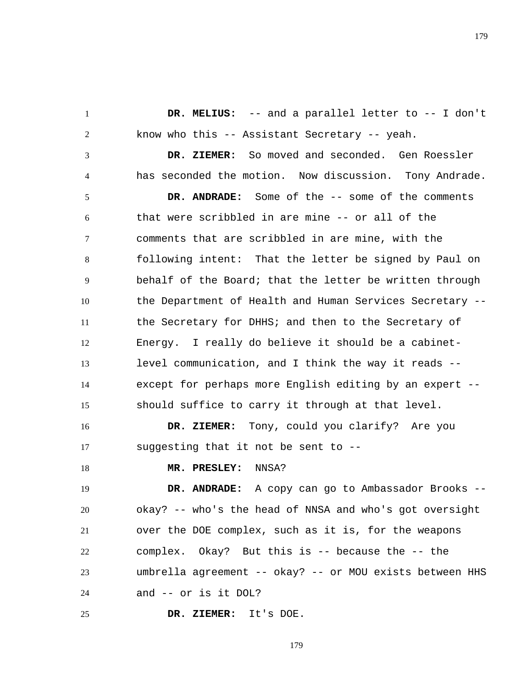**DR. MELIUS:** -- and a parallel letter to -- I don't know who this -- Assistant Secretary -- yeah.

 **DR. ZIEMER:** So moved and seconded. Gen Roessler has seconded the motion. Now discussion. Tony Andrade.

5 6 7 8 9 10 11 12 13 14 15  **DR. ANDRADE:** Some of the -- some of the comments that were scribbled in are mine -- or all of the comments that are scribbled in are mine, with the following intent: That the letter be signed by Paul on behalf of the Board; that the letter be written through the Department of Health and Human Services Secretary - the Secretary for DHHS; and then to the Secretary of Energy. I really do believe it should be a cabinetlevel communication, and I think the way it reads - except for perhaps more English editing by an expert - should suffice to carry it through at that level.

16 17  **DR. ZIEMER:** Tony, could you clarify? Are you suggesting that it not be sent to --

18

1

2

3

4

## **MR. PRESLEY:** NNSA?

19 20 21 22 23 24  **DR. ANDRADE:** A copy can go to Ambassador Brooks - okay? -- who's the head of NNSA and who's got oversight over the DOE complex, such as it is, for the weapons complex. Okay? But this is -- because the -- the umbrella agreement -- okay? -- or MOU exists between HHS and -- or is it DOL?

25  **DR. ZIEMER:** It's DOE.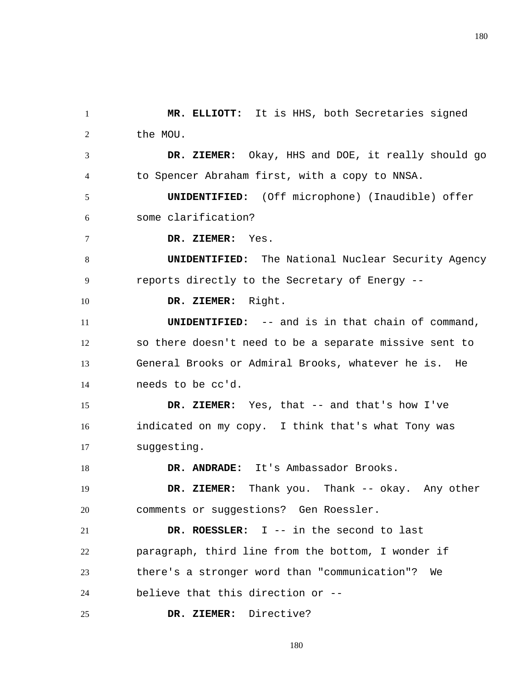1 2  **MR. ELLIOTT:** It is HHS, both Secretaries signed the MOU.

3 4  **DR. ZIEMER:** Okay, HHS and DOE, it really should go to Spencer Abraham first, with a copy to NNSA.

5 6 **UNIDENTIFIED:** (Off microphone) (Inaudible) offer some clarification?

7  **DR. ZIEMER:** Yes.

10

18

8 9 **UNIDENTIFIED:** The National Nuclear Security Agency reports directly to the Secretary of Energy --

 **DR. ZIEMER:** Right.

11 12 13 14 **UNIDENTIFIED:** -- and is in that chain of command, so there doesn't need to be a separate missive sent to General Brooks or Admiral Brooks, whatever he is. He needs to be cc'd.

15 16 17  **DR. ZIEMER:** Yes, that -- and that's how I've indicated on my copy. I think that's what Tony was suggesting.

 **DR. ANDRADE:** It's Ambassador Brooks.

19 20  **DR. ZIEMER:** Thank you. Thank -- okay. Any other comments or suggestions? Gen Roessler.

21 22 23 24  **DR. ROESSLER:** I -- in the second to last paragraph, third line from the bottom, I wonder if there's a stronger word than "communication"? We believe that this direction or --

25  **DR. ZIEMER:** Directive?

180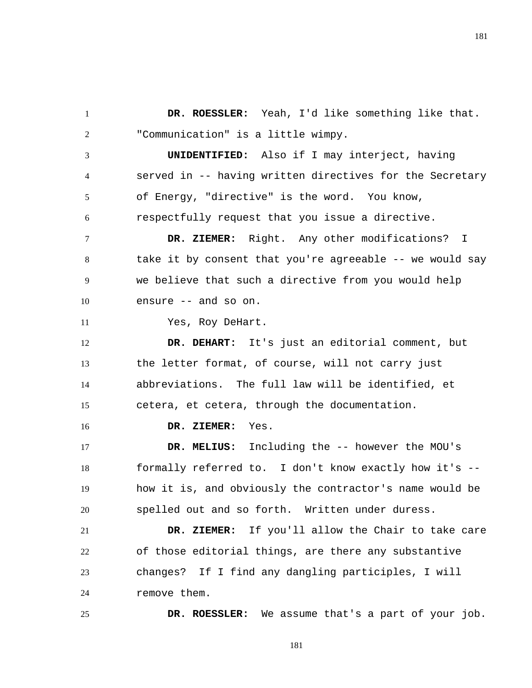1 2  **DR. ROESSLER:** Yeah, I'd like something like that. "Communication" is a little wimpy.

3 4 5 6 **UNIDENTIFIED:** Also if I may interject, having served in -- having written directives for the Secretary of Energy, "directive" is the word. You know, respectfully request that you issue a directive.

7 8 9 10  **DR. ZIEMER:** Right. Any other modifications? I take it by consent that you're agreeable -- we would say we believe that such a directive from you would help ensure -- and so on.

Yes, Roy DeHart.

11

16

25

12 13 14 15  **DR. DEHART:** It's just an editorial comment, but the letter format, of course, will not carry just abbreviations. The full law will be identified, et cetera, et cetera, through the documentation.

 **DR. ZIEMER:** Yes.

17 18 19 20  **DR. MELIUS:** Including the -- however the MOU's formally referred to. I don't know exactly how it's - how it is, and obviously the contractor's name would be spelled out and so forth. Written under duress.

21 22 23 24  **DR. ZIEMER:** If you'll allow the Chair to take care of those editorial things, are there any substantive changes? If I find any dangling participles, I will remove them.

 **DR. ROESSLER:** We assume that's a part of your job.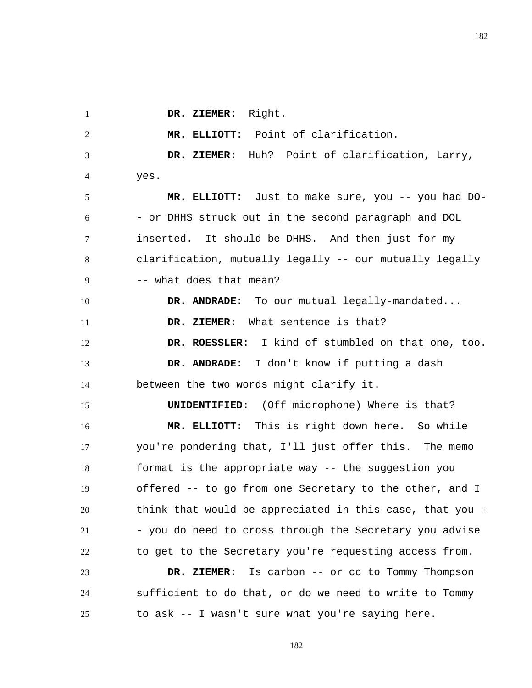1

4

 **DR. ZIEMER:** Right.

2 3  **MR. ELLIOTT:** Point of clarification.  **DR. ZIEMER:** Huh? Point of clarification, Larry,

yes.

5 6 7 8 9  **MR. ELLIOTT:** Just to make sure, you -- you had DO- - or DHHS struck out in the second paragraph and DOL inserted. It should be DHHS. And then just for my clarification, mutually legally -- our mutually legally -- what does that mean?

10 11 12 13 14  **DR. ANDRADE:** To our mutual legally-mandated...  **DR. ZIEMER:** What sentence is that?  **DR. ROESSLER:** I kind of stumbled on that one, too.  **DR. ANDRADE:** I don't know if putting a dash between the two words might clarify it.

15 16 17 18 19 20 21 22 **UNIDENTIFIED:** (Off microphone) Where is that?  **MR. ELLIOTT:** This is right down here. So while you're pondering that, I'll just offer this. The memo format is the appropriate way -- the suggestion you offered -- to go from one Secretary to the other, and I think that would be appreciated in this case, that you - - you do need to cross through the Secretary you advise to get to the Secretary you're requesting access from.

23 24 25  **DR. ZIEMER:** Is carbon -- or cc to Tommy Thompson sufficient to do that, or do we need to write to Tommy to ask -- I wasn't sure what you're saying here.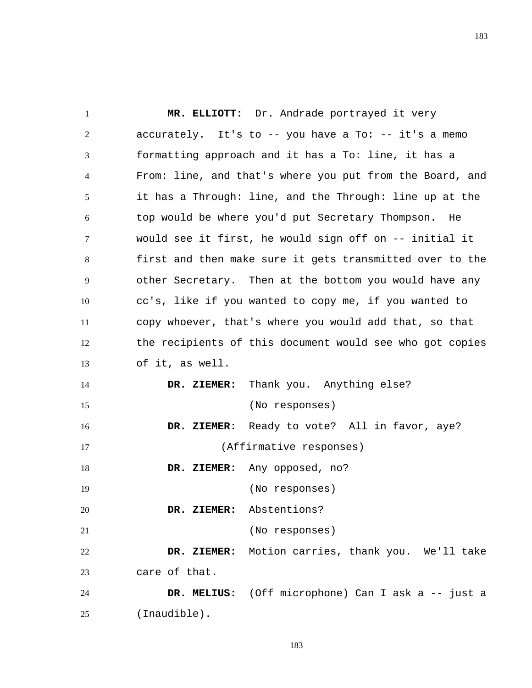1 2 3 4 5 6 7 8 9 10 11 12 13 14 15 16 17 18 19 20 21 22 23 24 25  **MR. ELLIOTT:** Dr. Andrade portrayed it very accurately. It's to  $-$ - you have a To:  $-$  it's a memo formatting approach and it has a To: line, it has a From: line, and that's where you put from the Board, and it has a Through: line, and the Through: line up at the top would be where you'd put Secretary Thompson. He would see it first, he would sign off on -- initial it first and then make sure it gets transmitted over to the other Secretary. Then at the bottom you would have any cc's, like if you wanted to copy me, if you wanted to copy whoever, that's where you would add that, so that the recipients of this document would see who got copies of it, as well.  **DR. ZIEMER:** Thank you. Anything else? (No responses)  **DR. ZIEMER:** Ready to vote? All in favor, aye? (Affirmative responses)  **DR. ZIEMER:** Any opposed, no? (No responses)  **DR. ZIEMER:** Abstentions? (No responses)  **DR. ZIEMER:** Motion carries, thank you. We'll take care of that.  **DR. MELIUS:** (Off microphone) Can I ask a -- just a (Inaudible).

183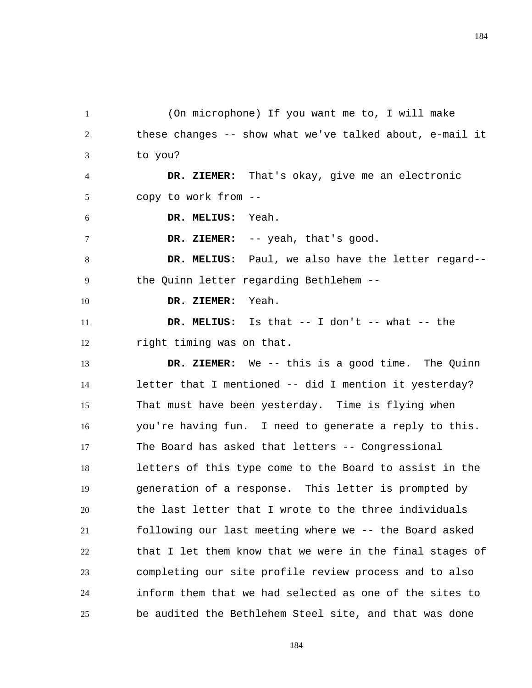1 2 3 4 5 6 7 8 9 10 11 12 13 14 15 16 17 18 19 20 21 22 23 24 (On microphone) If you want me to, I will make these changes -- show what we've talked about, e-mail it to you?  **DR. ZIEMER:** That's okay, give me an electronic copy to work from --  **DR. MELIUS:** Yeah.  **DR. ZIEMER:** -- yeah, that's good.  **DR. MELIUS:** Paul, we also have the letter regard- the Quinn letter regarding Bethlehem --  **DR. ZIEMER:** Yeah.  **DR. MELIUS:** Is that -- I don't -- what -- the right timing was on that.  **DR. ZIEMER:** We -- this is a good time. The Quinn letter that I mentioned -- did I mention it yesterday? That must have been yesterday. Time is flying when you're having fun. I need to generate a reply to this. The Board has asked that letters -- Congressional letters of this type come to the Board to assist in the generation of a response. This letter is prompted by the last letter that I wrote to the three individuals following our last meeting where we -- the Board asked that I let them know that we were in the final stages of completing our site profile review process and to also inform them that we had selected as one of the sites to

25 be audited the Bethlehem Steel site, and that was done

184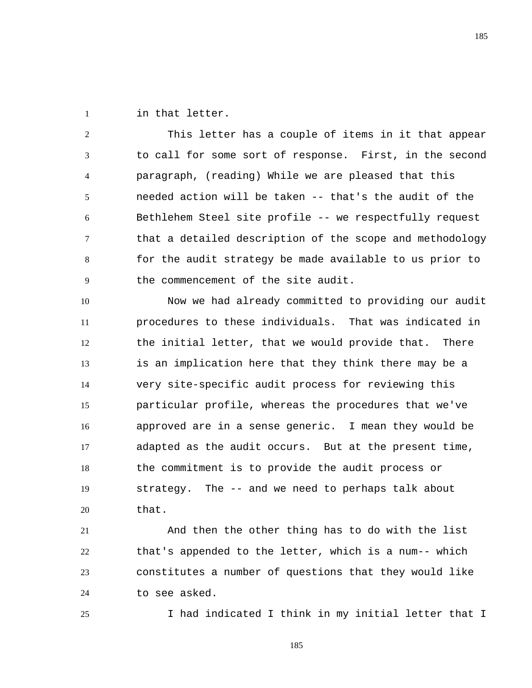1 in that letter.

25

2 3 4 5 6 7 8 9 This letter has a couple of items in it that appear to call for some sort of response. First, in the second paragraph, (reading) While we are pleased that this needed action will be taken -- that's the audit of the Bethlehem Steel site profile -- we respectfully request that a detailed description of the scope and methodology for the audit strategy be made available to us prior to the commencement of the site audit.

10 11 12 13 14 15 16 17 18 19 20 Now we had already committed to providing our audit procedures to these individuals. That was indicated in the initial letter, that we would provide that. There is an implication here that they think there may be a very site-specific audit process for reviewing this particular profile, whereas the procedures that we've approved are in a sense generic. I mean they would be adapted as the audit occurs. But at the present time, the commitment is to provide the audit process or strategy. The -- and we need to perhaps talk about that.

21 22 23 24 And then the other thing has to do with the list that's appended to the letter, which is a num-- which constitutes a number of questions that they would like to see asked.

I had indicated I think in my initial letter that I

185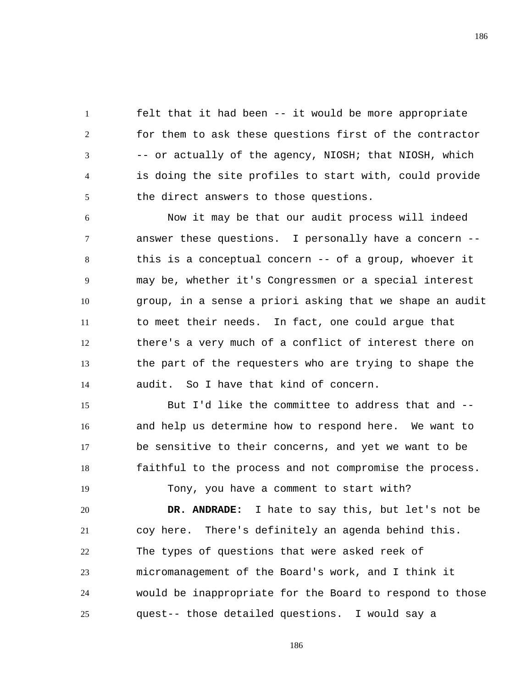1 2 3 4 5 felt that it had been -- it would be more appropriate for them to ask these questions first of the contractor -- or actually of the agency, NIOSH; that NIOSH, which is doing the site profiles to start with, could provide the direct answers to those questions.

6 7 8 9 10 11 12 13 14 Now it may be that our audit process will indeed answer these questions. I personally have a concern - this is a conceptual concern -- of a group, whoever it may be, whether it's Congressmen or a special interest group, in a sense a priori asking that we shape an audit to meet their needs. In fact, one could argue that there's a very much of a conflict of interest there on the part of the requesters who are trying to shape the audit. So I have that kind of concern.

15 16 17 18 But I'd like the committee to address that and - and help us determine how to respond here. We want to be sensitive to their concerns, and yet we want to be faithful to the process and not compromise the process. Tony, you have a comment to start with?

19

20 21 22 23 24 25  **DR. ANDRADE:** I hate to say this, but let's not be coy here. There's definitely an agenda behind this. The types of questions that were asked reek of micromanagement of the Board's work, and I think it would be inappropriate for the Board to respond to those quest-- those detailed questions. I would say a

186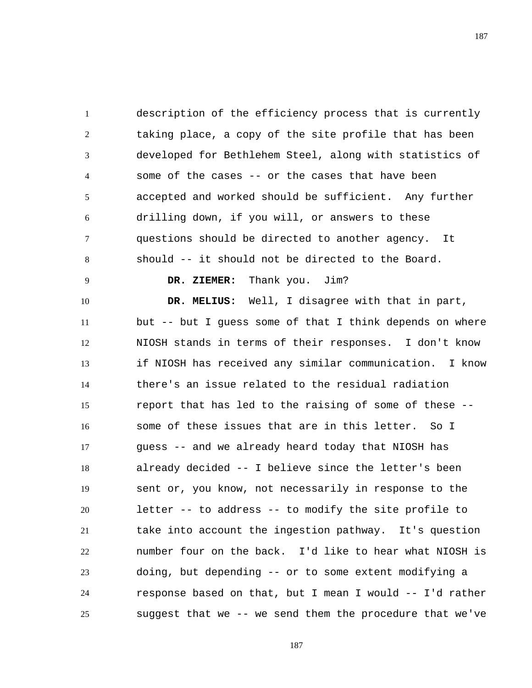1 2 3 4 5 6 7 8 description of the efficiency process that is currently taking place, a copy of the site profile that has been developed for Bethlehem Steel, along with statistics of some of the cases -- or the cases that have been accepted and worked should be sufficient. Any further drilling down, if you will, or answers to these questions should be directed to another agency. It should -- it should not be directed to the Board.

 **DR. ZIEMER:** Thank you. Jim?

9

10 11 12 13 14 15 16 17 18 19 20 21 22 23 24 25  **DR. MELIUS:** Well, I disagree with that in part, but -- but I guess some of that I think depends on where NIOSH stands in terms of their responses. I don't know if NIOSH has received any similar communication. I know there's an issue related to the residual radiation report that has led to the raising of some of these - some of these issues that are in this letter. So I guess -- and we already heard today that NIOSH has already decided -- I believe since the letter's been sent or, you know, not necessarily in response to the letter -- to address -- to modify the site profile to take into account the ingestion pathway. It's question number four on the back. I'd like to hear what NIOSH is doing, but depending -- or to some extent modifying a response based on that, but I mean I would -- I'd rather suggest that we -- we send them the procedure that we've

187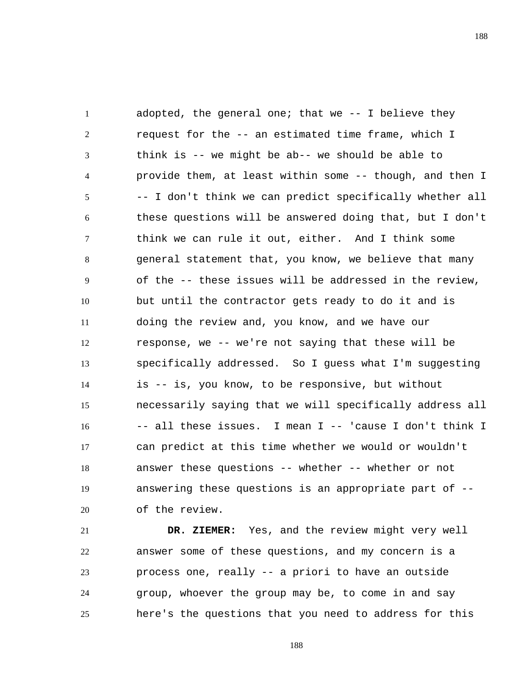1 2 3 4 5 6 7 8 9 10 11 12 13 14 15 16 17 18 19 20 adopted, the general one; that we -- I believe they request for the -- an estimated time frame, which I think is -- we might be ab-- we should be able to provide them, at least within some -- though, and then I -- I don't think we can predict specifically whether all these questions will be answered doing that, but I don't think we can rule it out, either. And I think some general statement that, you know, we believe that many of the -- these issues will be addressed in the review, but until the contractor gets ready to do it and is doing the review and, you know, and we have our response, we -- we're not saying that these will be specifically addressed. So I guess what I'm suggesting is -- is, you know, to be responsive, but without necessarily saying that we will specifically address all -- all these issues. I mean I -- 'cause I don't think I can predict at this time whether we would or wouldn't answer these questions -- whether -- whether or not answering these questions is an appropriate part of - of the review.

21 22 23 24 25  **DR. ZIEMER:** Yes, and the review might very well answer some of these questions, and my concern is a process one, really -- a priori to have an outside group, whoever the group may be, to come in and say here's the questions that you need to address for this

188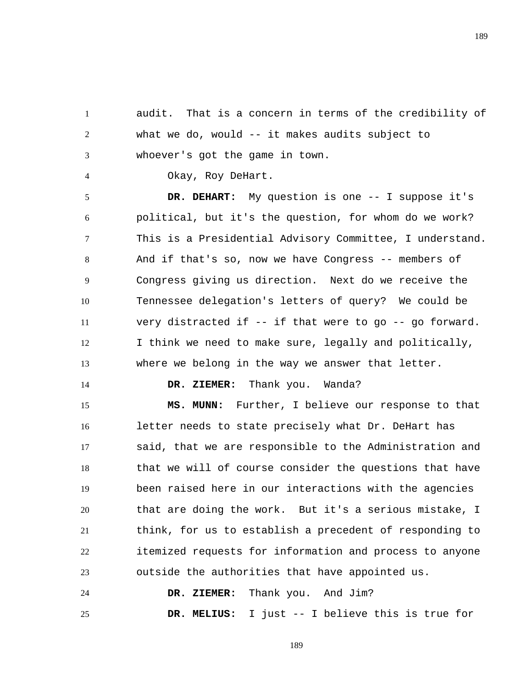189

1 2 3 audit. That is a concern in terms of the credibility of what we do, would -- it makes audits subject to whoever's got the game in town.

Okay, Roy DeHart.

5 6 7 8 9 10 11 12 13  **DR. DEHART:** My question is one -- I suppose it's political, but it's the question, for whom do we work? This is a Presidential Advisory Committee, I understand. And if that's so, now we have Congress -- members of Congress giving us direction. Next do we receive the Tennessee delegation's letters of query? We could be very distracted if -- if that were to go -- go forward. I think we need to make sure, legally and politically, where we belong in the way we answer that letter.

14

4

 **DR. ZIEMER:** Thank you. Wanda?

15 16 17 18 19 20 21 22 23  **MS. MUNN:** Further, I believe our response to that letter needs to state precisely what Dr. DeHart has said, that we are responsible to the Administration and that we will of course consider the questions that have been raised here in our interactions with the agencies that are doing the work. But it's a serious mistake, I think, for us to establish a precedent of responding to itemized requests for information and process to anyone outside the authorities that have appointed us.

24 25  **DR. ZIEMER:** Thank you. And Jim?  **DR. MELIUS:** I just -- I believe this is true for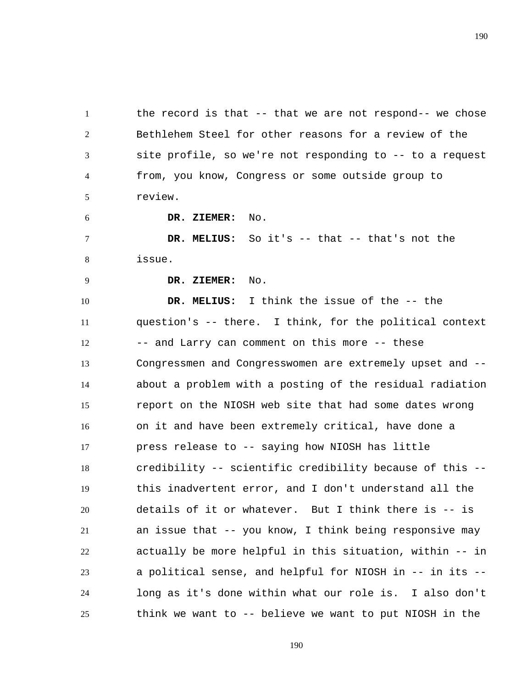1 2 3 4 5 the record is that -- that we are not respond-- we chose Bethlehem Steel for other reasons for a review of the site profile, so we're not responding to -- to a request from, you know, Congress or some outside group to review.

 **DR. ZIEMER:** No.

7 8  **DR. MELIUS:** So it's -- that -- that's not the issue.

9

6

 **DR. ZIEMER:** No.

10 11 12 13 14 15 16 17 18 19 20 21 22 23 24 25  **DR. MELIUS:** I think the issue of the -- the question's -- there. I think, for the political context -- and Larry can comment on this more -- these Congressmen and Congresswomen are extremely upset and - about a problem with a posting of the residual radiation report on the NIOSH web site that had some dates wrong on it and have been extremely critical, have done a press release to -- saying how NIOSH has little credibility -- scientific credibility because of this - this inadvertent error, and I don't understand all the details of it or whatever. But I think there is -- is an issue that -- you know, I think being responsive may actually be more helpful in this situation, within -- in a political sense, and helpful for NIOSH in -- in its - long as it's done within what our role is. I also don't think we want to -- believe we want to put NIOSH in the

190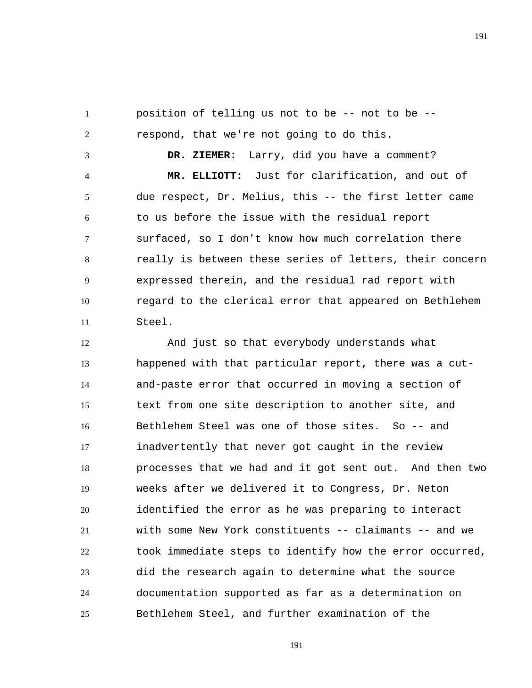1 2 position of telling us not to be -- not to be --

3 4 5 6 7 8 9 10 11  **DR. ZIEMER:** Larry, did you have a comment?  **MR. ELLIOTT:** Just for clarification, and out of due respect, Dr. Melius, this -- the first letter came to us before the issue with the residual report surfaced, so I don't know how much correlation there really is between these series of letters, their concern expressed therein, and the residual rad report with regard to the clerical error that appeared on Bethlehem Steel.

12 13 14 15 16 17 18 19 20 21 22 23 24 25 And just so that everybody understands what happened with that particular report, there was a cutand-paste error that occurred in moving a section of text from one site description to another site, and Bethlehem Steel was one of those sites. So -- and inadvertently that never got caught in the review processes that we had and it got sent out. And then two weeks after we delivered it to Congress, Dr. Neton identified the error as he was preparing to interact with some New York constituents -- claimants -- and we took immediate steps to identify how the error occurred, did the research again to determine what the source documentation supported as far as a determination on Bethlehem Steel, and further examination of the

respond, that we're not going to do this.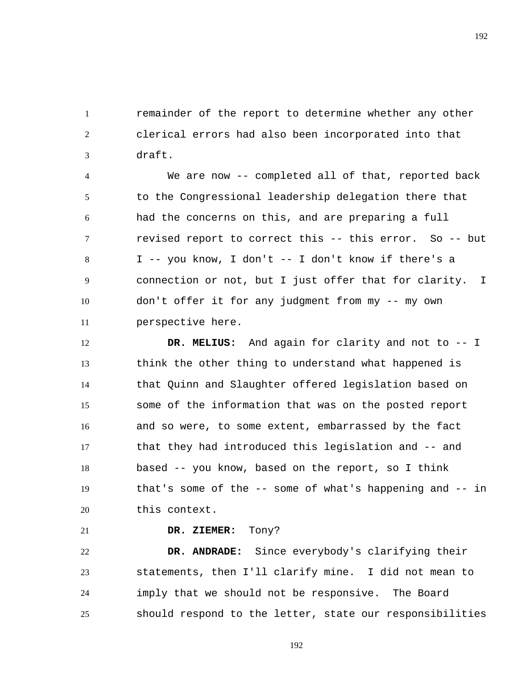1 2 3 remainder of the report to determine whether any other clerical errors had also been incorporated into that draft.

4 5 6 7 8 9 10 11 We are now -- completed all of that, reported back to the Congressional leadership delegation there that had the concerns on this, and are preparing a full revised report to correct this -- this error. So -- but I -- you know, I don't -- I don't know if there's a connection or not, but I just offer that for clarity. I don't offer it for any judgment from my -- my own perspective here.

12 13 14 15 16 17 18 19 20  **DR. MELIUS:** And again for clarity and not to -- I think the other thing to understand what happened is that Quinn and Slaughter offered legislation based on some of the information that was on the posted report and so were, to some extent, embarrassed by the fact that they had introduced this legislation and -- and based -- you know, based on the report, so I think that's some of the -- some of what's happening and -- in this context.

21

## **DR. ZIEMER:** Tony?

22 23 24 25  **DR. ANDRADE:** Since everybody's clarifying their statements, then I'll clarify mine. I did not mean to imply that we should not be responsive. The Board should respond to the letter, state our responsibilities

192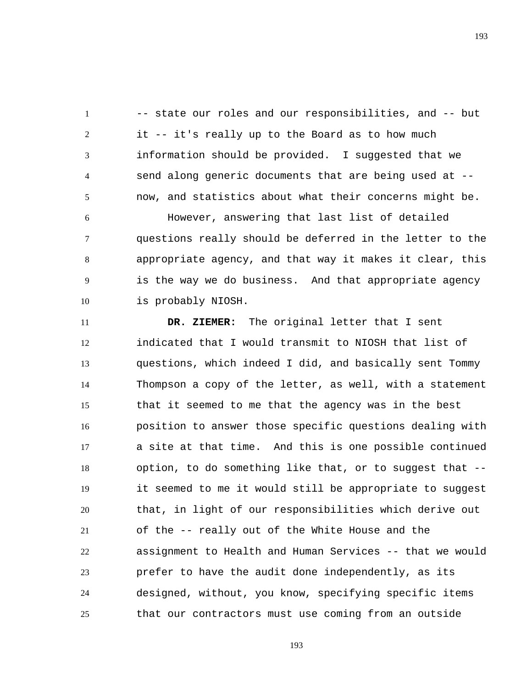1 2 3 4 5 -- state our roles and our responsibilities, and -- but it -- it's really up to the Board as to how much information should be provided. I suggested that we send along generic documents that are being used at - now, and statistics about what their concerns might be.

6 7 8 9 10 However, answering that last list of detailed questions really should be deferred in the letter to the appropriate agency, and that way it makes it clear, this is the way we do business. And that appropriate agency is probably NIOSH.

11 12 13 14 15 16 17 18 19 20 21 22 23 24 25  **DR. ZIEMER:** The original letter that I sent indicated that I would transmit to NIOSH that list of questions, which indeed I did, and basically sent Tommy Thompson a copy of the letter, as well, with a statement that it seemed to me that the agency was in the best position to answer those specific questions dealing with a site at that time. And this is one possible continued option, to do something like that, or to suggest that - it seemed to me it would still be appropriate to suggest that, in light of our responsibilities which derive out of the -- really out of the White House and the assignment to Health and Human Services -- that we would prefer to have the audit done independently, as its designed, without, you know, specifying specific items that our contractors must use coming from an outside

193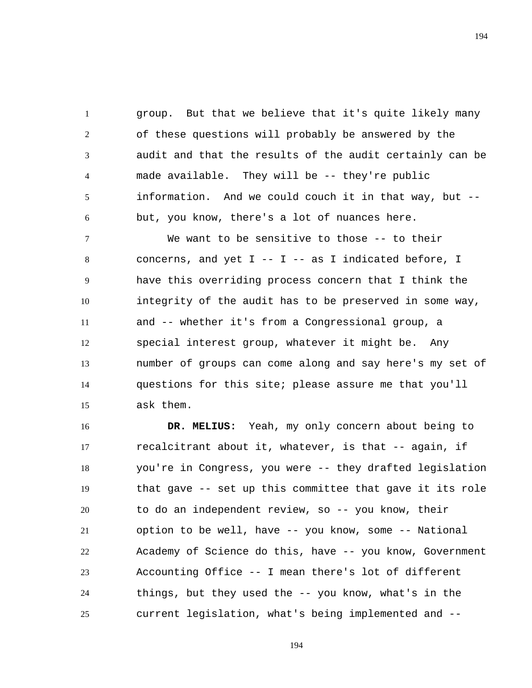1 2 3 4 5 6 group. But that we believe that it's quite likely many of these questions will probably be answered by the audit and that the results of the audit certainly can be made available. They will be -- they're public information. And we could couch it in that way, but - but, you know, there's a lot of nuances here.

7 8 9 10 11 12 13 14 15 We want to be sensitive to those -- to their concerns, and yet  $I$  --  $I$  -- as I indicated before, I have this overriding process concern that I think the integrity of the audit has to be preserved in some way, and -- whether it's from a Congressional group, a special interest group, whatever it might be. Any number of groups can come along and say here's my set of questions for this site; please assure me that you'll ask them.

16 17 18 19 20 21 22 23 24 25  **DR. MELIUS:** Yeah, my only concern about being to recalcitrant about it, whatever, is that -- again, if you're in Congress, you were -- they drafted legislation that gave -- set up this committee that gave it its role to do an independent review, so -- you know, their option to be well, have -- you know, some -- National Academy of Science do this, have -- you know, Government Accounting Office -- I mean there's lot of different things, but they used the -- you know, what's in the current legislation, what's being implemented and --

194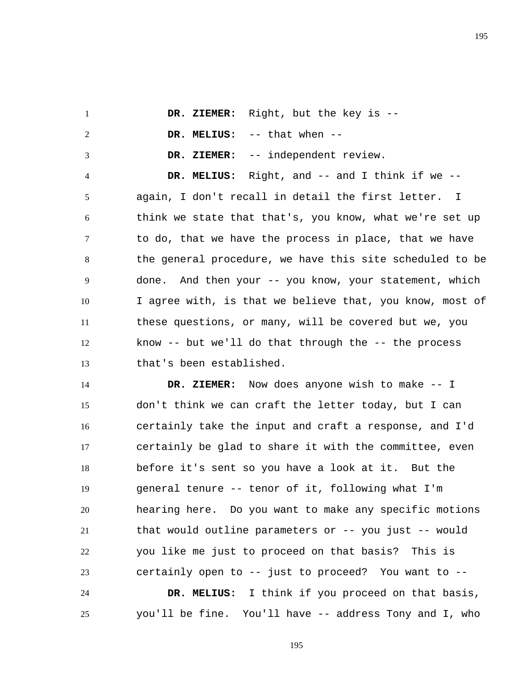|  | DR. ZIEMER: Right, but the key is -- |
|--|--------------------------------------|
|  | DR. MELIUS: $--$ that when $--$      |
|  | DR. ZIEMER: -- independent review.   |

4 5 6 7 8 9 10 11 12 13  **DR. MELIUS:** Right, and -- and I think if we - again, I don't recall in detail the first letter. I think we state that that's, you know, what we're set up to do, that we have the process in place, that we have the general procedure, we have this site scheduled to be done. And then your -- you know, your statement, which I agree with, is that we believe that, you know, most of these questions, or many, will be covered but we, you know -- but we'll do that through the -- the process that's been established.

14 15 16 17 18 19 20 21 22 23  **DR. ZIEMER:** Now does anyone wish to make -- I don't think we can craft the letter today, but I can certainly take the input and craft a response, and I'd certainly be glad to share it with the committee, even before it's sent so you have a look at it. But the general tenure -- tenor of it, following what I'm hearing here. Do you want to make any specific motions that would outline parameters or -- you just -- would you like me just to proceed on that basis? This is certainly open to -- just to proceed? You want to --

24 25  **DR. MELIUS:** I think if you proceed on that basis, you'll be fine. You'll have -- address Tony and I, who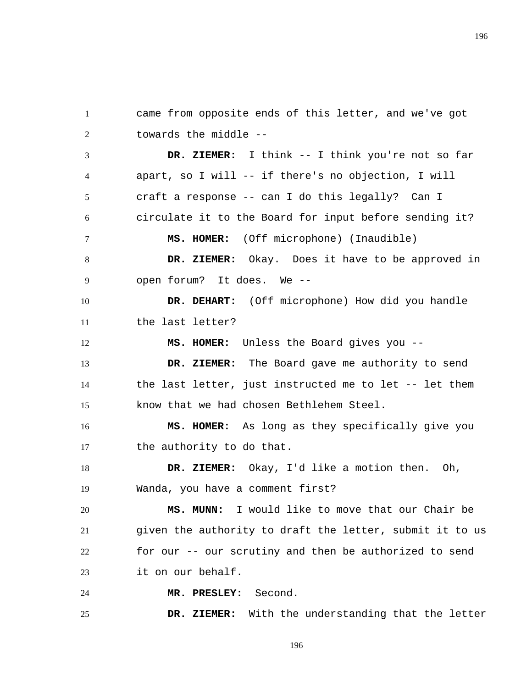came from opposite ends of this letter, and we've got towards the middle --

1

2

3 4 5 6 7 8 9 10 11 12 13 14  **DR. ZIEMER:** I think -- I think you're not so far apart, so I will -- if there's no objection, I will craft a response -- can I do this legally? Can I circulate it to the Board for input before sending it?  **MS. HOMER:** (Off microphone) (Inaudible)  **DR. ZIEMER:** Okay. Does it have to be approved in open forum? It does. We --  **DR. DEHART:** (Off microphone) How did you handle the last letter?  **MS. HOMER:** Unless the Board gives you --  **DR. ZIEMER:** The Board gave me authority to send the last letter, just instructed me to let -- let them

15 know that we had chosen Bethlehem Steel.

16 17  **MS. HOMER:** As long as they specifically give you the authority to do that.

18 19  **DR. ZIEMER:** Okay, I'd like a motion then. Oh, Wanda, you have a comment first?

20 21 22 23  **MS. MUNN:** I would like to move that our Chair be given the authority to draft the letter, submit it to us for our -- our scrutiny and then be authorized to send it on our behalf.

24  **MR. PRESLEY:** Second.

25  **DR. ZIEMER:** With the understanding that the letter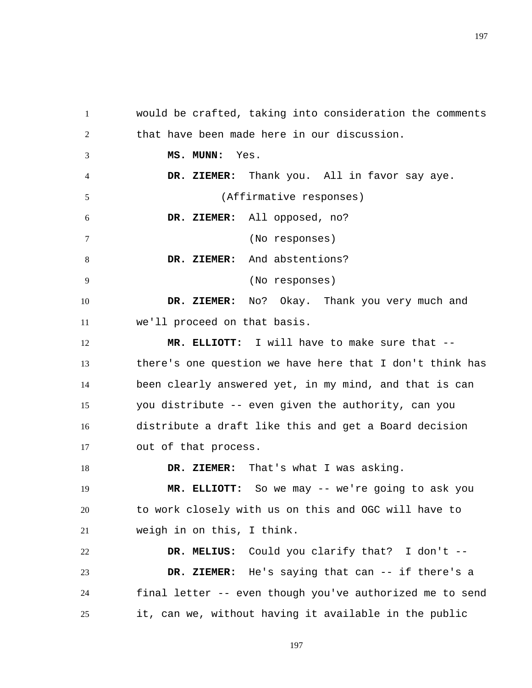would be crafted, taking into consideration the comments that have been made here in our discussion.  **MS. MUNN:** Yes.  **DR. ZIEMER:** Thank you. All in favor say aye. (Affirmative responses)  **DR. ZIEMER:** All opposed, no? (No responses)  **DR. ZIEMER:** And abstentions? (No responses)  **DR. ZIEMER:** No? Okay. Thank you very much and we'll proceed on that basis.  **MR. ELLIOTT:** I will have to make sure that - there's one question we have here that I don't think has been clearly answered yet, in my mind, and that is can you distribute -- even given the authority, can you distribute a draft like this and get a Board decision out of that process.  **DR. ZIEMER:** That's what I was asking.  **MR. ELLIOTT:** So we may -- we're going to ask you

1

2

3

4

5

6

7

8

9

10

11

12

13

14

15

16

17

18

19

20 21 to work closely with us on this and OGC will have to weigh in on this, I think.

22 23 24 25  **DR. MELIUS:** Could you clarify that? I don't --  **DR. ZIEMER:** He's saying that can -- if there's a final letter -- even though you've authorized me to send it, can we, without having it available in the public

197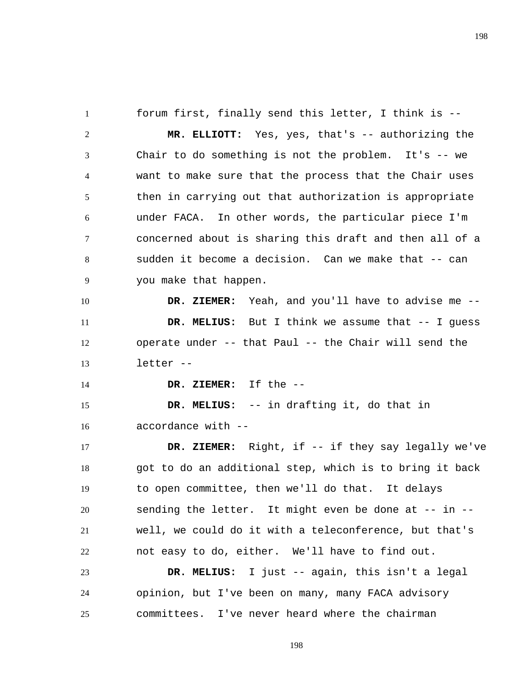1 2 3 4 5 6 7 8 9 10 11 12 13 14 15 16 17 18 19 20 21 22 forum first, finally send this letter, I think is --  **MR. ELLIOTT:** Yes, yes, that's -- authorizing the Chair to do something is not the problem. It's -- we want to make sure that the process that the Chair uses then in carrying out that authorization is appropriate under FACA. In other words, the particular piece I'm concerned about is sharing this draft and then all of a sudden it become a decision. Can we make that -- can you make that happen.  **DR. ZIEMER:** Yeah, and you'll have to advise me --  **DR. MELIUS:** But I think we assume that -- I guess operate under -- that Paul -- the Chair will send the letter --  **DR. ZIEMER:** If the --  **DR. MELIUS:** -- in drafting it, do that in accordance with --  **DR. ZIEMER:** Right, if -- if they say legally we've got to do an additional step, which is to bring it back to open committee, then we'll do that. It delays sending the letter. It might even be done at -- in - well, we could do it with a teleconference, but that's not easy to do, either. We'll have to find out.

23 24 25  **DR. MELIUS:** I just -- again, this isn't a legal opinion, but I've been on many, many FACA advisory committees. I've never heard where the chairman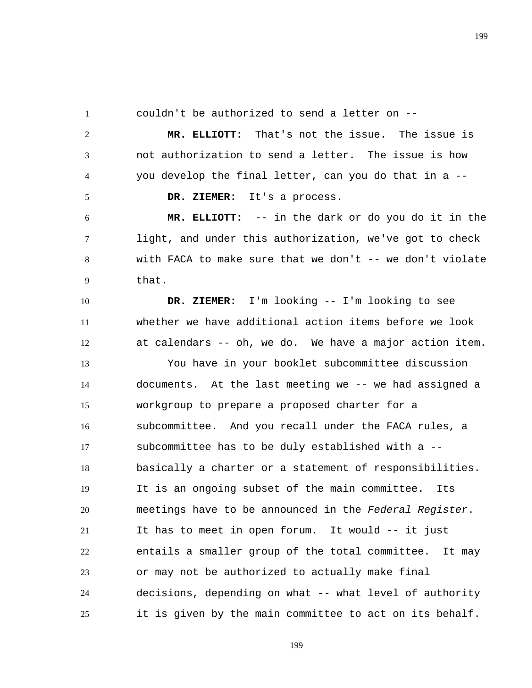1

2

3

4

5

couldn't be authorized to send a letter on --

 **MR. ELLIOTT:** That's not the issue. The issue is not authorization to send a letter. The issue is how you develop the final letter, can you do that in a --

 **DR. ZIEMER:** It's a process.

6 7 8 9  **MR. ELLIOTT:** -- in the dark or do you do it in the light, and under this authorization, we've got to check with FACA to make sure that we don't  $-$ - we don't violate that.

10 11 12  **DR. ZIEMER:** I'm looking -- I'm looking to see whether we have additional action items before we look at calendars -- oh, we do. We have a major action item.

13 14 15 16 17 18 19 20 21 22 23 24 25 You have in your booklet subcommittee discussion documents. At the last meeting we -- we had assigned a workgroup to prepare a proposed charter for a subcommittee. And you recall under the FACA rules, a subcommittee has to be duly established with a - basically a charter or a statement of responsibilities. It is an ongoing subset of the main committee. Its meetings have to be announced in the *Federal Register*. It has to meet in open forum. It would -- it just entails a smaller group of the total committee. It may or may not be authorized to actually make final decisions, depending on what -- what level of authority it is given by the main committee to act on its behalf.

199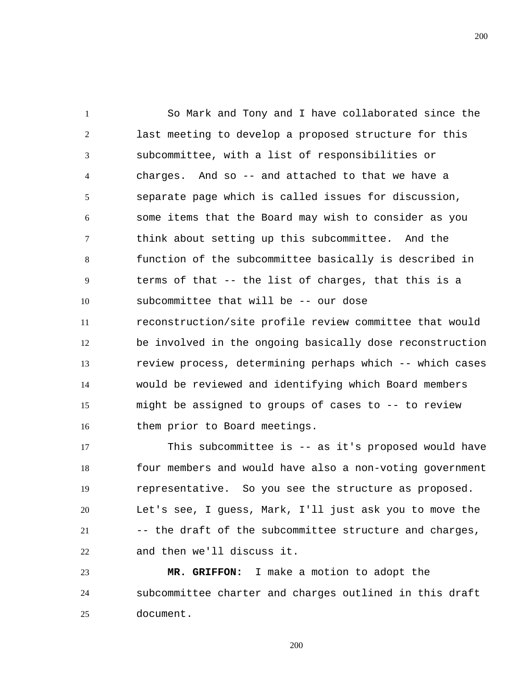1 2 3 4 5 6 7 8 9 10 11 12 13 14 15 16 So Mark and Tony and I have collaborated since the last meeting to develop a proposed structure for this subcommittee, with a list of responsibilities or charges. And so -- and attached to that we have a separate page which is called issues for discussion, some items that the Board may wish to consider as you think about setting up this subcommittee. And the function of the subcommittee basically is described in terms of that -- the list of charges, that this is a subcommittee that will be -- our dose reconstruction/site profile review committee that would be involved in the ongoing basically dose reconstruction review process, determining perhaps which -- which cases would be reviewed and identifying which Board members might be assigned to groups of cases to -- to review them prior to Board meetings.

17 18 19 20 21 22 This subcommittee is -- as it's proposed would have four members and would have also a non-voting government representative. So you see the structure as proposed. Let's see, I guess, Mark, I'll just ask you to move the -- the draft of the subcommittee structure and charges, and then we'll discuss it.

23 24 25  **MR. GRIFFON:** I make a motion to adopt the subcommittee charter and charges outlined in this draft document.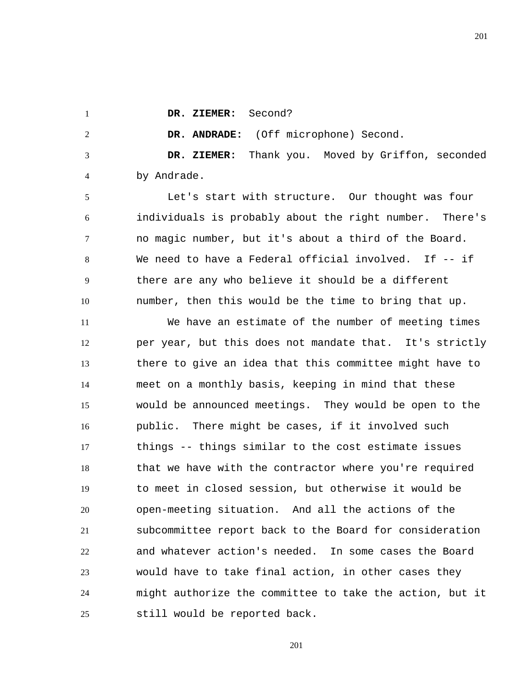1

2

 **DR. ZIEMER:** Second?

 **DR. ANDRADE:** (Off microphone) Second.

3 4  **DR. ZIEMER:** Thank you. Moved by Griffon, seconded by Andrade.

5 6 7 8 9 10 Let's start with structure. Our thought was four individuals is probably about the right number. There's no magic number, but it's about a third of the Board. We need to have a Federal official involved. If -- if there are any who believe it should be a different number, then this would be the time to bring that up.

11 12 13 14 15 16 17 18 19 20 21 22 23 24 25 We have an estimate of the number of meeting times per year, but this does not mandate that. It's strictly there to give an idea that this committee might have to meet on a monthly basis, keeping in mind that these would be announced meetings. They would be open to the public. There might be cases, if it involved such things -- things similar to the cost estimate issues that we have with the contractor where you're required to meet in closed session, but otherwise it would be open-meeting situation. And all the actions of the subcommittee report back to the Board for consideration and whatever action's needed. In some cases the Board would have to take final action, in other cases they might authorize the committee to take the action, but it still would be reported back.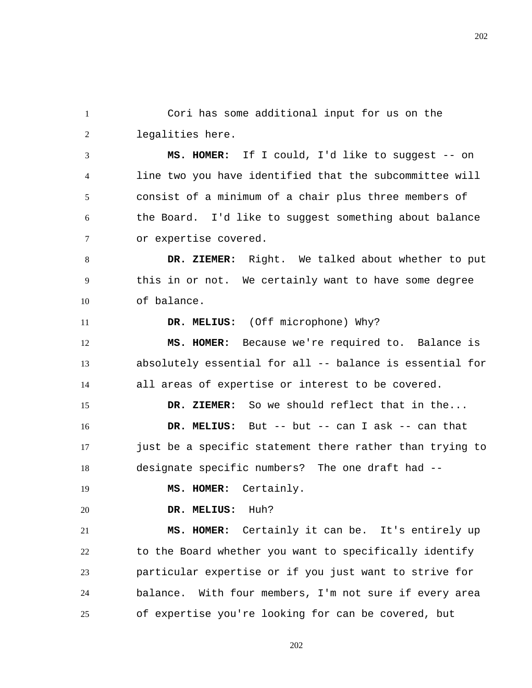1 2 Cori has some additional input for us on the legalities here.

3 4 5 6 7  **MS. HOMER:** If I could, I'd like to suggest -- on line two you have identified that the subcommittee will consist of a minimum of a chair plus three members of the Board. I'd like to suggest something about balance or expertise covered.

8 9 10  **DR. ZIEMER:** Right. We talked about whether to put this in or not. We certainly want to have some degree of balance.

 **DR. MELIUS:** (Off microphone) Why?

12 13 14  **MS. HOMER:** Because we're required to. Balance is absolutely essential for all -- balance is essential for all areas of expertise or interest to be covered.

15 16 17 18  **DR. ZIEMER:** So we should reflect that in the...  **DR. MELIUS:** But -- but -- can I ask -- can that just be a specific statement there rather than trying to designate specific numbers? The one draft had --

 **MS. HOMER:** Certainly.

20  **DR. MELIUS:** Huh?

11

19

21 22 23 24 25  **MS. HOMER:** Certainly it can be. It's entirely up to the Board whether you want to specifically identify particular expertise or if you just want to strive for balance. With four members, I'm not sure if every area of expertise you're looking for can be covered, but

202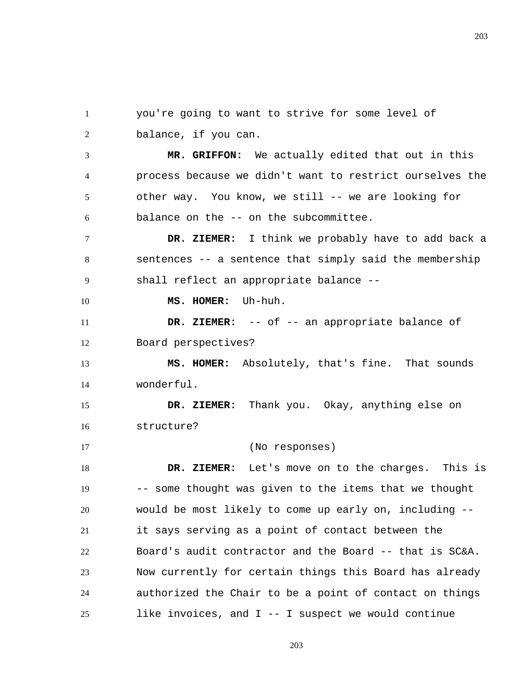1 2 you're going to want to strive for some level of balance, if you can.

3 4 5 6  **MR. GRIFFON:** We actually edited that out in this process because we didn't want to restrict ourselves the other way. You know, we still -- we are looking for balance on the -- on the subcommittee.

7 8 9  **DR. ZIEMER:** I think we probably have to add back a sentences -- a sentence that simply said the membership shall reflect an appropriate balance --

 **MS. HOMER:** Uh-huh.

10

11 12  **DR. ZIEMER:** -- of -- an appropriate balance of Board perspectives?

13 14  **MS. HOMER:** Absolutely, that's fine. That sounds wonderful.

15 16  **DR. ZIEMER:** Thank you. Okay, anything else on structure?

17 (No responses)

18 19 20 21 22 23 24 25  **DR. ZIEMER:** Let's move on to the charges. This is -- some thought was given to the items that we thought would be most likely to come up early on, including - it says serving as a point of contact between the Board's audit contractor and the Board -- that is SC&A. Now currently for certain things this Board has already authorized the Chair to be a point of contact on things like invoices, and I -- I suspect we would continue

203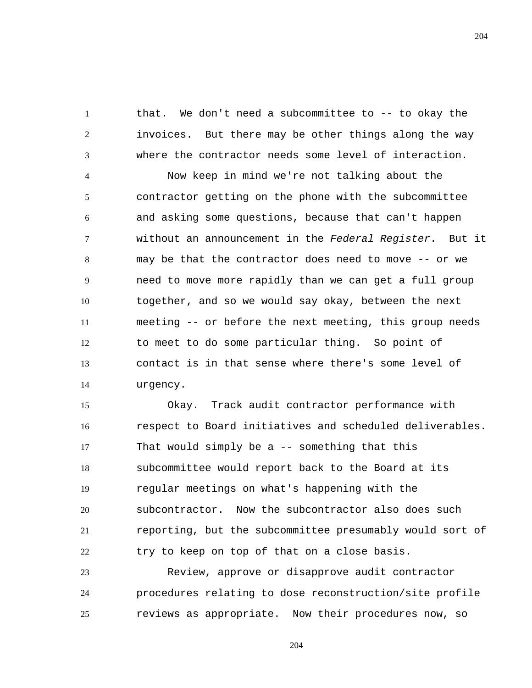1 2 3 that. We don't need a subcommittee to -- to okay the invoices. But there may be other things along the way where the contractor needs some level of interaction.

4 5 6 7 8 9 10 11 12 13 14 Now keep in mind we're not talking about the contractor getting on the phone with the subcommittee and asking some questions, because that can't happen without an announcement in the *Federal Register*. But it may be that the contractor does need to move -- or we need to move more rapidly than we can get a full group together, and so we would say okay, between the next meeting -- or before the next meeting, this group needs to meet to do some particular thing. So point of contact is in that sense where there's some level of urgency.

15 16 17 18 19 20 21 22 Okay. Track audit contractor performance with respect to Board initiatives and scheduled deliverables. That would simply be a -- something that this subcommittee would report back to the Board at its regular meetings on what's happening with the subcontractor. Now the subcontractor also does such reporting, but the subcommittee presumably would sort of try to keep on top of that on a close basis.

23 24 25 Review, approve or disapprove audit contractor procedures relating to dose reconstruction/site profile reviews as appropriate. Now their procedures now, so

204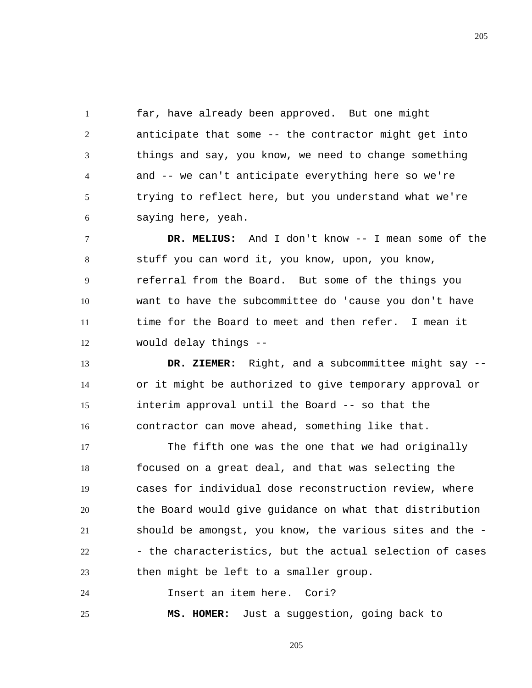1 2 3 4 5 6 far, have already been approved. But one might anticipate that some -- the contractor might get into things and say, you know, we need to change something and -- we can't anticipate everything here so we're trying to reflect here, but you understand what we're saying here, yeah.

7 8 9 10 11 12  **DR. MELIUS:** And I don't know -- I mean some of the stuff you can word it, you know, upon, you know, referral from the Board. But some of the things you want to have the subcommittee do 'cause you don't have time for the Board to meet and then refer. I mean it would delay things --

13 14 15 16  **DR. ZIEMER:** Right, and a subcommittee might say - or it might be authorized to give temporary approval or interim approval until the Board -- so that the contractor can move ahead, something like that.

17 18 19 20 21 22 23 The fifth one was the one that we had originally focused on a great deal, and that was selecting the cases for individual dose reconstruction review, where the Board would give guidance on what that distribution should be amongst, you know, the various sites and the - - the characteristics, but the actual selection of cases then might be left to a smaller group.

24 Insert an item here. Cori?

25  **MS. HOMER:** Just a suggestion, going back to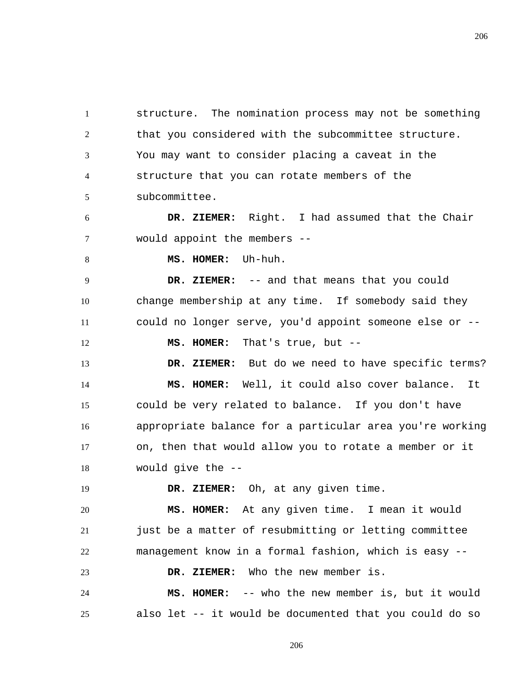1 2 3 4 5 structure. The nomination process may not be something that you considered with the subcommittee structure. You may want to consider placing a caveat in the structure that you can rotate members of the subcommittee.

6 7  **DR. ZIEMER:** Right. I had assumed that the Chair would appoint the members --

8

 **MS. HOMER:** Uh-huh.

9 10 11  **DR. ZIEMER:** -- and that means that you could change membership at any time. If somebody said they could no longer serve, you'd appoint someone else or --

12  **MS. HOMER:** That's true, but --

13 14 15 16 17 18  **DR. ZIEMER:** But do we need to have specific terms?  **MS. HOMER:** Well, it could also cover balance. It could be very related to balance. If you don't have appropriate balance for a particular area you're working on, then that would allow you to rotate a member or it would give the --

19 20 21 22  **DR. ZIEMER:** Oh, at any given time.  **MS. HOMER:** At any given time. I mean it would just be a matter of resubmitting or letting committee management know in a formal fashion, which is easy --

23  **DR. ZIEMER:** Who the new member is.

24 25  **MS. HOMER:** -- who the new member is, but it would also let -- it would be documented that you could do so

206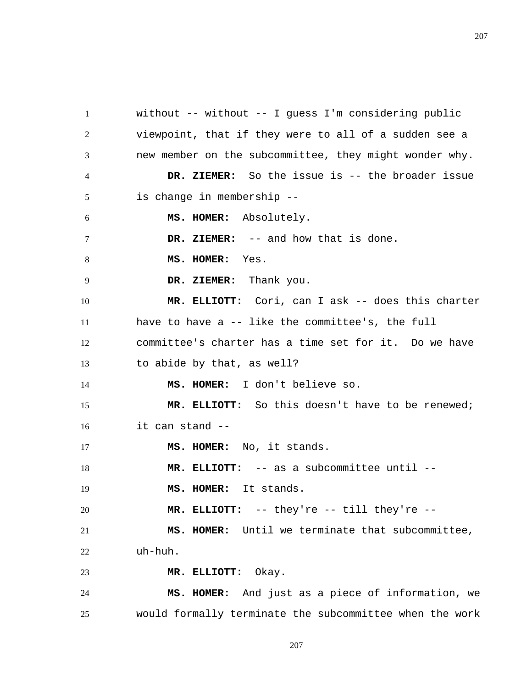1 2 3 4 5 6 7 8 9 10 11 12 13 14 15 16 17 18 19 20 21 22 23 24 25 without -- without -- I guess I'm considering public viewpoint, that if they were to all of a sudden see a new member on the subcommittee, they might wonder why.  **DR. ZIEMER:** So the issue is -- the broader issue is change in membership --  **MS. HOMER:** Absolutely.  **DR. ZIEMER:** -- and how that is done.  **MS. HOMER:** Yes.  **DR. ZIEMER:** Thank you.  **MR. ELLIOTT:** Cori, can I ask -- does this charter have to have a -- like the committee's, the full committee's charter has a time set for it. Do we have to abide by that, as well?  **MS. HOMER:** I don't believe so.  **MR. ELLIOTT:** So this doesn't have to be renewed; it can stand --  **MS. HOMER:** No, it stands.  **MR. ELLIOTT:** -- as a subcommittee until --  **MS. HOMER:** It stands.  **MR. ELLIOTT:** -- they're -- till they're --  **MS. HOMER:** Until we terminate that subcommittee, uh-huh.  **MR. ELLIOTT:** Okay.  **MS. HOMER:** And just as a piece of information, we would formally terminate the subcommittee when the work

207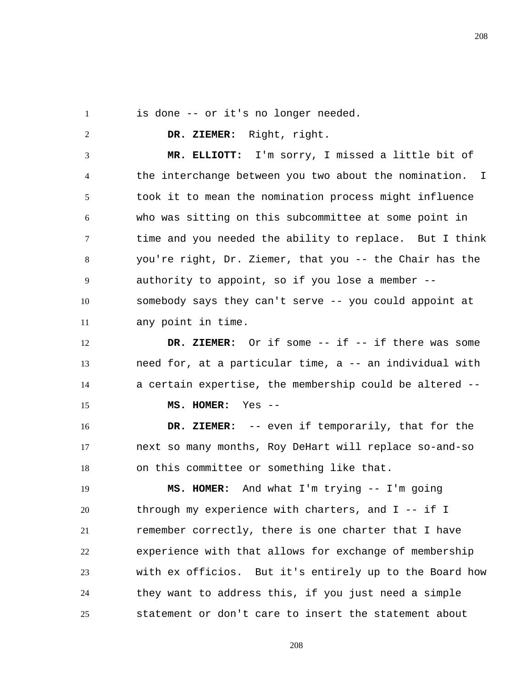is done -- or it's no longer needed.

1

2

 **DR. ZIEMER:** Right, right.

3 4 5 6 7 8 9 10 11  **MR. ELLIOTT:** I'm sorry, I missed a little bit of the interchange between you two about the nomination. I took it to mean the nomination process might influence who was sitting on this subcommittee at some point in time and you needed the ability to replace. But I think you're right, Dr. Ziemer, that you -- the Chair has the authority to appoint, so if you lose a member - somebody says they can't serve -- you could appoint at any point in time.

12 13 14 15  **DR. ZIEMER:** Or if some -- if -- if there was some need for, at a particular time, a -- an individual with a certain expertise, the membership could be altered --

 **MS. HOMER:** Yes --

16 17 18  **DR. ZIEMER:** -- even if temporarily, that for the next so many months, Roy DeHart will replace so-and-so on this committee or something like that.

19 20 21 22 23 24 25  **MS. HOMER:** And what I'm trying -- I'm going through my experience with charters, and I -- if I remember correctly, there is one charter that I have experience with that allows for exchange of membership with ex officios. But it's entirely up to the Board how they want to address this, if you just need a simple statement or don't care to insert the statement about

208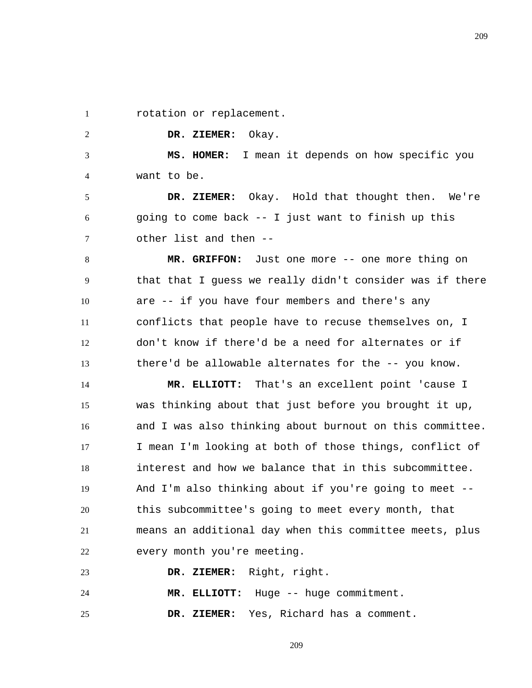1 rotation or replacement.

2

 **DR. ZIEMER:** Okay.

3 4  **MS. HOMER:** I mean it depends on how specific you want to be.

5 6 7  **DR. ZIEMER:** Okay. Hold that thought then. We're going to come back -- I just want to finish up this other list and then --

8 9 10 11 12 13  **MR. GRIFFON:** Just one more -- one more thing on that that I guess we really didn't consider was if there are -- if you have four members and there's any conflicts that people have to recuse themselves on, I don't know if there'd be a need for alternates or if there'd be allowable alternates for the -- you know.

14 15 16 17 18 19 20 21 22  **MR. ELLIOTT:** That's an excellent point 'cause I was thinking about that just before you brought it up, and I was also thinking about burnout on this committee. I mean I'm looking at both of those things, conflict of interest and how we balance that in this subcommittee. And I'm also thinking about if you're going to meet - this subcommittee's going to meet every month, that means an additional day when this committee meets, plus every month you're meeting.

23  **DR. ZIEMER:** Right, right.

24  **MR. ELLIOTT:** Huge -- huge commitment.

25  **DR. ZIEMER:** Yes, Richard has a comment. 209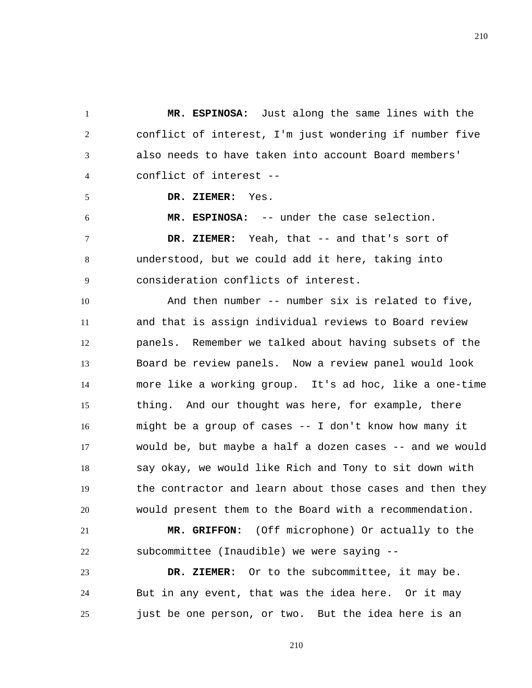1 2 3 4  **MR. ESPINOSA:** Just along the same lines with the conflict of interest, I'm just wondering if number five also needs to have taken into account Board members' conflict of interest --

 **DR. ZIEMER:** Yes.

5

6 7 8 9  **MR. ESPINOSA:** -- under the case selection.  **DR. ZIEMER:** Yeah, that -- and that's sort of understood, but we could add it here, taking into consideration conflicts of interest.

10 11 12 13 14 15 16 17 18 19 20 And then number -- number six is related to five, and that is assign individual reviews to Board review panels. Remember we talked about having subsets of the Board be review panels. Now a review panel would look more like a working group. It's ad hoc, like a one-time thing. And our thought was here, for example, there might be a group of cases -- I don't know how many it would be, but maybe a half a dozen cases -- and we would say okay, we would like Rich and Tony to sit down with the contractor and learn about those cases and then they would present them to the Board with a recommendation.

21 22  **MR. GRIFFON:** (Off microphone) Or actually to the subcommittee (Inaudible) we were saying --

23 24 25  **DR. ZIEMER:** Or to the subcommittee, it may be. But in any event, that was the idea here. Or it may just be one person, or two. But the idea here is an

210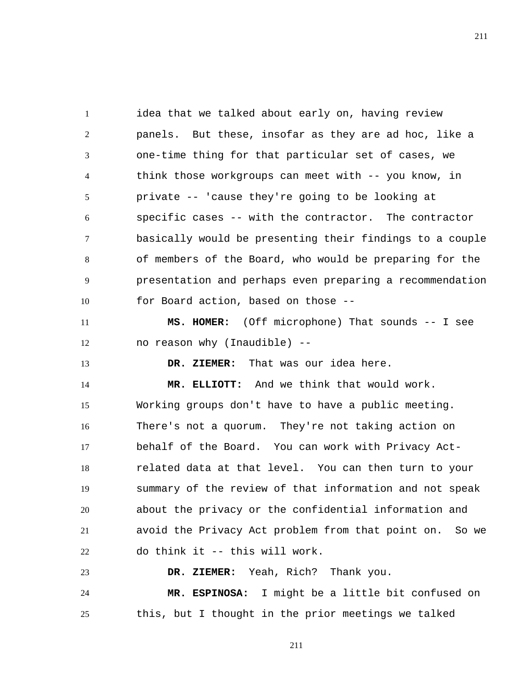1 2 3 4 5 6 7 8 9 10 idea that we talked about early on, having review panels. But these, insofar as they are ad hoc, like a one-time thing for that particular set of cases, we think those workgroups can meet with -- you know, in private -- 'cause they're going to be looking at specific cases -- with the contractor. The contractor basically would be presenting their findings to a couple of members of the Board, who would be preparing for the presentation and perhaps even preparing a recommendation for Board action, based on those --

11 12  **MS. HOMER:** (Off microphone) That sounds -- I see no reason why (Inaudible) --

 **DR. ZIEMER:** That was our idea here.

13

14 15 16 17 18 19 20 21 22  **MR. ELLIOTT:** And we think that would work. Working groups don't have to have a public meeting. There's not a quorum. They're not taking action on behalf of the Board. You can work with Privacy Actrelated data at that level. You can then turn to your summary of the review of that information and not speak about the privacy or the confidential information and avoid the Privacy Act problem from that point on. So we do think it -- this will work.

23 24 25  **DR. ZIEMER:** Yeah, Rich? Thank you.  **MR. ESPINOSA:** I might be a little bit confused on this, but I thought in the prior meetings we talked

211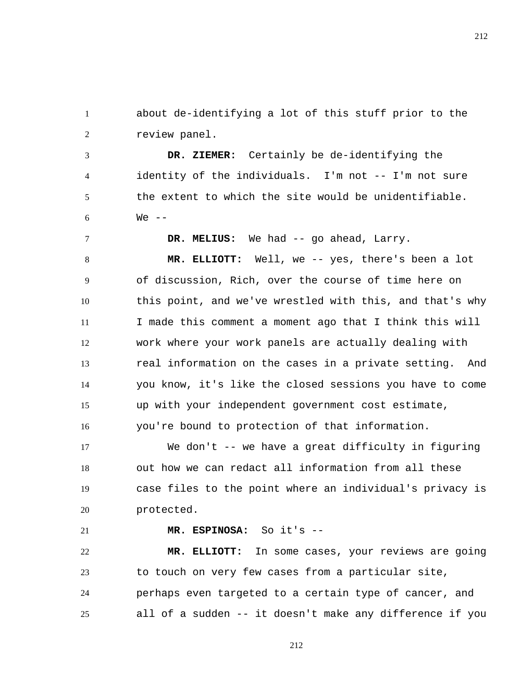1 2 about de-identifying a lot of this stuff prior to the review panel.

3 4 5 6  **DR. ZIEMER:** Certainly be de-identifying the identity of the individuals. I'm not -- I'm not sure the extent to which the site would be unidentifiable.  $We$   $-$ 

 **DR. MELIUS:** We had -- go ahead, Larry.

8 9 10 11 12 13 14 15 16  **MR. ELLIOTT:** Well, we -- yes, there's been a lot of discussion, Rich, over the course of time here on this point, and we've wrestled with this, and that's why I made this comment a moment ago that I think this will work where your work panels are actually dealing with real information on the cases in a private setting. And you know, it's like the closed sessions you have to come up with your independent government cost estimate, you're bound to protection of that information.

17 18 19 20 We don't -- we have a great difficulty in figuring out how we can redact all information from all these case files to the point where an individual's privacy is protected.

21

7

 **MR. ESPINOSA:** So it's --

22 23 24 25  **MR. ELLIOTT:** In some cases, your reviews are going to touch on very few cases from a particular site, perhaps even targeted to a certain type of cancer, and all of a sudden -- it doesn't make any difference if you

212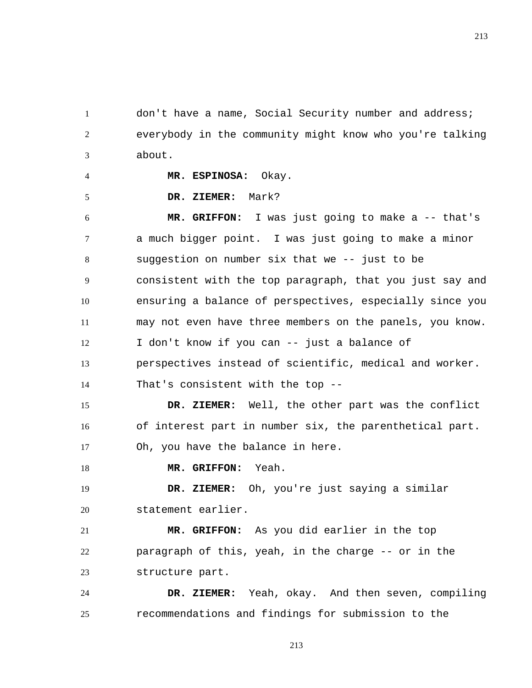1 2 3 don't have a name, Social Security number and address; everybody in the community might know who you're talking about.

 **MR. ESPINOSA:** Okay.

 **DR. ZIEMER:** Mark?

4

5

6 7 8 9 10 11 12 13 14  **MR. GRIFFON:** I was just going to make a -- that's a much bigger point. I was just going to make a minor suggestion on number six that we -- just to be consistent with the top paragraph, that you just say and ensuring a balance of perspectives, especially since you may not even have three members on the panels, you know. I don't know if you can -- just a balance of perspectives instead of scientific, medical and worker. That's consistent with the top --

15 16 17  **DR. ZIEMER:** Well, the other part was the conflict of interest part in number six, the parenthetical part. Oh, you have the balance in here.

18  **MR. GRIFFON:** Yeah.

19 20  **DR. ZIEMER:** Oh, you're just saying a similar statement earlier.

21 22 23  **MR. GRIFFON:** As you did earlier in the top paragraph of this, yeah, in the charge -- or in the structure part.

24 25  **DR. ZIEMER:** Yeah, okay. And then seven, compiling recommendations and findings for submission to the

213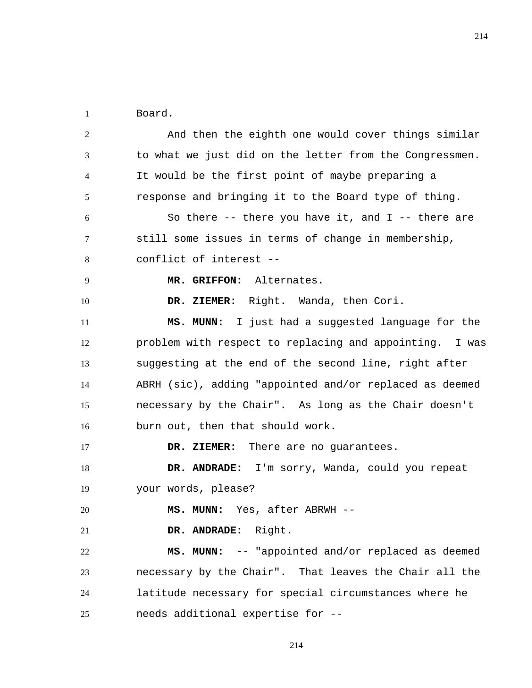1 Board.

2 3 4 5 6 7 8 9 10 11 12 13 14 15 16 17 18 19 20 21 22 23 24 25 And then the eighth one would cover things similar to what we just did on the letter from the Congressmen. It would be the first point of maybe preparing a response and bringing it to the Board type of thing. So there  $--$  there you have it, and I  $--$  there are still some issues in terms of change in membership, conflict of interest --  **MR. GRIFFON:** Alternates.  **DR. ZIEMER:** Right. Wanda, then Cori.  **MS. MUNN:** I just had a suggested language for the problem with respect to replacing and appointing. I was suggesting at the end of the second line, right after ABRH (sic), adding "appointed and/or replaced as deemed necessary by the Chair". As long as the Chair doesn't burn out, then that should work.  **DR. ZIEMER:** There are no guarantees.  **DR. ANDRADE:** I'm sorry, Wanda, could you repeat your words, please?  **MS. MUNN:** Yes, after ABRWH --  **DR. ANDRADE:** Right.  **MS. MUNN:** -- "appointed and/or replaced as deemed necessary by the Chair". That leaves the Chair all the latitude necessary for special circumstances where he needs additional expertise for --

214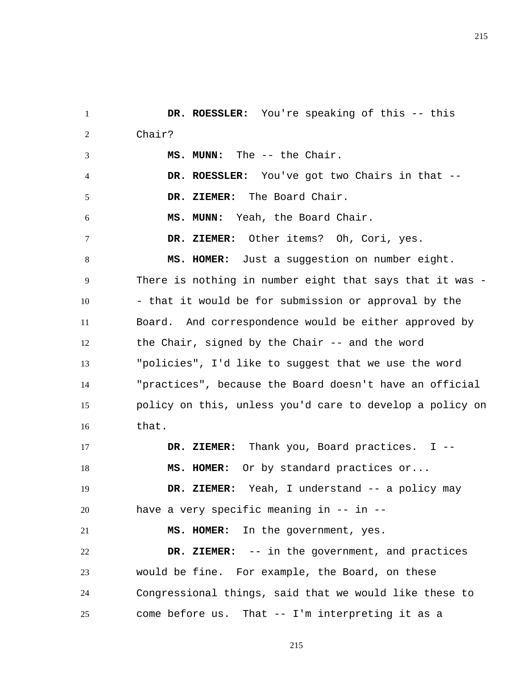1 2 3 4 5 6 7 8 9 10 11 12 13 14 15 16 17 18 19 20 21 22 23 24 25  **DR. ROESSLER:** You're speaking of this -- this Chair?  **MS. MUNN:** The -- the Chair.  **DR. ROESSLER:** You've got two Chairs in that --  **DR. ZIEMER:** The Board Chair.  **MS. MUNN:** Yeah, the Board Chair.  **DR. ZIEMER:** Other items? Oh, Cori, yes.  **MS. HOMER:** Just a suggestion on number eight. There is nothing in number eight that says that it was -- that it would be for submission or approval by the Board. And correspondence would be either approved by the Chair, signed by the Chair -- and the word "policies", I'd like to suggest that we use the word "practices", because the Board doesn't have an official policy on this, unless you'd care to develop a policy on that.  **DR. ZIEMER:** Thank you, Board practices. I --  **MS. HOMER:** Or by standard practices or...  **DR. ZIEMER:** Yeah, I understand -- a policy may have a very specific meaning in -- in -- **MS. HOMER:** In the government, yes.  **DR. ZIEMER:** -- in the government, and practices would be fine. For example, the Board, on these Congressional things, said that we would like these to come before us. That -- I'm interpreting it as a

215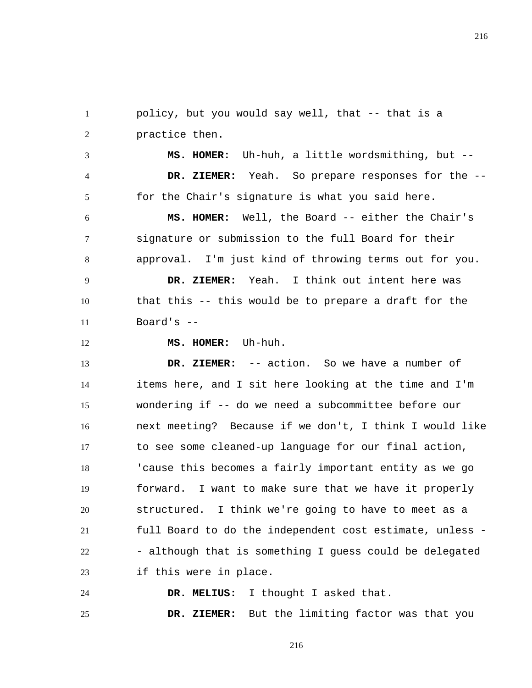1 2 policy, but you would say well, that -- that is a practice then.

3 4 5  **MS. HOMER:** Uh-huh, a little wordsmithing, but --  **DR. ZIEMER:** Yeah. So prepare responses for the - for the Chair's signature is what you said here.

6 7 8  **MS. HOMER:** Well, the Board -- either the Chair's signature or submission to the full Board for their approval. I'm just kind of throwing terms out for you.

9 10 11  **DR. ZIEMER:** Yeah. I think out intent here was that this -- this would be to prepare a draft for the Board's --

12  **MS. HOMER:** Uh-huh.

13 14 15 16 17 18 19 20 21 22 23  **DR. ZIEMER:** -- action. So we have a number of items here, and I sit here looking at the time and I'm wondering if -- do we need a subcommittee before our next meeting? Because if we don't, I think I would like to see some cleaned-up language for our final action, 'cause this becomes a fairly important entity as we go forward. I want to make sure that we have it properly structured. I think we're going to have to meet as a full Board to do the independent cost estimate, unless - - although that is something I guess could be delegated if this were in place.

24  **DR. MELIUS:** I thought I asked that.

25  **DR. ZIEMER:** But the limiting factor was that you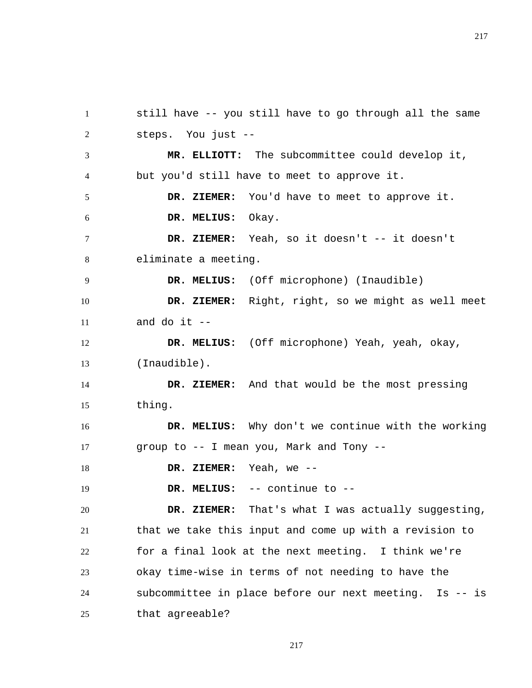still have -- you still have to go through all the same steps. You just --  **MR. ELLIOTT:** The subcommittee could develop it, but you'd still have to meet to approve it.  **DR. ZIEMER:** You'd have to meet to approve it.  **DR. MELIUS:** Okay.  **DR. ZIEMER:** Yeah, so it doesn't -- it doesn't eliminate a meeting.  **DR. MELIUS:** (Off microphone) (Inaudible)  **DR. ZIEMER:** Right, right, so we might as well meet and do it  $-$  **DR. MELIUS:** (Off microphone) Yeah, yeah, okay, (Inaudible).  **DR. ZIEMER:** And that would be the most pressing thing.  **DR. MELIUS:** Why don't we continue with the working group to -- I mean you, Mark and Tony --  **DR. ZIEMER:** Yeah, we --  **DR. MELIUS:** -- continue to --  **DR. ZIEMER:** That's what I was actually suggesting, that we take this input and come up with a revision to for a final look at the next meeting. I think we're okay time-wise in terms of not needing to have the

1

2

3

4

5

6

7

8

9

10

11

12

13

14

15

16

17

18

19

20

21

22

23

24 25 subcommittee in place before our next meeting. Is -- is that agreeable?

217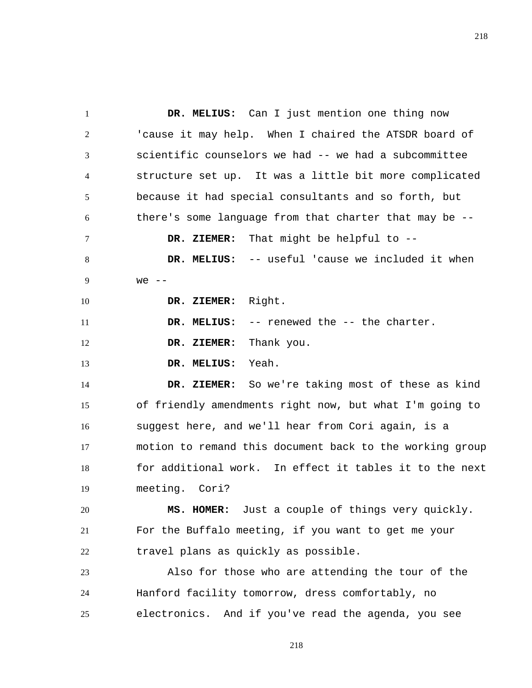1 2 3 4 5 6 7 8 9 10 11 12 13 14 15 16 17 18 19 20 21 22 23 24  **DR. MELIUS:** Can I just mention one thing now 'cause it may help. When I chaired the ATSDR board of scientific counselors we had -- we had a subcommittee structure set up. It was a little bit more complicated because it had special consultants and so forth, but there's some language from that charter that may be --  **DR. ZIEMER:** That might be helpful to --  **DR. MELIUS:** -- useful 'cause we included it when we  $--$  **DR. ZIEMER:** Right.  **DR. MELIUS:** -- renewed the -- the charter.  **DR. ZIEMER:** Thank you.  **DR. MELIUS:** Yeah.  **DR. ZIEMER:** So we're taking most of these as kind of friendly amendments right now, but what I'm going to suggest here, and we'll hear from Cori again, is a motion to remand this document back to the working group for additional work. In effect it tables it to the next meeting. Cori?  **MS. HOMER:** Just a couple of things very quickly. For the Buffalo meeting, if you want to get me your travel plans as quickly as possible. Also for those who are attending the tour of the Hanford facility tomorrow, dress comfortably, no

25 electronics. And if you've read the agenda, you see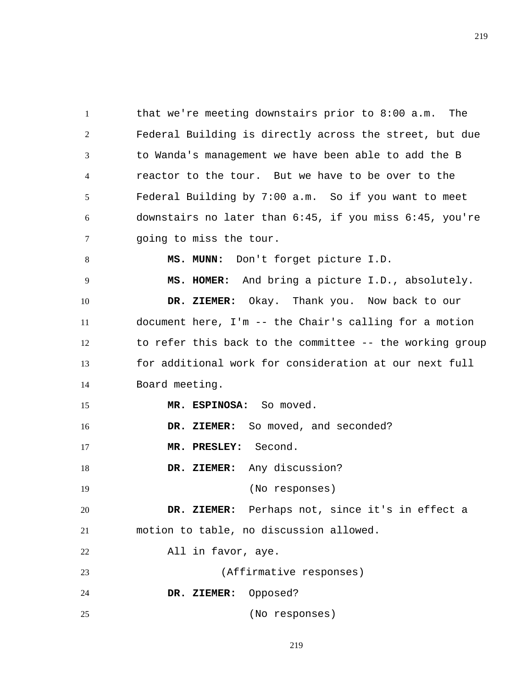1 2 3 4 5 6 7 8 9 10 11 12 13 14 15 16 17 18 19 20 21 22 23 24 25 that we're meeting downstairs prior to 8:00 a.m. The Federal Building is directly across the street, but due to Wanda's management we have been able to add the B reactor to the tour. But we have to be over to the Federal Building by 7:00 a.m. So if you want to meet downstairs no later than 6:45, if you miss 6:45, you're going to miss the tour.  **MS. MUNN:** Don't forget picture I.D.  **MS. HOMER:** And bring a picture I.D., absolutely.  **DR. ZIEMER:** Okay. Thank you. Now back to our document here, I'm -- the Chair's calling for a motion to refer this back to the committee -- the working group for additional work for consideration at our next full Board meeting.  **MR. ESPINOSA:** So moved.  **DR. ZIEMER:** So moved, and seconded?  **MR. PRESLEY:** Second.  **DR. ZIEMER:** Any discussion? (No responses)  **DR. ZIEMER:** Perhaps not, since it's in effect a motion to table, no discussion allowed. All in favor, aye. (Affirmative responses)  **DR. ZIEMER:** Opposed? (No responses)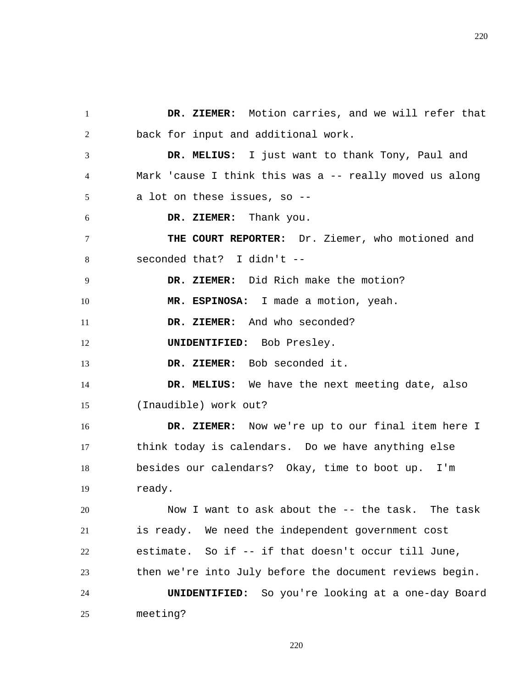1 2 3 4 5 6 7 8 9 10 11 12 13 14 15 16 17 18 19 20 21 22 23 24 25  **DR. ZIEMER:** Motion carries, and we will refer that back for input and additional work.  **DR. MELIUS:** I just want to thank Tony, Paul and Mark 'cause I think this was a -- really moved us along a lot on these issues, so --  **DR. ZIEMER:** Thank you. **THE COURT REPORTER:** Dr. Ziemer, who motioned and seconded that? I didn't --  **DR. ZIEMER:** Did Rich make the motion?  **MR. ESPINOSA:** I made a motion, yeah.  **DR. ZIEMER:** And who seconded? **UNIDENTIFIED:** Bob Presley.  **DR. ZIEMER:** Bob seconded it.  **DR. MELIUS:** We have the next meeting date, also (Inaudible) work out?  **DR. ZIEMER:** Now we're up to our final item here I think today is calendars. Do we have anything else besides our calendars? Okay, time to boot up. I'm ready. Now I want to ask about the -- the task. The task is ready. We need the independent government cost estimate. So if -- if that doesn't occur till June, then we're into July before the document reviews begin. **UNIDENTIFIED:** So you're looking at a one-day Board meeting?

220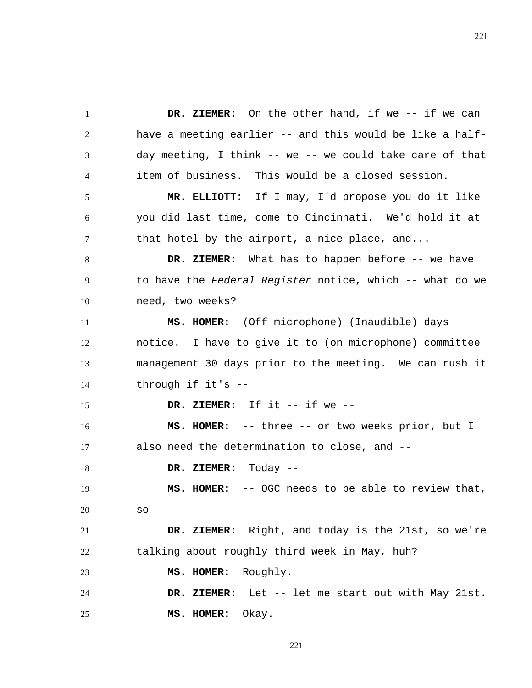1 2 3 4  **DR. ZIEMER:** On the other hand, if we -- if we can have a meeting earlier -- and this would be like a halfday meeting, I think -- we -- we could take care of that item of business. This would be a closed session.

5 6 7  **MR. ELLIOTT:** If I may, I'd propose you do it like you did last time, come to Cincinnati. We'd hold it at that hotel by the airport, a nice place, and...

8 9 10  **DR. ZIEMER:** What has to happen before -- we have to have the *Federal Register* notice, which -- what do we need, two weeks?

11 12 13 14  **MS. HOMER:** (Off microphone) (Inaudible) days notice. I have to give it to (on microphone) committee management 30 days prior to the meeting. We can rush it through if it's --

 **DR. ZIEMER:** If it -- if we --

16 17  **MS. HOMER:** -- three -- or two weeks prior, but I also need the determination to close, and --

18  **DR. ZIEMER:** Today --

15

19 20  **MS. HOMER:** -- OGC needs to be able to review that,  $SO = -$ 

21 22  **DR. ZIEMER:** Right, and today is the 21st, so we're talking about roughly third week in May, huh?

23  **MS. HOMER:** Roughly.

24 25  **DR. ZIEMER:** Let -- let me start out with May 21st.  **MS. HOMER:** Okay.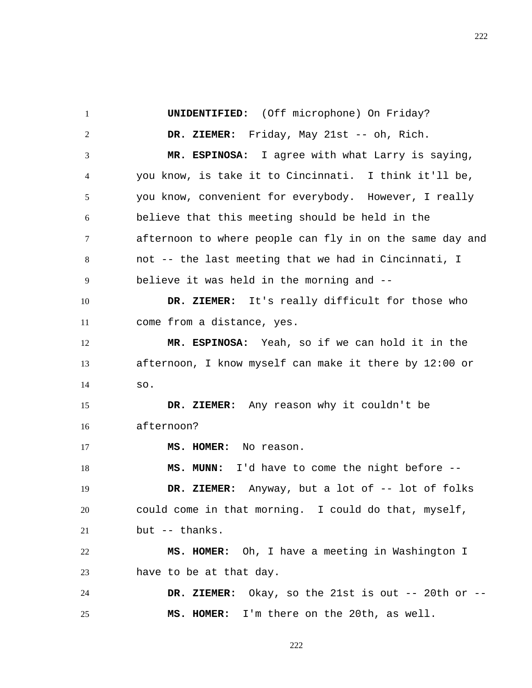1 2 3 4 5 6 7 8 9 10 11 12 13 14 15 16 17 18 19 20 21 22 23 24 25  **UNIDENTIFIED:** (Off microphone) On Friday?  **DR. ZIEMER:** Friday, May 21st -- oh, Rich.  **MR. ESPINOSA:** I agree with what Larry is saying, you know, is take it to Cincinnati. I think it'll be, you know, convenient for everybody. However, I really believe that this meeting should be held in the afternoon to where people can fly in on the same day and not -- the last meeting that we had in Cincinnati, I believe it was held in the morning and --  **DR. ZIEMER:** It's really difficult for those who come from a distance, yes.  **MR. ESPINOSA:** Yeah, so if we can hold it in the afternoon, I know myself can make it there by 12:00 or so.  **DR. ZIEMER:** Any reason why it couldn't be afternoon?  **MS. HOMER:** No reason.  **MS. MUNN:** I'd have to come the night before --  **DR. ZIEMER:** Anyway, but a lot of -- lot of folks could come in that morning. I could do that, myself, but -- thanks.  **MS. HOMER:** Oh, I have a meeting in Washington I have to be at that day.  **DR. ZIEMER:** Okay, so the 21st is out -- 20th or --  **MS. HOMER:** I'm there on the 20th, as well.

222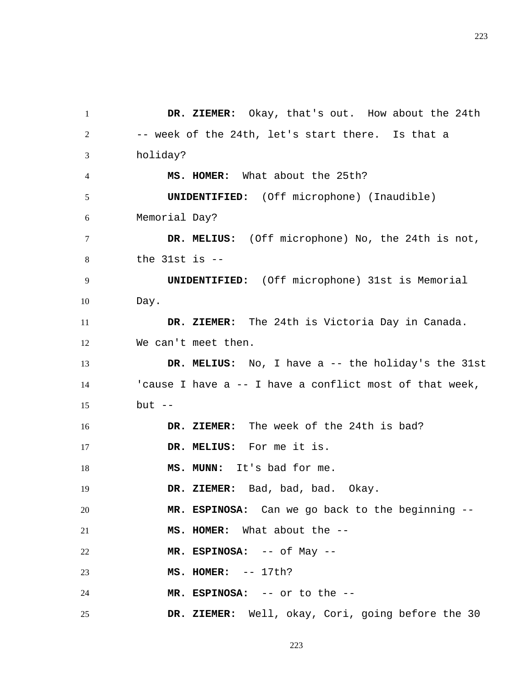1 2 3 4 5 6 7 8 9 10 11 12 13 14 15 16 17 18 19 20 21 22 23 24 25  **DR. ZIEMER:** Okay, that's out. How about the 24th -- week of the 24th, let's start there. Is that a holiday?  **MS. HOMER:** What about the 25th? **UNIDENTIFIED:** (Off microphone) (Inaudible) Memorial Day?  **DR. MELIUS:** (Off microphone) No, the 24th is not, the 31st is -- **UNIDENTIFIED:** (Off microphone) 31st is Memorial Day.  **DR. ZIEMER:** The 24th is Victoria Day in Canada. We can't meet then.  **DR. MELIUS:** No, I have a -- the holiday's the 31st 'cause I have a -- I have a conflict most of that week, but  $--$  **DR. ZIEMER:** The week of the 24th is bad?  **DR. MELIUS:** For me it is.  **MS. MUNN:** It's bad for me.  **DR. ZIEMER:** Bad, bad, bad. Okay.  **MR. ESPINOSA:** Can we go back to the beginning --  **MS. HOMER:** What about the --  **MR. ESPINOSA:** -- of May --  **MS. HOMER:** -- 17th?  **MR. ESPINOSA:** -- or to the --  **DR. ZIEMER:** Well, okay, Cori, going before the 30

223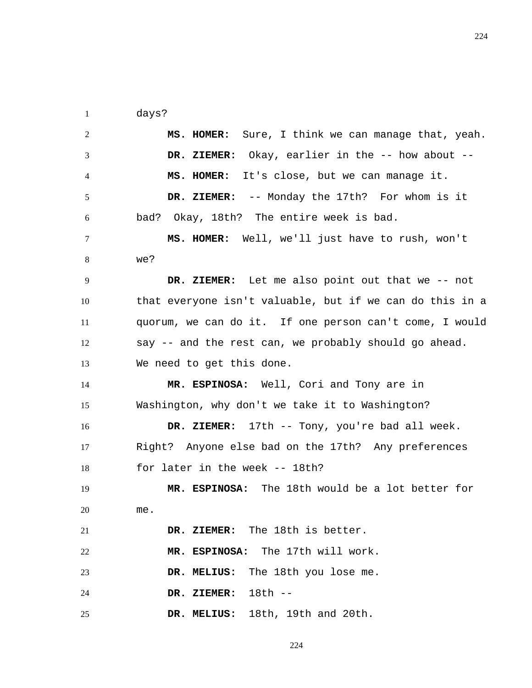1 days?

| $\overline{2}$ | Sure, I think we can manage that, yeah.<br>MS. HOMER:    |
|----------------|----------------------------------------------------------|
| 3              | DR. ZIEMER: Okay, earlier in the -- how about --         |
| 4              | It's close, but we can manage it.<br>MS. HOMER:          |
| 5              | DR. ZIEMER: -- Monday the 17th? For whom is it           |
| 6              | bad? Okay, 18th? The entire week is bad.                 |
| 7              | MS. HOMER: Well, we'll just have to rush, won't          |
| 8              | we?                                                      |
| 9              | DR. ZIEMER: Let me also point out that we -- not         |
| 10             | that everyone isn't valuable, but if we can do this in a |
| 11             | quorum, we can do it. If one person can't come, I would  |
| 12             | say -- and the rest can, we probably should go ahead.    |
| 13             | We need to get this done.                                |
|                |                                                          |
| 14             | MR. ESPINOSA: Well, Cori and Tony are in                 |
| 15             | Washington, why don't we take it to Washington?          |
| 16             | DR. ZIEMER: 17th -- Tony, you're bad all week.           |
| 17             | Right? Anyone else bad on the 17th? Any preferences      |
| 18             | for later in the week -- 18th?                           |
| 19             | MR. ESPINOSA: The 18th would be a lot better for         |
| 20             | me.                                                      |
| 21             | DR. ZIEMER: The 18th is better.                          |
| 22             | MR. ESPINOSA: The 17th will work.                        |
| 23             | The 18th you lose me.<br>DR. MELIUS:                     |
| 24             | 18th --<br>DR. ZIEMER:                                   |

224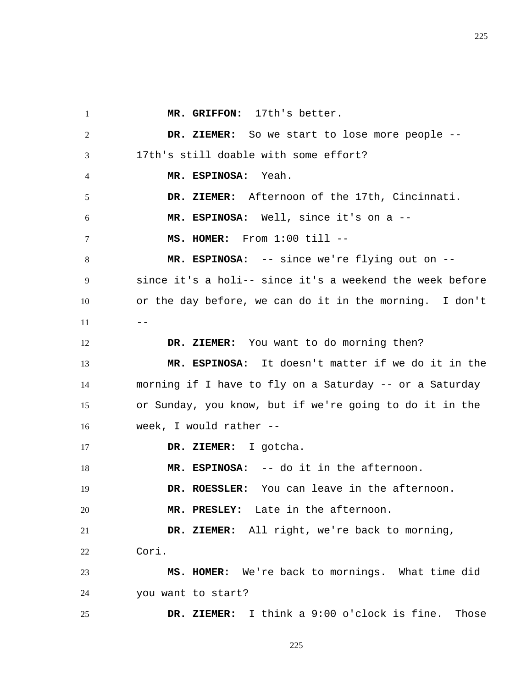1 2 3 4 5 6 7 8 9 10  $11$   $---$ 12 13 14 15 16 17 18 19 20 21 22 23 24 25  **MR. GRIFFON:** 17th's better.  **DR. ZIEMER:** So we start to lose more people -- 17th's still doable with some effort?  **MR. ESPINOSA:** Yeah.  **DR. ZIEMER:** Afternoon of the 17th, Cincinnati.  **MR. ESPINOSA:** Well, since it's on a --  **MS. HOMER:** From 1:00 till --  **MR. ESPINOSA:** -- since we're flying out on - since it's a holi-- since it's a weekend the week before or the day before, we can do it in the morning. I don't  **DR. ZIEMER:** You want to do morning then?  **MR. ESPINOSA:** It doesn't matter if we do it in the morning if I have to fly on a Saturday -- or a Saturday or Sunday, you know, but if we're going to do it in the week, I would rather --  **DR. ZIEMER:** I gotcha.  **MR. ESPINOSA:** -- do it in the afternoon.  **DR. ROESSLER:** You can leave in the afternoon.  **MR. PRESLEY:** Late in the afternoon.  **DR. ZIEMER:** All right, we're back to morning, Cori.  **MS. HOMER:** We're back to mornings. What time did you want to start?  **DR. ZIEMER:** I think a 9:00 o'clock is fine. Those

225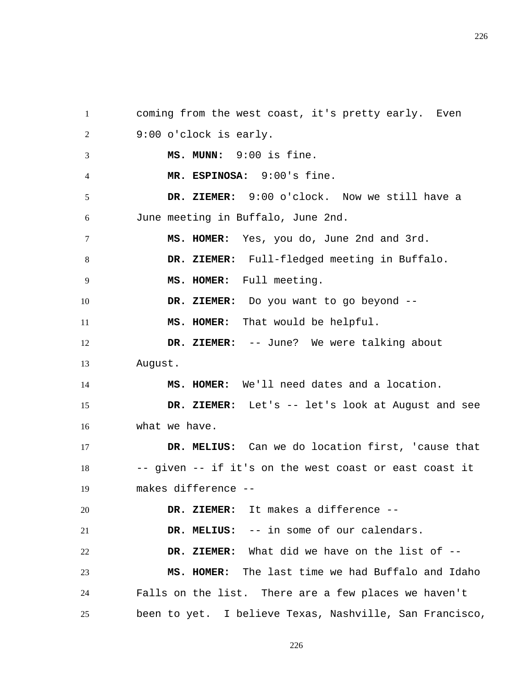1 2 3 4 5 6 7 8 9 10 11 12 13 14 15 16 17 18 19 20 21 22 23 24 25 coming from the west coast, it's pretty early. Even 9:00 o'clock is early.  **MS. MUNN:** 9:00 is fine.  **MR. ESPINOSA:** 9:00's fine.  **DR. ZIEMER:** 9:00 o'clock. Now we still have a June meeting in Buffalo, June 2nd.  **MS. HOMER:** Yes, you do, June 2nd and 3rd.  **DR. ZIEMER:** Full-fledged meeting in Buffalo.  **MS. HOMER:** Full meeting.  **DR. ZIEMER:** Do you want to go beyond --  **MS. HOMER:** That would be helpful.  **DR. ZIEMER:** -- June? We were talking about August.  **MS. HOMER:** We'll need dates and a location.  **DR. ZIEMER:** Let's -- let's look at August and see what we have.  **DR. MELIUS:** Can we do location first, 'cause that -- given -- if it's on the west coast or east coast it makes difference --  **DR. ZIEMER:** It makes a difference --  **DR. MELIUS:** -- in some of our calendars.  **DR. ZIEMER:** What did we have on the list of --  **MS. HOMER:** The last time we had Buffalo and Idaho Falls on the list. There are a few places we haven't been to yet. I believe Texas, Nashville, San Francisco,

226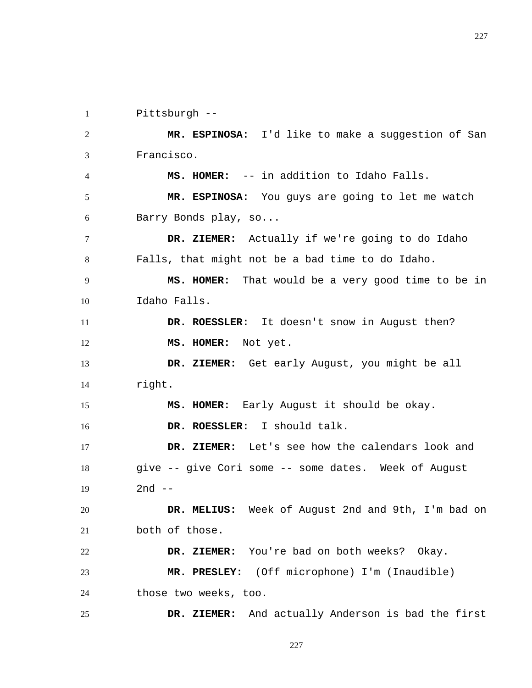1 Pittsburgh --

2 3 4 5 6 7 8 9 10 11 12 13 14 15 16 17 18 19 20 21 22 23 24 25  **MR. ESPINOSA:** I'd like to make a suggestion of San Francisco.  **MS. HOMER:** -- in addition to Idaho Falls.  **MR. ESPINOSA:** You guys are going to let me watch Barry Bonds play, so...  **DR. ZIEMER:** Actually if we're going to do Idaho Falls, that might not be a bad time to do Idaho.  **MS. HOMER:** That would be a very good time to be in Idaho Falls.  **DR. ROESSLER:** It doesn't snow in August then?  **MS. HOMER:** Not yet.  **DR. ZIEMER:** Get early August, you might be all right.  **MS. HOMER:** Early August it should be okay.  **DR. ROESSLER:** I should talk.  **DR. ZIEMER:** Let's see how the calendars look and give -- give Cori some -- some dates. Week of August  $2nd$   $-$  **DR. MELIUS:** Week of August 2nd and 9th, I'm bad on both of those.  **DR. ZIEMER:** You're bad on both weeks? Okay.  **MR. PRESLEY:** (Off microphone) I'm (Inaudible) those two weeks, too.  **DR. ZIEMER:** And actually Anderson is bad the first

227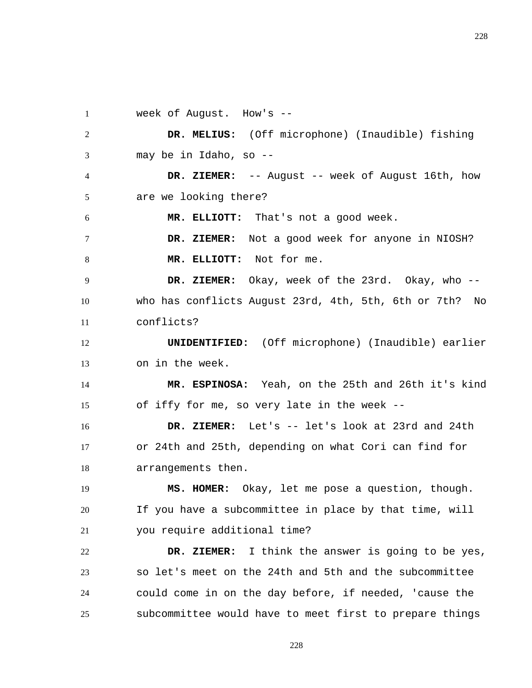1 week of August. How's --

2 3  **DR. MELIUS:** (Off microphone) (Inaudible) fishing may be in Idaho, so --

4 5  **DR. ZIEMER:** -- August -- week of August 16th, how are we looking there?

6  **MR. ELLIOTT:** That's not a good week.

7 8  **DR. ZIEMER:** Not a good week for anyone in NIOSH?  **MR. ELLIOTT:** Not for me.

9 10 11  **DR. ZIEMER:** Okay, week of the 23rd. Okay, who - who has conflicts August 23rd, 4th, 5th, 6th or 7th? No conflicts?

12 13 **UNIDENTIFIED:** (Off microphone) (Inaudible) earlier on in the week.

14 15  **MR. ESPINOSA:** Yeah, on the 25th and 26th it's kind of iffy for me, so very late in the week --

16 17 18  **DR. ZIEMER:** Let's -- let's look at 23rd and 24th or 24th and 25th, depending on what Cori can find for arrangements then.

19 20 21  **MS. HOMER:** Okay, let me pose a question, though. If you have a subcommittee in place by that time, will you require additional time?

22 23 24 25  **DR. ZIEMER:** I think the answer is going to be yes, so let's meet on the 24th and 5th and the subcommittee could come in on the day before, if needed, 'cause the subcommittee would have to meet first to prepare things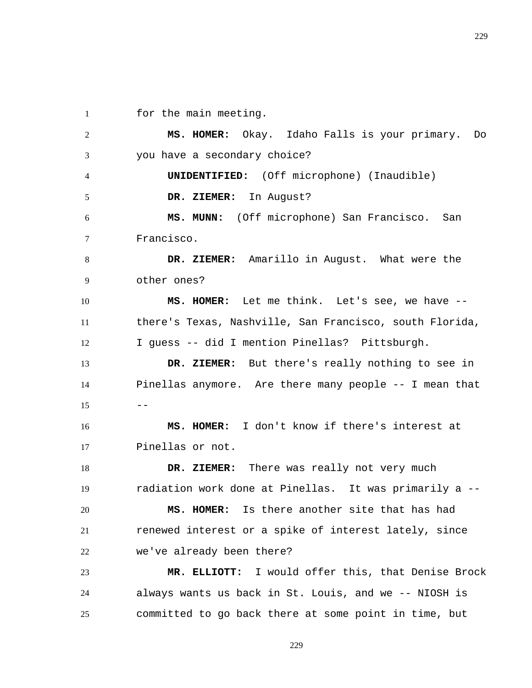1 for the main meeting.

2 3 4 5 6 7 8 9 10 11 12 13 14  $15$   $--$ 16 17 18 19 20 21 22 23  **MS. HOMER:** Okay. Idaho Falls is your primary. Do you have a secondary choice? **UNIDENTIFIED:** (Off microphone) (Inaudible)  **DR. ZIEMER:** In August?  **MS. MUNN:** (Off microphone) San Francisco. San Francisco.  **DR. ZIEMER:** Amarillo in August. What were the other ones?  **MS. HOMER:** Let me think. Let's see, we have - there's Texas, Nashville, San Francisco, south Florida, I guess -- did I mention Pinellas? Pittsburgh.  **DR. ZIEMER:** But there's really nothing to see in Pinellas anymore. Are there many people -- I mean that  **MS. HOMER:** I don't know if there's interest at Pinellas or not.  **DR. ZIEMER:** There was really not very much radiation work done at Pinellas. It was primarily a --  **MS. HOMER:** Is there another site that has had renewed interest or a spike of interest lately, since we've already been there?  **MR. ELLIOTT:** I would offer this, that Denise Brock

24 25 always wants us back in St. Louis, and we -- NIOSH is committed to go back there at some point in time, but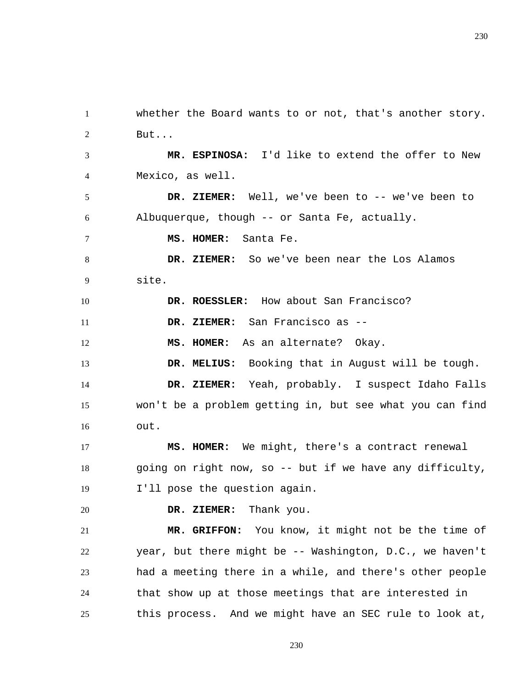230

2 3 4 5 6 7 8 9 10 11 12 13 14 15 16 17 18 19 20 21 22 23 But...  **MR. ESPINOSA:** I'd like to extend the offer to New Mexico, as well.  **DR. ZIEMER:** Well, we've been to -- we've been to Albuquerque, though -- or Santa Fe, actually.  **MS. HOMER:** Santa Fe.  **DR. ZIEMER:** So we've been near the Los Alamos site.  **DR. ROESSLER:** How about San Francisco?  **DR. ZIEMER:** San Francisco as --  **MS. HOMER:** As an alternate? Okay.  **DR. MELIUS:** Booking that in August will be tough.  **DR. ZIEMER:** Yeah, probably. I suspect Idaho Falls won't be a problem getting in, but see what you can find out.  **MS. HOMER:** We might, there's a contract renewal going on right now, so -- but if we have any difficulty, I'll pose the question again.  **DR. ZIEMER:** Thank you.  **MR. GRIFFON:** You know, it might not be the time of year, but there might be -- Washington, D.C., we haven't had a meeting there in a while, and there's other people

whether the Board wants to or not, that's another story.

1

24

25 this process. And we might have an SEC rule to look at,

230

that show up at those meetings that are interested in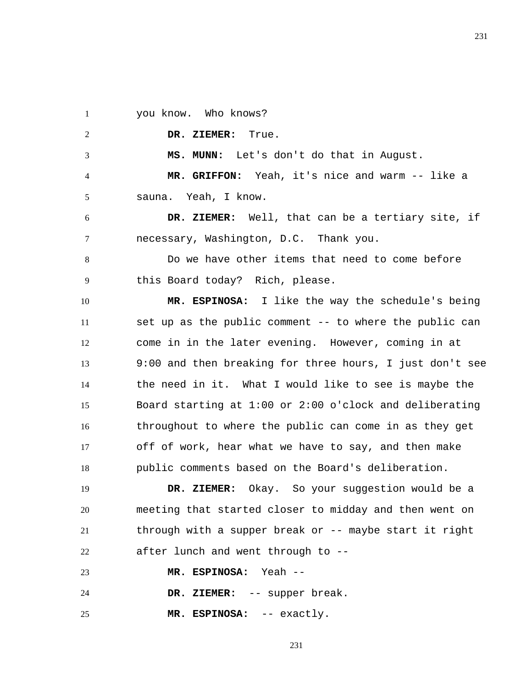1 you know. Who knows?

2

3

6

7

 **DR. ZIEMER:** True.

 **MS. MUNN:** Let's don't do that in August.

4 5  **MR. GRIFFON:** Yeah, it's nice and warm -- like a sauna. Yeah, I know.

 **DR. ZIEMER:** Well, that can be a tertiary site, if necessary, Washington, D.C. Thank you.

8 9 Do we have other items that need to come before this Board today? Rich, please.

10 11 12 13 14 15 16 17 18  **MR. ESPINOSA:** I like the way the schedule's being set up as the public comment -- to where the public can come in in the later evening. However, coming in at 9:00 and then breaking for three hours, I just don't see the need in it. What I would like to see is maybe the Board starting at 1:00 or 2:00 o'clock and deliberating throughout to where the public can come in as they get off of work, hear what we have to say, and then make public comments based on the Board's deliberation.

19 20 21 22  **DR. ZIEMER:** Okay. So your suggestion would be a meeting that started closer to midday and then went on through with a supper break or -- maybe start it right after lunch and went through to --

23  **MR. ESPINOSA:** Yeah --

24  **DR. ZIEMER:** -- supper break.

25  **MR. ESPINOSA:** -- exactly.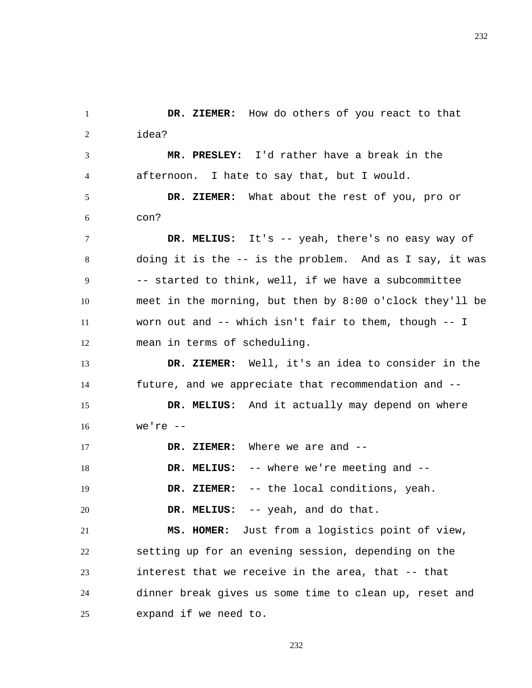1 2 3 4 5  **DR. ZIEMER:** How do others of you react to that idea?  **MR. PRESLEY:** I'd rather have a break in the afternoon. I hate to say that, but I would.  **DR. ZIEMER:** What about the rest of you, pro or

6 con?

7 8 9 10 11 12  **DR. MELIUS:** It's -- yeah, there's no easy way of doing it is the -- is the problem. And as I say, it was -- started to think, well, if we have a subcommittee meet in the morning, but then by 8:00 o'clock they'll be worn out and -- which isn't fair to them, though -- I mean in terms of scheduling.

13 14  **DR. ZIEMER:** Well, it's an idea to consider in the future, and we appreciate that recommendation and --

15 16  **DR. MELIUS:** And it actually may depend on where we're --

17 18 19 20  **DR. ZIEMER:** Where we are and --  **DR. MELIUS:** -- where we're meeting and --  **DR. ZIEMER:** -- the local conditions, yeah.  **DR. MELIUS:** -- yeah, and do that.

21 22 23 24 25  **MS. HOMER:** Just from a logistics point of view, setting up for an evening session, depending on the interest that we receive in the area, that -- that dinner break gives us some time to clean up, reset and expand if we need to.

232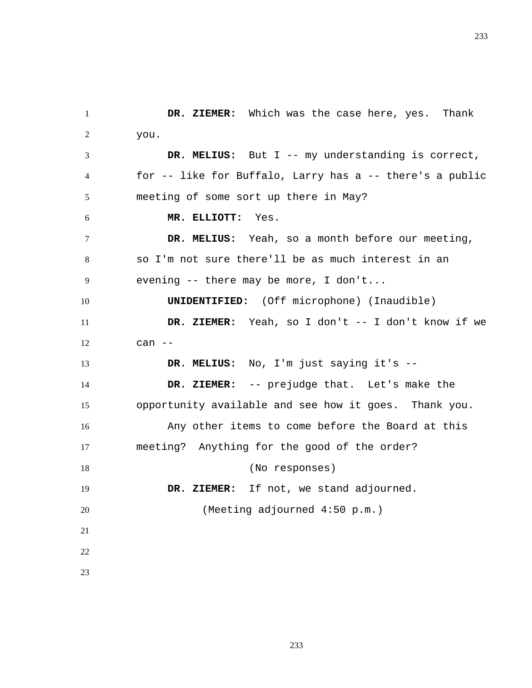1 2 3 4 5 6 7 8 9 10 11 12 13 14 15 16 17 18 19 20 21 22 23  **DR. ZIEMER:** Which was the case here, yes. Thank you.  **DR. MELIUS:** But I -- my understanding is correct, for -- like for Buffalo, Larry has a -- there's a public meeting of some sort up there in May?  **MR. ELLIOTT:** Yes.  **DR. MELIUS:** Yeah, so a month before our meeting, so I'm not sure there'll be as much interest in an evening -- there may be more, I don't... **UNIDENTIFIED:** (Off microphone) (Inaudible)  **DR. ZIEMER:** Yeah, so I don't -- I don't know if we can --  **DR. MELIUS:** No, I'm just saying it's --  **DR. ZIEMER:** -- prejudge that. Let's make the opportunity available and see how it goes. Thank you. Any other items to come before the Board at this meeting? Anything for the good of the order? (No responses)  **DR. ZIEMER:** If not, we stand adjourned. (Meeting adjourned 4:50 p.m.)

233